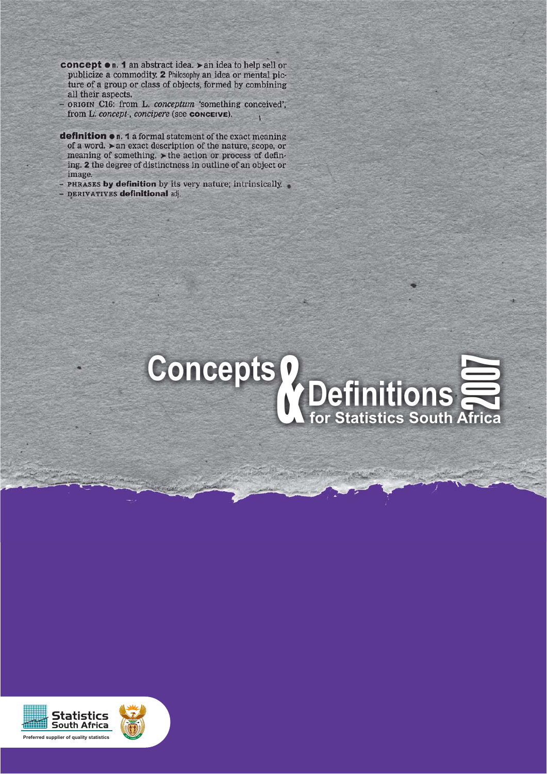- concept on. 1 an abstract idea. > an idea to help sell or publicize a commodity. 2 Philosophy an idea or mental picture of a group or class of objects, formed by combining all their aspects.
- ORIGIN C16: from L. conceptum 'something conceived', from L. concept-, concipere (see CONCEIVE).  $\overline{1}$
- definition . 1 a formal statement of the exact meaning of a word.  $\blacktriangleright$  an exact description of the nature, scope, or meaning of something. > the action or process of defining. 2 the degree of distinctness in outline of an object or image.
- PHRASES by definition by its very nature; intrinsically.
- DERIVATIVES definitional adj.



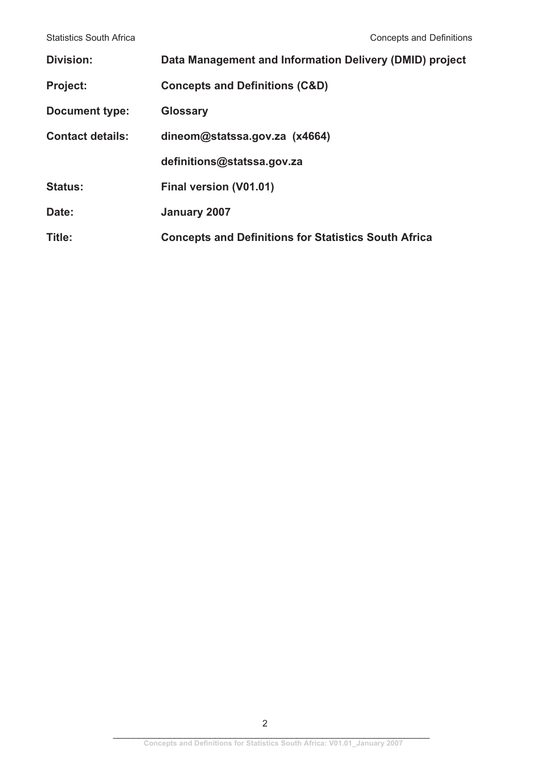| <b>Division:</b>        | Data Management and Information Delivery (DMID) project     |
|-------------------------|-------------------------------------------------------------|
| <b>Project:</b>         | <b>Concepts and Definitions (C&amp;D)</b>                   |
| <b>Document type:</b>   | <b>Glossary</b>                                             |
| <b>Contact details:</b> | dineom@statssa.gov.za (x4664)                               |
|                         | definitions@statssa.gov.za                                  |
| <b>Status:</b>          | Final version (V01.01)                                      |
| Date:                   | January 2007                                                |
| Title:                  | <b>Concepts and Definitions for Statistics South Africa</b> |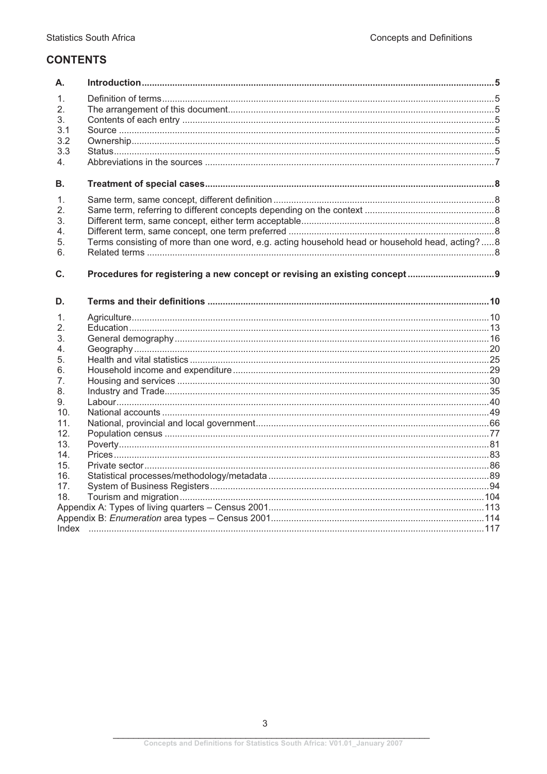# **CONTENTS**

| Α.               |                                                                                                |  |
|------------------|------------------------------------------------------------------------------------------------|--|
| 1.               |                                                                                                |  |
| 2.               |                                                                                                |  |
| 3.               |                                                                                                |  |
| 3.1              |                                                                                                |  |
| 3.2              |                                                                                                |  |
| 3.3              |                                                                                                |  |
| $4_{-}$          |                                                                                                |  |
| В.               |                                                                                                |  |
| $1_{-}$          |                                                                                                |  |
| $\mathfrak{2}$ . |                                                                                                |  |
| 3.               |                                                                                                |  |
| 4.               |                                                                                                |  |
| 5.               | Terms consisting of more than one word, e.g. acting household head or household head, acting?8 |  |
| 6.               |                                                                                                |  |
| C.               |                                                                                                |  |
| D.               |                                                                                                |  |
| 1.               |                                                                                                |  |
| 2.               |                                                                                                |  |
| 3.               |                                                                                                |  |
| 4.               |                                                                                                |  |
| 5.               |                                                                                                |  |
| 6.               |                                                                                                |  |
| 7 <sub>1</sub>   |                                                                                                |  |
| 8.               |                                                                                                |  |
| 9.               |                                                                                                |  |
| 10 <sub>1</sub>  |                                                                                                |  |
| 11.              |                                                                                                |  |
| 12.              |                                                                                                |  |
| 13.              |                                                                                                |  |
| 14.              |                                                                                                |  |
| 15.              |                                                                                                |  |
| 16.              |                                                                                                |  |
| 17.              |                                                                                                |  |
| 18.              |                                                                                                |  |
|                  |                                                                                                |  |
|                  |                                                                                                |  |
|                  |                                                                                                |  |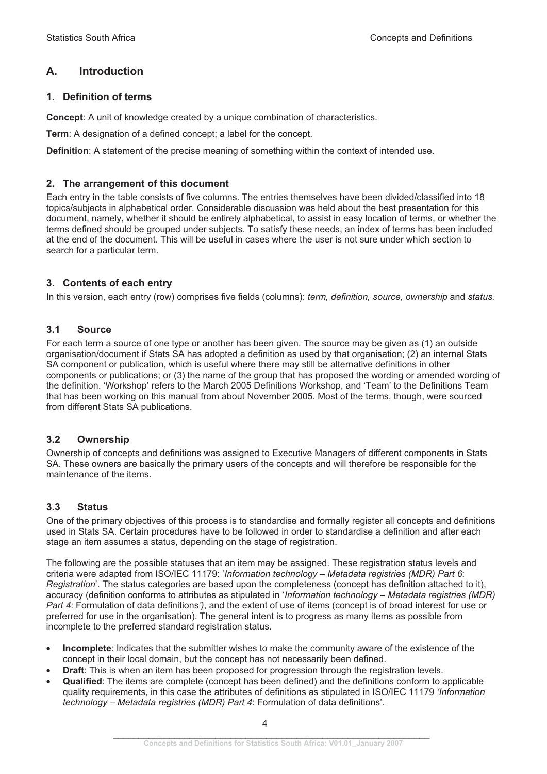## **A. Introduction**

### **1. Definition of terms**

**Concept**: A unit of knowledge created by a unique combination of characteristics.

**Term**: A designation of a defined concept; a label for the concept.

**Definition**: A statement of the precise meaning of something within the context of intended use.

#### **2. The arrangement of this document**

Each entry in the table consists of five columns. The entries themselves have been divided/classified into 18 topics/subjects in alphabetical order. Considerable discussion was held about the best presentation for this document, namely, whether it should be entirely alphabetical, to assist in easy location of terms, or whether the terms defined should be grouped under subjects. To satisfy these needs, an index of terms has been included at the end of the document. This will be useful in cases where the user is not sure under which section to search for a particular term.

#### **3. Contents of each entry**

In this version, each entry (row) comprises five fields (columns): *term, definition, source, ownership* and *status.*

### **3.1 Source**

For each term a source of one type or another has been given. The source may be given as (1) an outside organisation/document if Stats SA has adopted a definition as used by that organisation; (2) an internal Stats SA component or publication, which is useful where there may still be alternative definitions in other components or publications; or (3) the name of the group that has proposed the wording or amended wording of the definition. 'Workshop' refers to the March 2005 Definitions Workshop, and 'Team' to the Definitions Team that has been working on this manual from about November 2005. Most of the terms, though, were sourced from different Stats SA publications.

### **3.2 Ownership**

Ownership of concepts and definitions was assigned to Executive Managers of different components in Stats SA. These owners are basically the primary users of the concepts and will therefore be responsible for the maintenance of the items.

### **3.3 Status**

One of the primary objectives of this process is to standardise and formally register all concepts and definitions used in Stats SA. Certain procedures have to be followed in order to standardise a definition and after each stage an item assumes a status, depending on the stage of registration.

The following are the possible statuses that an item may be assigned. These registration status levels and criteria were adapted from ISO/IEC 11179: '*Information technology – Metadata registries (MDR) Part 6*: *Registration*'. The status categories are based upon the completeness (concept has definition attached to it), accuracy (definition conforms to attributes as stipulated in '*Information technology – Metadata registries (MDR) Part 4*: Formulation of data definitions*')*, and the extent of use of items (concept is of broad interest for use or preferred for use in the organisation). The general intent is to progress as many items as possible from incomplete to the preferred standard registration status.

- - **Incomplete**: Indicates that the submitter wishes to make the community aware of the existence of the concept in their local domain, but the concept has not necessarily been defined.
- -**Draft**: This is when an item has been proposed for progression through the registration levels.
- -**Qualified:** The items are complete (concept has been defined) and the definitions conform to applicable quality requirements, in this case the attributes of definitions as stipulated in ISO/IEC 11179 *'Information technology – Metadata registries (MDR) Part 4*: Formulation of data definitions'.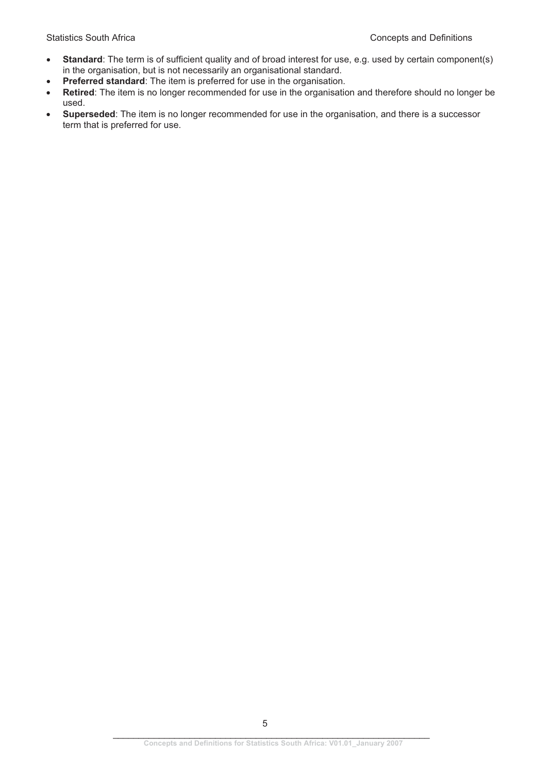- -**Standard**: The term is of sufficient quality and of broad interest for use, e.g. used by certain component(s) in the organisation, but is not necessarily an organisational standard.
- -**Preferred standard**: The item is preferred for use in the organisation.
- - **Retired**: The item is no longer recommended for use in the organisation and therefore should no longer be used.
- - **Superseded**: The item is no longer recommended for use in the organisation, and there is a successor term that is preferred for use.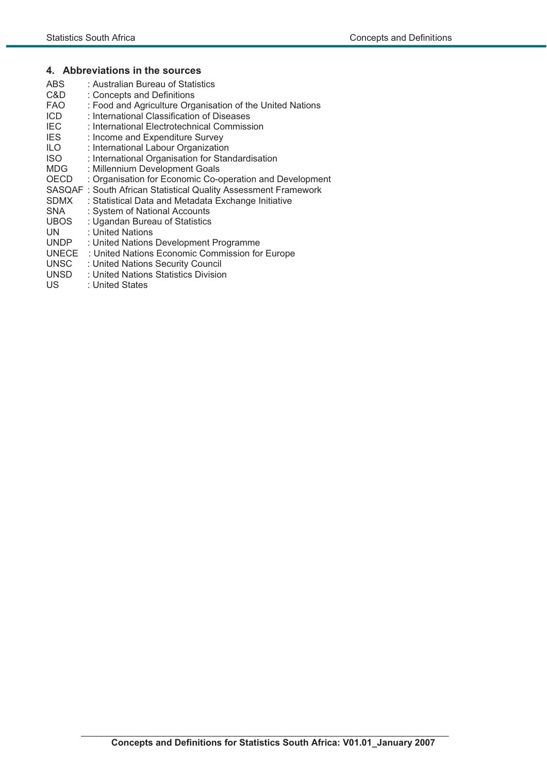#### **4. Abbreviations in the sources**

- ABS : Australian Bureau of Statistics C&D : Concepts and Definitions<br>FAO : Food and Agriculture Org : Food and Agriculture Organisation of the United Nations ICD : International Classification of Diseases<br>IEC : International Electrotechnical Commiss IEC : International Electrotechnical Commission<br>IES : Income and Expenditure Survey IES : Income and Expenditure Survey<br>ILO : International Labour Organization ILO : International Labour Organization<br>ISO : International Organisation for Star ISO : International Organisation for Standardisation<br>
MDG : Millennium Development Goals : Millennium Development Goals OECD : Organisation for Economic Co-operation and Development SASQAF : South African Statistical Quality Assessment Framework SDMX : Statistical Data and Metadata Exchange Initiative SNA : System of National Accounts<br>UBOS : Ugandan Bureau of Statistics : Ugandan Bureau of Statistics UN : United Nations UNDP : United Nations Development Programme UNECE : United Nations Economic Commission for Europe UNSC : United Nations Security Council
- UNSD : United Nations Statistics Division<br>US : United States
- : United States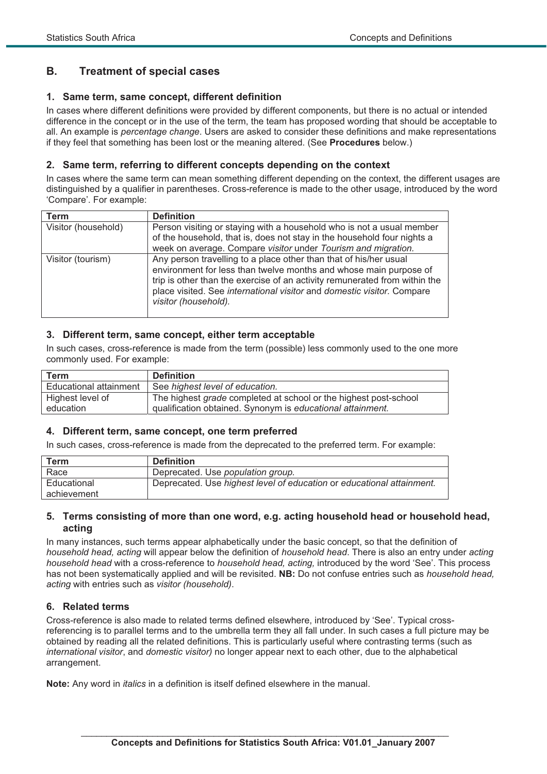## **B. Treatment of special cases**

### **1. Same term, same concept, different definition**

In cases where different definitions were provided by different components, but there is no actual or intended difference in the concept or in the use of the term, the team has proposed wording that should be acceptable to all. An example is *percentage change*. Users are asked to consider these definitions and make representations if they feel that something has been lost or the meaning altered. (See **Procedures** below.)

#### **2. Same term, referring to different concepts depending on the context**

In cases where the same term can mean something different depending on the context, the different usages are distinguished by a qualifier in parentheses. Cross-reference is made to the other usage, introduced by the word 'Compare'. For example:

| Term                | <b>Definition</b>                                                          |  |  |  |  |
|---------------------|----------------------------------------------------------------------------|--|--|--|--|
| Visitor (household) | Person visiting or staying with a household who is not a usual member      |  |  |  |  |
|                     | of the household, that is, does not stay in the household four nights a    |  |  |  |  |
|                     | week on average. Compare visitor under Tourism and migration.              |  |  |  |  |
| Visitor (tourism)   | Any person travelling to a place other than that of his/her usual          |  |  |  |  |
|                     | environment for less than twelve months and whose main purpose of          |  |  |  |  |
|                     | trip is other than the exercise of an activity remunerated from within the |  |  |  |  |
|                     | place visited. See international visitor and domestic visitor. Compare     |  |  |  |  |
|                     | visitor (household).                                                       |  |  |  |  |
|                     |                                                                            |  |  |  |  |

#### **3. Different term, same concept, either term acceptable**

In such cases, cross-reference is made from the term (possible) less commonly used to the one more commonly used. For example:

| Term                   | <b>Definition</b>                                                |
|------------------------|------------------------------------------------------------------|
| Educational attainment | See highest level of education.                                  |
| Highest level of       | The highest grade completed at school or the highest post-school |
| education              | qualification obtained. Synonym is educational attainment.       |

#### **4. Different term, same concept, one term preferred**

In such cases, cross-reference is made from the deprecated to the preferred term. For example:

| Term        | <b>Definition</b>                                                     |
|-------------|-----------------------------------------------------------------------|
| Race        | Deprecated. Use population group.                                     |
| Educational | Deprecated. Use highest level of education or educational attainment. |
| achievement |                                                                       |

#### **5. Terms consisting of more than one word, e.g. acting household head or household head, acting**

In many instances, such terms appear alphabetically under the basic concept, so that the definition of *household head, acting* will appear below the definition of *household head*. There is also an entry under *acting household head* with a cross-reference to *household head, acting,* introduced by the word 'See'. This process has not been systematically applied and will be revisited. **NB:** Do not confuse entries such as *household head, acting* with entries such as *visitor (household)*.

### **6. Related terms**

Cross-reference is also made to related terms defined elsewhere, introduced by 'See'. Typical crossreferencing is to parallel terms and to the umbrella term they all fall under. In such cases a full picture may be obtained by reading all the related definitions. This is particularly useful where contrasting terms (such as *international visitor*, and *domestic visitor)* no longer appear next to each other, due to the alphabetical arrangement.

**Note:** Any word in *italics* in a definition is itself defined elsewhere in the manual.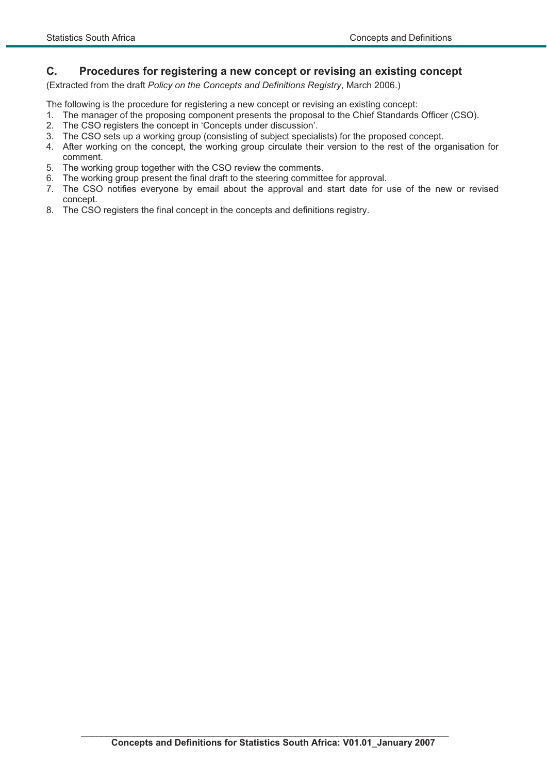### **C. Procedures for registering a new concept or revising an existing concept**

(Extracted from the draft *Policy on the Concepts and Definitions Registry*, March 2006.)

The following is the procedure for registering a new concept or revising an existing concept:

- 1. The manager of the proposing component presents the proposal to the Chief Standards Officer (CSO).
- 2. The CSO registers the concept in 'Concepts under discussion'.
- 3. The CSO sets up a working group (consisting of subject specialists) for the proposed concept.
- 4. After working on the concept, the working group circulate their version to the rest of the organisation for comment.
- 5. The working group together with the CSO review the comments.
- 6. The working group present the final draft to the steering committee for approval.
- 7. The CSO notifies everyone by email about the approval and start date for use of the new or revised concept.
- 8. The CSO registers the final concept in the concepts and definitions registry.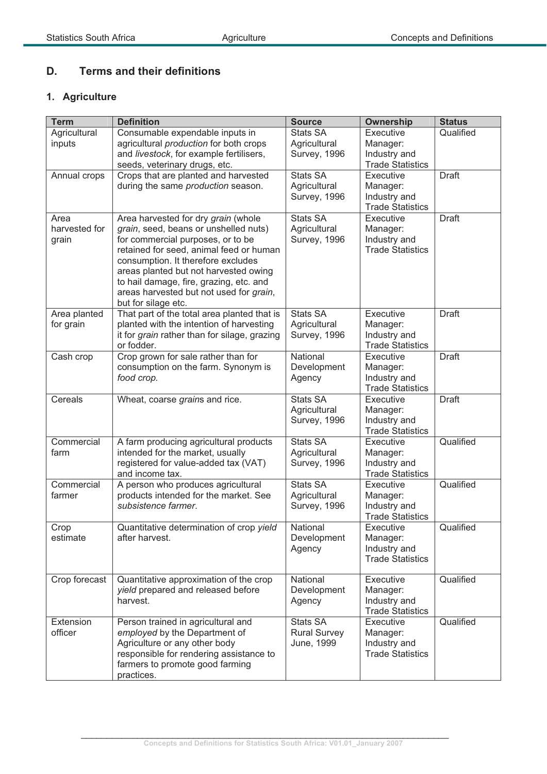# **D. Terms and their definitions**

# **1. Agriculture**

| <b>Term</b>                    | <b>Definition</b>                                                                                                                                                                                                                                                                                                                                        | <b>Source</b>                                   | Ownership                                                        | <b>Status</b> |
|--------------------------------|----------------------------------------------------------------------------------------------------------------------------------------------------------------------------------------------------------------------------------------------------------------------------------------------------------------------------------------------------------|-------------------------------------------------|------------------------------------------------------------------|---------------|
| Agricultural<br>inputs         | Consumable expendable inputs in<br>agricultural production for both crops<br>and livestock, for example fertilisers,<br>seeds, veterinary drugs, etc.                                                                                                                                                                                                    | <b>Stats SA</b><br>Agricultural<br>Survey, 1996 | Executive<br>Manager:<br>Industry and<br><b>Trade Statistics</b> | Qualified     |
| Annual crops                   | Crops that are planted and harvested<br>during the same production season.                                                                                                                                                                                                                                                                               | Stats SA<br>Agricultural<br>Survey, 1996        | Executive<br>Manager:<br>Industry and<br><b>Trade Statistics</b> | <b>Draft</b>  |
| Area<br>harvested for<br>grain | Area harvested for dry grain (whole<br>grain, seed, beans or unshelled nuts)<br>for commercial purposes, or to be<br>retained for seed, animal feed or human<br>consumption. It therefore excludes<br>areas planted but not harvested owing<br>to hail damage, fire, grazing, etc. and<br>areas harvested but not used for grain,<br>but for silage etc. | <b>Stats SA</b><br>Agricultural<br>Survey, 1996 | Executive<br>Manager:<br>Industry and<br><b>Trade Statistics</b> | <b>Draft</b>  |
| Area planted<br>for grain      | That part of the total area planted that is<br>planted with the intention of harvesting<br>it for grain rather than for silage, grazing<br>or fodder.                                                                                                                                                                                                    | <b>Stats SA</b><br>Agricultural<br>Survey, 1996 | Executive<br>Manager:<br>Industry and<br><b>Trade Statistics</b> | <b>Draft</b>  |
| Cash crop                      | Crop grown for sale rather than for<br>consumption on the farm. Synonym is<br>food crop.                                                                                                                                                                                                                                                                 | National<br>Development<br>Agency               | Executive<br>Manager:<br>Industry and<br><b>Trade Statistics</b> | <b>Draft</b>  |
| Cereals                        | Wheat, coarse grains and rice.                                                                                                                                                                                                                                                                                                                           | <b>Stats SA</b><br>Agricultural<br>Survey, 1996 | Executive<br>Manager:<br>Industry and<br><b>Trade Statistics</b> | <b>Draft</b>  |
| Commercial<br>farm             | A farm producing agricultural products<br>intended for the market, usually<br>registered for value-added tax (VAT)<br>and income tax.                                                                                                                                                                                                                    | Stats SA<br>Agricultural<br>Survey, 1996        | Executive<br>Manager:<br>Industry and<br><b>Trade Statistics</b> | Qualified     |
| Commercial<br>farmer           | A person who produces agricultural<br>products intended for the market. See<br>subsistence farmer.                                                                                                                                                                                                                                                       | <b>Stats SA</b><br>Agricultural<br>Survey, 1996 | Executive<br>Manager:<br>Industry and<br><b>Trade Statistics</b> | Qualified     |
| Crop<br>estimate               | Quantitative determination of crop yield<br>after harvest.                                                                                                                                                                                                                                                                                               | National<br>Development<br>Agency               | Executive<br>Manager:<br>Industry and<br><b>Trade Statistics</b> | Qualified     |
| Crop forecast                  | Quantitative approximation of the crop<br>yield prepared and released before<br>harvest.                                                                                                                                                                                                                                                                 | National<br>Development<br>Agency               | Executive<br>Manager:<br>Industry and<br><b>Trade Statistics</b> | Qualified     |
| Extension<br>officer           | Person trained in agricultural and<br>employed by the Department of<br>Agriculture or any other body<br>responsible for rendering assistance to<br>farmers to promote good farming<br>practices.                                                                                                                                                         | Stats SA<br><b>Rural Survey</b><br>June, 1999   | Executive<br>Manager:<br>Industry and<br><b>Trade Statistics</b> | Qualified     |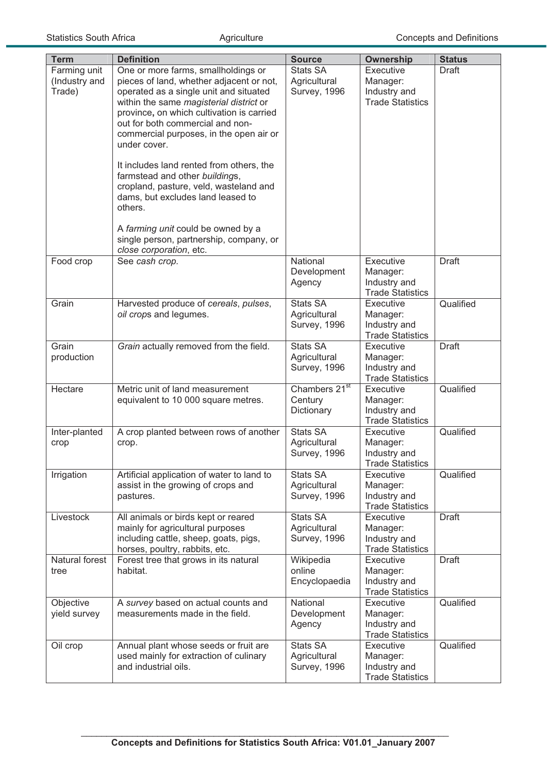| <b>Term</b>                             | <b>Definition</b>                                                                                                                                                                                                                                                                                                                                                                                                                                                                                                                                                                                    | <b>Source</b>                                      | Ownership                                                        | <b>Status</b> |
|-----------------------------------------|------------------------------------------------------------------------------------------------------------------------------------------------------------------------------------------------------------------------------------------------------------------------------------------------------------------------------------------------------------------------------------------------------------------------------------------------------------------------------------------------------------------------------------------------------------------------------------------------------|----------------------------------------------------|------------------------------------------------------------------|---------------|
| Farming unit<br>(Industry and<br>Trade) | One or more farms, smallholdings or<br>pieces of land, whether adjacent or not,<br>operated as a single unit and situated<br>within the same magisterial district or<br>province, on which cultivation is carried<br>out for both commercial and non-<br>commercial purposes, in the open air or<br>under cover.<br>It includes land rented from others, the<br>farmstead and other buildings,<br>cropland, pasture, veld, wasteland and<br>dams, but excludes land leased to<br>others.<br>A farming unit could be owned by a<br>single person, partnership, company, or<br>close corporation, etc. | <b>Stats SA</b><br>Agricultural<br>Survey, 1996    | Executive<br>Manager:<br>Industry and<br><b>Trade Statistics</b> | <b>Draft</b>  |
| Food crop                               | See cash crop.                                                                                                                                                                                                                                                                                                                                                                                                                                                                                                                                                                                       | National<br>Development<br>Agency                  | Executive<br>Manager:<br>Industry and<br><b>Trade Statistics</b> | <b>Draft</b>  |
| Grain                                   | Harvested produce of cereals, pulses,<br>oil crops and legumes.                                                                                                                                                                                                                                                                                                                                                                                                                                                                                                                                      | <b>Stats SA</b><br>Agricultural<br>Survey, 1996    | Executive<br>Manager:<br>Industry and<br><b>Trade Statistics</b> | Qualified     |
| Grain<br>production                     | Grain actually removed from the field.                                                                                                                                                                                                                                                                                                                                                                                                                                                                                                                                                               | <b>Stats SA</b><br>Agricultural<br>Survey, 1996    | Executive<br>Manager:<br>Industry and<br><b>Trade Statistics</b> | <b>Draft</b>  |
| Hectare                                 | Metric unit of land measurement<br>equivalent to 10 000 square metres.                                                                                                                                                                                                                                                                                                                                                                                                                                                                                                                               | Chambers 21 <sup>st</sup><br>Century<br>Dictionary | Executive<br>Manager:<br>Industry and<br><b>Trade Statistics</b> | Qualified     |
| Inter-planted<br>crop                   | A crop planted between rows of another<br>crop.                                                                                                                                                                                                                                                                                                                                                                                                                                                                                                                                                      | <b>Stats SA</b><br>Agricultural<br>Survey, 1996    | Executive<br>Manager:<br>Industry and<br><b>Trade Statistics</b> | Qualified     |
| Irrigation                              | Artificial application of water to land to<br>assist in the growing of crops and<br>pastures.                                                                                                                                                                                                                                                                                                                                                                                                                                                                                                        | <b>Stats SA</b><br>Agricultural<br>Survey, 1996    | Executive<br>Manager:<br>Industry and<br><b>Trade Statistics</b> | Qualified     |
| Livestock                               | All animals or birds kept or reared<br>mainly for agricultural purposes<br>including cattle, sheep, goats, pigs,<br>horses, poultry, rabbits, etc.                                                                                                                                                                                                                                                                                                                                                                                                                                                   | <b>Stats SA</b><br>Agricultural<br>Survey, 1996    | Executive<br>Manager:<br>Industry and<br><b>Trade Statistics</b> | <b>Draft</b>  |
| Natural forest<br>tree                  | Forest tree that grows in its natural<br>habitat.                                                                                                                                                                                                                                                                                                                                                                                                                                                                                                                                                    | Wikipedia<br>online<br>Encyclopaedia               | Executive<br>Manager:<br>Industry and<br><b>Trade Statistics</b> | <b>Draft</b>  |
| Objective<br>yield survey               | A survey based on actual counts and<br>measurements made in the field.                                                                                                                                                                                                                                                                                                                                                                                                                                                                                                                               | National<br>Development<br>Agency                  | Executive<br>Manager:<br>Industry and<br><b>Trade Statistics</b> | Qualified     |
| Oil crop                                | Annual plant whose seeds or fruit are<br>used mainly for extraction of culinary<br>and industrial oils.                                                                                                                                                                                                                                                                                                                                                                                                                                                                                              | <b>Stats SA</b><br>Agricultural<br>Survey, 1996    | Executive<br>Manager:<br>Industry and<br><b>Trade Statistics</b> | Qualified     |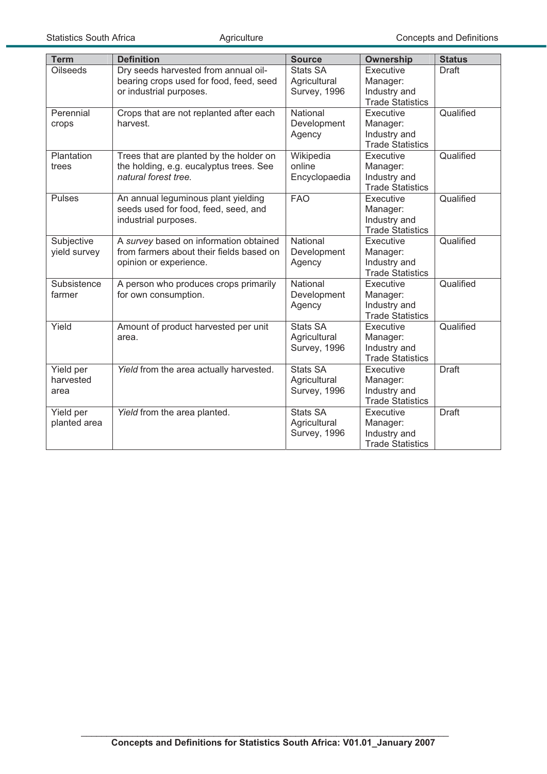| <b>Term</b>                    | <b>Definition</b>                                                                                            | <b>Source</b>                                   | <b>Ownership</b>                                                 | <b>Status</b> |
|--------------------------------|--------------------------------------------------------------------------------------------------------------|-------------------------------------------------|------------------------------------------------------------------|---------------|
| <b>Oilseeds</b>                | Dry seeds harvested from annual oil-<br>bearing crops used for food, feed, seed<br>or industrial purposes.   | Stats SA<br>Agricultural<br>Survey, 1996        | Executive<br>Manager:<br>Industry and<br><b>Trade Statistics</b> | Draft         |
| Perennial<br>crops             | Crops that are not replanted after each<br>harvest.                                                          | National<br>Development<br>Agency               | Executive<br>Manager:<br>Industry and<br><b>Trade Statistics</b> | Qualified     |
| Plantation<br>trees            | Trees that are planted by the holder on<br>the holding, e.g. eucalyptus trees. See<br>natural forest tree.   | Wikipedia<br>online<br>Encyclopaedia            | Executive<br>Manager:<br>Industry and<br><b>Trade Statistics</b> | Qualified     |
| <b>Pulses</b>                  | An annual leguminous plant yielding<br>seeds used for food, feed, seed, and<br>industrial purposes.          | <b>FAO</b>                                      | Executive<br>Manager:<br>Industry and<br><b>Trade Statistics</b> | Qualified     |
| Subjective<br>yield survey     | A survey based on information obtained<br>from farmers about their fields based on<br>opinion or experience. | National<br>Development<br>Agency               | Executive<br>Manager:<br>Industry and<br><b>Trade Statistics</b> | Qualified     |
| Subsistence<br>farmer          | A person who produces crops primarily<br>for own consumption.                                                | National<br>Development<br>Agency               | Executive<br>Manager:<br>Industry and<br><b>Trade Statistics</b> | Qualified     |
| Yield                          | Amount of product harvested per unit<br>area.                                                                | Stats SA<br>Agricultural<br>Survey, 1996        | Executive<br>Manager:<br>Industry and<br><b>Trade Statistics</b> | Qualified     |
| Yield per<br>harvested<br>area | Yield from the area actually harvested.                                                                      | <b>Stats SA</b><br>Agricultural<br>Survey, 1996 | Executive<br>Manager:<br>Industry and<br><b>Trade Statistics</b> | <b>Draft</b>  |
| Yield per<br>planted area      | Yield from the area planted.                                                                                 | <b>Stats SA</b><br>Agricultural<br>Survey, 1996 | Executive<br>Manager:<br>Industry and<br><b>Trade Statistics</b> | <b>Draft</b>  |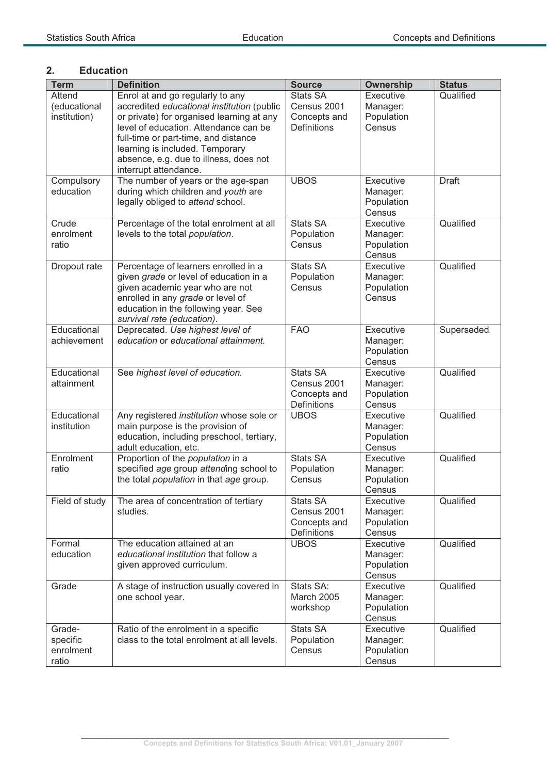### **2. Education**

| <b>Term</b>    | <b>Definition</b>                                                             | <b>Source</b>              | <b>Ownership</b>       | <b>Status</b> |
|----------------|-------------------------------------------------------------------------------|----------------------------|------------------------|---------------|
| Attend         | Enrol at and go regularly to any                                              | Stats SA                   | Executive              | Qualified     |
| (educational   | accredited educational institution (public                                    | Census 2001                | Manager:               |               |
| institution)   | or private) for organised learning at any                                     | Concepts and               | Population             |               |
|                | level of education. Attendance can be                                         | Definitions                | Census                 |               |
|                | full-time or part-time, and distance                                          |                            |                        |               |
|                | learning is included. Temporary                                               |                            |                        |               |
|                | absence, e.g. due to illness, does not                                        |                            |                        |               |
| Compulsory     | interrupt attendance.<br>The number of years or the age-span                  | <b>UBOS</b>                | Executive              | <b>Draft</b>  |
| education      | during which children and youth are                                           |                            | Manager:               |               |
|                | legally obliged to attend school.                                             |                            | Population             |               |
|                |                                                                               |                            | Census                 |               |
| Crude          | Percentage of the total enrolment at all                                      | Stats SA                   | Executive              | Qualified     |
| enrolment      | levels to the total population.                                               | Population                 | Manager:               |               |
| ratio          |                                                                               | Census                     | Population             |               |
|                |                                                                               |                            | Census                 |               |
| Dropout rate   | Percentage of learners enrolled in a                                          | <b>Stats SA</b>            | Executive              | Qualified     |
|                | given grade or level of education in a                                        | Population                 | Manager:               |               |
|                | given academic year who are not                                               | Census                     | Population             |               |
|                | enrolled in any grade or level of                                             |                            | Census                 |               |
|                | education in the following year. See<br>survival rate (education).            |                            |                        |               |
| Educational    | Deprecated. Use highest level of                                              | <b>FAO</b>                 | Executive              | Superseded    |
| achievement    | education or educational attainment.                                          |                            | Manager:               |               |
|                |                                                                               |                            | Population             |               |
|                |                                                                               |                            | Census                 |               |
| Educational    | See highest level of education.                                               | <b>Stats SA</b>            | Executive              | Qualified     |
| attainment     |                                                                               | Census 2001                | Manager:               |               |
|                |                                                                               | Concepts and               | Population             |               |
|                |                                                                               | <b>Definitions</b>         | Census                 |               |
| Educational    | Any registered institution whose sole or                                      | <b>UBOS</b>                | Executive              | Qualified     |
| institution    | main purpose is the provision of<br>education, including preschool, tertiary, |                            | Manager:<br>Population |               |
|                | adult education, etc.                                                         |                            | Census                 |               |
| Enrolment      | Proportion of the population in a                                             | <b>Stats SA</b>            | Executive              | Qualified     |
| ratio          | specified age group attending school to                                       | Population                 | Manager:               |               |
|                | the total <i>population</i> in that age group.                                | Census                     | Population             |               |
|                |                                                                               |                            | Census                 |               |
| Field of study | The area of concentration of tertiary                                         | Stats SA                   | Executive              | Qualified     |
|                | studies.                                                                      | Census 2001                | Manager:               |               |
|                |                                                                               | Concepts and               | Population             |               |
| Formal         | The education attained at an                                                  | Definitions<br><b>UBOS</b> | Census<br>Executive    | Qualified     |
| education      | educational institution that follow a                                         |                            | Manager:               |               |
|                | given approved curriculum.                                                    |                            | Population             |               |
|                |                                                                               |                            | Census                 |               |
| Grade          | A stage of instruction usually covered in                                     | Stats SA:                  | Executive              | Qualified     |
|                | one school year.                                                              | <b>March 2005</b>          | Manager:               |               |
|                |                                                                               | workshop                   | Population             |               |
|                |                                                                               |                            | Census                 |               |
| Grade-         | Ratio of the enrolment in a specific                                          | <b>Stats SA</b>            | Executive              | Qualified     |
| specific       | class to the total enrolment at all levels.                                   | Population                 | Manager:               |               |
| enrolment      |                                                                               | Census                     | Population             |               |
| ratio          |                                                                               |                            | Census                 |               |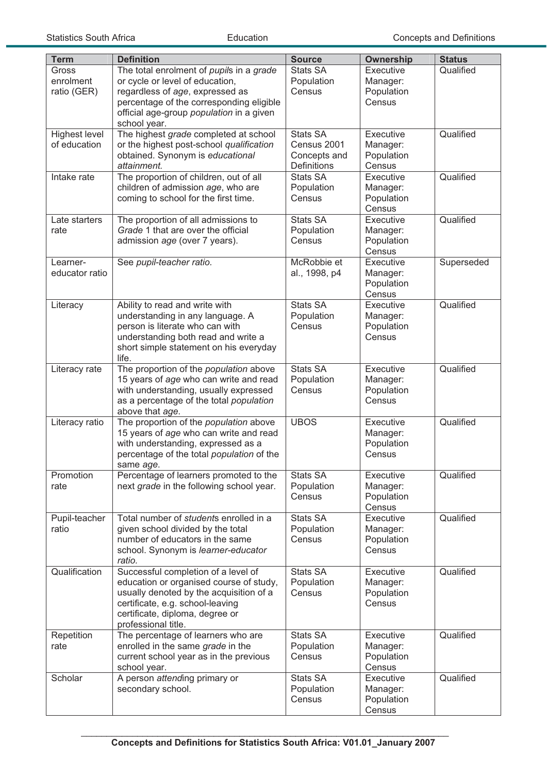| <b>Term</b>          | <b>Definition</b>                                                             | <b>Source</b>        | Ownership              | <b>Status</b> |
|----------------------|-------------------------------------------------------------------------------|----------------------|------------------------|---------------|
| Gross                | The total enrolment of pupils in a grade                                      | <b>Stats SA</b>      | Executive              | Qualified     |
| enrolment            | or cycle or level of education,                                               | Population           | Manager:               |               |
| ratio (GER)          | regardless of age, expressed as                                               | Census               | Population             |               |
|                      | percentage of the corresponding eligible                                      |                      | Census                 |               |
|                      | official age-group population in a given                                      |                      |                        |               |
| <b>Highest level</b> | school year.<br>The highest grade completed at school                         | <b>Stats SA</b>      | Executive              | Qualified     |
| of education         | or the highest post-school qualification                                      | Census 2001          | Manager:               |               |
|                      | obtained. Synonym is educational                                              | Concepts and         | Population             |               |
|                      | attainment.                                                                   | Definitions          | Census                 |               |
| Intake rate          | The proportion of children, out of all                                        | <b>Stats SA</b>      | Executive              | Qualified     |
|                      | children of admission age, who are                                            | Population           | Manager:               |               |
|                      | coming to school for the first time.                                          | Census               | Population             |               |
|                      |                                                                               |                      | Census                 |               |
| Late starters        | The proportion of all admissions to<br>Grade 1 that are over the official     | <b>Stats SA</b>      | Executive              | Qualified     |
| rate                 | admission age (over 7 years).                                                 | Population<br>Census | Manager:<br>Population |               |
|                      |                                                                               |                      | Census                 |               |
| Learner-             | See pupil-teacher ratio.                                                      | McRobbie et          | Executive              | Superseded    |
| educator ratio       |                                                                               | al., 1998, p4        | Manager:               |               |
|                      |                                                                               |                      | Population             |               |
|                      |                                                                               |                      | Census                 |               |
| Literacy             | Ability to read and write with                                                | <b>Stats SA</b>      | Executive              | Qualified     |
|                      | understanding in any language. A                                              | Population           | Manager:               |               |
|                      | person is literate who can with                                               | Census               | Population             |               |
|                      | understanding both read and write a<br>short simple statement on his everyday |                      | Census                 |               |
|                      | life.                                                                         |                      |                        |               |
| Literacy rate        | The proportion of the population above                                        | <b>Stats SA</b>      | Executive              | Qualified     |
|                      | 15 years of age who can write and read                                        | Population           | Manager:               |               |
|                      | with understanding, usually expressed                                         | Census               | Population             |               |
|                      | as a percentage of the total population                                       |                      | Census                 |               |
|                      | above that age.                                                               |                      |                        |               |
| Literacy ratio       | The proportion of the population above                                        | <b>UBOS</b>          | Executive              | Qualified     |
|                      | 15 years of age who can write and read<br>with understanding, expressed as a  |                      | Manager:<br>Population |               |
|                      | percentage of the total population of the                                     |                      | Census                 |               |
|                      | same age.                                                                     |                      |                        |               |
| Promotion            | Percentage of learners promoted to the                                        | <b>Stats SA</b>      | Executive              | Qualified     |
| rate                 | next grade in the following school year.                                      | Population           | Manager:               |               |
|                      |                                                                               | Census               | Population             |               |
|                      |                                                                               |                      | Census                 |               |
| Pupil-teacher        | Total number of students enrolled in a                                        | <b>Stats SA</b>      | Executive              | Qualified     |
| ratio                | given school divided by the total<br>number of educators in the same          | Population<br>Census | Manager:<br>Population |               |
|                      | school. Synonym is learner-educator                                           |                      | Census                 |               |
|                      | ratio.                                                                        |                      |                        |               |
| Qualification        | Successful completion of a level of                                           | <b>Stats SA</b>      | Executive              | Qualified     |
|                      | education or organised course of study,                                       | Population           | Manager:               |               |
|                      | usually denoted by the acquisition of a                                       | Census               | Population             |               |
|                      | certificate, e.g. school-leaving                                              |                      | Census                 |               |
|                      | certificate, diploma, degree or<br>professional title.                        |                      |                        |               |
| Repetition           | The percentage of learners who are                                            | <b>Stats SA</b>      | Executive              | Qualified     |
| rate                 | enrolled in the same grade in the                                             | Population           | Manager:               |               |
|                      | current school year as in the previous                                        | Census               | Population             |               |
|                      | school year.                                                                  |                      | Census                 |               |
| Scholar              | A person attending primary or                                                 | <b>Stats SA</b>      | Executive              | Qualified     |
|                      | secondary school.                                                             | Population           | Manager:               |               |
|                      |                                                                               | Census               | Population<br>Census   |               |
|                      |                                                                               |                      |                        |               |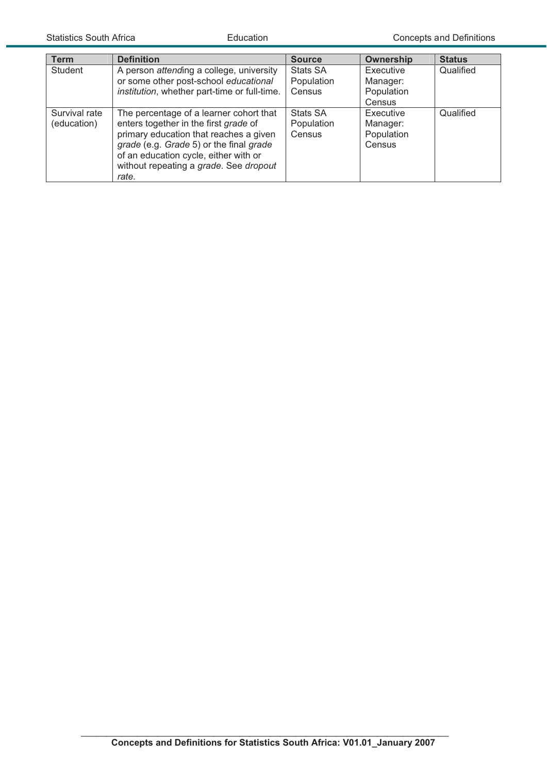| <b>Term</b>                  | <b>Definition</b>                                                                                                                                                                                                                                                 | <b>Source</b>                           | Ownership                                     | <b>Status</b> |
|------------------------------|-------------------------------------------------------------------------------------------------------------------------------------------------------------------------------------------------------------------------------------------------------------------|-----------------------------------------|-----------------------------------------------|---------------|
| Student                      | A person attending a college, university<br>or some other post-school educational<br>institution, whether part-time or full-time.                                                                                                                                 | <b>Stats SA</b><br>Population<br>Census | Executive<br>Manager:<br>Population           | Qualified     |
|                              |                                                                                                                                                                                                                                                                   |                                         | Census                                        |               |
| Survival rate<br>(education) | The percentage of a learner cohort that<br>enters together in the first grade of<br>primary education that reaches a given<br>grade (e.g. Grade 5) or the final grade<br>of an education cycle, either with or<br>without repeating a grade. See dropout<br>rate. | <b>Stats SA</b><br>Population<br>Census | Executive<br>Manager:<br>Population<br>Census | Qualified     |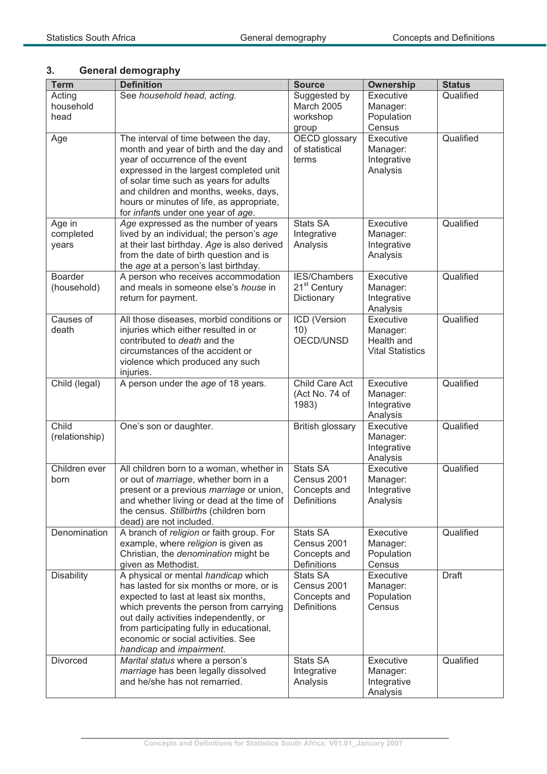# **3. General demography**

| <b>Term</b>                   | <b>Definition</b>                                                                                                                                                                                                                                                                                                                    | <b>Source</b>                                                 | <b>Ownership</b>                                               | <b>Status</b> |
|-------------------------------|--------------------------------------------------------------------------------------------------------------------------------------------------------------------------------------------------------------------------------------------------------------------------------------------------------------------------------------|---------------------------------------------------------------|----------------------------------------------------------------|---------------|
| Acting<br>household<br>head   | See household head, acting.                                                                                                                                                                                                                                                                                                          | Suggested by<br>March 2005<br>workshop<br>group               | Executive<br>Manager:<br>Population<br>Census                  | Qualified     |
| Age                           | The interval of time between the day,<br>month and year of birth and the day and<br>year of occurrence of the event<br>expressed in the largest completed unit<br>of solar time such as years for adults<br>and children and months, weeks, days,<br>hours or minutes of life, as appropriate,<br>for infants under one year of age. | OECD glossary<br>of statistical<br>terms                      | Executive<br>Manager:<br>Integrative<br>Analysis               | Qualified     |
| Age in<br>completed<br>years  | Age expressed as the number of years<br>lived by an individual; the person's age<br>at their last birthday. Age is also derived<br>from the date of birth question and is<br>the age at a person's last birthday.                                                                                                                    | <b>Stats SA</b><br>Integrative<br>Analysis                    | Executive<br>Manager:<br>Integrative<br>Analysis               | Qualified     |
| <b>Boarder</b><br>(household) | A person who receives accommodation<br>and meals in someone else's house in<br>return for payment.                                                                                                                                                                                                                                   | IES/Chambers<br>21 <sup>st</sup> Century<br>Dictionary        | Executive<br>Manager:<br>Integrative<br>Analysis               | Qualified     |
| Causes of<br>death            | All those diseases, morbid conditions or<br>injuries which either resulted in or<br>contributed to death and the<br>circumstances of the accident or<br>violence which produced any such<br>injuries.                                                                                                                                | ICD (Version<br>10)<br>OECD/UNSD                              | Executive<br>Manager:<br>Health and<br><b>Vital Statistics</b> | Qualified     |
| Child (legal)                 | A person under the age of 18 years.                                                                                                                                                                                                                                                                                                  | Child Care Act<br>(Act No. 74 of<br>1983)                     | Executive<br>Manager:<br>Integrative<br>Analysis               | Qualified     |
| Child<br>(relationship)       | One's son or daughter.                                                                                                                                                                                                                                                                                                               | British glossary                                              | Executive<br>Manager:<br>Integrative<br>Analysis               | Qualified     |
| Children ever<br>born         | All children born to a woman, whether in<br>or out of <i>marriage</i> , whether born in a<br>present or a previous marriage or union,<br>and whether living or dead at the time of<br>the census. Stillbirths (children born<br>dead) are not included.                                                                              | <b>Stats SA</b><br>Census 2001<br>Concepts and<br>Definitions | Executive<br>Manager:<br>Integrative<br>Analysis               | Qualified     |
| Denomination                  | A branch of religion or faith group. For<br>example, where religion is given as<br>Christian, the <i>denomination</i> might be<br>given as Methodist.                                                                                                                                                                                | <b>Stats SA</b><br>Census 2001<br>Concepts and<br>Definitions | Executive<br>Manager:<br>Population<br>Census                  | Qualified     |
| <b>Disability</b>             | A physical or mental handicap which<br>has lasted for six months or more, or is<br>expected to last at least six months,<br>which prevents the person from carrying<br>out daily activities independently, or<br>from participating fully in educational,<br>economic or social activities. See<br>handicap and impairment.          | <b>Stats SA</b><br>Census 2001<br>Concepts and<br>Definitions | Executive<br>Manager:<br>Population<br>Census                  | Draft         |
| Divorced                      | Marital status where a person's<br>marriage has been legally dissolved<br>and he/she has not remarried.                                                                                                                                                                                                                              | Stats SA<br>Integrative<br>Analysis                           | Executive<br>Manager:<br>Integrative<br>Analysis               | Qualified     |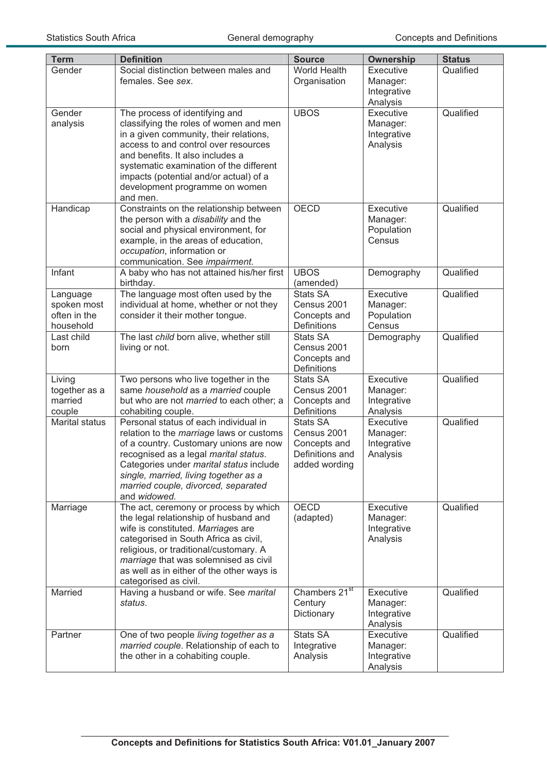| <b>Term</b>                                          | <b>Definition</b>                                                                                                                                                                                                                                                                                                                 | <b>Source</b>                                                                      | <b>Ownership</b>                                 | <b>Status</b> |
|------------------------------------------------------|-----------------------------------------------------------------------------------------------------------------------------------------------------------------------------------------------------------------------------------------------------------------------------------------------------------------------------------|------------------------------------------------------------------------------------|--------------------------------------------------|---------------|
| Gender                                               | Social distinction between males and<br>females. See sex.                                                                                                                                                                                                                                                                         | World Health<br>Organisation                                                       | Executive<br>Manager:<br>Integrative<br>Analysis | Qualified     |
| Gender<br>analysis                                   | The process of identifying and<br>classifying the roles of women and men<br>in a given community, their relations,<br>access to and control over resources<br>and benefits. It also includes a<br>systematic examination of the different<br>impacts (potential and/or actual) of a<br>development programme on women<br>and men. | UBOS                                                                               | Executive<br>Manager:<br>Integrative<br>Analysis | Qualified     |
| Handicap                                             | Constraints on the relationship between<br>the person with a disability and the<br>social and physical environment, for<br>example, in the areas of education,<br>occupation, information or<br>communication. See impairment.                                                                                                    | <b>OECD</b>                                                                        | Executive<br>Manager:<br>Population<br>Census    | Qualified     |
| Infant                                               | A baby who has not attained his/her first<br>birthday.                                                                                                                                                                                                                                                                            | <b>UBOS</b><br>(amended)                                                           | Demography                                       | Qualified     |
| Language<br>spoken most<br>often in the<br>household | The language most often used by the<br>individual at home, whether or not they<br>consider it their mother tongue.                                                                                                                                                                                                                | <b>Stats SA</b><br>Census 2001<br>Concepts and<br><b>Definitions</b>               | Executive<br>Manager:<br>Population<br>Census    | Qualified     |
| Last child<br>born                                   | The last child born alive, whether still<br>living or not.                                                                                                                                                                                                                                                                        | <b>Stats SA</b><br>Census 2001<br>Concepts and<br>Definitions                      | Demography                                       | Qualified     |
| Living<br>together as a<br>married<br>couple         | Two persons who live together in the<br>same household as a married couple<br>but who are not <i>married</i> to each other; a<br>cohabiting couple.                                                                                                                                                                               | <b>Stats SA</b><br>Census 2001<br>Concepts and<br><b>Definitions</b>               | Executive<br>Manager:<br>Integrative<br>Analysis | Qualified     |
| <b>Marital status</b>                                | Personal status of each individual in<br>relation to the marriage laws or customs<br>of a country. Customary unions are now<br>recognised as a legal marital status.<br>Categories under marital status include<br>single, married, living together as a<br>married couple, divorced, separated<br>and widowed.                   | <b>Stats SA</b><br>Census 2001<br>Concepts and<br>Definitions and<br>added wording | Executive<br>Manager:<br>Integrative<br>Analysis | Qualified     |
| Marriage                                             | The act, ceremony or process by which<br>the legal relationship of husband and<br>wife is constituted. Marriages are<br>categorised in South Africa as civil,<br>religious, or traditional/customary. A<br>marriage that was solemnised as civil<br>as well as in either of the other ways is<br>categorised as civil.            | <b>OECD</b><br>(adapted)                                                           | Executive<br>Manager:<br>Integrative<br>Analysis | Qualified     |
| Married                                              | Having a husband or wife. See marital<br>status.                                                                                                                                                                                                                                                                                  | Chambers 21 <sup>st</sup><br>Century<br>Dictionary                                 | Executive<br>Manager:<br>Integrative<br>Analysis | Qualified     |
| Partner                                              | One of two people living together as a<br>married couple. Relationship of each to<br>the other in a cohabiting couple.                                                                                                                                                                                                            | Stats SA<br>Integrative<br>Analysis                                                | Executive<br>Manager:<br>Integrative<br>Analysis | Qualified     |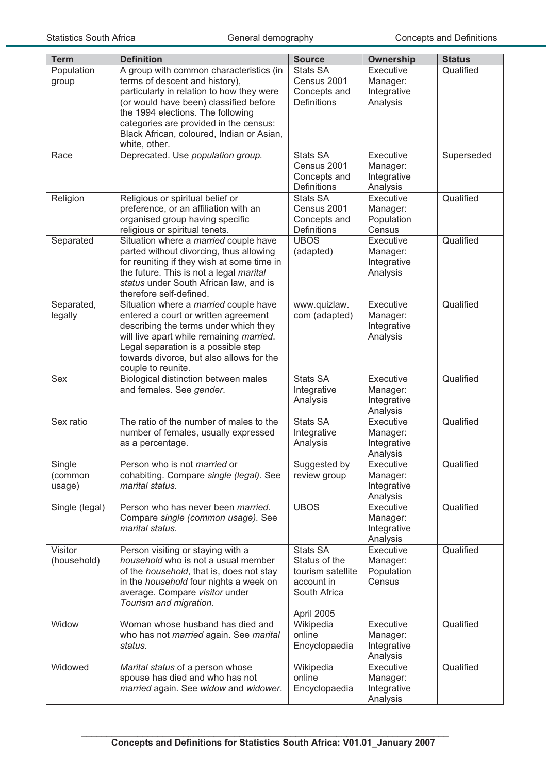| <b>Term</b>                 | <b>Definition</b>                                                                                                                                                                                                                                                                                             | <b>Source</b>                                                                                     | <b>Ownership</b>                                 | <b>Status</b> |
|-----------------------------|---------------------------------------------------------------------------------------------------------------------------------------------------------------------------------------------------------------------------------------------------------------------------------------------------------------|---------------------------------------------------------------------------------------------------|--------------------------------------------------|---------------|
| Population<br>group         | A group with common characteristics (in<br>terms of descent and history),<br>particularly in relation to how they were<br>(or would have been) classified before<br>the 1994 elections. The following<br>categories are provided in the census:<br>Black African, coloured, Indian or Asian,<br>white, other. | <b>Stats SA</b><br>Census 2001<br>Concepts and<br><b>Definitions</b>                              | Executive<br>Manager:<br>Integrative<br>Analysis | Qualified     |
| Race                        | Deprecated. Use population group.                                                                                                                                                                                                                                                                             | <b>Stats SA</b><br>Census 2001<br>Concepts and<br>Definitions                                     | Executive<br>Manager:<br>Integrative<br>Analysis | Superseded    |
| Religion                    | Religious or spiritual belief or<br>preference, or an affiliation with an<br>organised group having specific<br>religious or spiritual tenets.                                                                                                                                                                | <b>Stats SA</b><br>Census 2001<br>Concepts and<br>Definitions                                     | Executive<br>Manager:<br>Population<br>Census    | Qualified     |
| Separated                   | Situation where a married couple have<br>parted without divorcing, thus allowing<br>for reuniting if they wish at some time in<br>the future. This is not a legal marital<br>status under South African law, and is<br>therefore self-defined.                                                                | <b>UBOS</b><br>(adapted)                                                                          | Executive<br>Manager:<br>Integrative<br>Analysis | Qualified     |
| Separated,<br>legally       | Situation where a married couple have<br>entered a court or written agreement<br>describing the terms under which they<br>will live apart while remaining married.<br>Legal separation is a possible step<br>towards divorce, but also allows for the<br>couple to reunite.                                   | www.quizlaw.<br>com (adapted)                                                                     | Executive<br>Manager:<br>Integrative<br>Analysis | Qualified     |
| Sex                         | <b>Biological distinction between males</b><br>and females. See gender.                                                                                                                                                                                                                                       | Stats SA<br>Integrative<br>Analysis                                                               | Executive<br>Manager:<br>Integrative<br>Analysis | Qualified     |
| Sex ratio                   | The ratio of the number of males to the<br>number of females, usually expressed<br>as a percentage.                                                                                                                                                                                                           | <b>Stats SA</b><br>Integrative<br>Analysis                                                        | Executive<br>Manager:<br>Integrative<br>Analysis | Qualified     |
| Single<br>(common<br>usage) | Person who is not <i>married</i> or<br>cohabiting. Compare single (legal). See<br>marital status.                                                                                                                                                                                                             | Suggested by<br>review group                                                                      | Executive<br>Manager:<br>Integrative<br>Analysis | Qualified     |
| Single (legal)              | Person who has never been married.<br>Compare single (common usage). See<br>marital status.                                                                                                                                                                                                                   | <b>UBOS</b>                                                                                       | Executive<br>Manager:<br>Integrative<br>Analysis | Qualified     |
| Visitor<br>(household)      | Person visiting or staying with a<br>household who is not a usual member<br>of the household, that is, does not stay<br>in the household four nights a week on<br>average. Compare visitor under<br>Tourism and migration.                                                                                    | <b>Stats SA</b><br>Status of the<br>tourism satellite<br>account in<br>South Africa<br>April 2005 | Executive<br>Manager:<br>Population<br>Census    | Qualified     |
| Widow                       | Woman whose husband has died and<br>who has not married again. See marital<br>status.                                                                                                                                                                                                                         | Wikipedia<br>online<br>Encyclopaedia                                                              | Executive<br>Manager:<br>Integrative<br>Analysis | Qualified     |
| Widowed                     | Marital status of a person whose<br>spouse has died and who has not<br>married again. See widow and widower.                                                                                                                                                                                                  | Wikipedia<br>online<br>Encyclopaedia                                                              | Executive<br>Manager:<br>Integrative<br>Analysis | Qualified     |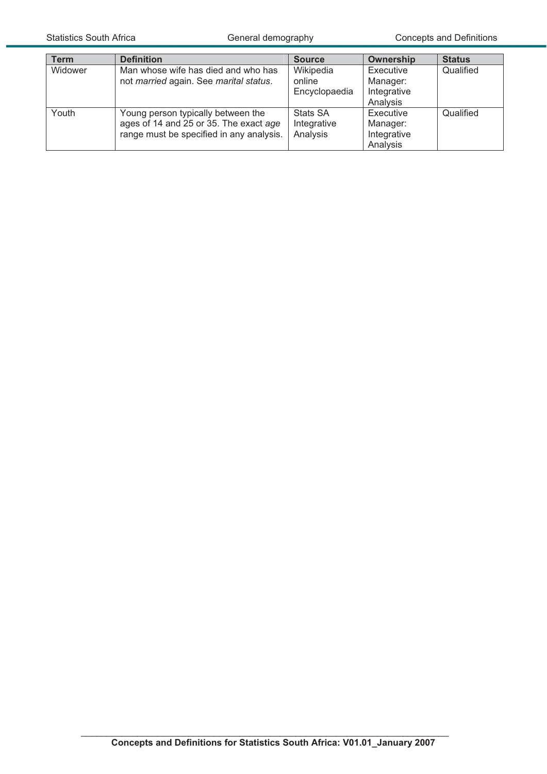| Term    | <b>Definition</b>                                                                                                        | <b>Source</b>                              | Ownership                                        | <b>Status</b> |
|---------|--------------------------------------------------------------------------------------------------------------------------|--------------------------------------------|--------------------------------------------------|---------------|
| Widower | Man whose wife has died and who has<br>not married again. See marital status.                                            | Wikipedia<br>online<br>Encyclopaedia       | Executive<br>Manager:<br>Integrative<br>Analysis | Qualified     |
| Youth   | Young person typically between the<br>ages of 14 and 25 or 35. The exact age<br>range must be specified in any analysis. | <b>Stats SA</b><br>Integrative<br>Analysis | Executive<br>Manager:<br>Integrative<br>Analysis | Qualified     |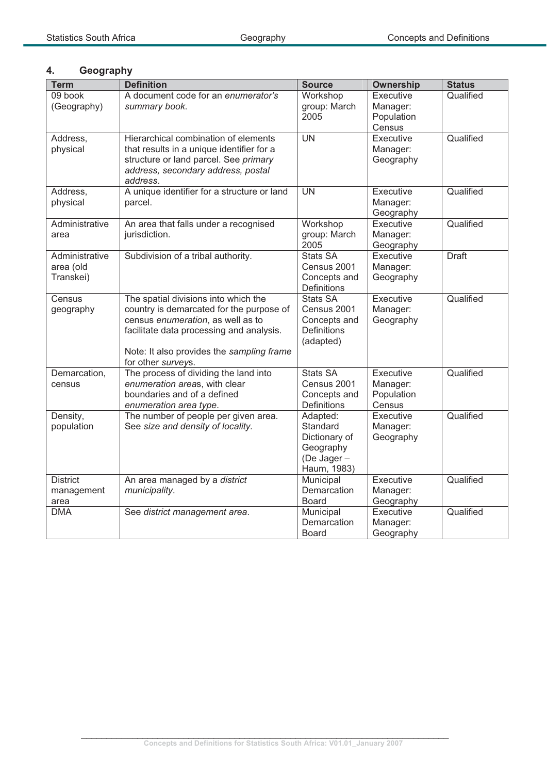# **4. Geography**

| <b>Term</b>     | <b>Definition</b>                                                                  | <b>Source</b>              | <b>Ownership</b>      | <b>Status</b> |
|-----------------|------------------------------------------------------------------------------------|----------------------------|-----------------------|---------------|
| 09 book         | A document code for an enumerator's                                                | Workshop                   | Executive             | Qualified     |
| (Geography)     | summary book.                                                                      | group: March               | Manager:              |               |
|                 |                                                                                    | 2005                       | Population            |               |
|                 |                                                                                    |                            | Census                |               |
| Address,        | Hierarchical combination of elements                                               | $\overline{\text{UN}}$     | Executive             | Qualified     |
| physical        | that results in a unique identifier for a<br>structure or land parcel. See primary |                            | Manager:<br>Geography |               |
|                 | address, secondary address, postal                                                 |                            |                       |               |
|                 | address.                                                                           |                            |                       |               |
| Address,        | A unique identifier for a structure or land                                        | <b>UN</b>                  | Executive             | Qualified     |
| physical        | parcel.                                                                            |                            | Manager:              |               |
|                 |                                                                                    |                            | Geography             |               |
| Administrative  | An area that falls under a recognised                                              | Workshop                   | Executive             | Qualified     |
| area            | jurisdiction.                                                                      | group: March               | Manager:              |               |
|                 |                                                                                    | 2005                       | Geography             |               |
| Administrative  | Subdivision of a tribal authority.                                                 | <b>Stats SA</b>            | Executive             | <b>Draft</b>  |
| area (old       |                                                                                    | Census 2001                | Manager:              |               |
| Transkei)       |                                                                                    | Concepts and               | Geography             |               |
| Census          | The spatial divisions into which the                                               | Definitions<br>Stats SA    | Executive             | Qualified     |
| geography       | country is demarcated for the purpose of                                           | Census 2001                | Manager:              |               |
|                 | census enumeration, as well as to                                                  | Concepts and               | Geography             |               |
|                 | facilitate data processing and analysis.                                           | Definitions                |                       |               |
|                 |                                                                                    | (adapted)                  |                       |               |
|                 | Note: It also provides the sampling frame                                          |                            |                       |               |
|                 | for other surveys.                                                                 |                            |                       |               |
| Demarcation,    | The process of dividing the land into                                              | Stats SA                   | Executive             | Qualified     |
| census          | enumeration areas, with clear                                                      | Census 2001                | Manager:              |               |
|                 | boundaries and of a defined                                                        | Concepts and               | Population            |               |
|                 | enumeration area type.                                                             | Definitions                | Census                |               |
| Density,        | The number of people per given area.                                               | Adapted:                   | Executive             | Qualified     |
| population      | See size and density of locality.                                                  | Standard                   | Manager:              |               |
|                 |                                                                                    | Dictionary of<br>Geography | Geography             |               |
|                 |                                                                                    | (De Jager-                 |                       |               |
|                 |                                                                                    | Haum, 1983)                |                       |               |
| <b>District</b> | An area managed by a district                                                      | Municipal                  | Executive             | Qualified     |
| management      | municipality.                                                                      | Demarcation                | Manager:              |               |
| area            |                                                                                    | <b>Board</b>               | Geography             |               |
| <b>DMA</b>      | See district management area.                                                      | Municipal                  | Executive             | Qualified     |
|                 |                                                                                    | Demarcation                | Manager:              |               |
|                 |                                                                                    | <b>Board</b>               | Geography             |               |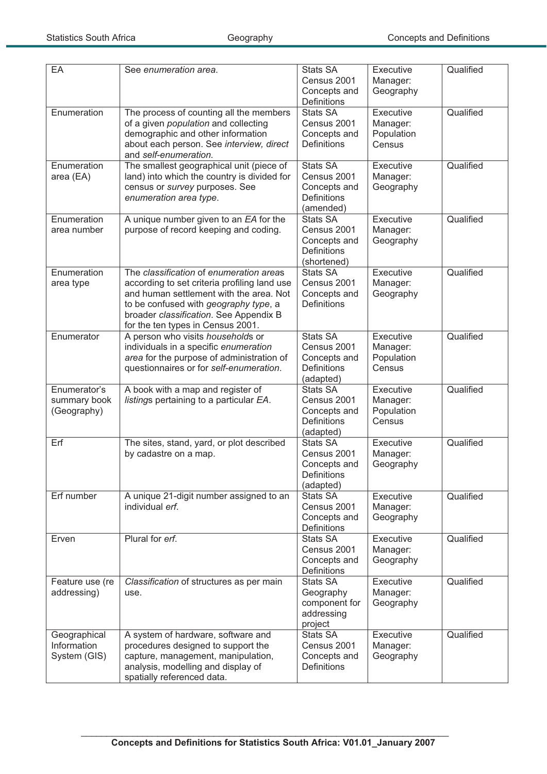| EA                                          | See enumeration area.                                                                                                                                                                                                                                      | <b>Stats SA</b><br>Census 2001<br>Concepts and<br>Definitions                       | Executive<br>Manager:<br>Geography            | Qualified |
|---------------------------------------------|------------------------------------------------------------------------------------------------------------------------------------------------------------------------------------------------------------------------------------------------------------|-------------------------------------------------------------------------------------|-----------------------------------------------|-----------|
| Enumeration                                 | The process of counting all the members<br>of a given <i>population</i> and collecting<br>demographic and other information<br>about each person. See interview, direct<br>and self-enumeration.                                                           | <b>Stats SA</b><br>Census 2001<br>Concepts and<br><b>Definitions</b>                | Executive<br>Manager:<br>Population<br>Census | Qualified |
| Enumeration<br>area (EA)                    | The smallest geographical unit (piece of<br>land) into which the country is divided for<br>census or survey purposes. See<br>enumeration area type.                                                                                                        | <b>Stats SA</b><br>Census 2001<br>Concepts and<br><b>Definitions</b><br>(amended)   | Executive<br>Manager:<br>Geography            | Qualified |
| Enumeration<br>area number                  | A unique number given to an EA for the<br>purpose of record keeping and coding.                                                                                                                                                                            | <b>Stats SA</b><br>Census 2001<br>Concepts and<br><b>Definitions</b><br>(shortened) | Executive<br>Manager:<br>Geography            | Qualified |
| Enumeration<br>area type                    | The classification of enumeration areas<br>according to set criteria profiling land use<br>and human settlement with the area. Not<br>to be confused with geography type, a<br>broader classification. See Appendix B<br>for the ten types in Census 2001. | <b>Stats SA</b><br>Census 2001<br>Concepts and<br><b>Definitions</b>                | Executive<br>Manager:<br>Geography            | Qualified |
| Enumerator                                  | A person who visits households or<br>individuals in a specific enumeration<br>area for the purpose of administration of<br>questionnaires or for self-enumeration.                                                                                         | <b>Stats SA</b><br>Census 2001<br>Concepts and<br>Definitions<br>(adapted)          | Executive<br>Manager:<br>Population<br>Census | Qualified |
| Enumerator's<br>summary book<br>(Geography) | A book with a map and register of<br>listings pertaining to a particular EA.                                                                                                                                                                               | <b>Stats SA</b><br>Census 2001<br>Concepts and<br><b>Definitions</b><br>(adapted)   | Executive<br>Manager:<br>Population<br>Census | Qualified |
| Erf                                         | The sites, stand, yard, or plot described<br>by cadastre on a map.                                                                                                                                                                                         | <b>Stats SA</b><br>Census 2001<br>Concepts and<br><b>Definitions</b><br>(adapted)   | Executive<br>Manager:<br>Geography            | Qualified |
| Erf number                                  | A unique 21-digit number assigned to an<br>individual erf.                                                                                                                                                                                                 | <b>Stats SA</b><br>Census 2001<br>Concepts and<br>Definitions                       | Executive<br>Manager:<br>Geography            | Qualified |
| Erven                                       | Plural for erf.                                                                                                                                                                                                                                            | <b>Stats SA</b><br>Census 2001<br>Concepts and<br>Definitions                       | Executive<br>Manager:<br>Geography            | Qualified |
| Feature use (re<br>addressing)              | Classification of structures as per main<br>use.                                                                                                                                                                                                           | <b>Stats SA</b><br>Geography<br>component for<br>addressing<br>project              | Executive<br>Manager:<br>Geography            | Qualified |
| Geographical<br>Information<br>System (GIS) | A system of hardware, software and<br>procedures designed to support the<br>capture, management, manipulation,<br>analysis, modelling and display of<br>spatially referenced data.                                                                         | Stats SA<br>Census 2001<br>Concepts and<br>Definitions                              | Executive<br>Manager:<br>Geography            | Qualified |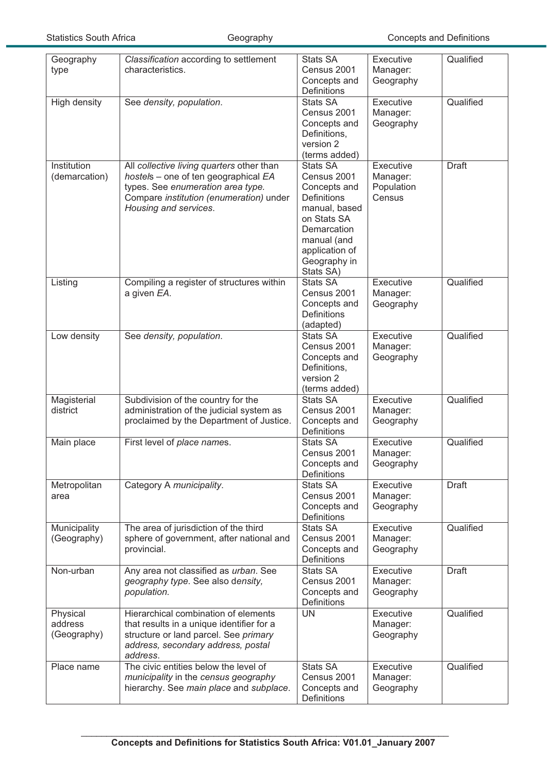| Geography<br>type                  | Classification according to settlement<br>characteristics.                                                                                                                                 | <b>Stats SA</b><br>Census 2001<br>Concepts and                                                                                                                                    | Executive<br>Manager:<br>Geography            | Qualified    |
|------------------------------------|--------------------------------------------------------------------------------------------------------------------------------------------------------------------------------------------|-----------------------------------------------------------------------------------------------------------------------------------------------------------------------------------|-----------------------------------------------|--------------|
| High density                       | See density, population.                                                                                                                                                                   | Definitions<br><b>Stats SA</b>                                                                                                                                                    | Executive                                     | Qualified    |
|                                    |                                                                                                                                                                                            | Census 2001<br>Concepts and<br>Definitions,<br>version 2<br>(terms added)                                                                                                         | Manager:<br>Geography                         |              |
| Institution<br>(demarcation)       | All collective living quarters other than<br>hostels - one of ten geographical EA<br>types. See enumeration area type.<br>Compare institution (enumeration) under<br>Housing and services. | <b>Stats SA</b><br>Census 2001<br>Concepts and<br><b>Definitions</b><br>manual, based<br>on Stats SA<br>Demarcation<br>manual (and<br>application of<br>Geography in<br>Stats SA) | Executive<br>Manager:<br>Population<br>Census | <b>Draft</b> |
| Listing                            | Compiling a register of structures within<br>a given EA.                                                                                                                                   | Stats SA<br>Census 2001<br>Concepts and<br><b>Definitions</b><br>(adapted)                                                                                                        | Executive<br>Manager:<br>Geography            | Qualified    |
| Low density                        | See density, population.                                                                                                                                                                   | <b>Stats SA</b><br>Census 2001<br>Concepts and<br>Definitions,<br>version 2<br>(terms added)                                                                                      | Executive<br>Manager:<br>Geography            | Qualified    |
| Magisterial<br>district            | Subdivision of the country for the<br>administration of the judicial system as<br>proclaimed by the Department of Justice.                                                                 | <b>Stats SA</b><br>Census 2001<br>Concepts and<br>Definitions                                                                                                                     | Executive<br>Manager:<br>Geography            | Qualified    |
| Main place                         | First level of place names.                                                                                                                                                                | <b>Stats SA</b><br>Census 2001<br>Concepts and<br>Definitions                                                                                                                     | Executive<br>Manager:<br>Geography            | Qualified    |
| Metropolitan<br>area               | Category A municipality.                                                                                                                                                                   | <b>Stats SA</b><br>Census 2001<br>Concepts and<br>Definitions                                                                                                                     | Executive<br>Manager:<br>Geography            | <b>Draft</b> |
| Municipality<br>(Geography)        | The area of jurisdiction of the third<br>sphere of government, after national and<br>provincial.                                                                                           | <b>Stats SA</b><br>Census 2001<br>Concepts and<br>Definitions                                                                                                                     | Executive<br>Manager:<br>Geography            | Qualified    |
| Non-urban                          | Any area not classified as urban. See<br>geography type. See also density,<br>population.                                                                                                  | <b>Stats SA</b><br>Census 2001<br>Concepts and<br>Definitions                                                                                                                     | Executive<br>Manager:<br>Geography            | <b>Draft</b> |
| Physical<br>address<br>(Geography) | Hierarchical combination of elements<br>that results in a unique identifier for a<br>structure or land parcel. See primary<br>address, secondary address, postal<br>address.               | <b>UN</b>                                                                                                                                                                         | Executive<br>Manager:<br>Geography            | Qualified    |
| Place name                         | The civic entities below the level of<br>municipality in the census geography<br>hierarchy. See main place and subplace.                                                                   | Stats SA<br>Census 2001<br>Concepts and<br>Definitions                                                                                                                            | Executive<br>Manager:<br>Geography            | Qualified    |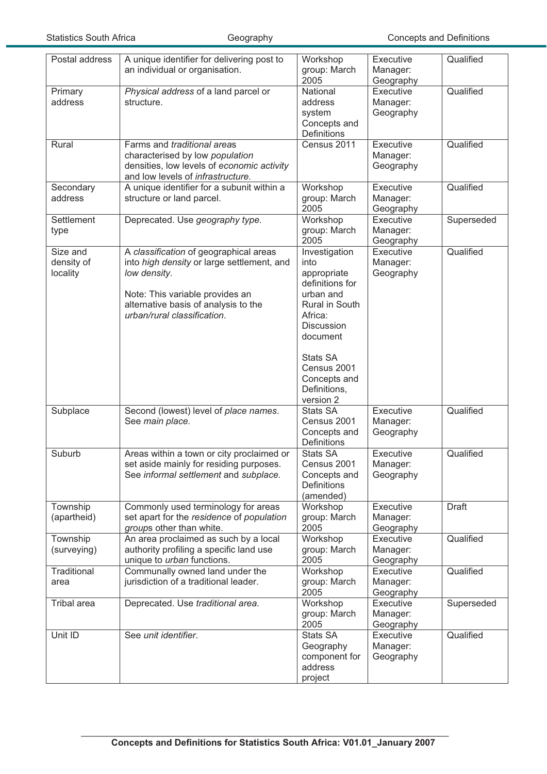| Postal address                     | A unique identifier for delivering post to<br>an individual or organisation.                                                                                                                                   | Workshop<br>group: March<br>2005                                                                                                                                                                           | Executive<br>Manager:<br>Geography | Qualified    |
|------------------------------------|----------------------------------------------------------------------------------------------------------------------------------------------------------------------------------------------------------------|------------------------------------------------------------------------------------------------------------------------------------------------------------------------------------------------------------|------------------------------------|--------------|
| Primary<br>address                 | Physical address of a land parcel or<br>structure.                                                                                                                                                             | National<br>address<br>system<br>Concepts and<br>Definitions                                                                                                                                               | Executive<br>Manager:<br>Geography | Qualified    |
| Rural                              | Farms and traditional areas<br>characterised by low population<br>densities, low levels of economic activity<br>and low levels of infrastructure.                                                              | Census 2011                                                                                                                                                                                                | Executive<br>Manager:<br>Geography | Qualified    |
| Secondary<br>address               | A unique identifier for a subunit within a<br>structure or land parcel.                                                                                                                                        | Workshop<br>group: March<br>2005                                                                                                                                                                           | Executive<br>Manager:<br>Geography | Qualified    |
| Settlement<br>type                 | Deprecated. Use geography type.                                                                                                                                                                                | Workshop<br>group: March<br>2005                                                                                                                                                                           | Executive<br>Manager:<br>Geography | Superseded   |
| Size and<br>density of<br>locality | A classification of geographical areas<br>into high density or large settlement, and<br>low density.<br>Note: This variable provides an<br>alternative basis of analysis to the<br>urban/rural classification. | Investigation<br>into<br>appropriate<br>definitions for<br>urban and<br>Rural in South<br>Africa:<br><b>Discussion</b><br>document<br>Stats SA<br>Census 2001<br>Concepts and<br>Definitions,<br>version 2 | Executive<br>Manager:<br>Geography | Qualified    |
| Subplace                           | Second (lowest) level of place names.<br>See main place.                                                                                                                                                       | <b>Stats SA</b><br>Census 2001<br>Concepts and<br>Definitions                                                                                                                                              | Executive<br>Manager:<br>Geography | Qualified    |
| Suburb                             | Areas within a town or city proclaimed or<br>set aside mainly for residing purposes.<br>See informal settlement and subplace.                                                                                  | <b>Stats SA</b><br>Census 2001<br>Concepts and<br>Definitions<br>(amended)                                                                                                                                 | Executive<br>Manager:<br>Geography | Qualified    |
| Township<br>(apartheid)            | Commonly used terminology for areas<br>set apart for the residence of population<br>groups other than white.                                                                                                   | Workshop<br>group: March<br>2005                                                                                                                                                                           | Executive<br>Manager:<br>Geography | <b>Draft</b> |
| Township<br>(surveying)            | An area proclaimed as such by a local<br>authority profiling a specific land use<br>unique to urban functions.                                                                                                 | Workshop<br>group: March<br>2005                                                                                                                                                                           | Executive<br>Manager:<br>Geography | Qualified    |
| Traditional<br>area                | Communally owned land under the<br>jurisdiction of a traditional leader.                                                                                                                                       | Workshop<br>group: March<br>2005                                                                                                                                                                           | Executive<br>Manager:<br>Geography | Qualified    |
| <b>Tribal</b> area                 | Deprecated. Use traditional area.                                                                                                                                                                              | Workshop<br>group: March<br>2005                                                                                                                                                                           | Executive<br>Manager:<br>Geography | Superseded   |
| Unit ID                            | See unit identifier.                                                                                                                                                                                           | <b>Stats SA</b><br>Geography<br>component for<br>address<br>project                                                                                                                                        | Executive<br>Manager:<br>Geography | Qualified    |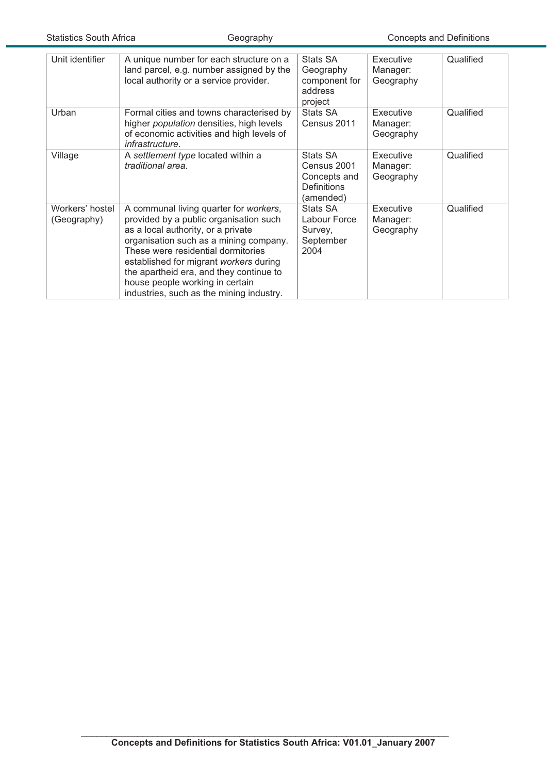| Unit identifier                | A unique number for each structure on a<br>land parcel, e.g. number assigned by the<br>local authority or a service provider.                                                                                                                                                                                                                                              | Stats SA<br>Geography<br>component for<br>address<br>project               | <b>Executive</b><br>Manager:<br>Geography | Qualified |
|--------------------------------|----------------------------------------------------------------------------------------------------------------------------------------------------------------------------------------------------------------------------------------------------------------------------------------------------------------------------------------------------------------------------|----------------------------------------------------------------------------|-------------------------------------------|-----------|
| Urban                          | Formal cities and towns characterised by<br>higher <i>population</i> densities, high levels<br>of economic activities and high levels of<br>infrastructure.                                                                                                                                                                                                                | <b>Stats SA</b><br>Census 2011                                             | <b>Executive</b><br>Manager:<br>Geography | Qualified |
| Village                        | A settlement type located within a<br>traditional area.                                                                                                                                                                                                                                                                                                                    | Stats SA<br>Census 2001<br>Concepts and<br><b>Definitions</b><br>(amended) | <b>Executive</b><br>Manager:<br>Geography | Qualified |
| Workers' hostel<br>(Geography) | A communal living quarter for workers,<br>provided by a public organisation such<br>as a local authority, or a private<br>organisation such as a mining company.<br>These were residential dormitories<br>established for migrant workers during<br>the apartheid era, and they continue to<br>house people working in certain<br>industries, such as the mining industry. | Stats SA<br>Labour Force<br>Survey,<br>September<br>2004                   | Executive<br>Manager:<br>Geography        | Qualified |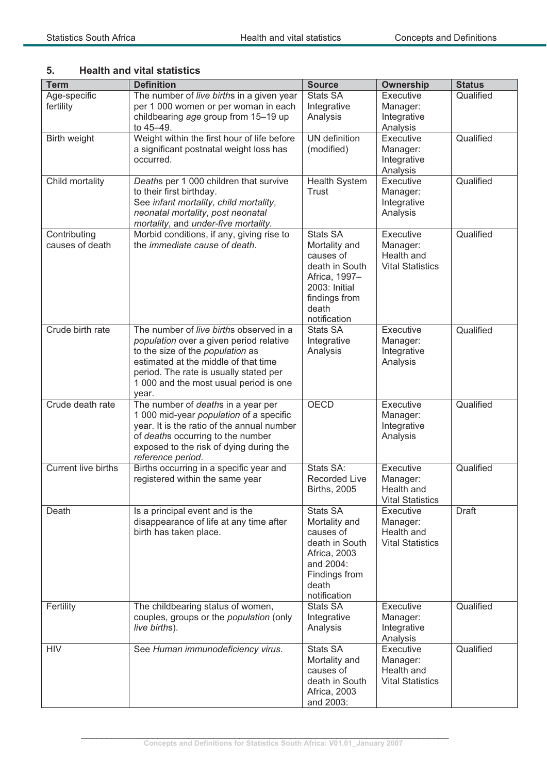## **5. Health and vital statistics**

| <b>Term</b>                     | <b>Definition</b>                                                                                                                                                                                                                                           | <b>Source</b>                                                                                                                               | <b>Ownership</b>                                               | <b>Status</b> |
|---------------------------------|-------------------------------------------------------------------------------------------------------------------------------------------------------------------------------------------------------------------------------------------------------------|---------------------------------------------------------------------------------------------------------------------------------------------|----------------------------------------------------------------|---------------|
| Age-specific<br>fertility       | The number of live births in a given year<br>per 1 000 women or per woman in each<br>childbearing age group from 15-19 up                                                                                                                                   | Stats SA<br>Integrative<br>Analysis                                                                                                         | Executive<br>Manager:<br>Integrative                           | Qualified     |
| Birth weight                    | to 45-49.<br>Weight within the first hour of life before<br>a significant postnatal weight loss has<br>occurred.                                                                                                                                            | UN definition<br>(modified)                                                                                                                 | Analysis<br>Executive<br>Manager:<br>Integrative<br>Analysis   | Qualified     |
| Child mortality                 | Deaths per 1 000 children that survive<br>to their first birthday.<br>See infant mortality, child mortality,<br>neonatal mortality, post neonatal<br>mortality, and under-five mortality.                                                                   | <b>Health System</b><br><b>Trust</b>                                                                                                        | Executive<br>Manager:<br>Integrative<br>Analysis               | Qualified     |
| Contributing<br>causes of death | Morbid conditions, if any, giving rise to<br>the immediate cause of death.                                                                                                                                                                                  | <b>Stats SA</b><br>Mortality and<br>causes of<br>death in South<br>Africa, 1997-<br>2003: Initial<br>findings from<br>death<br>notification | Executive<br>Manager:<br>Health and<br><b>Vital Statistics</b> | Qualified     |
| Crude birth rate                | The number of live births observed in a<br>population over a given period relative<br>to the size of the population as<br>estimated at the middle of that time<br>period. The rate is usually stated per<br>1 000 and the most usual period is one<br>year. | <b>Stats SA</b><br>Integrative<br>Analysis                                                                                                  | Executive<br>Manager:<br>Integrative<br>Analysis               | Qualified     |
| Crude death rate                | The number of deaths in a year per<br>1 000 mid-year population of a specific<br>year. It is the ratio of the annual number<br>of deaths occurring to the number<br>exposed to the risk of dying during the<br>reference period.                            | <b>OECD</b>                                                                                                                                 | Executive<br>Manager:<br>Integrative<br>Analysis               | Qualified     |
| <b>Current live births</b>      | Births occurring in a specific year and<br>registered within the same year                                                                                                                                                                                  | Stats SA:<br><b>Recorded Live</b><br><b>Births, 2005</b>                                                                                    | Executive<br>Manager:<br>Health and<br><b>Vital Statistics</b> | Qualified     |
| Death                           | Is a principal event and is the<br>disappearance of life at any time after<br>birth has taken place.                                                                                                                                                        | <b>Stats SA</b><br>Mortality and<br>causes of<br>death in South<br>Africa, 2003<br>and 2004:<br>Findings from<br>death<br>notification      | Executive<br>Manager:<br>Health and<br><b>Vital Statistics</b> | <b>Draft</b>  |
| Fertility                       | The childbearing status of women,<br>couples, groups or the <i>population</i> (only<br>live births).                                                                                                                                                        | <b>Stats SA</b><br>Integrative<br>Analysis                                                                                                  | Executive<br>Manager:<br>Integrative<br>Analysis               | Qualified     |
| <b>HIV</b>                      | See Human immunodeficiency virus.                                                                                                                                                                                                                           | <b>Stats SA</b><br>Mortality and<br>causes of<br>death in South<br>Africa, 2003<br>and 2003:                                                | Executive<br>Manager:<br>Health and<br><b>Vital Statistics</b> | Qualified     |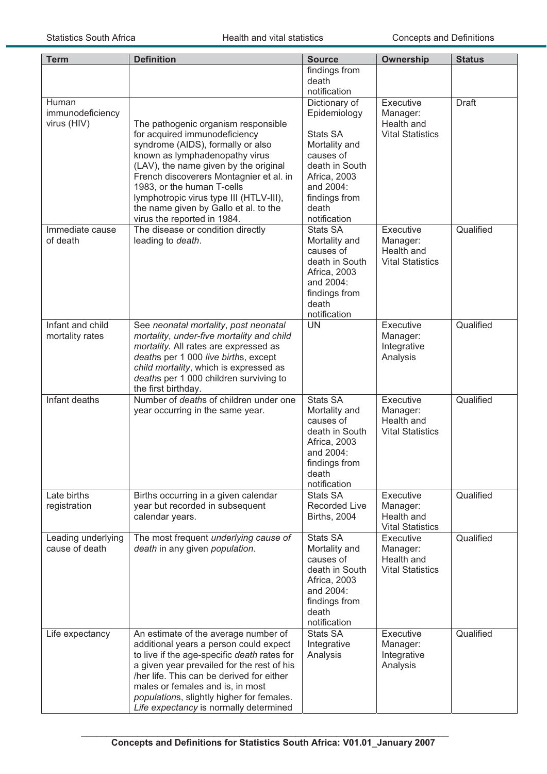| <b>Term</b>                              | <b>Definition</b>                                                                                                                                                                                                                                                                                                                                                                | <b>Source</b>                                                                                                                                                    | Ownership                                                      | <b>Status</b> |
|------------------------------------------|----------------------------------------------------------------------------------------------------------------------------------------------------------------------------------------------------------------------------------------------------------------------------------------------------------------------------------------------------------------------------------|------------------------------------------------------------------------------------------------------------------------------------------------------------------|----------------------------------------------------------------|---------------|
|                                          |                                                                                                                                                                                                                                                                                                                                                                                  | findings from<br>death<br>notification                                                                                                                           |                                                                |               |
| Human<br>immunodeficiency<br>virus (HIV) | The pathogenic organism responsible<br>for acquired immunodeficiency<br>syndrome (AIDS), formally or also<br>known as lymphadenopathy virus<br>(LAV), the name given by the original<br>French discoverers Montagnier et al. in<br>1983, or the human T-cells<br>lymphotropic virus type III (HTLV-III),<br>the name given by Gallo et al. to the<br>virus the reported in 1984. | Dictionary of<br>Epidemiology<br>Stats SA<br>Mortality and<br>causes of<br>death in South<br>Africa, 2003<br>and 2004:<br>findings from<br>death<br>notification | Executive<br>Manager:<br>Health and<br><b>Vital Statistics</b> | <b>Draft</b>  |
| Immediate cause<br>of death              | The disease or condition directly<br>leading to death.                                                                                                                                                                                                                                                                                                                           | Stats SA<br>Mortality and<br>causes of<br>death in South<br>Africa, 2003<br>and 2004:<br>findings from<br>death<br>notification                                  | Executive<br>Manager:<br>Health and<br><b>Vital Statistics</b> | Qualified     |
| Infant and child<br>mortality rates      | See neonatal mortality, post neonatal<br>mortality, under-five mortality and child<br>mortality. All rates are expressed as<br>deaths per 1 000 live births, except<br>child mortality, which is expressed as<br>deaths per 1 000 children surviving to<br>the first birthday.                                                                                                   | <b>UN</b>                                                                                                                                                        | Executive<br>Manager:<br>Integrative<br>Analysis               | Qualified     |
| Infant deaths                            | Number of deaths of children under one<br>year occurring in the same year.                                                                                                                                                                                                                                                                                                       | <b>Stats SA</b><br>Mortality and<br>causes of<br>death in South<br>Africa, 2003<br>and 2004:<br>findings from<br>death<br>notification                           | Executive<br>Manager:<br>Health and<br><b>Vital Statistics</b> | Qualified     |
| Late births<br>registration              | Births occurring in a given calendar<br>year but recorded in subsequent<br>calendar years.                                                                                                                                                                                                                                                                                       | Stats SA<br><b>Recorded Live</b><br><b>Births, 2004</b>                                                                                                          | Executive<br>Manager:<br>Health and<br><b>Vital Statistics</b> | Qualified     |
| Leading underlying<br>cause of death     | The most frequent underlying cause of<br>death in any given population.                                                                                                                                                                                                                                                                                                          | Stats SA<br>Mortality and<br>causes of<br>death in South<br>Africa, 2003<br>and 2004:<br>findings from<br>death<br>notification                                  | Executive<br>Manager:<br>Health and<br><b>Vital Statistics</b> | Qualified     |
| Life expectancy                          | An estimate of the average number of<br>additional years a person could expect<br>to live if the age-specific death rates for<br>a given year prevailed for the rest of his<br>/her life. This can be derived for either<br>males or females and is, in most<br>populations, slightly higher for females.<br>Life expectancy is normally determined                              | <b>Stats SA</b><br>Integrative<br>Analysis                                                                                                                       | Executive<br>Manager:<br>Integrative<br>Analysis               | Qualified     |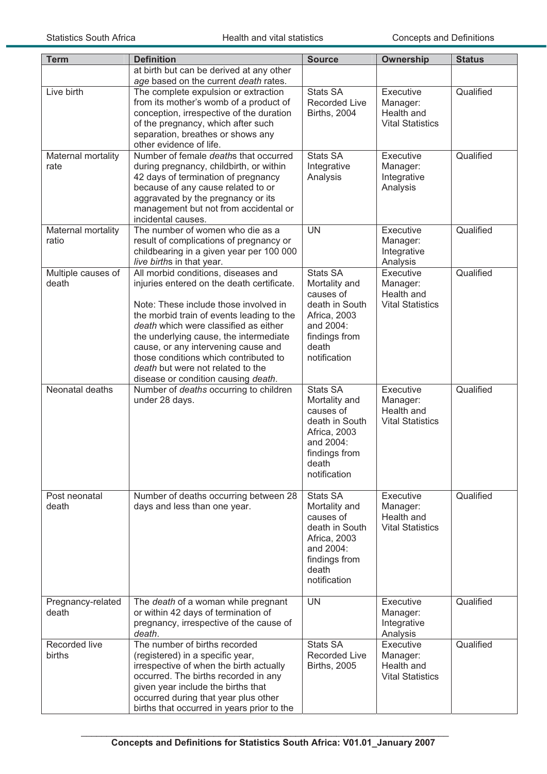| <b>Term</b>                 | <b>Definition</b>                                                                                                                                                                                                                                                                                                                                                                                                      | <b>Source</b>                                                                                                                          | <b>Ownership</b>                                               | <b>Status</b> |
|-----------------------------|------------------------------------------------------------------------------------------------------------------------------------------------------------------------------------------------------------------------------------------------------------------------------------------------------------------------------------------------------------------------------------------------------------------------|----------------------------------------------------------------------------------------------------------------------------------------|----------------------------------------------------------------|---------------|
|                             | at birth but can be derived at any other<br>age based on the current death rates.                                                                                                                                                                                                                                                                                                                                      |                                                                                                                                        |                                                                |               |
| Live birth                  | The complete expulsion or extraction<br>from its mother's womb of a product of<br>conception, irrespective of the duration<br>of the pregnancy, which after such<br>separation, breathes or shows any<br>other evidence of life.                                                                                                                                                                                       | <b>Stats SA</b><br><b>Recorded Live</b><br><b>Births, 2004</b>                                                                         | Executive<br>Manager:<br>Health and<br><b>Vital Statistics</b> | Qualified     |
| Maternal mortality<br>rate  | Number of female deaths that occurred<br>during pregnancy, childbirth, or within<br>42 days of termination of pregnancy<br>because of any cause related to or<br>aggravated by the pregnancy or its<br>management but not from accidental or<br>incidental causes.                                                                                                                                                     | <b>Stats SA</b><br>Integrative<br>Analysis                                                                                             | Executive<br>Manager:<br>Integrative<br>Analysis               | Qualified     |
| Maternal mortality<br>ratio | The number of women who die as a<br>result of complications of pregnancy or<br>childbearing in a given year per 100 000<br>live births in that year.                                                                                                                                                                                                                                                                   | <b>UN</b>                                                                                                                              | Executive<br>Manager:<br>Integrative<br>Analysis               | Qualified     |
| Multiple causes of<br>death | All morbid conditions, diseases and<br>injuries entered on the death certificate.<br>Note: These include those involved in<br>the morbid train of events leading to the<br>death which were classified as either<br>the underlying cause, the intermediate<br>cause, or any intervening cause and<br>those conditions which contributed to<br>death but were not related to the<br>disease or condition causing death. | <b>Stats SA</b><br>Mortality and<br>causes of<br>death in South<br>Africa, 2003<br>and 2004:<br>findings from<br>death<br>notification | Executive<br>Manager:<br>Health and<br><b>Vital Statistics</b> | Qualified     |
| Neonatal deaths             | Number of deaths occurring to children<br>under 28 days.                                                                                                                                                                                                                                                                                                                                                               | <b>Stats SA</b><br>Mortality and<br>causes of<br>death in South<br>Africa, 2003<br>and 2004:<br>findings from<br>death<br>notification | Executive<br>Manager:<br>Health and<br><b>Vital Statistics</b> | Qualified     |
| Post neonatal<br>death      | Number of deaths occurring between 28<br>days and less than one year.                                                                                                                                                                                                                                                                                                                                                  | <b>Stats SA</b><br>Mortality and<br>causes of<br>death in South<br>Africa, 2003<br>and 2004:<br>findings from<br>death<br>notification | Executive<br>Manager:<br>Health and<br><b>Vital Statistics</b> | Qualified     |
| Pregnancy-related<br>death  | The death of a woman while pregnant<br>or within 42 days of termination of<br>pregnancy, irrespective of the cause of<br>death.                                                                                                                                                                                                                                                                                        | <b>UN</b>                                                                                                                              | Executive<br>Manager:<br>Integrative<br>Analysis               | Qualified     |
| Recorded live<br>births     | The number of births recorded<br>(registered) in a specific year,<br>irrespective of when the birth actually<br>occurred. The births recorded in any<br>given year include the births that<br>occurred during that year plus other<br>births that occurred in years prior to the                                                                                                                                       | <b>Stats SA</b><br><b>Recorded Live</b><br><b>Births, 2005</b>                                                                         | Executive<br>Manager:<br>Health and<br><b>Vital Statistics</b> | Qualified     |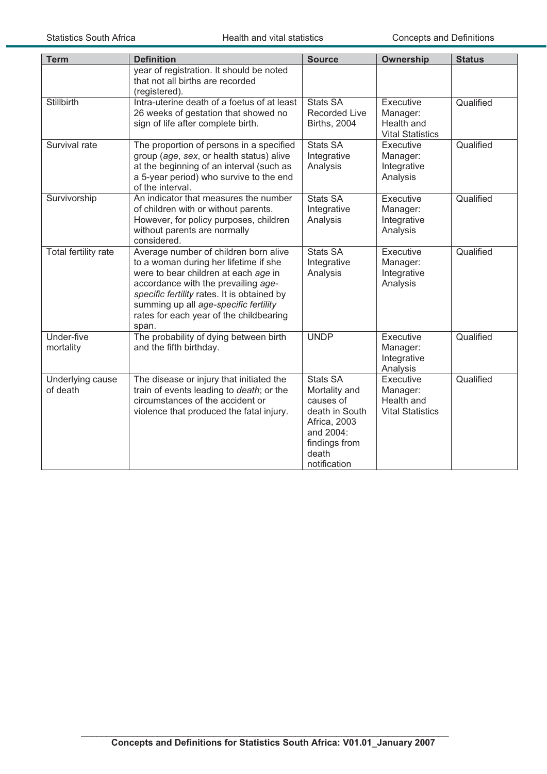| <b>Term</b>                  | <b>Definition</b>                                                                                                                                                                                                                                                                                         | <b>Source</b>                                                                                                                          | <b>Ownership</b>                                               | <b>Status</b> |
|------------------------------|-----------------------------------------------------------------------------------------------------------------------------------------------------------------------------------------------------------------------------------------------------------------------------------------------------------|----------------------------------------------------------------------------------------------------------------------------------------|----------------------------------------------------------------|---------------|
|                              | year of registration. It should be noted<br>that not all births are recorded<br>(registered).                                                                                                                                                                                                             |                                                                                                                                        |                                                                |               |
| Stillbirth                   | Intra-uterine death of a foetus of at least<br>26 weeks of gestation that showed no<br>sign of life after complete birth.                                                                                                                                                                                 | <b>Stats SA</b><br><b>Recorded Live</b><br><b>Births, 2004</b>                                                                         | Executive<br>Manager:<br>Health and<br><b>Vital Statistics</b> | Qualified     |
| Survival rate                | The proportion of persons in a specified<br>group (age, sex, or health status) alive<br>at the beginning of an interval (such as<br>a 5-year period) who survive to the end<br>of the interval.                                                                                                           | <b>Stats SA</b><br>Integrative<br>Analysis                                                                                             | Executive<br>Manager:<br>Integrative<br>Analysis               | Qualified     |
| Survivorship                 | An indicator that measures the number<br>of children with or without parents.<br>However, for policy purposes, children<br>without parents are normally<br>considered.                                                                                                                                    | <b>Stats SA</b><br>Integrative<br>Analysis                                                                                             | Executive<br>Manager:<br>Integrative<br>Analysis               | Qualified     |
| Total fertility rate         | Average number of children born alive<br>to a woman during her lifetime if she<br>were to bear children at each age in<br>accordance with the prevailing age-<br>specific fertility rates. It is obtained by<br>summing up all age-specific fertility<br>rates for each year of the childbearing<br>span. | <b>Stats SA</b><br>Integrative<br>Analysis                                                                                             | Executive<br>Manager:<br>Integrative<br>Analysis               | Qualified     |
| Under-five<br>mortality      | The probability of dying between birth<br>and the fifth birthday.                                                                                                                                                                                                                                         | <b>UNDP</b>                                                                                                                            | Executive<br>Manager:<br>Integrative<br>Analysis               | Qualified     |
| Underlying cause<br>of death | The disease or injury that initiated the<br>train of events leading to death; or the<br>circumstances of the accident or<br>violence that produced the fatal injury.                                                                                                                                      | <b>Stats SA</b><br>Mortality and<br>causes of<br>death in South<br>Africa, 2003<br>and 2004:<br>findings from<br>death<br>notification | Executive<br>Manager:<br>Health and<br><b>Vital Statistics</b> | Qualified     |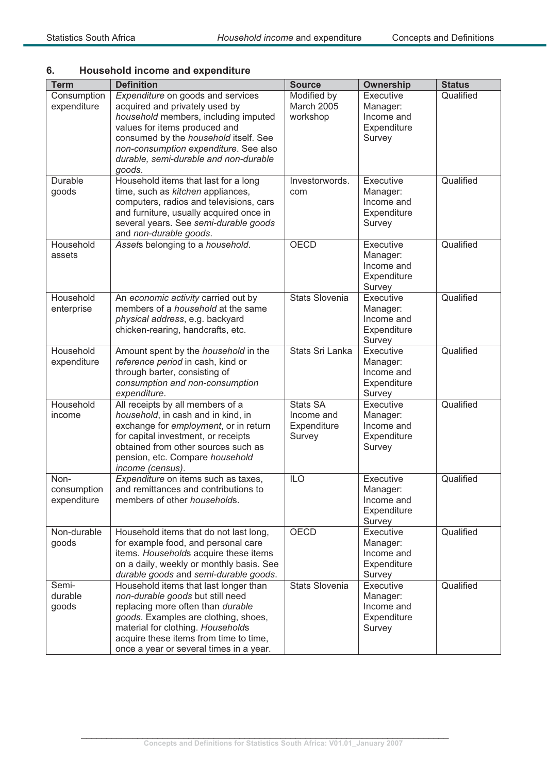## **6. Household income and expenditure**

| <b>Term</b>                        | <b>Definition</b>                                                                                                                                                                                                                                                                 | <b>Source</b>                                          | <b>Ownership</b>                                             | <b>Status</b> |
|------------------------------------|-----------------------------------------------------------------------------------------------------------------------------------------------------------------------------------------------------------------------------------------------------------------------------------|--------------------------------------------------------|--------------------------------------------------------------|---------------|
| Consumption<br>expenditure         | Expenditure on goods and services<br>acquired and privately used by<br>household members, including imputed<br>values for items produced and<br>consumed by the household itself. See<br>non-consumption expenditure. See also<br>durable, semi-durable and non-durable<br>goods. | Modified by<br>March 2005<br>workshop                  | Executive<br>Manager:<br>Income and<br>Expenditure<br>Survey | Qualified     |
| Durable<br>goods                   | Household items that last for a long<br>time, such as kitchen appliances,<br>computers, radios and televisions, cars<br>and furniture, usually acquired once in<br>several years. See semi-durable goods<br>and non-durable goods.                                                | Investorwords.<br>com                                  | Executive<br>Manager:<br>Income and<br>Expenditure<br>Survey | Qualified     |
| Household<br>assets                | Assets belonging to a household.                                                                                                                                                                                                                                                  | <b>OECD</b>                                            | Executive<br>Manager:<br>Income and<br>Expenditure<br>Survey | Qualified     |
| Household<br>enterprise            | An economic activity carried out by<br>members of a <i>household</i> at the same<br>physical address, e.g. backyard<br>chicken-rearing, handcrafts, etc.                                                                                                                          | <b>Stats Slovenia</b>                                  | Executive<br>Manager:<br>Income and<br>Expenditure<br>Survey | Qualified     |
| Household<br>expenditure           | Amount spent by the household in the<br>reference period in cash, kind or<br>through barter, consisting of<br>consumption and non-consumption<br>expenditure.                                                                                                                     | Stats Sri Lanka                                        | Executive<br>Manager:<br>Income and<br>Expenditure<br>Survey | Qualified     |
| Household<br>income                | All receipts by all members of a<br>household, in cash and in kind, in<br>exchange for employment, or in return<br>for capital investment, or receipts<br>obtained from other sources such as<br>pension, etc. Compare household<br>income (census).                              | <b>Stats SA</b><br>Income and<br>Expenditure<br>Survey | Executive<br>Manager:<br>Income and<br>Expenditure<br>Survey | Qualified     |
| Non-<br>consumption<br>expenditure | Expenditure on items such as taxes,<br>and remittances and contributions to<br>members of other households.                                                                                                                                                                       | <b>ILO</b>                                             | Executive<br>Manager:<br>Income and<br>Expenditure<br>Survey | Qualified     |
| Non-durable<br>goods               | Household items that do not last long,<br>for example food, and personal care<br>items. Households acquire these items<br>on a daily, weekly or monthly basis. See<br>durable goods and semi-durable goods.                                                                       | OECD                                                   | Executive<br>Manager:<br>Income and<br>Expenditure<br>Survey | Qualified     |
| Semi-<br>durable<br>goods          | Household items that last longer than<br>non-durable goods but still need<br>replacing more often than durable<br>goods. Examples are clothing, shoes,<br>material for clothing. Households<br>acquire these items from time to time,<br>once a year or several times in a year.  | <b>Stats Slovenia</b>                                  | Executive<br>Manager:<br>Income and<br>Expenditure<br>Survey | Qualified     |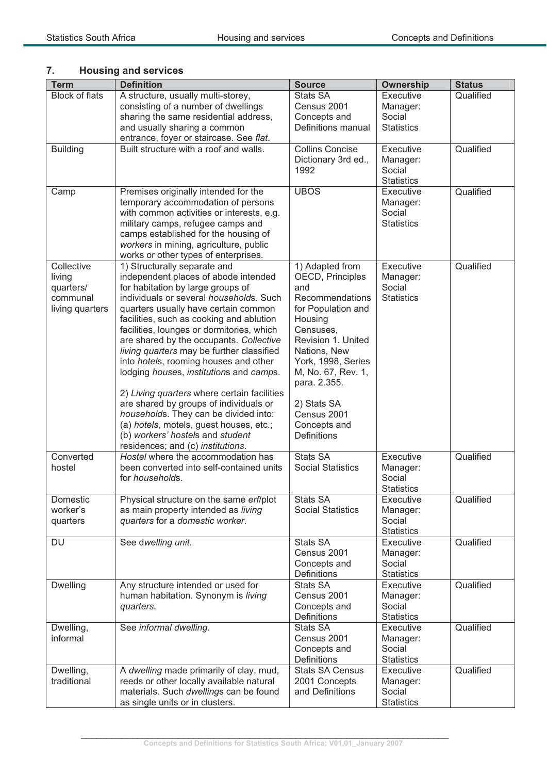| <b>Term</b>           | <b>Definition</b>                                                                    | <b>Source</b>                   | <b>Ownership</b>               | <b>Status</b> |
|-----------------------|--------------------------------------------------------------------------------------|---------------------------------|--------------------------------|---------------|
| <b>Block of flats</b> | A structure, usually multi-storey,                                                   | <b>Stats SA</b>                 | Executive                      | Qualified     |
|                       | consisting of a number of dwellings                                                  | Census 2001                     | Manager:                       |               |
|                       | sharing the same residential address,                                                | Concepts and                    | Social                         |               |
|                       | and usually sharing a common                                                         | Definitions manual              | <b>Statistics</b>              |               |
|                       | entrance, foyer or staircase. See flat.                                              |                                 |                                |               |
| <b>Building</b>       | Built structure with a roof and walls.                                               | <b>Collins Concise</b>          | Executive                      | Qualified     |
|                       |                                                                                      | Dictionary 3rd ed.,             | Manager:                       |               |
|                       |                                                                                      | 1992                            | Social                         |               |
|                       | Premises originally intended for the                                                 | <b>UBOS</b>                     | <b>Statistics</b><br>Executive | Qualified     |
| Camp                  | temporary accommodation of persons                                                   |                                 | Manager:                       |               |
|                       | with common activities or interests, e.g.                                            |                                 | Social                         |               |
|                       | military camps, refugee camps and                                                    |                                 | <b>Statistics</b>              |               |
|                       | camps established for the housing of                                                 |                                 |                                |               |
|                       | workers in mining, agriculture, public                                               |                                 |                                |               |
|                       | works or other types of enterprises.                                                 |                                 |                                |               |
| Collective            | 1) Structurally separate and                                                         | 1) Adapted from                 | Executive                      | Qualified     |
| living                | independent places of abode intended                                                 | OECD, Principles                | Manager:                       |               |
| quarters/             | for habitation by large groups of                                                    | and                             | Social                         |               |
| communal              | individuals or several households. Such                                              | Recommendations                 | <b>Statistics</b>              |               |
| living quarters       | quarters usually have certain common                                                 | for Population and              |                                |               |
|                       | facilities, such as cooking and ablution                                             | Housing                         |                                |               |
|                       | facilities, lounges or dormitories, which                                            | Censuses,<br>Revision 1. United |                                |               |
|                       | are shared by the occupants. Collective<br>living quarters may be further classified | Nations, New                    |                                |               |
|                       | into hotels, rooming houses and other                                                | York, 1998, Series              |                                |               |
|                       | lodging houses, institutions and camps.                                              | M, No. 67, Rev. 1,              |                                |               |
|                       |                                                                                      | para. 2.355.                    |                                |               |
|                       | 2) Living quarters where certain facilities                                          |                                 |                                |               |
|                       | are shared by groups of individuals or                                               | 2) Stats SA<br>Census 2001      |                                |               |
|                       | households. They can be divided into:<br>(a) hotels, motels, guest houses, etc.;     | Concepts and                    |                                |               |
|                       | (b) workers' hostels and student                                                     | <b>Definitions</b>              |                                |               |
|                       | residences; and (c) institutions.                                                    |                                 |                                |               |
| Converted             | Hostel where the accommodation has                                                   | <b>Stats SA</b>                 | Executive                      | Qualified     |
| hostel                | been converted into self-contained units                                             | <b>Social Statistics</b>        | Manager:                       |               |
|                       | for households.                                                                      |                                 | Social                         |               |
|                       |                                                                                      |                                 | <b>Statistics</b>              |               |
| Domestic              | Physical structure on the same erf/plot                                              | <b>Stats SA</b>                 | Executive                      | Qualified     |
| worker's              | as main property intended as living                                                  | <b>Social Statistics</b>        | Manager:                       |               |
| quarters              | quarters for a domestic worker.                                                      |                                 | Social                         |               |
|                       |                                                                                      |                                 | <b>Statistics</b>              |               |
| DU                    | See dwelling unit.                                                                   | <b>Stats SA</b>                 | Executive                      | Qualified     |
|                       |                                                                                      | Census 2001                     | Manager:<br>Social             |               |
|                       |                                                                                      | Concepts and<br>Definitions     | <b>Statistics</b>              |               |
| <b>Dwelling</b>       | Any structure intended or used for                                                   | <b>Stats SA</b>                 | Executive                      | Qualified     |
|                       | human habitation. Synonym is living                                                  | Census 2001                     | Manager:                       |               |
|                       | quarters.                                                                            | Concepts and                    | Social                         |               |
|                       |                                                                                      | Definitions                     | <b>Statistics</b>              |               |
| Dwelling,             | See informal dwelling.                                                               | <b>Stats SA</b>                 | Executive                      | Qualified     |
| informal              |                                                                                      | Census 2001                     | Manager:                       |               |
|                       |                                                                                      | Concepts and                    | Social                         |               |
|                       |                                                                                      | Definitions                     | <b>Statistics</b>              |               |
| Dwelling,             | A dwelling made primarily of clay, mud,                                              | <b>Stats SA Census</b>          | Executive                      | Qualified     |
| traditional           | reeds or other locally available natural                                             | 2001 Concepts                   | Manager:                       |               |
|                       | materials. Such dwellings can be found                                               | and Definitions                 | Social                         |               |
|                       | as single units or in clusters.                                                      |                                 | <b>Statistics</b>              |               |

## **7. Housing and services**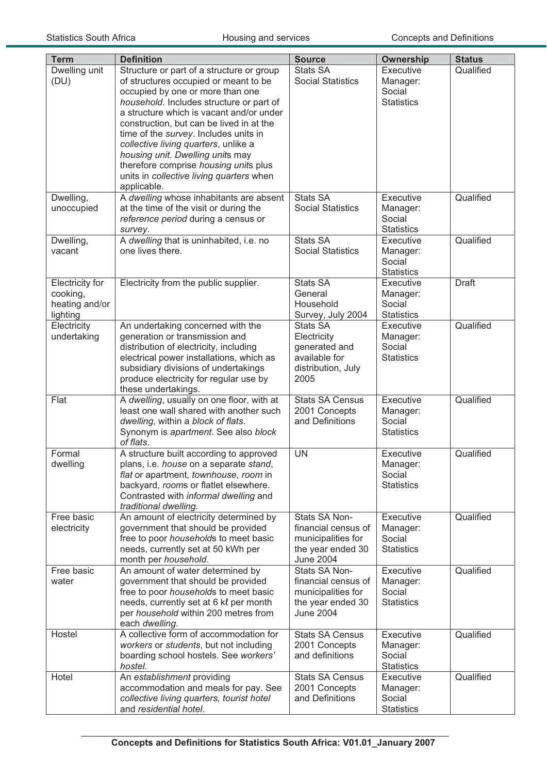| <b>Term</b>                                               | <b>Definition</b>                                                                                                                                                                                                                                                                                                                                                                                                                                                                   | <b>Source</b>                                                                                       | <b>Ownership</b>                                     | <b>Status</b> |
|-----------------------------------------------------------|-------------------------------------------------------------------------------------------------------------------------------------------------------------------------------------------------------------------------------------------------------------------------------------------------------------------------------------------------------------------------------------------------------------------------------------------------------------------------------------|-----------------------------------------------------------------------------------------------------|------------------------------------------------------|---------------|
| Dwelling unit<br>(DU)                                     | Structure or part of a structure or group<br>of structures occupied or meant to be<br>occupied by one or more than one<br>household. Includes structure or part of<br>a structure which is vacant and/or under<br>construction, but can be lived in at the<br>time of the survey. Includes units in<br>collective living quarters, unlike a<br>housing unit. Dwelling units may<br>therefore comprise housing units plus<br>units in collective living quarters when<br>applicable. | <b>Stats SA</b><br><b>Social Statistics</b>                                                         | Executive<br>Manager:<br>Social<br><b>Statistics</b> | Qualified     |
| Dwelling,<br>unoccupied                                   | A dwelling whose inhabitants are absent<br>at the time of the visit or during the<br>reference period during a census or<br>survey.                                                                                                                                                                                                                                                                                                                                                 | <b>Stats SA</b><br><b>Social Statistics</b>                                                         | Executive<br>Manager:<br>Social<br><b>Statistics</b> | Qualified     |
| Dwelling,<br>vacant                                       | A dwelling that is uninhabited, i.e. no<br>one lives there.                                                                                                                                                                                                                                                                                                                                                                                                                         | <b>Stats SA</b><br><b>Social Statistics</b>                                                         | Executive<br>Manager:<br>Social<br><b>Statistics</b> | Qualified     |
| Electricity for<br>cooking,<br>heating and/or<br>lighting | Electricity from the public supplier.                                                                                                                                                                                                                                                                                                                                                                                                                                               | Stats SA<br>General<br>Household<br>Survey, July 2004                                               | Executive<br>Manager:<br>Social<br><b>Statistics</b> | <b>Draft</b>  |
| Electricity<br>undertaking                                | An undertaking concerned with the<br>generation or transmission and<br>distribution of electricity, including<br>electrical power installations, which as<br>subsidiary divisions of undertakings<br>produce electricity for regular use by<br>these undertakings.                                                                                                                                                                                                                  | Stats SA<br>Electricity<br>generated and<br>available for<br>distribution, July<br>2005             | Executive<br>Manager:<br>Social<br><b>Statistics</b> | Qualified     |
| Flat                                                      | A dwelling, usually on one floor, with at<br>least one wall shared with another such<br>dwelling, within a block of flats.<br>Synonym is apartment. See also block<br>of flats.                                                                                                                                                                                                                                                                                                     | <b>Stats SA Census</b><br>2001 Concepts<br>and Definitions                                          | Executive<br>Manager:<br>Social<br><b>Statistics</b> | Qualified     |
| Formal<br>dwelling                                        | A structure built according to approved<br>plans, i.e. house on a separate stand,<br>flat or apartment, townhouse, room in<br>backyard, rooms or flatlet elsewhere.<br>Contrasted with informal dwelling and<br>traditional dwelling.                                                                                                                                                                                                                                               | <b>UN</b>                                                                                           | Executive<br>Manager:<br>Social<br><b>Statistics</b> | Qualified     |
| Free basic<br>electricity                                 | An amount of electricity determined by<br>government that should be provided<br>free to poor households to meet basic<br>needs, currently set at 50 kWh per<br>month per household.                                                                                                                                                                                                                                                                                                 | Stats SA Non-<br>financial census of<br>municipalities for<br>the year ended 30<br><b>June 2004</b> | Executive<br>Manager:<br>Social<br><b>Statistics</b> | Qualified     |
| Free basic<br>water                                       | An amount of water determined by<br>government that should be provided<br>free to poor households to meet basic<br>needs, currently set at 6 kl per month<br>per household within 200 metres from<br>each dwelling.                                                                                                                                                                                                                                                                 | Stats SA Non-<br>financial census of<br>municipalities for<br>the year ended 30<br><b>June 2004</b> | Executive<br>Manager:<br>Social<br><b>Statistics</b> | Qualified     |
| Hostel                                                    | A collective form of accommodation for<br>workers or students, but not including<br>boarding school hostels. See workers'<br>hostel.                                                                                                                                                                                                                                                                                                                                                | <b>Stats SA Census</b><br>2001 Concepts<br>and definitions                                          | Executive<br>Manager:<br>Social<br><b>Statistics</b> | Qualified     |
| Hotel                                                     | An establishment providing<br>accommodation and meals for pay. See<br>collective living quarters, tourist hotel<br>and residential hotel.                                                                                                                                                                                                                                                                                                                                           | <b>Stats SA Census</b><br>2001 Concepts<br>and Definitions                                          | Executive<br>Manager:<br>Social<br><b>Statistics</b> | Qualified     |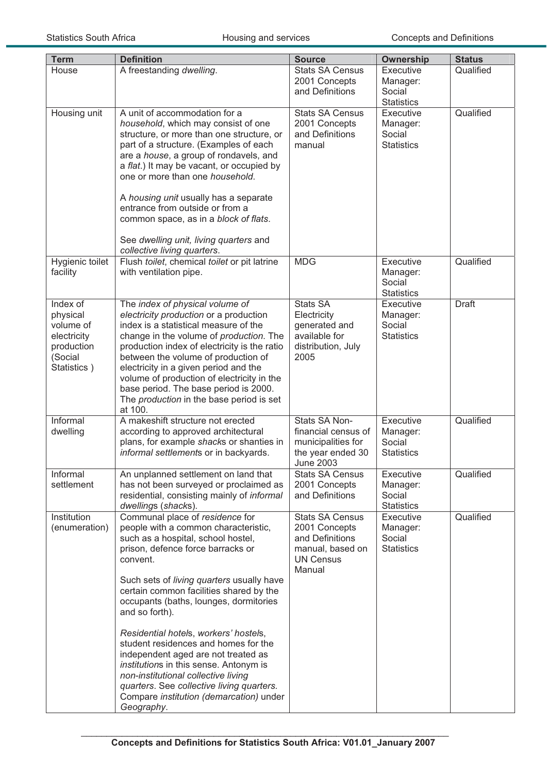| <b>Term</b>                                                                              | <b>Definition</b>                                                                                                                                                                                                                                                                                                                                                                                                                                                                                                                                                                                                                 | <b>Source</b>                                                                                                | <b>Ownership</b>                                     | <b>Status</b> |
|------------------------------------------------------------------------------------------|-----------------------------------------------------------------------------------------------------------------------------------------------------------------------------------------------------------------------------------------------------------------------------------------------------------------------------------------------------------------------------------------------------------------------------------------------------------------------------------------------------------------------------------------------------------------------------------------------------------------------------------|--------------------------------------------------------------------------------------------------------------|------------------------------------------------------|---------------|
| House                                                                                    | A freestanding dwelling.                                                                                                                                                                                                                                                                                                                                                                                                                                                                                                                                                                                                          | <b>Stats SA Census</b><br>2001 Concepts<br>and Definitions                                                   | Executive<br>Manager:<br>Social<br><b>Statistics</b> | Qualified     |
| Housing unit                                                                             | A unit of accommodation for a<br>household, which may consist of one<br>structure, or more than one structure, or<br>part of a structure. (Examples of each<br>are a house, a group of rondavels, and<br>a flat.) It may be vacant, or occupied by<br>one or more than one household.<br>A housing unit usually has a separate<br>entrance from outside or from a<br>common space, as in a block of flats.<br>See dwelling unit, living quarters and<br>collective living quarters.                                                                                                                                               | <b>Stats SA Census</b><br>2001 Concepts<br>and Definitions<br>manual                                         | Executive<br>Manager:<br>Social<br><b>Statistics</b> | Qualified     |
| Hygienic toilet<br>facility                                                              | Flush toilet, chemical toilet or pit latrine<br>with ventilation pipe.                                                                                                                                                                                                                                                                                                                                                                                                                                                                                                                                                            | <b>MDG</b>                                                                                                   | Executive<br>Manager:<br>Social<br><b>Statistics</b> | Qualified     |
| Index of<br>physical<br>volume of<br>electricity<br>production<br>(Social<br>Statistics) | The index of physical volume of<br>electricity production or a production<br>index is a statistical measure of the<br>change in the volume of production. The<br>production index of electricity is the ratio<br>between the volume of production of<br>electricity in a given period and the<br>volume of production of electricity in the<br>base period. The base period is 2000.<br>The production in the base period is set<br>at 100.                                                                                                                                                                                       | <b>Stats SA</b><br>Electricity<br>generated and<br>available for<br>distribution, July<br>2005               | Executive<br>Manager:<br>Social<br><b>Statistics</b> | <b>Draft</b>  |
| Informal<br>dwelling                                                                     | A makeshift structure not erected<br>according to approved architectural<br>plans, for example shacks or shanties in<br>informal settlements or in backyards.                                                                                                                                                                                                                                                                                                                                                                                                                                                                     | Stats SA Non-<br>financial census of<br>municipalities for<br>the year ended 30<br><b>June 2003</b>          | Executive<br>Manager:<br>Social<br><b>Statistics</b> | Qualified     |
| Informal<br>settlement                                                                   | An unplanned settlement on land that<br>has not been surveyed or proclaimed as<br>residential, consisting mainly of informal<br>dwellings (shacks).                                                                                                                                                                                                                                                                                                                                                                                                                                                                               | <b>Stats SA Census</b><br>2001 Concepts<br>and Definitions                                                   | Executive<br>Manager:<br>Social<br><b>Statistics</b> | Qualified     |
| Institution<br>(enumeration)                                                             | Communal place of residence for<br>people with a common characteristic,<br>such as a hospital, school hostel,<br>prison, defence force barracks or<br>convent.<br>Such sets of living quarters usually have<br>certain common facilities shared by the<br>occupants (baths, lounges, dormitories<br>and so forth).<br>Residential hotels, workers' hostels,<br>student residences and homes for the<br>independent aged are not treated as<br>institutions in this sense. Antonym is<br>non-institutional collective living<br>quarters. See collective living quarters.<br>Compare institution (demarcation) under<br>Geography. | <b>Stats SA Census</b><br>2001 Concepts<br>and Definitions<br>manual, based on<br><b>UN Census</b><br>Manual | Executive<br>Manager:<br>Social<br><b>Statistics</b> | Qualified     |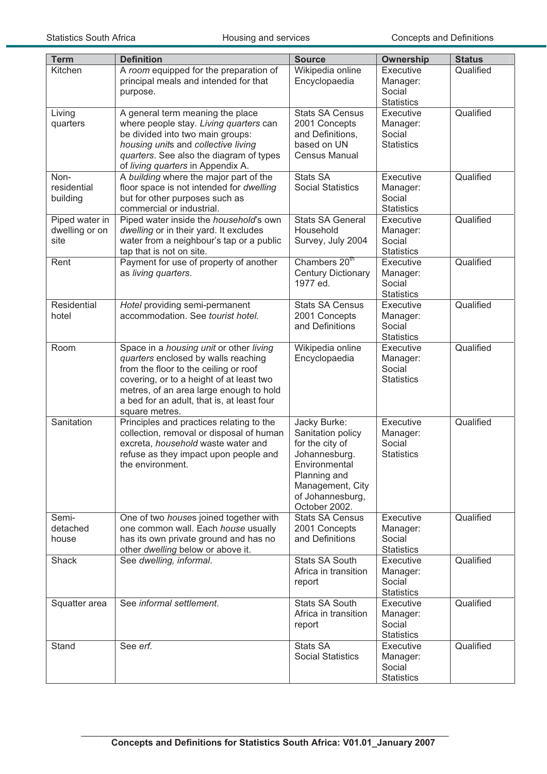| <b>Term</b>                              | <b>Definition</b>                                                                                                                                                                                                                                                              | <b>Source</b>                                                                                                                                                   | Ownership                                            | <b>Status</b> |
|------------------------------------------|--------------------------------------------------------------------------------------------------------------------------------------------------------------------------------------------------------------------------------------------------------------------------------|-----------------------------------------------------------------------------------------------------------------------------------------------------------------|------------------------------------------------------|---------------|
| Kitchen                                  | A room equipped for the preparation of<br>principal meals and intended for that<br>purpose.                                                                                                                                                                                    | Wikipedia online<br>Encyclopaedia                                                                                                                               | Executive<br>Manager:<br>Social<br><b>Statistics</b> | Qualified     |
| Living<br>quarters                       | A general term meaning the place<br>where people stay. Living quarters can<br>be divided into two main groups:<br>housing units and collective living<br>quarters. See also the diagram of types<br>of living quarters in Appendix A.                                          | <b>Stats SA Census</b><br>2001 Concepts<br>and Definitions,<br>based on UN<br><b>Census Manual</b>                                                              | Executive<br>Manager:<br>Social<br><b>Statistics</b> | Qualified     |
| Non-<br>residential<br>building          | A building where the major part of the<br>floor space is not intended for dwelling<br>but for other purposes such as<br>commercial or industrial.                                                                                                                              | Stats SA<br><b>Social Statistics</b>                                                                                                                            | Executive<br>Manager:<br>Social<br><b>Statistics</b> | Qualified     |
| Piped water in<br>dwelling or on<br>site | Piped water inside the <i>household</i> 's own<br>dwelling or in their yard. It excludes<br>water from a neighbour's tap or a public<br>tap that is not on site.                                                                                                               | <b>Stats SA General</b><br>Household<br>Survey, July 2004                                                                                                       | Executive<br>Manager:<br>Social<br><b>Statistics</b> | Qualified     |
| Rent                                     | Payment for use of property of another<br>as living quarters.                                                                                                                                                                                                                  | Chambers 20 <sup>th</sup><br><b>Century Dictionary</b><br>1977 ed.                                                                                              | Executive<br>Manager:<br>Social<br><b>Statistics</b> | Qualified     |
| Residential<br>hotel                     | Hotel providing semi-permanent<br>accommodation. See tourist hotel.                                                                                                                                                                                                            | <b>Stats SA Census</b><br>2001 Concepts<br>and Definitions                                                                                                      | Executive<br>Manager:<br>Social<br><b>Statistics</b> | Qualified     |
| Room                                     | Space in a housing unit or other living<br>quarters enclosed by walls reaching<br>from the floor to the ceiling or roof<br>covering, or to a height of at least two<br>metres, of an area large enough to hold<br>a bed for an adult, that is, at least four<br>square metres. | Wikipedia online<br>Encyclopaedia                                                                                                                               | Executive<br>Manager:<br>Social<br><b>Statistics</b> | Qualified     |
| Sanitation                               | Principles and practices relating to the<br>collection, removal or disposal of human<br>excreta, household waste water and<br>refuse as they impact upon people and<br>the environment.                                                                                        | Jacky Burke:<br>Sanitation policy<br>for the city of<br>Johannesburg.<br>Environmental<br>Planning and<br>Management, City<br>of Johannesburg,<br>October 2002. | Executive<br>Manager:<br>Social<br><b>Statistics</b> | Qualified     |
| Semi-<br>detached<br>house               | One of two houses joined together with<br>one common wall. Each house usually<br>has its own private ground and has no<br>other dwelling below or above it.                                                                                                                    | <b>Stats SA Census</b><br>2001 Concepts<br>and Definitions                                                                                                      | Executive<br>Manager:<br>Social<br><b>Statistics</b> | Qualified     |
| Shack                                    | See dwelling, informal.                                                                                                                                                                                                                                                        | <b>Stats SA South</b><br>Africa in transition<br>report                                                                                                         | Executive<br>Manager:<br>Social<br><b>Statistics</b> | Qualified     |
| Squatter area                            | See informal settlement.                                                                                                                                                                                                                                                       | <b>Stats SA South</b><br>Africa in transition<br>report                                                                                                         | Executive<br>Manager:<br>Social<br><b>Statistics</b> | Qualified     |
| Stand                                    | See erf.                                                                                                                                                                                                                                                                       | Stats SA<br><b>Social Statistics</b>                                                                                                                            | Executive<br>Manager:<br>Social<br><b>Statistics</b> | Qualified     |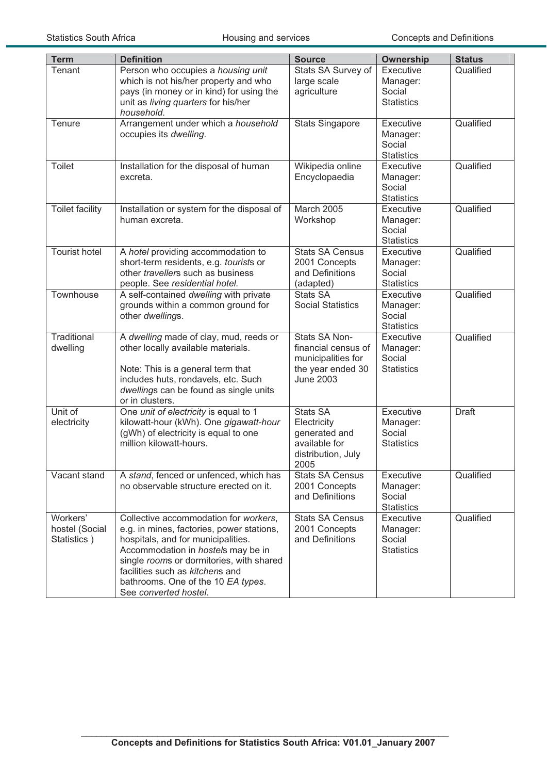| <b>Term</b>                               | <b>Definition</b>                                                                                                                                                                                                                                                                                            | <b>Source</b>                                                                                       | <b>Ownership</b>                                     | <b>Status</b> |
|-------------------------------------------|--------------------------------------------------------------------------------------------------------------------------------------------------------------------------------------------------------------------------------------------------------------------------------------------------------------|-----------------------------------------------------------------------------------------------------|------------------------------------------------------|---------------|
| Tenant                                    | Person who occupies a housing unit<br>which is not his/her property and who<br>pays (in money or in kind) for using the<br>unit as living quarters for his/her<br>household.                                                                                                                                 | Stats SA Survey of<br>large scale<br>agriculture                                                    | Executive<br>Manager:<br>Social<br><b>Statistics</b> | Qualified     |
| Tenure                                    | Arrangement under which a household<br>occupies its dwelling.                                                                                                                                                                                                                                                | <b>Stats Singapore</b>                                                                              | Executive<br>Manager:<br>Social<br><b>Statistics</b> | Qualified     |
| <b>Toilet</b>                             | Installation for the disposal of human<br>excreta.                                                                                                                                                                                                                                                           | Wikipedia online<br>Encyclopaedia                                                                   | Executive<br>Manager:<br>Social<br><b>Statistics</b> | Qualified     |
| <b>Toilet facility</b>                    | Installation or system for the disposal of<br>human excreta.                                                                                                                                                                                                                                                 | March 2005<br>Workshop                                                                              | Executive<br>Manager:<br>Social<br><b>Statistics</b> | Qualified     |
| <b>Tourist hotel</b>                      | A hotel providing accommodation to<br>short-term residents, e.g. tourists or<br>other travellers such as business<br>people. See residential hotel.                                                                                                                                                          | <b>Stats SA Census</b><br>2001 Concepts<br>and Definitions<br>(adapted)                             | Executive<br>Manager:<br>Social<br><b>Statistics</b> | Qualified     |
| Townhouse                                 | A self-contained dwelling with private<br>grounds within a common ground for<br>other dwellings.                                                                                                                                                                                                             | <b>Stats SA</b><br><b>Social Statistics</b>                                                         | Executive<br>Manager:<br>Social<br><b>Statistics</b> | Qualified     |
| Traditional<br>dwelling                   | A dwelling made of clay, mud, reeds or<br>other locally available materials.<br>Note: This is a general term that<br>includes huts, rondavels, etc. Such<br>dwellings can be found as single units<br>or in clusters.                                                                                        | Stats SA Non-<br>financial census of<br>municipalities for<br>the year ended 30<br><b>June 2003</b> | Executive<br>Manager:<br>Social<br><b>Statistics</b> | Qualified     |
| Unit of<br>electricity                    | One unit of electricity is equal to 1<br>kilowatt-hour (kWh). One gigawatt-hour<br>(gWh) of electricity is equal to one<br>million kilowatt-hours.                                                                                                                                                           | Stats SA<br>Electricity<br>generated and<br>available for<br>distribution, July<br>2005             | Executive<br>Manager:<br>Social<br><b>Statistics</b> | <b>Draft</b>  |
| Vacant stand                              | A stand, fenced or unfenced, which has<br>no observable structure erected on it.                                                                                                                                                                                                                             | <b>Stats SA Census</b><br>2001 Concepts<br>and Definitions                                          | Executive<br>Manager:<br>Social<br><b>Statistics</b> | Qualified     |
| Workers'<br>hostel (Social<br>Statistics) | Collective accommodation for workers,<br>e.g. in mines, factories, power stations,<br>hospitals, and for municipalities.<br>Accommodation in hostels may be in<br>single rooms or dormitories, with shared<br>facilities such as kitchens and<br>bathrooms. One of the 10 EA types.<br>See converted hostel. | <b>Stats SA Census</b><br>2001 Concepts<br>and Definitions                                          | Executive<br>Manager:<br>Social<br><b>Statistics</b> | Qualified     |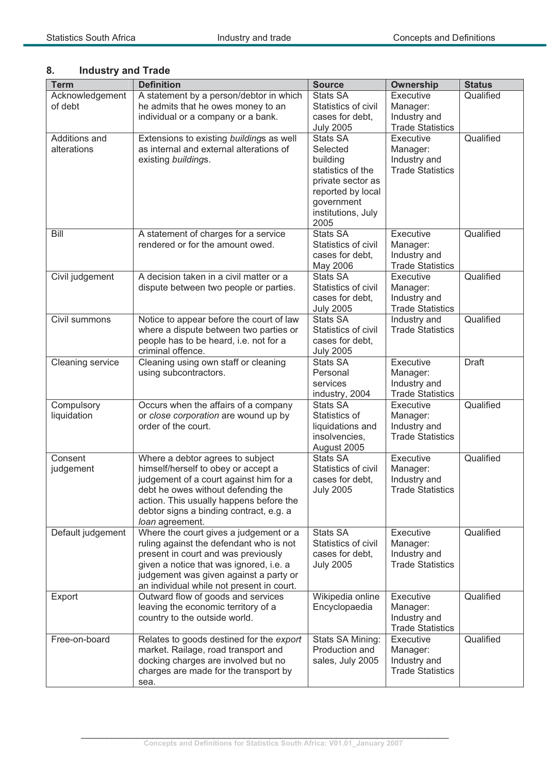| <b>Term</b>       | <b>Definition</b>                         | <b>Source</b>                     | <b>Ownership</b>                        | <b>Status</b> |
|-------------------|-------------------------------------------|-----------------------------------|-----------------------------------------|---------------|
| Acknowledgement   | A statement by a person/debtor in which   | <b>Stats SA</b>                   | Executive                               | Qualified     |
| of debt           | he admits that he owes money to an        | Statistics of civil               | Manager:                                |               |
|                   | individual or a company or a bank.        | cases for debt,                   | Industry and                            |               |
|                   |                                           | <b>July 2005</b>                  | <b>Trade Statistics</b>                 |               |
| Additions and     | Extensions to existing buildings as well  | Stats SA                          | Executive                               | Qualified     |
| alterations       | as internal and external alterations of   | Selected                          | Manager:                                |               |
|                   | existing buildings.                       | building                          | Industry and                            |               |
|                   |                                           | statistics of the                 | <b>Trade Statistics</b>                 |               |
|                   |                                           | private sector as                 |                                         |               |
|                   |                                           | reported by local                 |                                         |               |
|                   |                                           | government<br>institutions, July  |                                         |               |
|                   |                                           | 2005                              |                                         |               |
| Bill              | A statement of charges for a service      | <b>Stats SA</b>                   | Executive                               | Qualified     |
|                   | rendered or for the amount owed.          | Statistics of civil               | Manager:                                |               |
|                   |                                           | cases for debt,                   | Industry and                            |               |
|                   |                                           | May 2006                          | <b>Trade Statistics</b>                 |               |
| Civil judgement   | A decision taken in a civil matter or a   | <b>Stats SA</b>                   | Executive                               | Qualified     |
|                   | dispute between two people or parties.    | Statistics of civil               | Manager:                                |               |
|                   |                                           | cases for debt,                   | Industry and                            |               |
|                   |                                           | <b>July 2005</b>                  | <b>Trade Statistics</b>                 |               |
| Civil summons     | Notice to appear before the court of law  | <b>Stats SA</b>                   | Industry and                            | Qualified     |
|                   | where a dispute between two parties or    | Statistics of civil               | <b>Trade Statistics</b>                 |               |
|                   | people has to be heard, i.e. not for a    | cases for debt,                   |                                         |               |
|                   | criminal offence.                         | <b>July 2005</b>                  |                                         |               |
| Cleaning service  | Cleaning using own staff or cleaning      | Stats SA                          | Executive                               | <b>Draft</b>  |
|                   | using subcontractors.                     | Personal                          | Manager:                                |               |
|                   |                                           | services                          | Industry and                            |               |
|                   |                                           | industry, 2004                    | <b>Trade Statistics</b>                 |               |
| Compulsory        | Occurs when the affairs of a company      | <b>Stats SA</b>                   | Executive                               | Qualified     |
| liquidation       | or close corporation are wound up by      | Statistics of                     | Manager:                                |               |
|                   | order of the court.                       | liquidations and<br>insolvencies, | Industry and<br><b>Trade Statistics</b> |               |
|                   |                                           | August 2005                       |                                         |               |
| Consent           | Where a debtor agrees to subject          | <b>Stats SA</b>                   | Executive                               | Qualified     |
| judgement         | himself/herself to obey or accept a       | Statistics of civil               | Manager:                                |               |
|                   | judgement of a court against him for a    | cases for debt,                   | Industry and                            |               |
|                   | debt he owes without defending the        | <b>July 2005</b>                  | <b>Trade Statistics</b>                 |               |
|                   | action. This usually happens before the   |                                   |                                         |               |
|                   | debtor signs a binding contract, e.g. a   |                                   |                                         |               |
|                   | loan agreement.                           |                                   |                                         |               |
| Default judgement | Where the court gives a judgement or a    | <b>Stats SA</b>                   | Executive                               | Qualified     |
|                   | ruling against the defendant who is not   | Statistics of civil               | Manager:                                |               |
|                   | present in court and was previously       | cases for debt,                   | Industry and                            |               |
|                   | given a notice that was ignored, i.e. a   | <b>July 2005</b>                  | <b>Trade Statistics</b>                 |               |
|                   | judgement was given against a party or    |                                   |                                         |               |
|                   | an individual while not present in court. |                                   | Executive                               |               |
| Export            | Outward flow of goods and services        | Wikipedia online                  |                                         | Qualified     |
|                   | leaving the economic territory of a       | Encyclopaedia                     | Manager:                                |               |
|                   | country to the outside world.             |                                   | Industry and<br><b>Trade Statistics</b> |               |
| Free-on-board     | Relates to goods destined for the export  | Stats SA Mining:                  | Executive                               | Qualified     |
|                   | market. Railage, road transport and       | Production and                    | Manager:                                |               |
|                   | docking charges are involved but no       | sales, July 2005                  | Industry and                            |               |
|                   | charges are made for the transport by     |                                   | <b>Trade Statistics</b>                 |               |
|                   | sea.                                      |                                   |                                         |               |

# **8. Industry and Trade**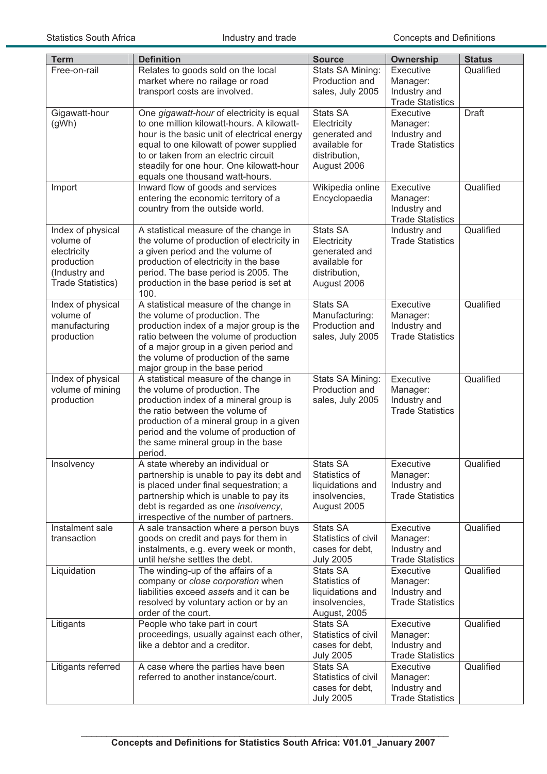| <b>Term</b>                        | <b>Definition</b>                                                                  | <b>Source</b>                       | Ownership                               | <b>Status</b> |
|------------------------------------|------------------------------------------------------------------------------------|-------------------------------------|-----------------------------------------|---------------|
| Free-on-rail                       | Relates to goods sold on the local                                                 | Stats SA Mining:                    | Executive                               | Qualified     |
|                                    | market where no railage or road                                                    | Production and                      | Manager:                                |               |
|                                    | transport costs are involved.                                                      | sales, July 2005                    | Industry and                            |               |
| Gigawatt-hour                      | One gigawatt-hour of electricity is equal                                          | <b>Stats SA</b>                     | <b>Trade Statistics</b><br>Executive    | <b>Draft</b>  |
| (gWh)                              | to one million kilowatt-hours. A kilowatt-                                         | Electricity                         | Manager:                                |               |
|                                    | hour is the basic unit of electrical energy                                        | generated and                       | Industry and                            |               |
|                                    | equal to one kilowatt of power supplied                                            | available for                       | <b>Trade Statistics</b>                 |               |
|                                    | to or taken from an electric circuit                                               | distribution,                       |                                         |               |
|                                    | steadily for one hour. One kilowatt-hour                                           | August 2006                         |                                         |               |
|                                    | equals one thousand watt-hours.                                                    | Wikipedia online                    | Executive                               | Qualified     |
| Import                             | Inward flow of goods and services<br>entering the economic territory of a          | Encyclopaedia                       | Manager:                                |               |
|                                    | country from the outside world.                                                    |                                     | Industry and                            |               |
|                                    |                                                                                    |                                     | <b>Trade Statistics</b>                 |               |
| Index of physical                  | A statistical measure of the change in                                             | <b>Stats SA</b>                     | Industry and                            | Qualified     |
| volume of                          | the volume of production of electricity in                                         | Electricity                         | <b>Trade Statistics</b>                 |               |
| electricity                        | a given period and the volume of                                                   | generated and                       |                                         |               |
| production                         | production of electricity in the base                                              | available for                       |                                         |               |
| (Industry and<br>Trade Statistics) | period. The base period is 2005. The<br>production in the base period is set at    | distribution,<br>August 2006        |                                         |               |
|                                    | 100.                                                                               |                                     |                                         |               |
| Index of physical                  | A statistical measure of the change in                                             | <b>Stats SA</b>                     | Executive                               | Qualified     |
| volume of                          | the volume of production. The                                                      | Manufacturing:                      | Manager:                                |               |
| manufacturing                      | production index of a major group is the                                           | Production and                      | Industry and                            |               |
| production                         | ratio between the volume of production                                             | sales, July 2005                    | <b>Trade Statistics</b>                 |               |
|                                    | of a major group in a given period and<br>the volume of production of the same     |                                     |                                         |               |
|                                    | major group in the base period                                                     |                                     |                                         |               |
| Index of physical                  | A statistical measure of the change in                                             | Stats SA Mining:                    | Executive                               | Qualified     |
| volume of mining                   | the volume of production. The                                                      | Production and                      | Manager:                                |               |
| production                         | production index of a mineral group is                                             | sales, July 2005                    | Industry and                            |               |
|                                    | the ratio between the volume of                                                    |                                     | <b>Trade Statistics</b>                 |               |
|                                    | production of a mineral group in a given<br>period and the volume of production of |                                     |                                         |               |
|                                    | the same mineral group in the base                                                 |                                     |                                         |               |
|                                    | period.                                                                            |                                     |                                         |               |
| Insolvency                         | A state whereby an individual or                                                   | Stats SA                            | Executive                               | Qualified     |
|                                    | partnership is unable to pay its debt and                                          | Statistics of                       | Manager:                                |               |
|                                    | is placed under final sequestration; a                                             | liquidations and                    | Industry and                            |               |
|                                    | partnership which is unable to pay its                                             | insolvencies,                       | <b>Trade Statistics</b>                 |               |
|                                    | debt is regarded as one insolvency,<br>irrespective of the number of partners.     | August 2005                         |                                         |               |
| Instalment sale                    | A sale transaction where a person buys                                             | <b>Stats SA</b>                     | Executive                               | Qualified     |
| transaction                        | goods on credit and pays for them in                                               | Statistics of civil                 | Manager:                                |               |
|                                    | instalments, e.g. every week or month,                                             | cases for debt.                     | Industry and                            |               |
|                                    | until he/she settles the debt.                                                     | <b>July 2005</b>                    | <b>Trade Statistics</b>                 |               |
| Liquidation                        | The winding-up of the affairs of a<br>company or close corporation when            | Stats SA<br>Statistics of           | Executive<br>Manager:                   | Qualified     |
|                                    | liabilities exceed assets and it can be                                            | liquidations and                    | Industry and                            |               |
|                                    | resolved by voluntary action or by an                                              | insolvencies,                       | <b>Trade Statistics</b>                 |               |
|                                    | order of the court.                                                                | August, 2005                        |                                         |               |
| Litigants                          | People who take part in court                                                      | <b>Stats SA</b>                     | Executive                               | Qualified     |
|                                    | proceedings, usually against each other,                                           | Statistics of civil                 | Manager:                                |               |
|                                    | like a debtor and a creditor.                                                      | cases for debt,                     | Industry and<br><b>Trade Statistics</b> |               |
| Litigants referred                 | A case where the parties have been                                                 | <b>July 2005</b><br><b>Stats SA</b> | Executive                               | Qualified     |
|                                    | referred to another instance/court.                                                | Statistics of civil                 | Manager:                                |               |
|                                    |                                                                                    | cases for debt,                     | Industry and                            |               |
|                                    |                                                                                    | <b>July 2005</b>                    | <b>Trade Statistics</b>                 |               |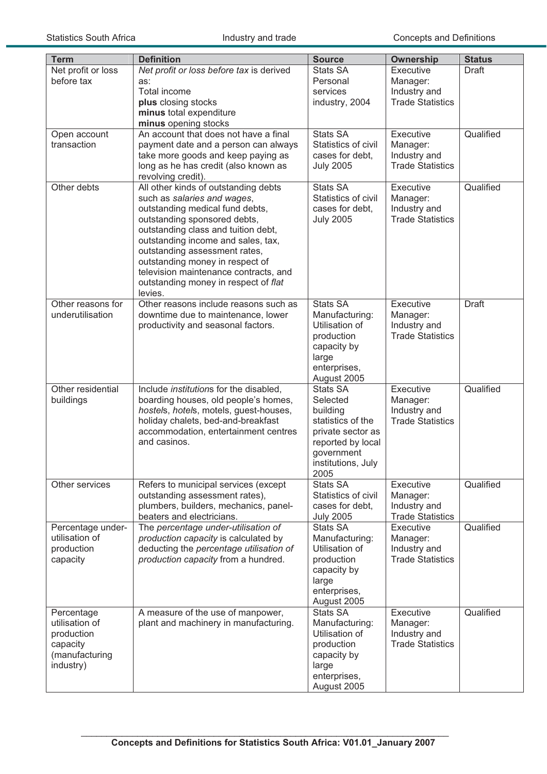| <b>Term</b>                 | <b>Definition</b>                                                   | <b>Source</b>              | <b>Ownership</b>        | <b>Status</b> |
|-----------------------------|---------------------------------------------------------------------|----------------------------|-------------------------|---------------|
| Net profit or loss          | Net profit or loss before tax is derived                            | <b>Stats SA</b>            | Executive               | <b>Draft</b>  |
| before tax                  | as:                                                                 | Personal                   | Manager:                |               |
|                             | Total income                                                        | services                   | Industry and            |               |
|                             | plus closing stocks                                                 | industry, 2004             | <b>Trade Statistics</b> |               |
|                             | minus total expenditure                                             |                            |                         |               |
|                             | minus opening stocks<br>An account that does not have a final       | <b>Stats SA</b>            | Executive               | Qualified     |
| Open account<br>transaction | payment date and a person can always                                | Statistics of civil        | Manager:                |               |
|                             | take more goods and keep paying as                                  | cases for debt,            | Industry and            |               |
|                             | long as he has credit (also known as                                | <b>July 2005</b>           | <b>Trade Statistics</b> |               |
|                             | revolving credit).                                                  |                            |                         |               |
| Other debts                 | All other kinds of outstanding debts                                | <b>Stats SA</b>            | Executive               | Qualified     |
|                             | such as salaries and wages,                                         | Statistics of civil        | Manager:                |               |
|                             | outstanding medical fund debts,                                     | cases for debt,            | Industry and            |               |
|                             | outstanding sponsored debts,                                        | <b>July 2005</b>           | <b>Trade Statistics</b> |               |
|                             | outstanding class and tuition debt,                                 |                            |                         |               |
|                             | outstanding income and sales, tax,<br>outstanding assessment rates, |                            |                         |               |
|                             | outstanding money in respect of                                     |                            |                         |               |
|                             | television maintenance contracts, and                               |                            |                         |               |
|                             | outstanding money in respect of flat                                |                            |                         |               |
|                             | levies.                                                             |                            |                         |               |
| Other reasons for           | Other reasons include reasons such as                               | Stats SA                   | Executive               | <b>Draft</b>  |
| underutilisation            | downtime due to maintenance, lower                                  | Manufacturing:             | Manager:                |               |
|                             | productivity and seasonal factors.                                  | Utilisation of             | Industry and            |               |
|                             |                                                                     | production                 | <b>Trade Statistics</b> |               |
|                             |                                                                     | capacity by                |                         |               |
|                             |                                                                     | large<br>enterprises,      |                         |               |
|                             |                                                                     | August 2005                |                         |               |
| Other residential           | Include institutions for the disabled,                              | <b>Stats SA</b>            | Executive               | Qualified     |
| buildings                   | boarding houses, old people's homes,                                | Selected                   | Manager:                |               |
|                             | hostels, hotels, motels, guest-houses,                              | building                   | Industry and            |               |
|                             | holiday chalets, bed-and-breakfast                                  | statistics of the          | <b>Trade Statistics</b> |               |
|                             | accommodation, entertainment centres                                | private sector as          |                         |               |
|                             | and casinos.                                                        | reported by local          |                         |               |
|                             |                                                                     | government                 |                         |               |
|                             |                                                                     | institutions, July<br>2005 |                         |               |
| Other services              | Refers to municipal services (except                                | <b>Stats SA</b>            | Executive               | Qualified     |
|                             | outstanding assessment rates),                                      | Statistics of civil        | Manager:                |               |
|                             | plumbers, builders, mechanics, panel-                               | cases for debt,            | Industry and            |               |
|                             | beaters and electricians.                                           | <b>July 2005</b>           | <b>Trade Statistics</b> |               |
| Percentage under-           | The percentage under-utilisation of                                 | Stats SA                   | Executive               | Qualified     |
| utilisation of              | production capacity is calculated by                                | Manufacturing:             | Manager:                |               |
| production                  | deducting the percentage utilisation of                             | Utilisation of             | Industry and            |               |
| capacity                    | production capacity from a hundred.                                 | production                 | <b>Trade Statistics</b> |               |
|                             |                                                                     | capacity by<br>large       |                         |               |
|                             |                                                                     | enterprises,               |                         |               |
|                             |                                                                     | August 2005                |                         |               |
| Percentage                  | A measure of the use of manpower,                                   | <b>Stats SA</b>            | Executive               | Qualified     |
| utilisation of              | plant and machinery in manufacturing.                               | Manufacturing:             | Manager:                |               |
| production                  |                                                                     | Utilisation of             | Industry and            |               |
| capacity                    |                                                                     | production                 | <b>Trade Statistics</b> |               |
| (manufacturing              |                                                                     | capacity by                |                         |               |
| industry)                   |                                                                     | large                      |                         |               |
|                             |                                                                     | enterprises,               |                         |               |
|                             |                                                                     | August 2005                |                         |               |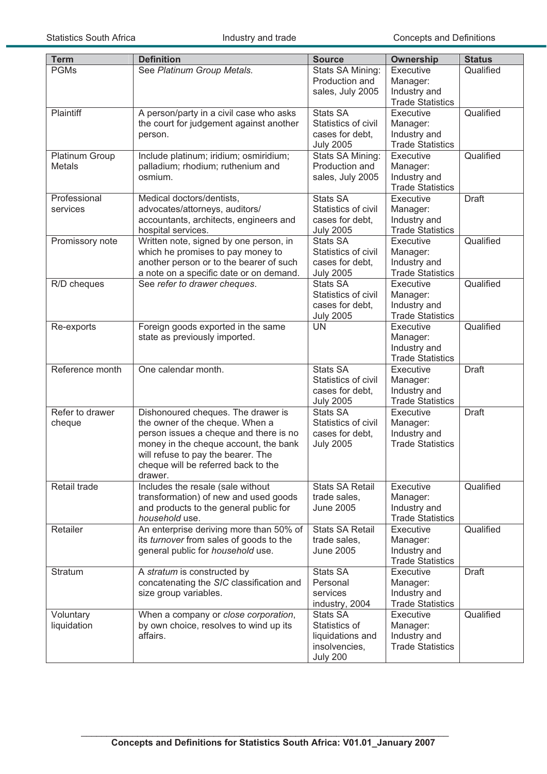| <b>Term</b>               | <b>Definition</b>                                                                                                                                                                                                                                | <b>Source</b>                                                                            | <b>Ownership</b>                                                                            | <b>Status</b> |
|---------------------------|--------------------------------------------------------------------------------------------------------------------------------------------------------------------------------------------------------------------------------------------------|------------------------------------------------------------------------------------------|---------------------------------------------------------------------------------------------|---------------|
| <b>PGMs</b>               | See Platinum Group Metals.                                                                                                                                                                                                                       | Stats SA Mining:<br>Production and<br>sales, July 2005                                   | Executive<br>Manager:<br>Industry and                                                       | Qualified     |
| Plaintiff                 | A person/party in a civil case who asks<br>the court for judgement against another<br>person.                                                                                                                                                    | <b>Stats SA</b><br>Statistics of civil<br>cases for debt,<br><b>July 2005</b>            | <b>Trade Statistics</b><br>Executive<br>Manager:<br>Industry and<br><b>Trade Statistics</b> | Qualified     |
| Platinum Group<br>Metals  | Include platinum; iridium; osmiridium;<br>palladium; rhodium; ruthenium and<br>osmium.                                                                                                                                                           | Stats SA Mining:<br>Production and<br>sales, July 2005                                   | Executive<br>Manager:<br>Industry and<br><b>Trade Statistics</b>                            | Qualified     |
| Professional<br>services  | Medical doctors/dentists,<br>advocates/attorneys, auditors/<br>accountants, architects, engineers and<br>hospital services.                                                                                                                      | <b>Stats SA</b><br>Statistics of civil<br>cases for debt,<br><b>July 2005</b>            | Executive<br>Manager:<br>Industry and<br><b>Trade Statistics</b>                            | <b>Draft</b>  |
| Promissory note           | Written note, signed by one person, in<br>which he promises to pay money to<br>another person or to the bearer of such<br>a note on a specific date or on demand.                                                                                | <b>Stats SA</b><br>Statistics of civil<br>cases for debt,<br><b>July 2005</b>            | Executive<br>Manager:<br>Industry and<br><b>Trade Statistics</b>                            | Qualified     |
| R/D cheques               | See refer to drawer cheques.                                                                                                                                                                                                                     | <b>Stats SA</b><br>Statistics of civil<br>cases for debt,<br><b>July 2005</b>            | Executive<br>Manager:<br>Industry and<br><b>Trade Statistics</b>                            | Qualified     |
| Re-exports                | Foreign goods exported in the same<br>state as previously imported.                                                                                                                                                                              | <b>UN</b>                                                                                | Executive<br>Manager:<br>Industry and<br><b>Trade Statistics</b>                            | Qualified     |
| Reference month           | One calendar month.                                                                                                                                                                                                                              | <b>Stats SA</b><br>Statistics of civil<br>cases for debt,<br><b>July 2005</b>            | Executive<br>Manager:<br>Industry and<br><b>Trade Statistics</b>                            | <b>Draft</b>  |
| Refer to drawer<br>cheque | Dishonoured cheques. The drawer is<br>the owner of the cheque. When a<br>person issues a cheque and there is no<br>money in the cheque account, the bank<br>will refuse to pay the bearer. The<br>cheque will be referred back to the<br>drawer. | <b>Stats SA</b><br>Statistics of civil<br>cases for debt,<br><b>July 2005</b>            | Executive<br>Manager:<br>Industry and<br><b>Trade Statistics</b>                            | <b>Draft</b>  |
| Retail trade              | Includes the resale (sale without<br>transformation) of new and used goods<br>and products to the general public for<br>household use.                                                                                                           | <b>Stats SA Retail</b><br>trade sales,<br><b>June 2005</b>                               | Executive<br>Manager:<br>Industry and<br><b>Trade Statistics</b>                            | Qualified     |
| Retailer                  | An enterprise deriving more than 50% of<br>its turnover from sales of goods to the<br>general public for household use.                                                                                                                          | <b>Stats SA Retail</b><br>trade sales,<br><b>June 2005</b>                               | Executive<br>Manager:<br>Industry and<br><b>Trade Statistics</b>                            | Qualified     |
| Stratum                   | A stratum is constructed by<br>concatenating the SIC classification and<br>size group variables.                                                                                                                                                 | Stats SA<br>Personal<br>services<br>industry, 2004                                       | Executive<br>Manager:<br>Industry and<br><b>Trade Statistics</b>                            | Draft         |
| Voluntary<br>liquidation  | When a company or close corporation,<br>by own choice, resolves to wind up its<br>affairs.                                                                                                                                                       | <b>Stats SA</b><br>Statistics of<br>liquidations and<br>insolvencies,<br><b>July 200</b> | Executive<br>Manager:<br>Industry and<br><b>Trade Statistics</b>                            | Qualified     |

\_\_\_\_\_\_\_\_\_\_\_\_\_\_\_\_\_\_\_\_\_\_\_\_\_\_\_\_\_\_\_\_\_\_\_\_\_\_\_\_\_\_\_\_\_\_\_\_\_\_\_\_\_\_\_\_\_\_\_\_\_\_\_\_\_\_\_\_\_\_\_\_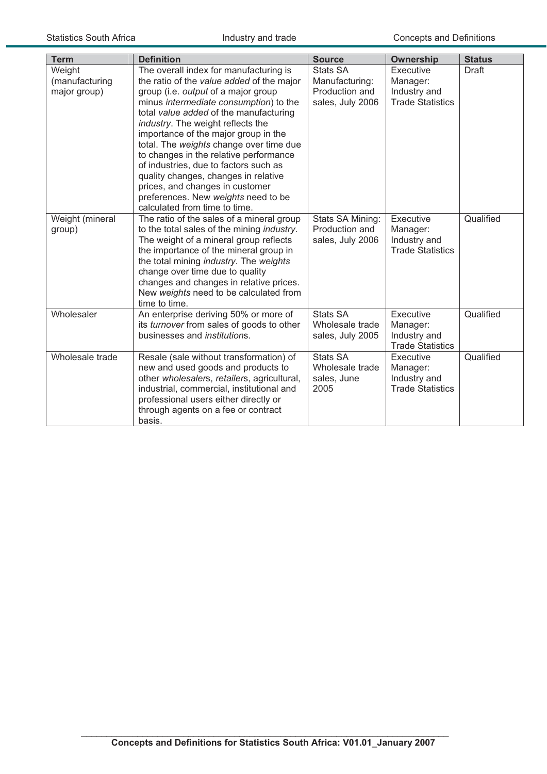| <b>Term</b>                              | <b>Definition</b>                                                                                                                                                                                                                                                                                                                                                                                                                                                                                                                                                            | <b>Source</b>                                                           | <b>Ownership</b>                                                 | <b>Status</b> |
|------------------------------------------|------------------------------------------------------------------------------------------------------------------------------------------------------------------------------------------------------------------------------------------------------------------------------------------------------------------------------------------------------------------------------------------------------------------------------------------------------------------------------------------------------------------------------------------------------------------------------|-------------------------------------------------------------------------|------------------------------------------------------------------|---------------|
| Weight<br>(manufacturing<br>major group) | The overall index for manufacturing is<br>the ratio of the value added of the major<br>group (i.e. output of a major group<br>minus intermediate consumption) to the<br>total value added of the manufacturing<br>industry. The weight reflects the<br>importance of the major group in the<br>total. The weights change over time due<br>to changes in the relative performance<br>of industries, due to factors such as<br>quality changes, changes in relative<br>prices, and changes in customer<br>preferences. New weights need to be<br>calculated from time to time. | <b>Stats SA</b><br>Manufacturing:<br>Production and<br>sales, July 2006 | Executive<br>Manager:<br>Industry and<br><b>Trade Statistics</b> | <b>Draft</b>  |
| Weight (mineral<br>group)                | The ratio of the sales of a mineral group<br>to the total sales of the mining industry.<br>The weight of a mineral group reflects<br>the importance of the mineral group in<br>the total mining industry. The weights<br>change over time due to quality<br>changes and changes in relative prices.<br>New weights need to be calculated from<br>time to time.                                                                                                                                                                                                               | Stats SA Mining:<br>Production and<br>sales, July 2006                  | Executive<br>Manager:<br>Industry and<br><b>Trade Statistics</b> | Qualified     |
| Wholesaler                               | An enterprise deriving 50% or more of<br>its turnover from sales of goods to other<br>businesses and <i>institutions</i> .                                                                                                                                                                                                                                                                                                                                                                                                                                                   | Stats SA<br>Wholesale trade<br>sales, July 2005                         | Executive<br>Manager:<br>Industry and<br><b>Trade Statistics</b> | Qualified     |
| Wholesale trade                          | Resale (sale without transformation) of<br>new and used goods and products to<br>other wholesalers, retailers, agricultural,<br>industrial, commercial, institutional and<br>professional users either directly or<br>through agents on a fee or contract<br>basis.                                                                                                                                                                                                                                                                                                          | <b>Stats SA</b><br>Wholesale trade<br>sales, June<br>2005               | Executive<br>Manager:<br>Industry and<br><b>Trade Statistics</b> | Qualified     |

\_\_\_\_\_\_\_\_\_\_\_\_\_\_\_\_\_\_\_\_\_\_\_\_\_\_\_\_\_\_\_\_\_\_\_\_\_\_\_\_\_\_\_\_\_\_\_\_\_\_\_\_\_\_\_\_\_\_\_\_\_\_\_\_\_\_\_\_\_\_\_\_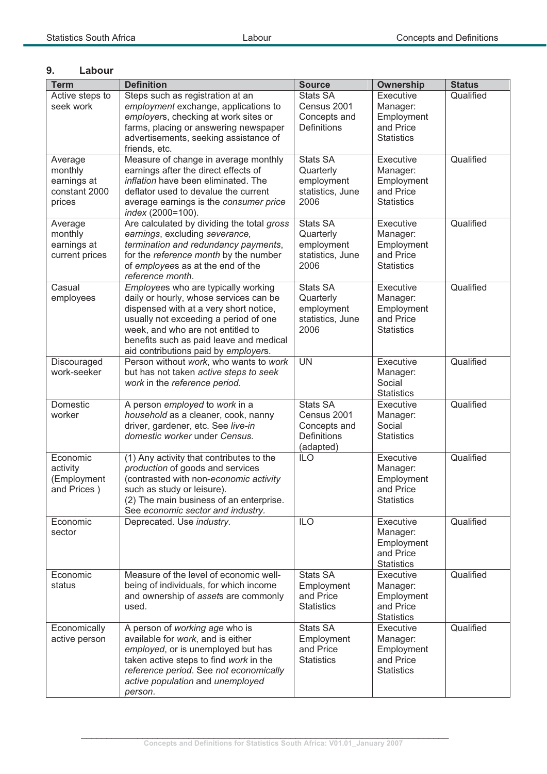## **9. Labour**

| <b>Term</b>                                                  | <b>Definition</b>                                                                                                                                                                                                                                                                        | <b>Source</b>                                                                     | <b>Ownership</b>                                                      | <b>Status</b> |
|--------------------------------------------------------------|------------------------------------------------------------------------------------------------------------------------------------------------------------------------------------------------------------------------------------------------------------------------------------------|-----------------------------------------------------------------------------------|-----------------------------------------------------------------------|---------------|
| Active steps to<br>seek work                                 | Steps such as registration at an<br>employment exchange, applications to<br>employers, checking at work sites or<br>farms, placing or answering newspaper<br>advertisements, seeking assistance of<br>friends, etc.                                                                      | <b>Stats SA</b><br>Census 2001<br>Concepts and<br><b>Definitions</b>              | Executive<br>Manager:<br>Employment<br>and Price<br><b>Statistics</b> | Qualified     |
| Average<br>monthly<br>earnings at<br>constant 2000<br>prices | Measure of change in average monthly<br>earnings after the direct effects of<br>inflation have been eliminated. The<br>deflator used to devalue the current<br>average earnings is the consumer price<br>index (2000=100).                                                               | Stats SA<br>Quarterly<br>employment<br>statistics, June<br>2006                   | Executive<br>Manager:<br>Employment<br>and Price<br><b>Statistics</b> | Qualified     |
| Average<br>monthly<br>earnings at<br>current prices          | Are calculated by dividing the total gross<br>earnings, excluding severance,<br>termination and redundancy payments,<br>for the reference month by the number<br>of employees as at the end of the<br>reference month.                                                                   | <b>Stats SA</b><br>Quarterly<br>employment<br>statistics, June<br>2006            | Executive<br>Manager:<br>Employment<br>and Price<br><b>Statistics</b> | Qualified     |
| Casual<br>employees                                          | Employees who are typically working<br>daily or hourly, whose services can be<br>dispensed with at a very short notice,<br>usually not exceeding a period of one<br>week, and who are not entitled to<br>benefits such as paid leave and medical<br>aid contributions paid by employers. | Stats SA<br>Quarterly<br>employment<br>statistics, June<br>2006                   | Executive<br>Manager:<br>Employment<br>and Price<br><b>Statistics</b> | Qualified     |
| Discouraged<br>work-seeker                                   | Person without work, who wants to work<br>but has not taken active steps to seek<br>work in the reference period.                                                                                                                                                                        | <b>UN</b>                                                                         | Executive<br>Manager:<br>Social<br><b>Statistics</b>                  | Qualified     |
| Domestic<br>worker                                           | A person employed to work in a<br>household as a cleaner, cook, nanny<br>driver, gardener, etc. See live-in<br>domestic worker under Census.                                                                                                                                             | <b>Stats SA</b><br>Census 2001<br>Concepts and<br><b>Definitions</b><br>(adapted) | Executive<br>Manager:<br>Social<br><b>Statistics</b>                  | Qualified     |
| Economic<br>activity<br>(Employment<br>and Prices)           | (1) Any activity that contributes to the<br>production of goods and services<br>(contrasted with non-economic activity<br>such as study or leisure).<br>(2) The main business of an enterprise.<br>See economic sector and industry.                                                     | <b>ILO</b>                                                                        | Executive<br>Manager:<br>Employment<br>and Price<br><b>Statistics</b> | Qualified     |
| Economic<br>sector                                           | Deprecated. Use industry.                                                                                                                                                                                                                                                                | ILO                                                                               | Executive<br>Manager:<br>Employment<br>and Price<br><b>Statistics</b> | Qualified     |
| Economic<br>status                                           | Measure of the level of economic well-<br>being of individuals, for which income<br>and ownership of assets are commonly<br>used.                                                                                                                                                        | <b>Stats SA</b><br>Employment<br>and Price<br><b>Statistics</b>                   | Executive<br>Manager:<br>Employment<br>and Price<br><b>Statistics</b> | Qualified     |
| Economically<br>active person                                | A person of working age who is<br>available for work, and is either<br>employed, or is unemployed but has<br>taken active steps to find work in the<br>reference period. See not economically<br>active population and unemployed<br>person.                                             | <b>Stats SA</b><br>Employment<br>and Price<br><b>Statistics</b>                   | Executive<br>Manager:<br>Employment<br>and Price<br><b>Statistics</b> | Qualified     |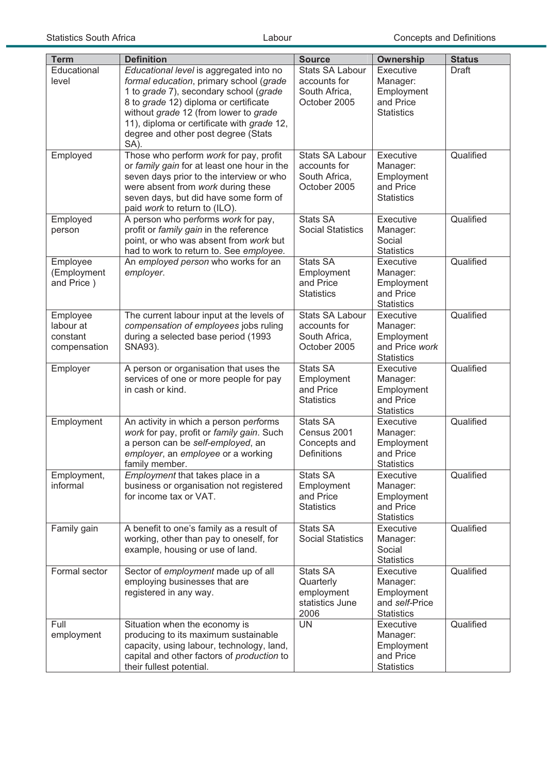| <b>Term</b>                                       | <b>Definition</b>                                                                                                                                                                                                                                                                                           | <b>Source</b>                                                           | <b>Ownership</b>                                                           | <b>Status</b> |
|---------------------------------------------------|-------------------------------------------------------------------------------------------------------------------------------------------------------------------------------------------------------------------------------------------------------------------------------------------------------------|-------------------------------------------------------------------------|----------------------------------------------------------------------------|---------------|
| Educational<br>level                              | Educational level is aggregated into no<br>formal education, primary school (grade<br>1 to grade 7), secondary school (grade<br>8 to grade 12) diploma or certificate<br>without grade 12 (from lower to grade<br>11), diploma or certificate with grade 12,<br>degree and other post degree (Stats<br>SA). | <b>Stats SA Labour</b><br>accounts for<br>South Africa,<br>October 2005 | Executive<br>Manager:<br>Employment<br>and Price<br><b>Statistics</b>      | <b>Draft</b>  |
| Employed                                          | Those who perform work for pay, profit<br>or family gain for at least one hour in the<br>seven days prior to the interview or who<br>were absent from work during these<br>seven days, but did have some form of<br>paid work to return to (ILO).                                                           | <b>Stats SA Labour</b><br>accounts for<br>South Africa,<br>October 2005 | Executive<br>Manager:<br>Employment<br>and Price<br><b>Statistics</b>      | Qualified     |
| Employed<br>person                                | A person who performs work for pay,<br>profit or family gain in the reference<br>point, or who was absent from work but<br>had to work to return to. See employee.                                                                                                                                          | <b>Stats SA</b><br><b>Social Statistics</b>                             | Executive<br>Manager:<br>Social<br><b>Statistics</b>                       | Qualified     |
| Employee<br>(Employment<br>and Price)             | An employed person who works for an<br>employer.                                                                                                                                                                                                                                                            | <b>Stats SA</b><br>Employment<br>and Price<br><b>Statistics</b>         | Executive<br>Manager:<br>Employment<br>and Price<br><b>Statistics</b>      | Qualified     |
| Employee<br>labour at<br>constant<br>compensation | The current labour input at the levels of<br>compensation of employees jobs ruling<br>during a selected base period (1993<br>SNA93).                                                                                                                                                                        | <b>Stats SA Labour</b><br>accounts for<br>South Africa,<br>October 2005 | Executive<br>Manager:<br>Employment<br>and Price work<br><b>Statistics</b> | Qualified     |
| Employer                                          | A person or organisation that uses the<br>services of one or more people for pay<br>in cash or kind.                                                                                                                                                                                                        | <b>Stats SA</b><br>Employment<br>and Price<br><b>Statistics</b>         | Executive<br>Manager:<br>Employment<br>and Price<br><b>Statistics</b>      | Qualified     |
| Employment                                        | An activity in which a person performs<br>work for pay, profit or family gain. Such<br>a person can be self-employed, an<br>employer, an employee or a working<br>family member.                                                                                                                            | <b>Stats SA</b><br>Census 2001<br>Concepts and<br>Definitions           | Executive<br>Manager:<br>Employment<br>and Price<br><b>Statistics</b>      | Qualified     |
| Employment,<br>informal                           | Employment that takes place in a<br>business or organisation not registered<br>for income tax or VAT.                                                                                                                                                                                                       | Stats SA<br>Employment<br>and Price<br><b>Statistics</b>                | Executive<br>Manager:<br>Employment<br>and Price<br><b>Statistics</b>      | Qualified     |
| Family gain                                       | A benefit to one's family as a result of<br>working, other than pay to oneself, for<br>example, housing or use of land.                                                                                                                                                                                     | <b>Stats SA</b><br><b>Social Statistics</b>                             | Executive<br>Manager:<br>Social<br><b>Statistics</b>                       | Qualified     |
| Formal sector                                     | Sector of employment made up of all<br>employing businesses that are<br>registered in any way.                                                                                                                                                                                                              | Stats SA<br>Quarterly<br>employment<br>statistics June<br>2006          | Executive<br>Manager:<br>Employment<br>and self-Price<br><b>Statistics</b> | Qualified     |
| Full<br>employment                                | Situation when the economy is<br>producing to its maximum sustainable<br>capacity, using labour, technology, land,<br>capital and other factors of production to<br>their fullest potential.                                                                                                                | <b>UN</b>                                                               | Executive<br>Manager:<br>Employment<br>and Price<br><b>Statistics</b>      | Qualified     |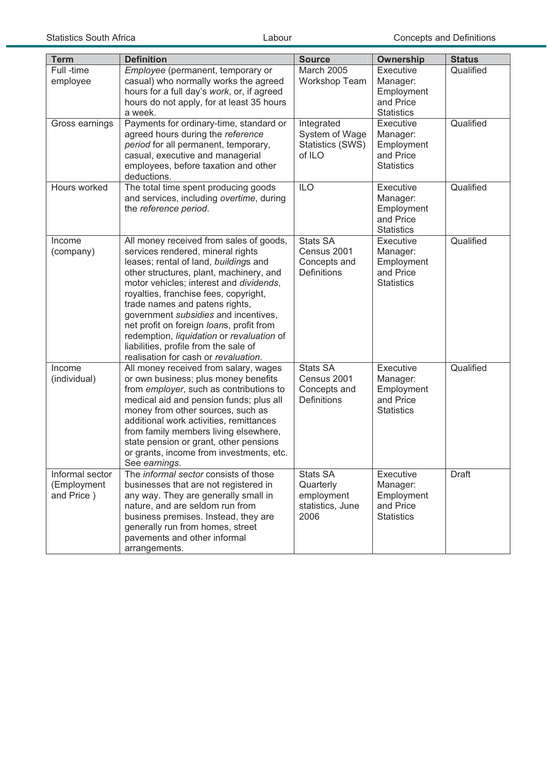| <b>Term</b>                                  | <b>Definition</b>                                                                                                                                                                                                                                                                                                                                                                                                                                                                                        | <b>Source</b>                                                        | <b>Ownership</b>                                                      | <b>Status</b> |
|----------------------------------------------|----------------------------------------------------------------------------------------------------------------------------------------------------------------------------------------------------------------------------------------------------------------------------------------------------------------------------------------------------------------------------------------------------------------------------------------------------------------------------------------------------------|----------------------------------------------------------------------|-----------------------------------------------------------------------|---------------|
| Full -time<br>employee                       | Employee (permanent, temporary or<br>casual) who normally works the agreed<br>hours for a full day's work, or, if agreed<br>hours do not apply, for at least 35 hours<br>a week.                                                                                                                                                                                                                                                                                                                         | March 2005<br>Workshop Team                                          | Executive<br>Manager:<br>Employment<br>and Price<br><b>Statistics</b> | Qualified     |
| Gross earnings                               | Payments for ordinary-time, standard or<br>agreed hours during the reference<br>period for all permanent, temporary,<br>casual, executive and managerial<br>employees, before taxation and other<br>deductions.                                                                                                                                                                                                                                                                                          | Integrated<br>System of Wage<br>Statistics (SWS)<br>of ILO           | Executive<br>Manager:<br>Employment<br>and Price<br><b>Statistics</b> | Qualified     |
| Hours worked                                 | The total time spent producing goods<br>and services, including overtime, during<br>the reference period.                                                                                                                                                                                                                                                                                                                                                                                                | <b>ILO</b>                                                           | Executive<br>Manager:<br>Employment<br>and Price<br><b>Statistics</b> | Qualified     |
| Income<br>(company)                          | All money received from sales of goods,<br>services rendered, mineral rights<br>leases; rental of land, buildings and<br>other structures, plant, machinery, and<br>motor vehicles; interest and dividends,<br>royalties, franchise fees, copyright,<br>trade names and patens rights,<br>government subsidies and incentives,<br>net profit on foreign loans, profit from<br>redemption, liquidation or revaluation of<br>liabilities, profile from the sale of<br>realisation for cash or revaluation. | <b>Stats SA</b><br>Census 2001<br>Concepts and<br>Definitions        | Executive<br>Manager:<br>Employment<br>and Price<br><b>Statistics</b> | Qualified     |
| Income<br>(individual)                       | All money received from salary, wages<br>or own business; plus money benefits<br>from employer, such as contributions to<br>medical aid and pension funds; plus all<br>money from other sources, such as<br>additional work activities, remittances<br>from family members living elsewhere,<br>state pension or grant, other pensions<br>or grants, income from investments, etc.<br>See earnings.                                                                                                      | <b>Stats SA</b><br>Census 2001<br>Concepts and<br><b>Definitions</b> | Executive<br>Manager:<br>Employment<br>and Price<br><b>Statistics</b> | Qualified     |
| Informal sector<br>(Employment<br>and Price) | The informal sector consists of those<br>businesses that are not registered in<br>any way. They are generally small in<br>nature, and are seldom run from<br>business premises. Instead, they are<br>generally run from homes, street<br>pavements and other informal<br>arrangements.                                                                                                                                                                                                                   | Stats SA<br>Quarterly<br>employment<br>statistics, June<br>2006      | Executive<br>Manager:<br>Employment<br>and Price<br><b>Statistics</b> | Draft         |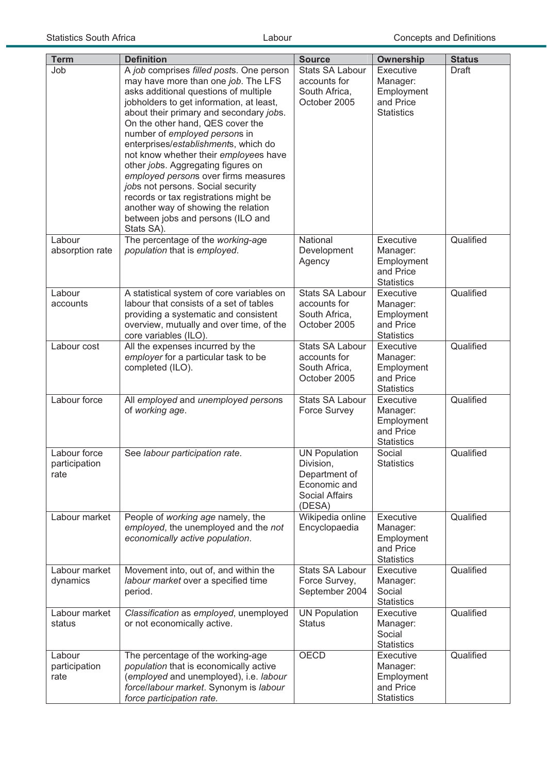| <b>Term</b>                           | <b>Definition</b>                                                                                                                                                                                                                                                                                                                                                                                                                                                                                                                                                                                                           | <b>Source</b>                                                                                  | <b>Ownership</b>                                                      | <b>Status</b> |
|---------------------------------------|-----------------------------------------------------------------------------------------------------------------------------------------------------------------------------------------------------------------------------------------------------------------------------------------------------------------------------------------------------------------------------------------------------------------------------------------------------------------------------------------------------------------------------------------------------------------------------------------------------------------------------|------------------------------------------------------------------------------------------------|-----------------------------------------------------------------------|---------------|
| Job                                   | A job comprises filled posts. One person<br>may have more than one job. The LFS<br>asks additional questions of multiple<br>jobholders to get information, at least,<br>about their primary and secondary jobs.<br>On the other hand, QES cover the<br>number of employed persons in<br>enterprises/establishments, which do<br>not know whether their employees have<br>other jobs. Aggregating figures on<br>employed persons over firms measures<br>jobs not persons. Social security<br>records or tax registrations might be<br>another way of showing the relation<br>between jobs and persons (ILO and<br>Stats SA). | <b>Stats SA Labour</b><br>accounts for<br>South Africa,<br>October 2005                        | Executive<br>Manager:<br>Employment<br>and Price<br><b>Statistics</b> | Draft         |
| Labour<br>absorption rate             | The percentage of the working-age<br>population that is employed.                                                                                                                                                                                                                                                                                                                                                                                                                                                                                                                                                           | National<br>Development<br>Agency                                                              | Executive<br>Manager:<br>Employment<br>and Price<br><b>Statistics</b> | Qualified     |
| Labour<br>accounts                    | A statistical system of core variables on<br>labour that consists of a set of tables<br>providing a systematic and consistent<br>overview, mutually and over time, of the<br>core variables (ILO).                                                                                                                                                                                                                                                                                                                                                                                                                          | <b>Stats SA Labour</b><br>accounts for<br>South Africa,<br>October 2005                        | Executive<br>Manager:<br>Employment<br>and Price<br><b>Statistics</b> | Qualified     |
| Labour cost                           | All the expenses incurred by the<br>employer for a particular task to be<br>completed (ILO).                                                                                                                                                                                                                                                                                                                                                                                                                                                                                                                                | Stats SA Labour<br>accounts for<br>South Africa,<br>October 2005                               | Executive<br>Manager:<br>Employment<br>and Price<br><b>Statistics</b> | Qualified     |
| Labour force                          | All employed and unemployed persons<br>of working age.                                                                                                                                                                                                                                                                                                                                                                                                                                                                                                                                                                      | <b>Stats SA Labour</b><br>Force Survey                                                         | Executive<br>Manager:<br>Employment<br>and Price<br><b>Statistics</b> | Qualified     |
| Labour force<br>participation<br>rate | See labour participation rate.                                                                                                                                                                                                                                                                                                                                                                                                                                                                                                                                                                                              | <b>UN Population</b><br>DIVISION,<br>Department of<br>Economic and<br>Social Affairs<br>(DESA) | Social<br><b>Statistics</b>                                           | Qualified     |
| Labour market                         | People of working age namely, the<br>employed, the unemployed and the not<br>economically active population.                                                                                                                                                                                                                                                                                                                                                                                                                                                                                                                | Wikipedia online<br>Encyclopaedia                                                              | Executive<br>Manager:<br>Employment<br>and Price<br><b>Statistics</b> | Qualified     |
| Labour market<br>dynamics             | Movement into, out of, and within the<br>labour market over a specified time<br>period.                                                                                                                                                                                                                                                                                                                                                                                                                                                                                                                                     | <b>Stats SA Labour</b><br>Force Survey,<br>September 2004                                      | Executive<br>Manager:<br>Social<br><b>Statistics</b>                  | Qualified     |
| Labour market<br>status               | Classification as employed, unemployed<br>or not economically active.                                                                                                                                                                                                                                                                                                                                                                                                                                                                                                                                                       | <b>UN Population</b><br><b>Status</b>                                                          | Executive<br>Manager:<br>Social<br><b>Statistics</b>                  | Qualified     |
| Labour<br>participation<br>rate       | The percentage of the working-age<br>population that is economically active<br>(employed and unemployed), i.e. labour<br>force/labour market. Synonym is labour<br>force participation rate.                                                                                                                                                                                                                                                                                                                                                                                                                                | OECD                                                                                           | Executive<br>Manager:<br>Employment<br>and Price<br><b>Statistics</b> | Qualified     |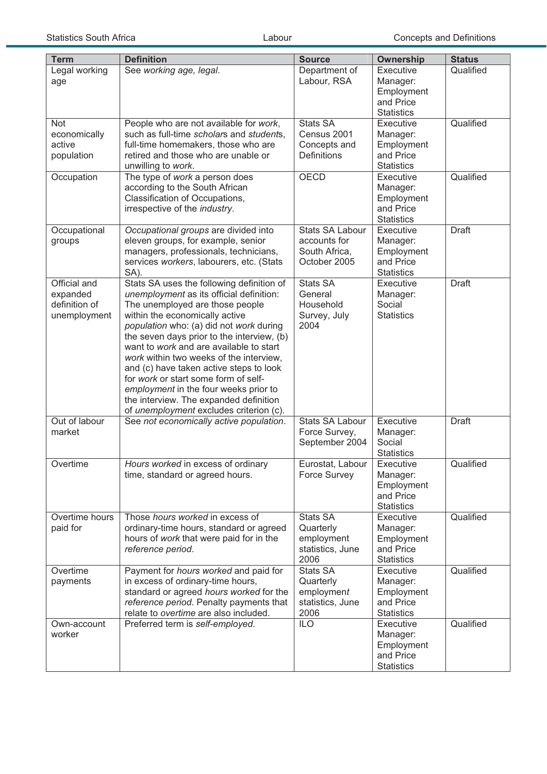| <b>Term</b>                                               | <b>Definition</b>                                                                                                                                                                                                                                                                                                                                                                                                                                                                                                                                          | <b>Source</b>                                                           | <b>Ownership</b>                                                      | <b>Status</b> |
|-----------------------------------------------------------|------------------------------------------------------------------------------------------------------------------------------------------------------------------------------------------------------------------------------------------------------------------------------------------------------------------------------------------------------------------------------------------------------------------------------------------------------------------------------------------------------------------------------------------------------------|-------------------------------------------------------------------------|-----------------------------------------------------------------------|---------------|
| Legal working<br>age                                      | See working age, legal.                                                                                                                                                                                                                                                                                                                                                                                                                                                                                                                                    | Department of<br>Labour, RSA                                            | Executive<br>Manager:<br>Employment<br>and Price<br><b>Statistics</b> | Qualified     |
| <b>Not</b><br>economically<br>active<br>population        | People who are not available for work,<br>such as full-time scholars and students,<br>full-time homemakers, those who are<br>retired and those who are unable or<br>unwilling to work.                                                                                                                                                                                                                                                                                                                                                                     | <b>Stats SA</b><br>Census 2001<br>Concepts and<br><b>Definitions</b>    | Executive<br>Manager:<br>Employment<br>and Price<br><b>Statistics</b> | Qualified     |
| Occupation                                                | The type of work a person does<br>according to the South African<br>Classification of Occupations,<br>irrespective of the industry.                                                                                                                                                                                                                                                                                                                                                                                                                        | <b>OECD</b>                                                             | Executive<br>Manager:<br>Employment<br>and Price<br><b>Statistics</b> | Qualified     |
| Occupational<br>groups                                    | Occupational groups are divided into<br>eleven groups, for example, senior<br>managers, professionals, technicians,<br>services workers, labourers, etc. (Stats<br>SA).                                                                                                                                                                                                                                                                                                                                                                                    | <b>Stats SA Labour</b><br>accounts for<br>South Africa,<br>October 2005 | Executive<br>Manager:<br>Employment<br>and Price<br><b>Statistics</b> | <b>Draft</b>  |
| Official and<br>expanded<br>definition of<br>unemployment | Stats SA uses the following definition of<br>unemployment as its official definition:<br>The unemployed are those people<br>within the economically active<br>population who: (a) did not work during<br>the seven days prior to the interview, (b)<br>want to work and are available to start<br>work within two weeks of the interview,<br>and (c) have taken active steps to look<br>for work or start some form of self-<br>employment in the four weeks prior to<br>the interview. The expanded definition<br>of unemployment excludes criterion (c). | Stats SA<br>General<br>Household<br>Survey, July<br>2004                | Executive<br>Manager:<br>Social<br><b>Statistics</b>                  | <b>Draft</b>  |
| Out of labour<br>market                                   | See not economically active population.                                                                                                                                                                                                                                                                                                                                                                                                                                                                                                                    | <b>Stats SA Labour</b><br>Force Survey,<br>September 2004               | Executive<br>Manager:<br>Social<br><b>Statistics</b>                  | <b>Draft</b>  |
| Overtime                                                  | Hours worked in excess of ordinary<br>time, standard or agreed hours.                                                                                                                                                                                                                                                                                                                                                                                                                                                                                      | Eurostat, Labour<br><b>Force Survey</b>                                 | Executive<br>Manager:<br>Employment<br>and Price<br><b>Statistics</b> | Qualified     |
| Overtime hours<br>paid for                                | Those hours worked in excess of<br>ordinary-time hours, standard or agreed<br>hours of work that were paid for in the<br>reference period.                                                                                                                                                                                                                                                                                                                                                                                                                 | Stats SA<br>Quarterly<br>employment<br>statistics, June<br>2006         | Executive<br>Manager:<br>Employment<br>and Price<br><b>Statistics</b> | Qualified     |
| Overtime<br>payments                                      | Payment for hours worked and paid for<br>in excess of ordinary-time hours,<br>standard or agreed hours worked for the<br>reference period. Penalty payments that<br>relate to overtime are also included.                                                                                                                                                                                                                                                                                                                                                  | <b>Stats SA</b><br>Quarterly<br>employment<br>statistics, June<br>2006  | Executive<br>Manager:<br>Employment<br>and Price<br><b>Statistics</b> | Qualified     |
| Own-account<br>worker                                     | Preferred term is self-employed.                                                                                                                                                                                                                                                                                                                                                                                                                                                                                                                           | <b>ILO</b>                                                              | Executive<br>Manager:<br>Employment<br>and Price<br><b>Statistics</b> | Qualified     |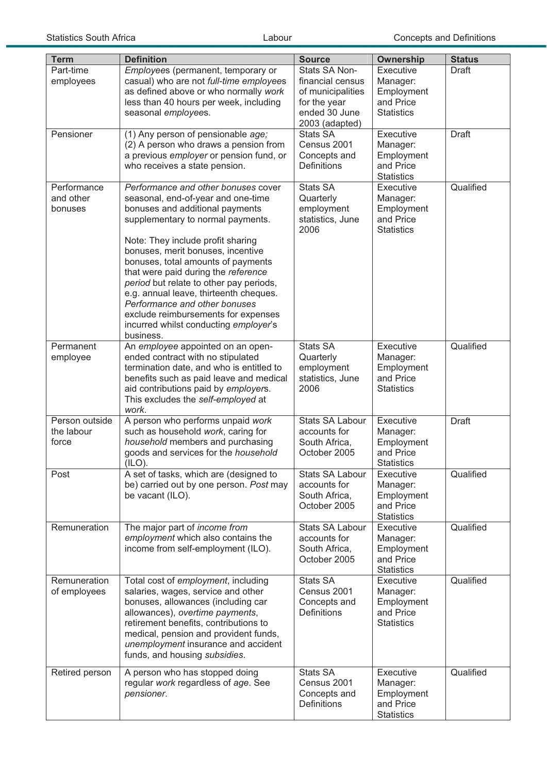| <b>Term</b>                           | <b>Definition</b>                                                                                                                                                                                                                                                                                                                                                                                                                                                                                                           | <b>Source</b>                                                                                             | <b>Ownership</b>                                                      | <b>Status</b> |
|---------------------------------------|-----------------------------------------------------------------------------------------------------------------------------------------------------------------------------------------------------------------------------------------------------------------------------------------------------------------------------------------------------------------------------------------------------------------------------------------------------------------------------------------------------------------------------|-----------------------------------------------------------------------------------------------------------|-----------------------------------------------------------------------|---------------|
| Part-time<br>employees                | Employees (permanent, temporary or<br>casual) who are not full-time employees<br>as defined above or who normally work<br>less than 40 hours per week, including<br>seasonal employees.                                                                                                                                                                                                                                                                                                                                     | Stats SA Non-<br>financial census<br>of municipalities<br>for the year<br>ended 30 June<br>2003 (adapted) | Executive<br>Manager:<br>Employment<br>and Price<br><b>Statistics</b> | Draft         |
| Pensioner                             | (1) Any person of pensionable age;<br>(2) A person who draws a pension from<br>a previous employer or pension fund, or<br>who receives a state pension.                                                                                                                                                                                                                                                                                                                                                                     | <b>Stats SA</b><br>Census 2001<br>Concepts and<br>Definitions                                             | Executive<br>Manager:<br>Employment<br>and Price<br><b>Statistics</b> | <b>Draft</b>  |
| Performance<br>and other<br>bonuses   | Performance and other bonuses cover<br>seasonal, end-of-year and one-time<br>bonuses and additional payments<br>supplementary to normal payments.<br>Note: They include profit sharing<br>bonuses, merit bonuses, incentive<br>bonuses, total amounts of payments<br>that were paid during the reference<br>period but relate to other pay periods,<br>e.g. annual leave, thirteenth cheques.<br>Performance and other bonuses<br>exclude reimbursements for expenses<br>incurred whilst conducting employer's<br>business. | <b>Stats SA</b><br>Quarterly<br>employment<br>statistics, June<br>2006                                    | Executive<br>Manager:<br>Employment<br>and Price<br><b>Statistics</b> | Qualified     |
| Permanent<br>employee                 | An employee appointed on an open-<br>ended contract with no stipulated<br>termination date, and who is entitled to<br>benefits such as paid leave and medical<br>aid contributions paid by employers.<br>This excludes the self-employed at<br>work.                                                                                                                                                                                                                                                                        | <b>Stats SA</b><br>Quarterly<br>employment<br>statistics, June<br>2006                                    | Executive<br>Manager:<br>Employment<br>and Price<br><b>Statistics</b> | Qualified     |
| Person outside<br>the labour<br>force | A person who performs unpaid work<br>such as household work, caring for<br>household members and purchasing<br>goods and services for the household<br>(ILO).                                                                                                                                                                                                                                                                                                                                                               | <b>Stats SA Labour</b><br>accounts for<br>South Africa,<br>October 2005                                   | Executive<br>Manager:<br>Employment<br>and Price<br><b>Statistics</b> | <b>Draft</b>  |
| Post                                  | A set of tasks, which are (designed to<br>be) carried out by one person. Post may<br>be vacant (ILO).                                                                                                                                                                                                                                                                                                                                                                                                                       | Stats SA Labour<br>accounts for<br>South Africa,<br>October 2005                                          | Executive<br>Manager:<br>Employment<br>and Price<br><b>Statistics</b> | Qualified     |
| Remuneration                          | The major part of income from<br>employment which also contains the<br>income from self-employment (ILO).                                                                                                                                                                                                                                                                                                                                                                                                                   | Stats SA Labour<br>accounts for<br>South Africa,<br>October 2005                                          | Executive<br>Manager:<br>Employment<br>and Price<br><b>Statistics</b> | Qualified     |
| Remuneration<br>of employees          | Total cost of employment, including<br>salaries, wages, service and other<br>bonuses, allowances (including car<br>allowances), overtime payments,<br>retirement benefits, contributions to<br>medical, pension and provident funds,<br>unemployment insurance and accident<br>funds, and housing subsidies.                                                                                                                                                                                                                | <b>Stats SA</b><br>Census 2001<br>Concepts and<br><b>Definitions</b>                                      | Executive<br>Manager:<br>Employment<br>and Price<br><b>Statistics</b> | Qualified     |
| Retired person                        | A person who has stopped doing<br>regular work regardless of age. See<br>pensioner.                                                                                                                                                                                                                                                                                                                                                                                                                                         | Stats SA<br>Census 2001<br>Concepts and<br><b>Definitions</b>                                             | Executive<br>Manager:<br>Employment<br>and Price<br><b>Statistics</b> | Qualified     |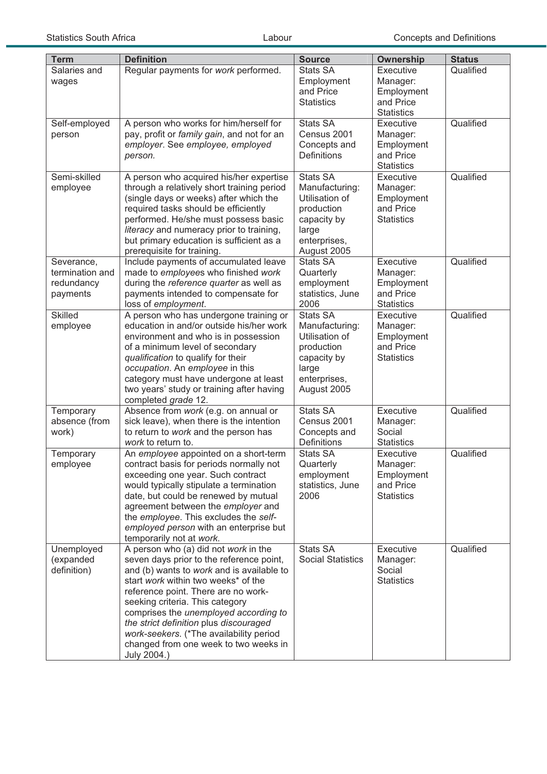| <b>Term</b>                   | <b>Definition</b>                                                                     | <b>Source</b>                      | Ownership                      | <b>Status</b> |
|-------------------------------|---------------------------------------------------------------------------------------|------------------------------------|--------------------------------|---------------|
| Salaries and                  | Regular payments for work performed.                                                  | <b>Stats SA</b>                    | Executive                      | Qualified     |
| wages                         |                                                                                       | Employment                         | Manager:                       |               |
|                               |                                                                                       | and Price<br><b>Statistics</b>     | Employment<br>and Price        |               |
|                               |                                                                                       |                                    | <b>Statistics</b>              |               |
| Self-employed                 | A person who works for him/herself for                                                | <b>Stats SA</b>                    | Executive                      | Qualified     |
| person                        | pay, profit or family gain, and not for an                                            | Census 2001                        | Manager:                       |               |
|                               | employer. See employee, employed                                                      | Concepts and                       | Employment                     |               |
|                               | person.                                                                               | Definitions                        | and Price                      |               |
|                               |                                                                                       | <b>Stats SA</b>                    | <b>Statistics</b>              |               |
| Semi-skilled<br>employee      | A person who acquired his/her expertise<br>through a relatively short training period | Manufacturing:                     | Executive<br>Manager:          | Qualified     |
|                               | (single days or weeks) after which the                                                | Utilisation of                     | Employment                     |               |
|                               | required tasks should be efficiently                                                  | production                         | and Price                      |               |
|                               | performed. He/she must possess basic                                                  | capacity by                        | <b>Statistics</b>              |               |
|                               | literacy and numeracy prior to training,                                              | large                              |                                |               |
|                               | but primary education is sufficient as a                                              | enterprises,                       |                                |               |
|                               | prerequisite for training.                                                            | August 2005                        |                                |               |
| Severance,<br>termination and | Include payments of accumulated leave<br>made to employees who finished work          | <b>Stats SA</b><br>Quarterly       | Executive<br>Manager:          | Qualified     |
| redundancy                    | during the reference quarter as well as                                               | employment                         | Employment                     |               |
| payments                      | payments intended to compensate for                                                   | statistics, June                   | and Price                      |               |
|                               | loss of employment.                                                                   | 2006                               | <b>Statistics</b>              |               |
| <b>Skilled</b>                | A person who has undergone training or                                                | <b>Stats SA</b>                    | Executive                      | Qualified     |
| employee                      | education in and/or outside his/her work                                              | Manufacturing:                     | Manager:                       |               |
|                               | environment and who is in possession                                                  | Utilisation of                     | Employment                     |               |
|                               | of a minimum level of secondary<br>qualification to qualify for their                 | production<br>capacity by          | and Price<br><b>Statistics</b> |               |
|                               | occupation. An employee in this                                                       | large                              |                                |               |
|                               | category must have undergone at least                                                 | enterprises,                       |                                |               |
|                               | two years' study or training after having                                             | August 2005                        |                                |               |
|                               | completed grade 12.                                                                   |                                    |                                |               |
| Temporary                     | Absence from work (e.g. on annual or                                                  | <b>Stats SA</b>                    | Executive                      | Qualified     |
| absence (from                 | sick leave), when there is the intention                                              | Census 2001                        | Manager:<br>Social             |               |
| work)                         | to return to work and the person has<br>work to return to.                            | Concepts and<br><b>Definitions</b> | <b>Statistics</b>              |               |
| Temporary                     | An employee appointed on a short-term                                                 | <b>Stats SA</b>                    | Executive                      | Qualified     |
| employee                      | contract basis for periods normally not                                               | Quarterly                          | Manager:                       |               |
|                               | exceeding one year. Such contract                                                     | employment                         | Employment                     |               |
|                               | would typically stipulate a termination                                               | statistics, June                   | and Price                      |               |
|                               | date, but could be renewed by mutual                                                  | 2006                               | <b>Statistics</b>              |               |
|                               | agreement between the employer and<br>the employee. This excludes the self-           |                                    |                                |               |
|                               | employed person with an enterprise but                                                |                                    |                                |               |
|                               | temporarily not at work.                                                              |                                    |                                |               |
| Unemployed                    | A person who (a) did not work in the                                                  | Stats SA                           | Executive                      | Qualified     |
| (expanded                     | seven days prior to the reference point,                                              | <b>Social Statistics</b>           | Manager:                       |               |
| definition)                   | and (b) wants to work and is available to                                             |                                    | Social                         |               |
|                               | start work within two weeks* of the<br>reference point. There are no work-            |                                    | <b>Statistics</b>              |               |
|                               | seeking criteria. This category                                                       |                                    |                                |               |
|                               | comprises the unemployed according to                                                 |                                    |                                |               |
|                               | the strict definition plus discouraged                                                |                                    |                                |               |
|                               | work-seekers. (*The availability period                                               |                                    |                                |               |
|                               | changed from one week to two weeks in                                                 |                                    |                                |               |
|                               | July 2004.)                                                                           |                                    |                                |               |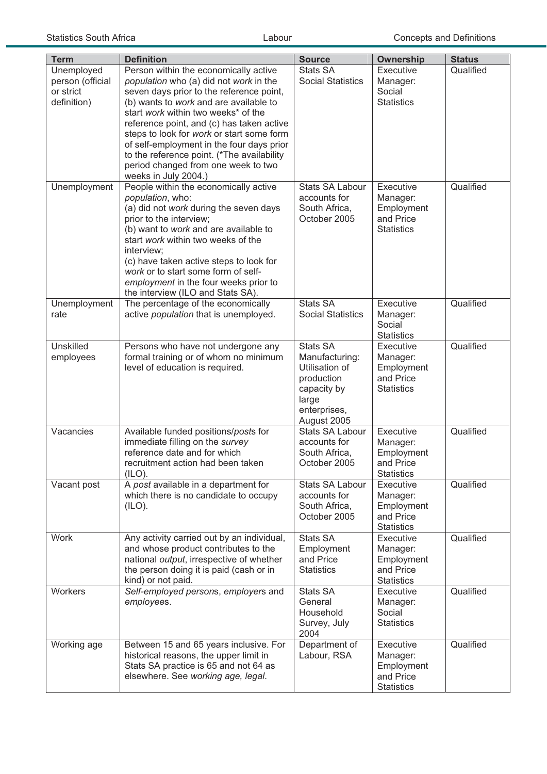| <b>Term</b>                                                | <b>Definition</b>                                                                                                                                                                                                                                                                                                                                                                                                                                                | <b>Source</b>                                                                                                     | <b>Ownership</b>                                                      | <b>Status</b> |
|------------------------------------------------------------|------------------------------------------------------------------------------------------------------------------------------------------------------------------------------------------------------------------------------------------------------------------------------------------------------------------------------------------------------------------------------------------------------------------------------------------------------------------|-------------------------------------------------------------------------------------------------------------------|-----------------------------------------------------------------------|---------------|
| Unemployed<br>person (official<br>or strict<br>definition) | Person within the economically active<br>population who (a) did not work in the<br>seven days prior to the reference point,<br>(b) wants to work and are available to<br>start work within two weeks* of the<br>reference point, and (c) has taken active<br>steps to look for work or start some form<br>of self-employment in the four days prior<br>to the reference point. (*The availability<br>period changed from one week to two<br>weeks in July 2004.) | <b>Stats SA</b><br><b>Social Statistics</b>                                                                       | Executive<br>Manager:<br>Social<br><b>Statistics</b>                  | Qualified     |
| Unemployment                                               | People within the economically active<br>population, who:<br>(a) did not work during the seven days<br>prior to the interview;<br>(b) want to work and are available to<br>start work within two weeks of the<br>interview;<br>(c) have taken active steps to look for<br>work or to start some form of self-<br>employment in the four weeks prior to<br>the interview (ILO and Stats SA).                                                                      | <b>Stats SA Labour</b><br>accounts for<br>South Africa,<br>October 2005                                           | Executive<br>Manager:<br>Employment<br>and Price<br><b>Statistics</b> | Qualified     |
| Unemployment<br>rate                                       | The percentage of the economically<br>active population that is unemployed.                                                                                                                                                                                                                                                                                                                                                                                      | <b>Stats SA</b><br><b>Social Statistics</b>                                                                       | Executive<br>Manager:<br>Social<br><b>Statistics</b>                  | Qualified     |
| <b>Unskilled</b><br>employees                              | Persons who have not undergone any<br>formal training or of whom no minimum<br>level of education is required.                                                                                                                                                                                                                                                                                                                                                   | Stats SA<br>Manufacturing:<br>Utilisation of<br>production<br>capacity by<br>large<br>enterprises,<br>August 2005 | Executive<br>Manager:<br>Employment<br>and Price<br><b>Statistics</b> | Qualified     |
| Vacancies                                                  | Available funded positions/posts for<br>immediate filling on the survey<br>reference date and for which<br>recruitment action had been taken<br>(ILO).                                                                                                                                                                                                                                                                                                           | <b>Stats SA Labour</b><br>accounts for<br>South Africa,<br>October 2005                                           | Executive<br>Manager:<br>Employment<br>and Price<br><b>Statistics</b> | Qualified     |
| Vacant post                                                | A post available in a department for<br>which there is no candidate to occupy<br>(ILO).                                                                                                                                                                                                                                                                                                                                                                          | Stats SA Labour<br>accounts for<br>South Africa,<br>October 2005                                                  | Executive<br>Manager:<br>Employment<br>and Price<br><b>Statistics</b> | Qualified     |
| <b>Work</b>                                                | Any activity carried out by an individual,<br>and whose product contributes to the<br>national output, irrespective of whether<br>the person doing it is paid (cash or in<br>kind) or not paid.                                                                                                                                                                                                                                                                  | Stats SA<br>Employment<br>and Price<br><b>Statistics</b>                                                          | Executive<br>Manager:<br>Employment<br>and Price<br><b>Statistics</b> | Qualified     |
| Workers                                                    | Self-employed persons, employers and<br>employees.                                                                                                                                                                                                                                                                                                                                                                                                               | <b>Stats SA</b><br>General<br>Household<br>Survey, July<br>2004                                                   | Executive<br>Manager:<br>Social<br><b>Statistics</b>                  | Qualified     |
| Working age                                                | Between 15 and 65 years inclusive. For<br>historical reasons, the upper limit in<br>Stats SA practice is 65 and not 64 as<br>elsewhere. See working age, legal.                                                                                                                                                                                                                                                                                                  | Department of<br>Labour, RSA                                                                                      | Executive<br>Manager:<br>Employment<br>and Price<br><b>Statistics</b> | Qualified     |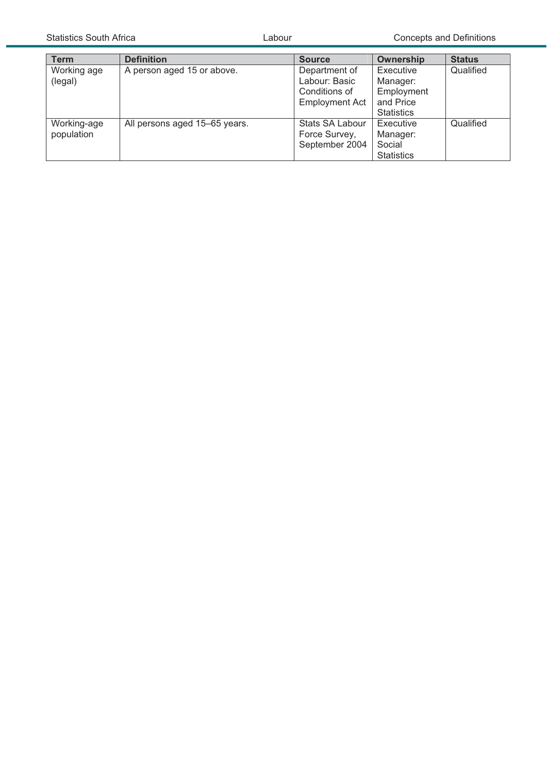| <b>Term</b> | <b>Definition</b>             | <b>Source</b>         | Ownership         | <b>Status</b> |
|-------------|-------------------------------|-----------------------|-------------------|---------------|
| Working age | A person aged 15 or above.    | Department of         | Executive         | Qualified     |
| (legal)     |                               | Labour: Basic         | Manager:          |               |
|             |                               | Conditions of         | Employment        |               |
|             |                               | <b>Employment Act</b> | and Price         |               |
|             |                               |                       | <b>Statistics</b> |               |
| Working-age | All persons aged 15-65 years. | Stats SA Labour       | Executive         | Qualified     |
| population  |                               | Force Survey,         | Manager:          |               |
|             |                               | September 2004        | Social            |               |
|             |                               |                       | <b>Statistics</b> |               |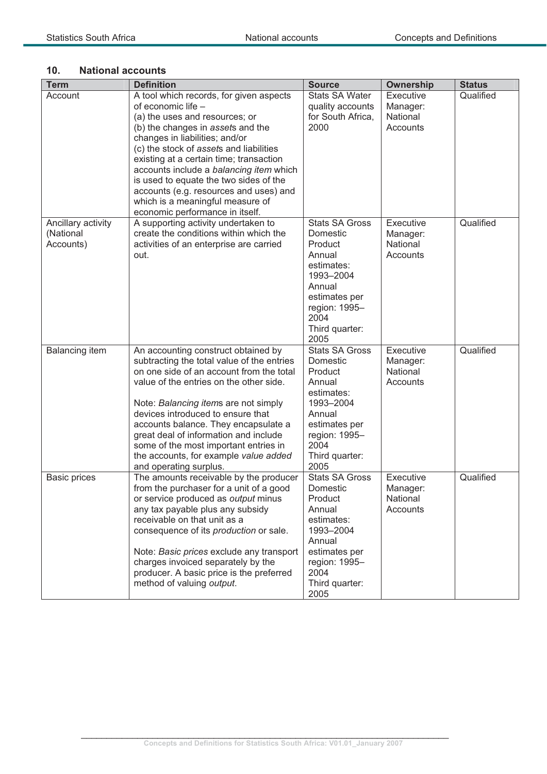## **10. National accounts**

| <b>Term</b>           | <b>Definition</b>                          | <b>Source</b>          | <b>Ownership</b> | <b>Status</b> |
|-----------------------|--------------------------------------------|------------------------|------------------|---------------|
| Account               | A tool which records, for given aspects    | <b>Stats SA Water</b>  | Executive        | Qualified     |
|                       | of economic life -                         | quality accounts       | Manager:         |               |
|                       | (a) the uses and resources; or             | for South Africa,      | National         |               |
|                       | (b) the changes in assets and the          | 2000                   | Accounts         |               |
|                       | changes in liabilities; and/or             |                        |                  |               |
|                       | (c) the stock of assets and liabilities    |                        |                  |               |
|                       | existing at a certain time; transaction    |                        |                  |               |
|                       | accounts include a balancing item which    |                        |                  |               |
|                       | is used to equate the two sides of the     |                        |                  |               |
|                       | accounts (e.g. resources and uses) and     |                        |                  |               |
|                       | which is a meaningful measure of           |                        |                  |               |
|                       | economic performance in itself.            |                        |                  |               |
| Ancillary activity    | A supporting activity undertaken to        | <b>Stats SA Gross</b>  | Executive        | Qualified     |
| (National             | create the conditions within which the     | Domestic               | Manager:         |               |
| Accounts)             | activities of an enterprise are carried    | Product                | National         |               |
|                       | out.                                       | Annual                 | Accounts         |               |
|                       |                                            | estimates:             |                  |               |
|                       |                                            | 1993-2004              |                  |               |
|                       |                                            | Annual                 |                  |               |
|                       |                                            | estimates per          |                  |               |
|                       |                                            | region: 1995-          |                  |               |
|                       |                                            | 2004                   |                  |               |
|                       |                                            | Third quarter:<br>2005 |                  |               |
| <b>Balancing item</b> | An accounting construct obtained by        | <b>Stats SA Gross</b>  | Executive        | Qualified     |
|                       | subtracting the total value of the entries | Domestic               | Manager:         |               |
|                       | on one side of an account from the total   | Product                | National         |               |
|                       | value of the entries on the other side.    | Annual                 | Accounts         |               |
|                       |                                            | estimates:             |                  |               |
|                       | Note: Balancing items are not simply       | 1993-2004              |                  |               |
|                       | devices introduced to ensure that          | Annual                 |                  |               |
|                       | accounts balance. They encapsulate a       | estimates per          |                  |               |
|                       | great deal of information and include      | region: 1995-          |                  |               |
|                       | some of the most important entries in      | 2004                   |                  |               |
|                       | the accounts, for example value added      | Third quarter:         |                  |               |
|                       | and operating surplus.                     | 2005                   |                  |               |
| <b>Basic prices</b>   | The amounts receivable by the producer     | <b>Stats SA Gross</b>  | Executive        | Qualified     |
|                       | from the purchaser for a unit of a good    | Domestic               | Manager:         |               |
|                       | or service produced as output minus        | Product                | National         |               |
|                       | any tax payable plus any subsidy           | Annual                 | Accounts         |               |
|                       | receivable on that unit as a               | estimates:             |                  |               |
|                       | consequence of its production or sale.     | 1993-2004              |                  |               |
|                       |                                            | Annual                 |                  |               |
|                       | Note: Basic prices exclude any transport   | estimates per          |                  |               |
|                       | charges invoiced separately by the         | region: 1995-          |                  |               |
|                       | producer. A basic price is the preferred   | 2004                   |                  |               |
|                       | method of valuing output.                  | Third quarter:         |                  |               |
|                       |                                            | 2005                   |                  |               |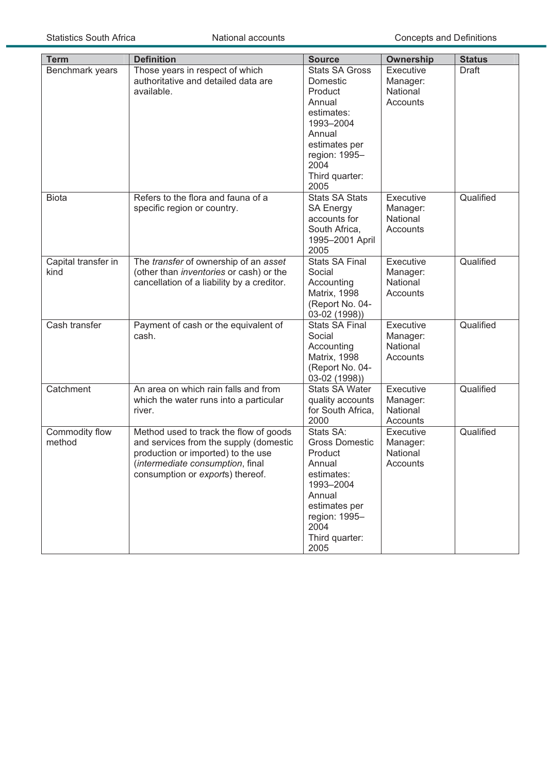| <b>Term</b>                 | <b>Definition</b>                                                                                                                                                                              | <b>Source</b>                                                                                                                                                    | Ownership                                     | <b>Status</b> |
|-----------------------------|------------------------------------------------------------------------------------------------------------------------------------------------------------------------------------------------|------------------------------------------------------------------------------------------------------------------------------------------------------------------|-----------------------------------------------|---------------|
| Benchmark years             | Those years in respect of which<br>authoritative and detailed data are<br>available.                                                                                                           | <b>Stats SA Gross</b><br>Domestic<br>Product<br>Annual                                                                                                           | Executive<br>Manager:<br>National<br>Accounts | <b>Draft</b>  |
|                             |                                                                                                                                                                                                | estimates:<br>1993-2004<br>Annual<br>estimates per                                                                                                               |                                               |               |
|                             |                                                                                                                                                                                                | region: 1995-<br>2004<br>Third quarter:<br>2005                                                                                                                  |                                               |               |
| <b>Biota</b>                | Refers to the flora and fauna of a<br>specific region or country.                                                                                                                              | <b>Stats SA Stats</b><br><b>SA Energy</b><br>accounts for<br>South Africa,<br>1995-2001 April<br>2005                                                            | Executive<br>Manager:<br>National<br>Accounts | Qualified     |
| Capital transfer in<br>kind | The transfer of ownership of an asset<br>(other than inventories or cash) or the<br>cancellation of a liability by a creditor.                                                                 | Stats SA Final<br>Social<br>Accounting<br><b>Matrix, 1998</b><br>(Report No. 04-<br>03-02 (1998))                                                                | Executive<br>Manager:<br>National<br>Accounts | Qualified     |
| Cash transfer               | Payment of cash or the equivalent of<br>cash.                                                                                                                                                  | <b>Stats SA Final</b><br>Social<br>Accounting<br><b>Matrix, 1998</b><br>(Report No. 04-<br>03-02 (1998))                                                         | Executive<br>Manager:<br>National<br>Accounts | Qualified     |
| Catchment                   | An area on which rain falls and from<br>which the water runs into a particular<br>river.                                                                                                       | <b>Stats SA Water</b><br>quality accounts<br>for South Africa,<br>2000                                                                                           | Executive<br>Manager:<br>National<br>Accounts | Qualified     |
| Commodity flow<br>method    | Method used to track the flow of goods<br>and services from the supply (domestic<br>production or imported) to the use<br>(intermediate consumption, final<br>consumption or exports) thereof. | Stats SA:<br><b>Gross Domestic</b><br>Product<br>Annual<br>estimates:<br>1993-2004<br>Annual<br>estimates per<br>region: 1995-<br>2004<br>Third quarter:<br>2005 | Executive<br>Manager:<br>National<br>Accounts | Qualified     |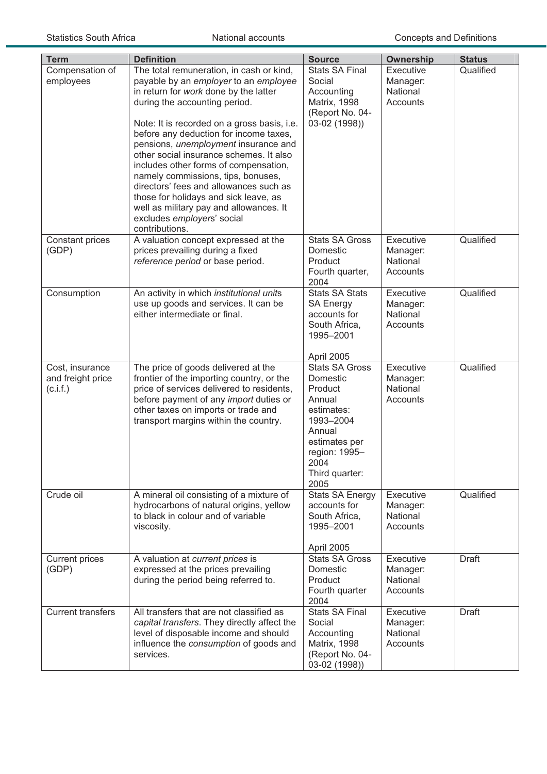| <b>Term</b>                                      | <b>Definition</b>                                                                                                                                                                                                                                                                                                                                                                                                                                                                                                                                                                  | <b>Source</b>                                                                                                                                                   | Ownership                                     | <b>Status</b> |
|--------------------------------------------------|------------------------------------------------------------------------------------------------------------------------------------------------------------------------------------------------------------------------------------------------------------------------------------------------------------------------------------------------------------------------------------------------------------------------------------------------------------------------------------------------------------------------------------------------------------------------------------|-----------------------------------------------------------------------------------------------------------------------------------------------------------------|-----------------------------------------------|---------------|
| Compensation of<br>employees                     | The total remuneration, in cash or kind,<br>payable by an employer to an employee<br>in return for work done by the latter<br>during the accounting period.<br>Note: It is recorded on a gross basis, i.e.<br>before any deduction for income taxes,<br>pensions, unemployment insurance and<br>other social insurance schemes. It also<br>includes other forms of compensation,<br>namely commissions, tips, bonuses,<br>directors' fees and allowances such as<br>those for holidays and sick leave, as<br>well as military pay and allowances. It<br>excludes employers' social | <b>Stats SA Final</b><br>Social<br>Accounting<br><b>Matrix, 1998</b><br>(Report No. 04-<br>03-02 (1998))                                                        | Executive<br>Manager:<br>National<br>Accounts | Qualified     |
| Constant prices<br>(GDP)                         | contributions.<br>A valuation concept expressed at the<br>prices prevailing during a fixed<br>reference period or base period.                                                                                                                                                                                                                                                                                                                                                                                                                                                     | <b>Stats SA Gross</b><br>Domestic<br>Product<br>Fourth quarter,<br>2004                                                                                         | Executive<br>Manager:<br>National<br>Accounts | Qualified     |
| Consumption                                      | An activity in which institutional units<br>use up goods and services. It can be<br>either intermediate or final.                                                                                                                                                                                                                                                                                                                                                                                                                                                                  | <b>Stats SA Stats</b><br><b>SA Energy</b><br>accounts for<br>South Africa,<br>1995-2001<br>April 2005                                                           | Executive<br>Manager:<br>National<br>Accounts | Qualified     |
| Cost, insurance<br>and freight price<br>(c.i.f.) | The price of goods delivered at the<br>frontier of the importing country, or the<br>price of services delivered to residents,<br>before payment of any import duties or<br>other taxes on imports or trade and<br>transport margins within the country.                                                                                                                                                                                                                                                                                                                            | <b>Stats SA Gross</b><br>Domestic<br>Product<br>Annual<br>estimates:<br>1993-2004<br>Annual<br>estimates per<br>region: 1995-<br>2004<br>Third quarter:<br>2005 | Executive<br>Manager:<br>National<br>Accounts | Qualified     |
| Crude oil                                        | A mineral oil consisting of a mixture of<br>hydrocarbons of natural origins, yellow<br>to black in colour and of variable<br>viscosity.                                                                                                                                                                                                                                                                                                                                                                                                                                            | <b>Stats SA Energy</b><br>accounts for<br>South Africa,<br>1995-2001<br>April 2005                                                                              | Executive<br>Manager:<br>National<br>Accounts | Qualified     |
| <b>Current prices</b><br>(GDP)                   | A valuation at current prices is<br>expressed at the prices prevailing<br>during the period being referred to.                                                                                                                                                                                                                                                                                                                                                                                                                                                                     | <b>Stats SA Gross</b><br>Domestic<br>Product<br>Fourth quarter<br>2004                                                                                          | Executive<br>Manager:<br>National<br>Accounts | Draft         |
| <b>Current transfers</b>                         | All transfers that are not classified as<br>capital transfers. They directly affect the<br>level of disposable income and should<br>influence the consumption of goods and<br>services.                                                                                                                                                                                                                                                                                                                                                                                            | <b>Stats SA Final</b><br>Social<br>Accounting<br>Matrix, 1998<br>(Report No. 04-<br>03-02 (1998))                                                               | Executive<br>Manager:<br>National<br>Accounts | <b>Draft</b>  |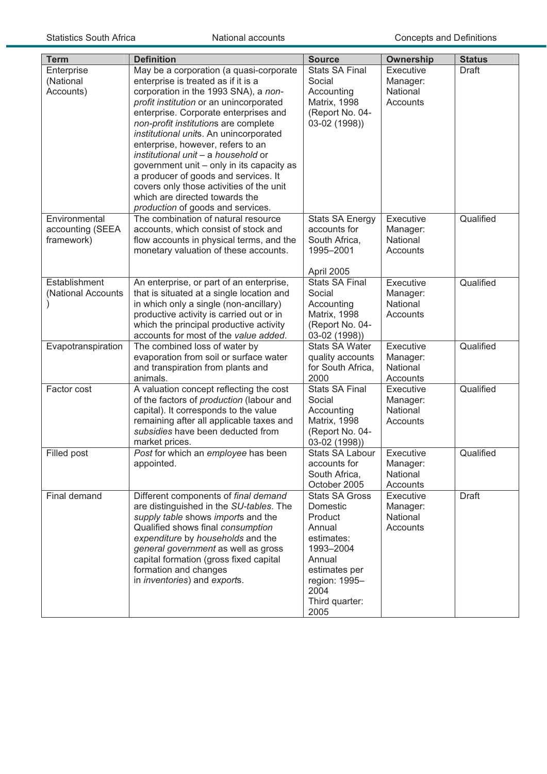| <b>Term</b>        | <b>Definition</b>                                                             | <b>Source</b>                   | <b>Ownership</b>     | <b>Status</b> |
|--------------------|-------------------------------------------------------------------------------|---------------------------------|----------------------|---------------|
| Enterprise         | May be a corporation (a quasi-corporate                                       | <b>Stats SA Final</b>           | Executive            | <b>Draft</b>  |
| (National          | enterprise is treated as if it is a                                           | Social                          | Manager:             |               |
| Accounts)          | corporation in the 1993 SNA), a non-                                          | Accounting                      | National             |               |
|                    | profit institution or an unincorporated                                       | <b>Matrix, 1998</b>             | Accounts             |               |
|                    | enterprise. Corporate enterprises and                                         | (Report No. 04-                 |                      |               |
|                    | non-profit institutions are complete                                          | 03-02 (1998))                   |                      |               |
|                    | institutional units. An unincorporated                                        |                                 |                      |               |
|                    | enterprise, however, refers to an                                             |                                 |                      |               |
|                    | institutional unit - a household or                                           |                                 |                      |               |
|                    | government unit - only in its capacity as                                     |                                 |                      |               |
|                    | a producer of goods and services. It                                          |                                 |                      |               |
|                    | covers only those activities of the unit<br>which are directed towards the    |                                 |                      |               |
|                    | production of goods and services.                                             |                                 |                      |               |
| Environmental      | The combination of natural resource                                           | <b>Stats SA Energy</b>          | Executive            | Qualified     |
| accounting (SEEA   | accounts, which consist of stock and                                          | accounts for                    | Manager:             |               |
| framework)         | flow accounts in physical terms, and the                                      | South Africa,                   | National             |               |
|                    | monetary valuation of these accounts.                                         | 1995-2001                       | Accounts             |               |
|                    |                                                                               |                                 |                      |               |
|                    |                                                                               | April 2005                      |                      |               |
| Establishment      | An enterprise, or part of an enterprise,                                      | <b>Stats SA Final</b>           | Executive            | Qualified     |
| (National Accounts | that is situated at a single location and                                     | Social                          | Manager:             |               |
|                    | in which only a single (non-ancillary)                                        | Accounting                      | National             |               |
|                    | productive activity is carried out or in                                      | <b>Matrix, 1998</b>             | Accounts             |               |
|                    | which the principal productive activity                                       | (Report No. 04-                 |                      |               |
|                    | accounts for most of the value added.                                         | 03-02 (1998))                   |                      |               |
| Evapotranspiration | The combined loss of water by                                                 | <b>Stats SA Water</b>           | Executive            | Qualified     |
|                    | evaporation from soil or surface water                                        | quality accounts                | Manager:             |               |
|                    | and transpiration from plants and                                             | for South Africa,               | National             |               |
|                    | animals.                                                                      | 2000                            | Accounts             |               |
| Factor cost        | A valuation concept reflecting the cost                                       | <b>Stats SA Final</b>           | Executive            | Qualified     |
|                    | of the factors of production (labour and                                      | Social                          | Manager:<br>National |               |
|                    | capital). It corresponds to the value                                         | Accounting                      | Accounts             |               |
|                    | remaining after all applicable taxes and<br>subsidies have been deducted from | Matrix, 1998<br>(Report No. 04- |                      |               |
|                    | market prices.                                                                | 03-02 (1998))                   |                      |               |
| Filled post        | Post for which an employee has been                                           | <b>Stats SA Labour</b>          | Executive            | Qualified     |
|                    | appointed.                                                                    | accounts for                    | Manager:             |               |
|                    |                                                                               | South Africa,                   | National             |               |
|                    |                                                                               | October 2005                    | Accounts             |               |
| Final demand       | Different components of final demand                                          | <b>Stats SA Gross</b>           | Executive            | Draft         |
|                    | are distinguished in the SU-tables. The                                       | Domestic                        | Manager:             |               |
|                    | supply table shows imports and the                                            | Product                         | National             |               |
|                    | Qualified shows final consumption                                             | Annual                          | Accounts             |               |
|                    | expenditure by households and the                                             | estimates:                      |                      |               |
|                    | general government as well as gross                                           | 1993-2004                       |                      |               |
|                    | capital formation (gross fixed capital                                        | Annual                          |                      |               |
|                    | formation and changes                                                         | estimates per                   |                      |               |
|                    | in <i>inventories</i> ) and exports.                                          | region: 1995-                   |                      |               |
|                    |                                                                               | 2004                            |                      |               |
|                    |                                                                               | Third quarter:                  |                      |               |
|                    |                                                                               | 2005                            |                      |               |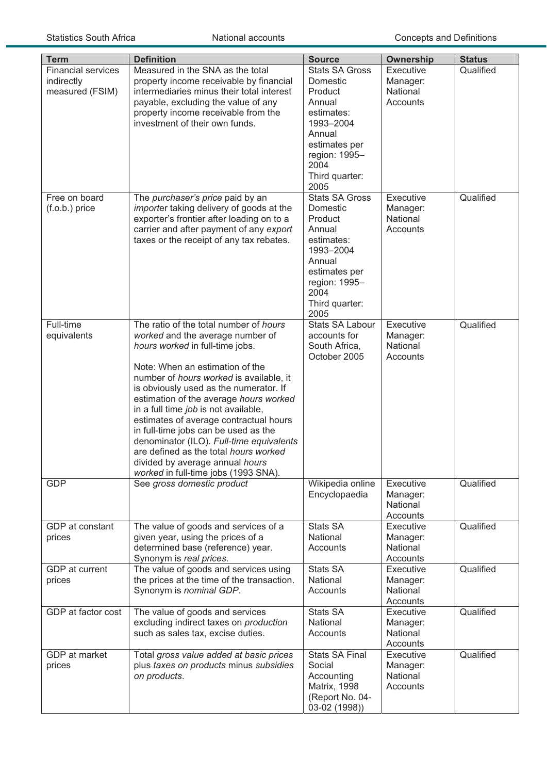| <b>Term</b>               | <b>Definition</b>                                                  | <b>Source</b>                  | <b>Ownership</b> | <b>Status</b> |
|---------------------------|--------------------------------------------------------------------|--------------------------------|------------------|---------------|
| <b>Financial services</b> | Measured in the SNA as the total                                   | <b>Stats SA Gross</b>          | Executive        | Qualified     |
| indirectly                | property income receivable by financial                            | Domestic                       | Manager:         |               |
| measured (FSIM)           | intermediaries minus their total interest                          | Product                        | National         |               |
|                           | payable, excluding the value of any                                | Annual                         | Accounts         |               |
|                           | property income receivable from the                                | estimates:                     |                  |               |
|                           | investment of their own funds.                                     | 1993-2004                      |                  |               |
|                           |                                                                    | Annual                         |                  |               |
|                           |                                                                    | estimates per                  |                  |               |
|                           |                                                                    | region: 1995-                  |                  |               |
|                           |                                                                    | 2004                           |                  |               |
|                           |                                                                    | Third quarter:                 |                  |               |
|                           |                                                                    | 2005                           |                  |               |
| Free on board             | The purchaser's price paid by an                                   | <b>Stats SA Gross</b>          | Executive        | Qualified     |
| $(f.o.b.)$ price          | importer taking delivery of goods at the                           | Domestic                       | Manager:         |               |
|                           | exporter's frontier after loading on to a                          | Product                        | National         |               |
|                           | carrier and after payment of any export                            | Annual                         | Accounts         |               |
|                           | taxes or the receipt of any tax rebates.                           | estimates:                     |                  |               |
|                           |                                                                    | 1993-2004                      |                  |               |
|                           |                                                                    | Annual                         |                  |               |
|                           |                                                                    | estimates per<br>region: 1995- |                  |               |
|                           |                                                                    | 2004                           |                  |               |
|                           |                                                                    | Third quarter:                 |                  |               |
|                           |                                                                    | 2005                           |                  |               |
| Full-time                 | The ratio of the total number of hours                             | Stats SA Labour                | Executive        | Qualified     |
| equivalents               | worked and the average number of                                   | accounts for                   | Manager:         |               |
|                           | hours worked in full-time jobs.                                    | South Africa,                  | National         |               |
|                           |                                                                    | October 2005                   | Accounts         |               |
|                           | Note: When an estimation of the                                    |                                |                  |               |
|                           | number of hours worked is available, it                            |                                |                  |               |
|                           | is obviously used as the numerator. If                             |                                |                  |               |
|                           | estimation of the average hours worked                             |                                |                  |               |
|                           | in a full time job is not available,                               |                                |                  |               |
|                           | estimates of average contractual hours                             |                                |                  |               |
|                           | in full-time jobs can be used as the                               |                                |                  |               |
|                           | denominator (ILO). Full-time equivalents                           |                                |                  |               |
|                           | are defined as the total hours worked                              |                                |                  |               |
|                           | divided by average annual hours                                    |                                |                  |               |
| <b>GDP</b>                | worked in full-time jobs (1993 SNA).<br>See gross domestic product | Wikipedia online               | Executive        | Qualified     |
|                           |                                                                    | Encyclopaedia                  | Manager:         |               |
|                           |                                                                    |                                | National         |               |
|                           |                                                                    |                                | Accounts         |               |
| GDP at constant           | The value of goods and services of a                               | <b>Stats SA</b>                | Executive        | Qualified     |
| prices                    | given year, using the prices of a                                  | National                       | Manager:         |               |
|                           | determined base (reference) year.                                  | Accounts                       | National         |               |
|                           | Synonym is real prices.                                            |                                | Accounts         |               |
| GDP at current            | The value of goods and services using                              | <b>Stats SA</b>                | Executive        | Qualified     |
| prices                    | the prices at the time of the transaction.                         | National                       | Manager:         |               |
|                           | Synonym is nominal GDP.                                            | Accounts                       | National         |               |
|                           |                                                                    |                                | Accounts         |               |
| GDP at factor cost        | The value of goods and services                                    | <b>Stats SA</b>                | Executive        | Qualified     |
|                           | excluding indirect taxes on production                             | National                       | Manager:         |               |
|                           | such as sales tax, excise duties.                                  | Accounts                       | National         |               |
|                           |                                                                    |                                | Accounts         |               |
| GDP at market             | Total gross value added at basic prices                            | <b>Stats SA Final</b>          | Executive        | Qualified     |
| prices                    | plus taxes on products minus subsidies                             | Social                         | Manager:         |               |
|                           | on products.                                                       | Accounting                     | National         |               |
|                           |                                                                    | <b>Matrix, 1998</b>            | Accounts         |               |
|                           |                                                                    | (Report No. 04-                |                  |               |
|                           |                                                                    | 03-02 (1998))                  |                  |               |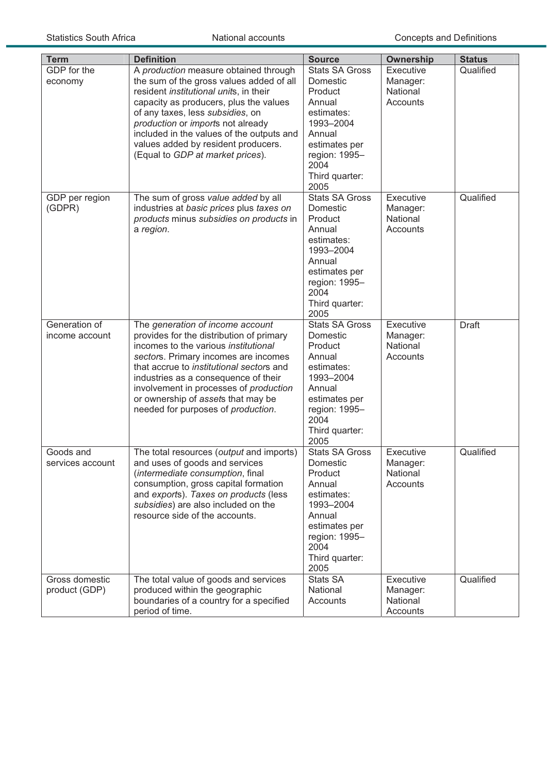| <b>Term</b>                     | <b>Definition</b>                                                                                                                                                                                                                                                                                                                                                                    | <b>Source</b>                                                                                                                                                   | <b>Ownership</b>                                     | <b>Status</b> |
|---------------------------------|--------------------------------------------------------------------------------------------------------------------------------------------------------------------------------------------------------------------------------------------------------------------------------------------------------------------------------------------------------------------------------------|-----------------------------------------------------------------------------------------------------------------------------------------------------------------|------------------------------------------------------|---------------|
| GDP for the<br>economy          | A production measure obtained through<br>the sum of the gross values added of all<br>resident institutional units, in their<br>capacity as producers, plus the values<br>of any taxes, less subsidies, on<br>production or imports not already<br>included in the values of the outputs and<br>values added by resident producers.<br>(Equal to GDP at market prices).               | <b>Stats SA Gross</b><br>Domestic<br>Product<br>Annual<br>estimates:<br>1993-2004<br>Annual<br>estimates per<br>region: 1995-<br>2004<br>Third quarter:<br>2005 | Executive<br>Manager:<br>National<br>Accounts        | Qualified     |
| GDP per region<br>(GDPR)        | The sum of gross value added by all<br>industries at basic prices plus taxes on<br>products minus subsidies on products in<br>a region.                                                                                                                                                                                                                                              | <b>Stats SA Gross</b><br>Domestic<br>Product<br>Annual<br>estimates:<br>1993-2004<br>Annual<br>estimates per<br>region: 1995-<br>2004<br>Third quarter:<br>2005 | Executive<br>Manager:<br>National<br>Accounts        | Qualified     |
| Generation of<br>income account | The generation of income account<br>provides for the distribution of primary<br>incomes to the various <i>institutional</i><br>sectors. Primary incomes are incomes<br>that accrue to <i>institutional</i> sectors and<br>industries as a consequence of their<br>involvement in processes of production<br>or ownership of assets that may be<br>needed for purposes of production. | <b>Stats SA Gross</b><br>Domestic<br>Product<br>Annual<br>estimates:<br>1993-2004<br>Annual<br>estimates per<br>region: 1995-<br>2004<br>Third quarter:<br>2005 | Executive<br>Manager:<br>National<br>Accounts        | <b>Draft</b>  |
| Goods and<br>services account   | The total resources (output and imports)<br>and uses of goods and services<br>(intermediate consumption, final<br>consumption, gross capital formation<br>and exports). Taxes on products (less<br>subsidies) are also included on the<br>resource side of the accounts.                                                                                                             | <b>Stats SA Gross</b><br>Domestic<br>Product<br>Annual<br>estimates:<br>1993-2004<br>Annual<br>estimates per<br>region: 1995-<br>2004<br>Third quarter:<br>2005 | <b>Executive</b><br>Manager:<br>National<br>Accounts | Qualified     |
| Gross domestic<br>product (GDP) | The total value of goods and services<br>produced within the geographic<br>boundaries of a country for a specified<br>period of time.                                                                                                                                                                                                                                                | <b>Stats SA</b><br>National<br>Accounts                                                                                                                         | Executive<br>Manager:<br>National<br>Accounts        | Qualified     |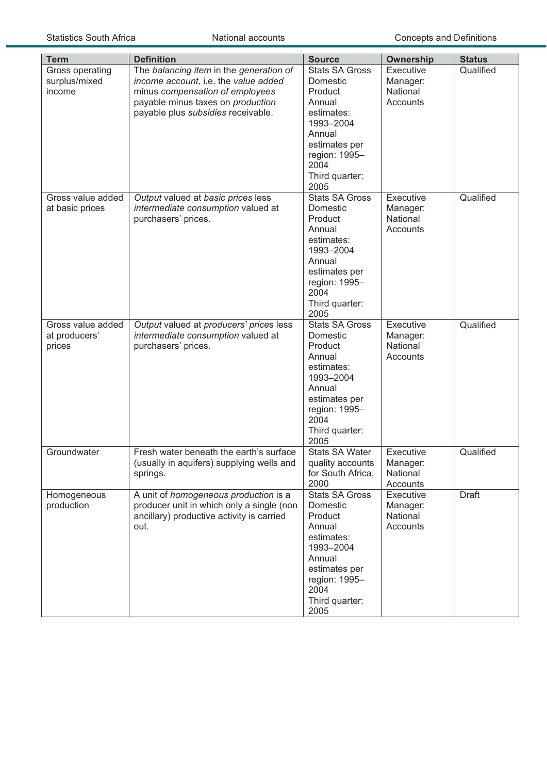| <b>Term</b>       | <b>Definition</b>                                                                    | <b>Source</b>                             | Ownership             | <b>Status</b> |
|-------------------|--------------------------------------------------------------------------------------|-------------------------------------------|-----------------------|---------------|
| Gross operating   | The balancing item in the generation of                                              | <b>Stats SA Gross</b>                     | Executive             | Qualified     |
| surplus/mixed     | income account, i.e. the value added                                                 | Domestic                                  | Manager:              |               |
| income            | minus compensation of employees                                                      | Product                                   | National              |               |
|                   | payable minus taxes on production                                                    | Annual                                    | Accounts              |               |
|                   | payable plus subsidies receivable.                                                   | estimates:<br>1993-2004                   |                       |               |
|                   |                                                                                      | Annual                                    |                       |               |
|                   |                                                                                      | estimates per                             |                       |               |
|                   |                                                                                      | region: 1995-                             |                       |               |
|                   |                                                                                      | 2004                                      |                       |               |
|                   |                                                                                      | Third quarter:                            |                       |               |
|                   |                                                                                      | 2005                                      |                       |               |
| Gross value added | Output valued at basic prices less                                                   | <b>Stats SA Gross</b>                     | Executive             | Qualified     |
| at basic prices   | intermediate consumption valued at                                                   | Domestic                                  | Manager:              |               |
|                   | purchasers' prices.                                                                  | Product                                   | National              |               |
|                   |                                                                                      | Annual                                    | Accounts              |               |
|                   |                                                                                      | estimates:<br>1993-2004                   |                       |               |
|                   |                                                                                      | Annual                                    |                       |               |
|                   |                                                                                      | estimates per                             |                       |               |
|                   |                                                                                      | region: 1995-                             |                       |               |
|                   |                                                                                      | 2004                                      |                       |               |
|                   |                                                                                      | Third quarter:                            |                       |               |
|                   |                                                                                      | 2005                                      |                       |               |
| Gross value added | Output valued at producers' prices less                                              | <b>Stats SA Gross</b>                     | Executive             | Qualified     |
| at producers'     | intermediate consumption valued at                                                   | Domestic                                  | Manager:              |               |
| prices            | purchasers' prices.                                                                  | Product<br>Annual                         | National<br>Accounts  |               |
|                   |                                                                                      | estimates:                                |                       |               |
|                   |                                                                                      | 1993-2004                                 |                       |               |
|                   |                                                                                      | Annual                                    |                       |               |
|                   |                                                                                      | estimates per                             |                       |               |
|                   |                                                                                      | region: 1995-                             |                       |               |
|                   |                                                                                      | 2004                                      |                       |               |
|                   |                                                                                      | Third quarter:                            |                       |               |
|                   |                                                                                      | 2005                                      |                       |               |
| Groundwater       | Fresh water beneath the earth's surface<br>(usually in aquifers) supplying wells and | <b>Stats SA Water</b><br>quality accounts | Executive<br>Manager: | Qualified     |
|                   | springs.                                                                             | for South Africa,                         | National              |               |
|                   |                                                                                      | 2000                                      | Accounts              |               |
| Homogeneous       | A unit of homogeneous production is a                                                | <b>Stats SA Gross</b>                     | Executive             | Draft         |
| production        | producer unit in which only a single (non                                            | Domestic                                  | Manager:              |               |
|                   | ancillary) productive activity is carried                                            | Product                                   | National              |               |
|                   | out.                                                                                 | Annual                                    | Accounts              |               |
|                   |                                                                                      | estimates:                                |                       |               |
|                   |                                                                                      | 1993-2004                                 |                       |               |
|                   |                                                                                      | Annual<br>estimates per                   |                       |               |
|                   |                                                                                      | region: 1995-                             |                       |               |
|                   |                                                                                      | 2004                                      |                       |               |
|                   |                                                                                      | Third quarter:                            |                       |               |
|                   |                                                                                      | 2005                                      |                       |               |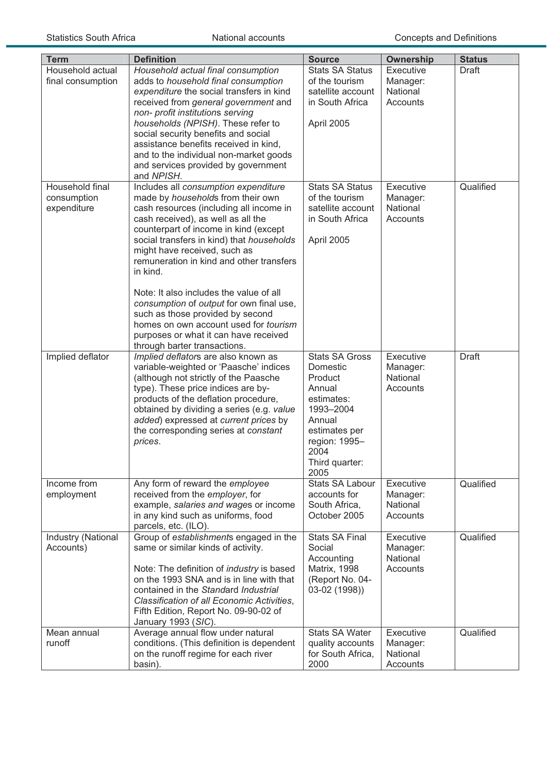| <b>Term</b>                                   | <b>Definition</b>                                                                                                                                                                                                                                                                                                                                                                                                                                                                                                                                                                            | <b>Source</b>                                                                                                                                                   | Ownership                                     | <b>Status</b> |
|-----------------------------------------------|----------------------------------------------------------------------------------------------------------------------------------------------------------------------------------------------------------------------------------------------------------------------------------------------------------------------------------------------------------------------------------------------------------------------------------------------------------------------------------------------------------------------------------------------------------------------------------------------|-----------------------------------------------------------------------------------------------------------------------------------------------------------------|-----------------------------------------------|---------------|
| Household actual<br>final consumption         | Household actual final consumption<br>adds to household final consumption<br>expenditure the social transfers in kind<br>received from general government and<br>non- profit institutions serving<br>households (NPISH). These refer to<br>social security benefits and social<br>assistance benefits received in kind,<br>and to the individual non-market goods<br>and services provided by government<br>and NPISH.                                                                                                                                                                       | <b>Stats SA Status</b><br>of the tourism<br>satellite account<br>in South Africa<br>April 2005                                                                  | Executive<br>Manager:<br>National<br>Accounts | Draft         |
| Household final<br>consumption<br>expenditure | Includes all consumption expenditure<br>made by households from their own<br>cash resources (including all income in<br>cash received), as well as all the<br>counterpart of income in kind (except<br>social transfers in kind) that households<br>might have received, such as<br>remuneration in kind and other transfers<br>in kind.<br>Note: It also includes the value of all<br>consumption of output for own final use,<br>such as those provided by second<br>homes on own account used for <i>tourism</i><br>purposes or what it can have received<br>through barter transactions. | <b>Stats SA Status</b><br>of the tourism<br>satellite account<br>in South Africa<br>April 2005                                                                  | Executive<br>Manager:<br>National<br>Accounts | Qualified     |
| Implied deflator                              | Implied deflators are also known as<br>variable-weighted or 'Paasche' indices<br>(although not strictly of the Paasche<br>type). These price indices are by-<br>products of the deflation procedure,<br>obtained by dividing a series (e.g. value<br>added) expressed at current prices by<br>the corresponding series at constant<br>prices.                                                                                                                                                                                                                                                | <b>Stats SA Gross</b><br>Domestic<br>Product<br>Annual<br>estimates:<br>1993-2004<br>Annual<br>estimates per<br>region: 1995-<br>2004<br>Third quarter:<br>2005 | Executive<br>Manager:<br>National<br>Accounts | <b>Draft</b>  |
| Income from<br>employment                     | Any form of reward the employee<br>received from the employer, for<br>example, salaries and wages or income<br>in any kind such as uniforms, food<br>parcels, etc. (ILO).                                                                                                                                                                                                                                                                                                                                                                                                                    | <b>Stats SA Labour</b><br>accounts for<br>South Africa,<br>October 2005                                                                                         | Executive<br>Manager:<br>National<br>Accounts | Qualified     |
| Industry (National<br>Accounts)               | Group of establishments engaged in the<br>same or similar kinds of activity.<br>Note: The definition of <i>industry</i> is based<br>on the 1993 SNA and is in line with that<br>contained in the Standard Industrial<br>Classification of all Economic Activities,<br>Fifth Edition, Report No. 09-90-02 of<br>January 1993 (SIC).                                                                                                                                                                                                                                                           | <b>Stats SA Final</b><br>Social<br>Accounting<br>Matrix, 1998<br>(Report No. 04-<br>03-02 (1998))                                                               | Executive<br>Manager:<br>National<br>Accounts | Qualified     |
| Mean annual<br>runoff                         | Average annual flow under natural<br>conditions. (This definition is dependent<br>on the runoff regime for each river<br>basin).                                                                                                                                                                                                                                                                                                                                                                                                                                                             | <b>Stats SA Water</b><br>quality accounts<br>for South Africa,<br>2000                                                                                          | Executive<br>Manager:<br>National<br>Accounts | Qualified     |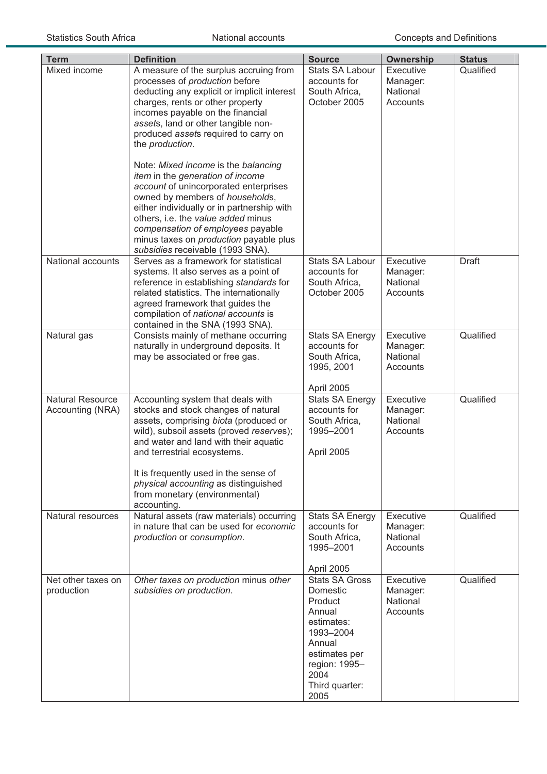| <b>Term</b>                                 | <b>Definition</b>                                                                                                                                                                                                                                                                                                                                                                                                                                                                                                                                                                                                                                                      | <b>Source</b>                                                                                                                                                   | <b>Ownership</b>                              | <b>Status</b> |
|---------------------------------------------|------------------------------------------------------------------------------------------------------------------------------------------------------------------------------------------------------------------------------------------------------------------------------------------------------------------------------------------------------------------------------------------------------------------------------------------------------------------------------------------------------------------------------------------------------------------------------------------------------------------------------------------------------------------------|-----------------------------------------------------------------------------------------------------------------------------------------------------------------|-----------------------------------------------|---------------|
| Mixed income                                | A measure of the surplus accruing from<br>processes of production before<br>deducting any explicit or implicit interest<br>charges, rents or other property<br>incomes payable on the financial<br>assets, land or other tangible non-<br>produced assets required to carry on<br>the production.<br>Note: Mixed income is the balancing<br>item in the generation of income<br>account of unincorporated enterprises<br>owned by members of households,<br>either individually or in partnership with<br>others, i.e. the value added minus<br>compensation of employees payable<br>minus taxes on <i>production</i> payable plus<br>subsidies receivable (1993 SNA). | <b>Stats SA Labour</b><br>accounts for<br>South Africa,<br>October 2005                                                                                         | Executive<br>Manager:<br>National<br>Accounts | Qualified     |
| National accounts                           | Serves as a framework for statistical<br>systems. It also serves as a point of<br>reference in establishing standards for<br>related statistics. The internationally<br>agreed framework that guides the<br>compilation of national accounts is<br>contained in the SNA (1993 SNA).                                                                                                                                                                                                                                                                                                                                                                                    | <b>Stats SA Labour</b><br>accounts for<br>South Africa,<br>October 2005                                                                                         | Executive<br>Manager:<br>National<br>Accounts | <b>Draft</b>  |
| Natural gas                                 | Consists mainly of methane occurring<br>naturally in underground deposits. It<br>may be associated or free gas.                                                                                                                                                                                                                                                                                                                                                                                                                                                                                                                                                        | <b>Stats SA Energy</b><br>accounts for<br>South Africa,<br>1995, 2001<br>April 2005                                                                             | Executive<br>Manager:<br>National<br>Accounts | Qualified     |
| <b>Natural Resource</b><br>Accounting (NRA) | Accounting system that deals with<br>stocks and stock changes of natural<br>assets, comprising biota (produced or<br>wild), subsoil assets (proved reserves);<br>and water and land with their aquatic<br>and terrestrial ecosystems.<br>It is frequently used in the sense of<br>physical accounting as distinguished<br>from monetary (environmental)<br>accounting.                                                                                                                                                                                                                                                                                                 | <b>Stats SA Energy</b><br>accounts for<br>South Africa,<br>1995-2001<br>April 2005                                                                              | Executive<br>Manager:<br>National<br>Accounts | Qualified     |
| Natural resources                           | Natural assets (raw materials) occurring<br>in nature that can be used for economic<br>production or consumption.                                                                                                                                                                                                                                                                                                                                                                                                                                                                                                                                                      | <b>Stats SA Energy</b><br>accounts for<br>South Africa,<br>1995-2001<br>April 2005                                                                              | Executive<br>Manager:<br>National<br>Accounts | Qualified     |
| Net other taxes on<br>production            | Other taxes on production minus other<br>subsidies on production.                                                                                                                                                                                                                                                                                                                                                                                                                                                                                                                                                                                                      | <b>Stats SA Gross</b><br>Domestic<br>Product<br>Annual<br>estimates:<br>1993-2004<br>Annual<br>estimates per<br>region: 1995-<br>2004<br>Third quarter:<br>2005 | Executive<br>Manager:<br>National<br>Accounts | Qualified     |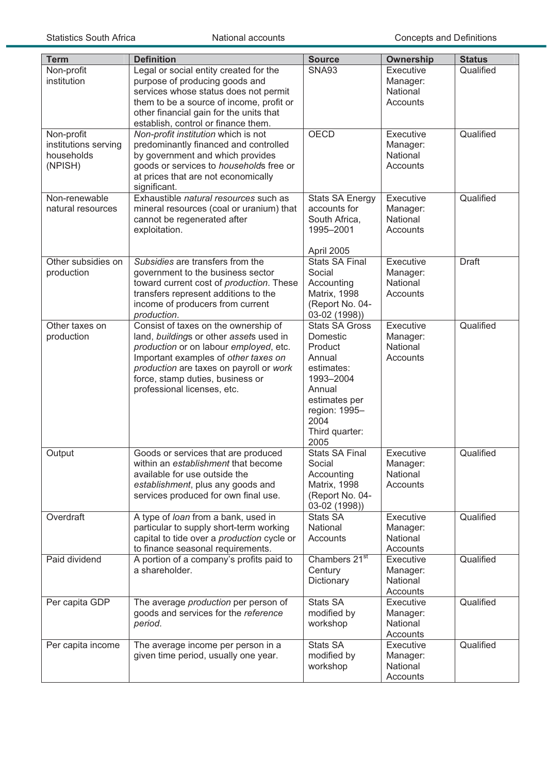| <b>Term</b>                                                 | <b>Definition</b>                                                                                                                                                                                                                                                               | <b>Source</b>                                                                                                                                                   | <b>Ownership</b>                              | <b>Status</b> |
|-------------------------------------------------------------|---------------------------------------------------------------------------------------------------------------------------------------------------------------------------------------------------------------------------------------------------------------------------------|-----------------------------------------------------------------------------------------------------------------------------------------------------------------|-----------------------------------------------|---------------|
| Non-profit<br>institution                                   | Legal or social entity created for the<br>purpose of producing goods and<br>services whose status does not permit<br>them to be a source of income, profit or<br>other financial gain for the units that<br>establish, control or finance them.                                 | <b>SNA93</b>                                                                                                                                                    | Executive<br>Manager:<br>National<br>Accounts | Qualified     |
| Non-profit<br>institutions serving<br>households<br>(NPISH) | Non-profit institution which is not<br>predominantly financed and controlled<br>by government and which provides<br>goods or services to households free or<br>at prices that are not economically<br>significant.                                                              | <b>OECD</b>                                                                                                                                                     | Executive<br>Manager:<br>National<br>Accounts | Qualified     |
| Non-renewable<br>natural resources                          | Exhaustible natural resources such as<br>mineral resources (coal or uranium) that<br>cannot be regenerated after<br>exploitation.                                                                                                                                               | <b>Stats SA Energy</b><br>accounts for<br>South Africa,<br>1995-2001<br>April 2005                                                                              | Executive<br>Manager:<br>National<br>Accounts | Qualified     |
| Other subsidies on<br>production                            | Subsidies are transfers from the<br>government to the business sector<br>toward current cost of production. These<br>transfers represent additions to the<br>income of producers from current<br>production.                                                                    | <b>Stats SA Final</b><br>Social<br>Accounting<br>Matrix, 1998<br>(Report No. 04-<br>03-02 (1998))                                                               | Executive<br>Manager:<br>National<br>Accounts | <b>Draft</b>  |
| Other taxes on<br>production                                | Consist of taxes on the ownership of<br>land, buildings or other assets used in<br>production or on labour employed, etc.<br>Important examples of other taxes on<br>production are taxes on payroll or work<br>force, stamp duties, business or<br>professional licenses, etc. | <b>Stats SA Gross</b><br>Domestic<br>Product<br>Annual<br>estimates:<br>1993-2004<br>Annual<br>estimates per<br>region: 1995-<br>2004<br>Third quarter:<br>2005 | Executive<br>Manager:<br>National<br>Accounts | Qualified     |
| Output                                                      | Goods or services that are produced<br>within an establishment that become<br>available for use outside the<br>establishment, plus any goods and<br>services produced for own final use.                                                                                        | <b>Stats SA Final</b><br>Social<br>Accounting<br>Matrix, 1998<br>(Report No. 04-<br>03-02 (1998))                                                               | Executive<br>Manager:<br>National<br>Accounts | Qualified     |
| Overdraft                                                   | A type of loan from a bank, used in<br>particular to supply short-term working<br>capital to tide over a production cycle or<br>to finance seasonal requirements.                                                                                                               | <b>Stats SA</b><br>National<br>Accounts                                                                                                                         | Executive<br>Manager:<br>National<br>Accounts | Qualified     |
| Paid dividend                                               | A portion of a company's profits paid to<br>a shareholder.                                                                                                                                                                                                                      | Chambers 21 <sup>st</sup><br>Century<br>Dictionary                                                                                                              | Executive<br>Manager:<br>National<br>Accounts | Qualified     |
| Per capita GDP                                              | The average production per person of<br>goods and services for the reference<br>period.                                                                                                                                                                                         | <b>Stats SA</b><br>modified by<br>workshop                                                                                                                      | Executive<br>Manager:<br>National<br>Accounts | Qualified     |
| Per capita income                                           | The average income per person in a<br>given time period, usually one year.                                                                                                                                                                                                      | <b>Stats SA</b><br>modified by<br>workshop                                                                                                                      | Executive<br>Manager:<br>National<br>Accounts | Qualified     |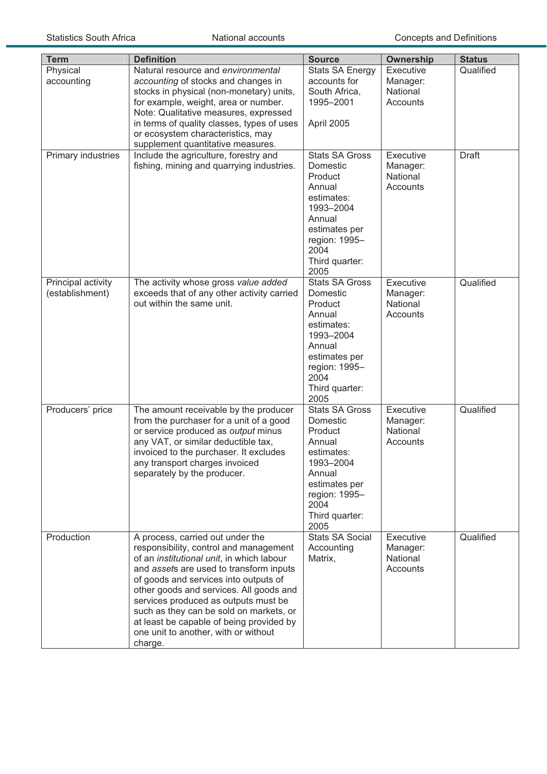| <b>Term</b>                           | <b>Definition</b>                                                                           | <b>Source</b>                          | <b>Ownership</b>      | <b>Status</b> |
|---------------------------------------|---------------------------------------------------------------------------------------------|----------------------------------------|-----------------------|---------------|
| Physical<br>accounting                | Natural resource and environmental<br>accounting of stocks and changes in                   | <b>Stats SA Energy</b><br>accounts for | Executive<br>Manager: | Qualified     |
|                                       | stocks in physical (non-monetary) units,                                                    | South Africa,                          | National              |               |
|                                       | for example, weight, area or number.<br>Note: Qualitative measures, expressed               | 1995-2001                              | Accounts              |               |
|                                       | in terms of quality classes, types of uses                                                  | April 2005                             |                       |               |
|                                       | or ecosystem characteristics, may                                                           |                                        |                       |               |
|                                       | supplement quantitative measures.                                                           |                                        |                       |               |
| Primary industries                    | Include the agriculture, forestry and                                                       | <b>Stats SA Gross</b>                  | Executive             | <b>Draft</b>  |
|                                       | fishing, mining and quarrying industries.                                                   | Domestic<br>Product                    | Manager:<br>National  |               |
|                                       |                                                                                             | Annual                                 | Accounts              |               |
|                                       |                                                                                             | estimates:                             |                       |               |
|                                       |                                                                                             | 1993-2004                              |                       |               |
|                                       |                                                                                             | Annual<br>estimates per                |                       |               |
|                                       |                                                                                             | region: 1995-                          |                       |               |
|                                       |                                                                                             | 2004                                   |                       |               |
|                                       |                                                                                             | Third quarter:                         |                       |               |
|                                       |                                                                                             | 2005<br><b>Stats SA Gross</b>          | Executive             | Qualified     |
| Principal activity<br>(establishment) | The activity whose gross value added<br>exceeds that of any other activity carried          | Domestic                               | Manager:              |               |
|                                       | out within the same unit.                                                                   | Product                                | National              |               |
|                                       |                                                                                             | Annual                                 | Accounts              |               |
|                                       |                                                                                             | estimates:                             |                       |               |
|                                       |                                                                                             | 1993-2004<br>Annual                    |                       |               |
|                                       |                                                                                             | estimates per                          |                       |               |
|                                       |                                                                                             | region: 1995-                          |                       |               |
|                                       |                                                                                             | 2004                                   |                       |               |
|                                       |                                                                                             | Third quarter:<br>2005                 |                       |               |
| Producers' price                      | The amount receivable by the producer                                                       | <b>Stats SA Gross</b>                  | Executive             | Qualified     |
|                                       | from the purchaser for a unit of a good                                                     | Domestic                               | Manager:              |               |
|                                       | or service produced as output minus                                                         | Product                                | National              |               |
|                                       | any VAT, or similar deductible tax,<br>invoiced to the purchaser. It excludes               | Annual<br>estimates:                   | Accounts              |               |
|                                       | any transport charges invoiced                                                              | 1993-2004                              |                       |               |
|                                       | separately by the producer.                                                                 | Annual                                 |                       |               |
|                                       |                                                                                             | estimates per                          |                       |               |
|                                       |                                                                                             | region: 1995-<br>2004                  |                       |               |
|                                       |                                                                                             | Third quarter:                         |                       |               |
|                                       |                                                                                             | 2005                                   |                       |               |
| Production                            | A process, carried out under the                                                            | <b>Stats SA Social</b>                 | Executive             | Qualified     |
|                                       | responsibility, control and management<br>of an <i>institutional unit</i> , in which labour | Accounting                             | Manager:<br>National  |               |
|                                       | and assets are used to transform inputs                                                     | Matrix,                                | Accounts              |               |
|                                       | of goods and services into outputs of                                                       |                                        |                       |               |
|                                       | other goods and services. All goods and                                                     |                                        |                       |               |
|                                       | services produced as outputs must be                                                        |                                        |                       |               |
|                                       | such as they can be sold on markets, or<br>at least be capable of being provided by         |                                        |                       |               |
|                                       | one unit to another, with or without                                                        |                                        |                       |               |
|                                       | charge.                                                                                     |                                        |                       |               |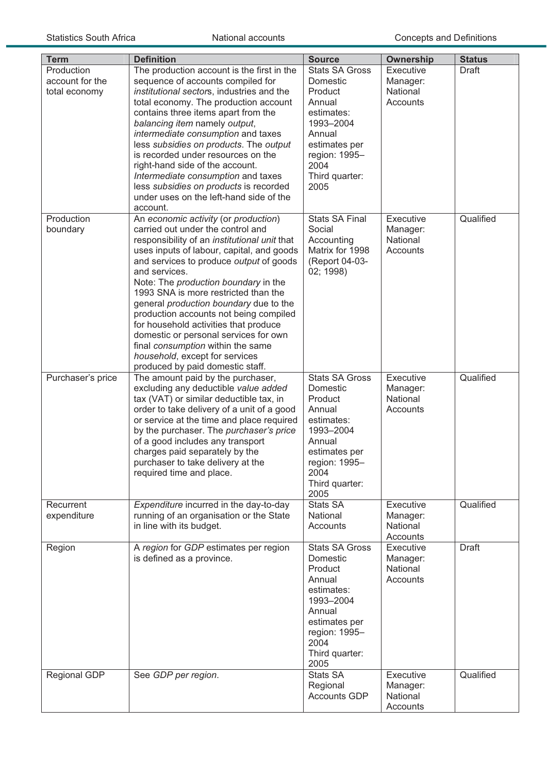| <b>Term</b>                                    | <b>Definition</b>                                                                                                                                                                                                                                                                                                                                                                                                                                                                                                                                                                                               | <b>Source</b>                                                                                                                                                   | <b>Ownership</b>                              | <b>Status</b> |
|------------------------------------------------|-----------------------------------------------------------------------------------------------------------------------------------------------------------------------------------------------------------------------------------------------------------------------------------------------------------------------------------------------------------------------------------------------------------------------------------------------------------------------------------------------------------------------------------------------------------------------------------------------------------------|-----------------------------------------------------------------------------------------------------------------------------------------------------------------|-----------------------------------------------|---------------|
| Production<br>account for the<br>total economy | The production account is the first in the<br>sequence of accounts compiled for<br>institutional sectors, industries and the<br>total economy. The production account<br>contains three items apart from the<br>balancing item namely output,<br>intermediate consumption and taxes<br>less subsidies on products. The output<br>is recorded under resources on the<br>right-hand side of the account.<br>Intermediate consumption and taxes<br>less subsidies on products is recorded<br>under uses on the left-hand side of the                                                                               | <b>Stats SA Gross</b><br>Domestic<br>Product<br>Annual<br>estimates:<br>1993-2004<br>Annual<br>estimates per<br>region: 1995-<br>2004<br>Third quarter:<br>2005 | Executive<br>Manager:<br>National<br>Accounts | Draft         |
| Production<br>boundary                         | account.<br>An economic activity (or production)<br>carried out under the control and<br>responsibility of an institutional unit that<br>uses inputs of labour, capital, and goods<br>and services to produce output of goods<br>and services.<br>Note: The production boundary in the<br>1993 SNA is more restricted than the<br>general production boundary due to the<br>production accounts not being compiled<br>for household activities that produce<br>domestic or personal services for own<br>final consumption within the same<br>household, except for services<br>produced by paid domestic staff. | <b>Stats SA Final</b><br>Social<br>Accounting<br>Matrix for 1998<br>(Report 04-03-<br>02; 1998)                                                                 | Executive<br>Manager:<br>National<br>Accounts | Qualified     |
| Purchaser's price                              | The amount paid by the purchaser,<br>excluding any deductible value added<br>tax (VAT) or similar deductible tax, in<br>order to take delivery of a unit of a good<br>or service at the time and place required<br>by the purchaser. The purchaser's price<br>of a good includes any transport<br>charges paid separately by the<br>purchaser to take delivery at the<br>required time and place.                                                                                                                                                                                                               | <b>Stats SA Gross</b><br>Domestic<br>Product<br>Annual<br>estimates:<br>1993-2004<br>Annual<br>estimates per<br>region: 1995-<br>2004<br>Third quarter:<br>2005 | Executive<br>Manager:<br>National<br>Accounts | Qualified     |
| Recurrent<br>expenditure                       | Expenditure incurred in the day-to-day<br>running of an organisation or the State<br>in line with its budget.                                                                                                                                                                                                                                                                                                                                                                                                                                                                                                   | <b>Stats SA</b><br>National<br>Accounts                                                                                                                         | Executive<br>Manager:<br>National<br>Accounts | Qualified     |
| Region                                         | A region for GDP estimates per region<br>is defined as a province.                                                                                                                                                                                                                                                                                                                                                                                                                                                                                                                                              | <b>Stats SA Gross</b><br>Domestic<br>Product<br>Annual<br>estimates:<br>1993-2004<br>Annual<br>estimates per<br>region: 1995-<br>2004<br>Third quarter:<br>2005 | Executive<br>Manager:<br>National<br>Accounts | <b>Draft</b>  |
| Regional GDP                                   | See GDP per region.                                                                                                                                                                                                                                                                                                                                                                                                                                                                                                                                                                                             | <b>Stats SA</b><br>Regional<br><b>Accounts GDP</b>                                                                                                              | Executive<br>Manager:<br>National<br>Accounts | Qualified     |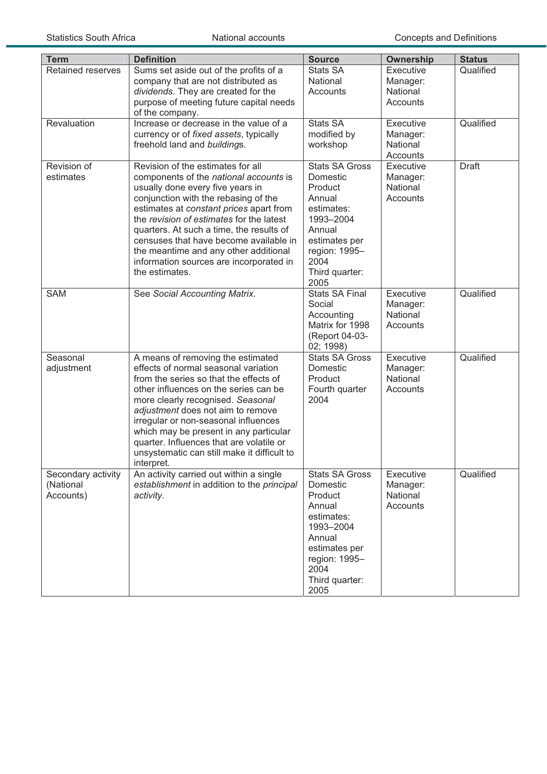| <b>Term</b>                                  | <b>Definition</b>                                                                                                                                                                                                                                                                                                                                                                                                                          | <b>Source</b>                                                                                                                                                   | <b>Ownership</b>                                     | <b>Status</b> |
|----------------------------------------------|--------------------------------------------------------------------------------------------------------------------------------------------------------------------------------------------------------------------------------------------------------------------------------------------------------------------------------------------------------------------------------------------------------------------------------------------|-----------------------------------------------------------------------------------------------------------------------------------------------------------------|------------------------------------------------------|---------------|
| Retained reserves                            | Sums set aside out of the profits of a<br>company that are not distributed as<br>dividends. They are created for the<br>purpose of meeting future capital needs<br>of the company.                                                                                                                                                                                                                                                         | <b>Stats SA</b><br>National<br>Accounts                                                                                                                         | Executive<br>Manager:<br>National<br><b>Accounts</b> | Qualified     |
| Revaluation                                  | Increase or decrease in the value of a<br>currency or of fixed assets, typically<br>freehold land and buildings.                                                                                                                                                                                                                                                                                                                           | <b>Stats SA</b><br>modified by<br>workshop                                                                                                                      | Executive<br>Manager:<br>National<br>Accounts        | Qualified     |
| Revision of<br>estimates                     | Revision of the estimates for all<br>components of the national accounts is<br>usually done every five years in<br>conjunction with the rebasing of the<br>estimates at constant prices apart from<br>the revision of estimates for the latest<br>quarters. At such a time, the results of<br>censuses that have become available in<br>the meantime and any other additional<br>information sources are incorporated in<br>the estimates. | <b>Stats SA Gross</b><br>Domestic<br>Product<br>Annual<br>estimates:<br>1993-2004<br>Annual<br>estimates per<br>region: 1995-<br>2004<br>Third quarter:<br>2005 | Executive<br>Manager:<br>National<br>Accounts        | <b>Draft</b>  |
| <b>SAM</b>                                   | See Social Accounting Matrix.                                                                                                                                                                                                                                                                                                                                                                                                              | <b>Stats SA Final</b><br>Social<br>Accounting<br>Matrix for 1998<br>(Report 04-03-<br>02; 1998)                                                                 | Executive<br>Manager:<br>National<br>Accounts        | Qualified     |
| Seasonal<br>adjustment                       | A means of removing the estimated<br>effects of normal seasonal variation<br>from the series so that the effects of<br>other influences on the series can be<br>more clearly recognised. Seasonal<br>adjustment does not aim to remove<br>irregular or non-seasonal influences<br>which may be present in any particular<br>quarter. Influences that are volatile or<br>unsystematic can still make it difficult to<br>interpret.          | <b>Stats SA Gross</b><br>Domestic<br>Product<br>Fourth quarter<br>2004                                                                                          | Executive<br>Manager:<br>National<br>Accounts        | Qualified     |
| Secondary activity<br>(National<br>Accounts) | An activity carried out within a single<br>establishment in addition to the principal<br>activity.                                                                                                                                                                                                                                                                                                                                         | <b>Stats SA Gross</b><br>Domestic<br>Product<br>Annual<br>estimates:<br>1993-2004<br>Annual<br>estimates per<br>region: 1995-<br>2004<br>Third quarter:<br>2005 | Executive<br>Manager:<br>National<br>Accounts        | Qualified     |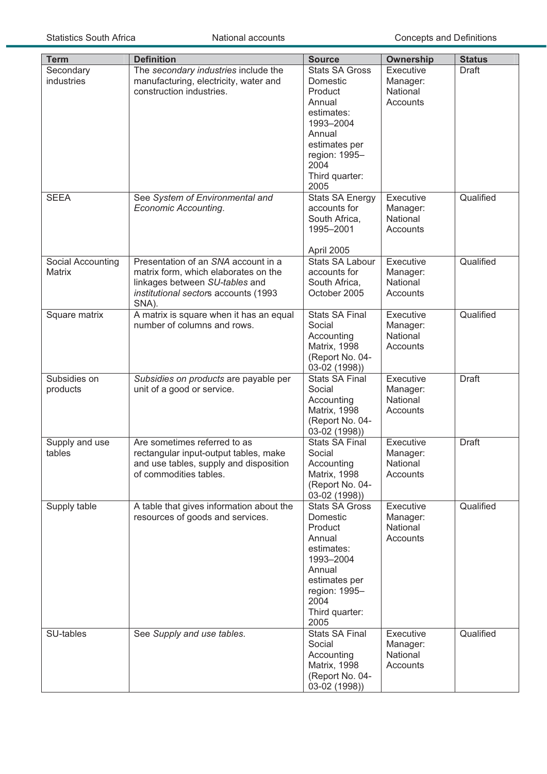| <b>Term</b>       | <b>Definition</b>                        | <b>Source</b>                          | Ownership            | <b>Status</b> |
|-------------------|------------------------------------------|----------------------------------------|----------------------|---------------|
| Secondary         | The secondary industries include the     | <b>Stats SA Gross</b>                  | Executive            | <b>Draft</b>  |
| industries        | manufacturing, electricity, water and    | <b>Domestic</b>                        | Manager:             |               |
|                   | construction industries.                 | Product                                | National             |               |
|                   |                                          | Annual                                 | Accounts             |               |
|                   |                                          | estimates:                             |                      |               |
|                   |                                          | 1993-2004                              |                      |               |
|                   |                                          | Annual                                 |                      |               |
|                   |                                          | estimates per                          |                      |               |
|                   |                                          | region: 1995-                          |                      |               |
|                   |                                          | 2004                                   |                      |               |
|                   |                                          | Third quarter:                         |                      |               |
|                   |                                          | 2005                                   |                      |               |
| <b>SEEA</b>       | See System of Environmental and          | <b>Stats SA Energy</b><br>accounts for | Executive            | Qualified     |
|                   | Economic Accounting.                     | South Africa,                          | Manager:<br>National |               |
|                   |                                          | 1995-2001                              | Accounts             |               |
|                   |                                          |                                        |                      |               |
|                   |                                          | April 2005                             |                      |               |
| Social Accounting | Presentation of an SNA account in a      | <b>Stats SA Labour</b>                 | Executive            | Qualified     |
| <b>Matrix</b>     | matrix form, which elaborates on the     | accounts for                           | Manager:             |               |
|                   | linkages between SU-tables and           | South Africa,                          | National             |               |
|                   | institutional sectors accounts (1993     | October 2005                           | Accounts             |               |
|                   | SNA).                                    |                                        |                      |               |
| Square matrix     | A matrix is square when it has an equal  | <b>Stats SA Final</b>                  | Executive            | Qualified     |
|                   | number of columns and rows.              | Social                                 | Manager:             |               |
|                   |                                          | Accounting                             | National             |               |
|                   |                                          | <b>Matrix, 1998</b>                    | Accounts             |               |
|                   |                                          | (Report No. 04-                        |                      |               |
| Subsidies on      |                                          | 03-02 (1998))                          |                      |               |
|                   | Subsidies on products are payable per    | <b>Stats SA Final</b><br>Social        | Executive            | <b>Draft</b>  |
| products          | unit of a good or service.               | Accounting                             | Manager:<br>National |               |
|                   |                                          | <b>Matrix, 1998</b>                    | Accounts             |               |
|                   |                                          | (Report No. 04-                        |                      |               |
|                   |                                          | 03-02 (1998))                          |                      |               |
| Supply and use    | Are sometimes referred to as             | <b>Stats SA Final</b>                  | Executive            | Draft         |
| tables            | rectangular input-output tables, make    | Social                                 | Manager:             |               |
|                   | and use tables, supply and disposition   | Accounting                             | National             |               |
|                   | of commodities tables.                   | <b>Matrix, 1998</b>                    | Accounts             |               |
|                   |                                          | (Report No. 04-                        |                      |               |
|                   |                                          | 03-02 (1998))                          |                      |               |
| Supply table      | A table that gives information about the | <b>Stats SA Gross</b>                  | <b>Executive</b>     | Qualified     |
|                   | resources of goods and services.         | Domestic                               | Manager:             |               |
|                   |                                          | Product                                | National             |               |
|                   |                                          | Annual                                 | Accounts             |               |
|                   |                                          | estimates:<br>1993-2004                |                      |               |
|                   |                                          | Annual                                 |                      |               |
|                   |                                          | estimates per                          |                      |               |
|                   |                                          | region: 1995-                          |                      |               |
|                   |                                          | 2004                                   |                      |               |
|                   |                                          | Third quarter:                         |                      |               |
|                   |                                          | 2005                                   |                      |               |
| SU-tables         | See Supply and use tables.               | <b>Stats SA Final</b>                  | Executive            | Qualified     |
|                   |                                          | Social                                 | Manager:             |               |
|                   |                                          | Accounting                             | National             |               |
|                   |                                          | <b>Matrix, 1998</b>                    | Accounts             |               |
|                   |                                          | (Report No. 04-                        |                      |               |
|                   |                                          | 03-02 (1998))                          |                      |               |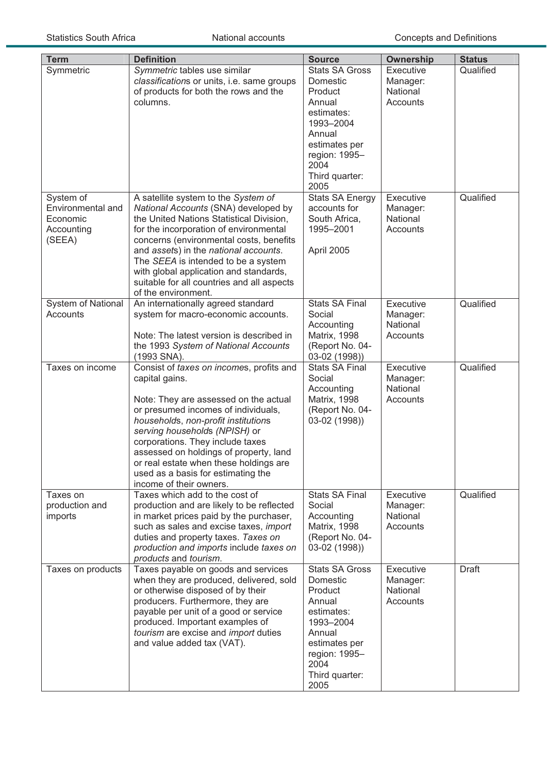| <b>Term</b>                                           | <b>Definition</b>                                                                                                                                                                                                                                                                                                                                                                                           | <b>Source</b>                                                                                                                                                                             |                                                                                |                                         |
|-------------------------------------------------------|-------------------------------------------------------------------------------------------------------------------------------------------------------------------------------------------------------------------------------------------------------------------------------------------------------------------------------------------------------------------------------------------------------------|-------------------------------------------------------------------------------------------------------------------------------------------------------------------------------------------|--------------------------------------------------------------------------------|-----------------------------------------|
| Symmetric<br>System of                                | Symmetric tables use similar<br>classifications or units, i.e. same groups<br>of products for both the rows and the<br>columns.<br>A satellite system to the System of                                                                                                                                                                                                                                      | <b>Stats SA Gross</b><br>Domestic<br>Product<br>Annual<br>estimates:<br>1993-2004<br>Annual<br>estimates per<br>region: 1995-<br>2004<br>Third quarter:<br>2005<br><b>Stats SA Energy</b> | <b>Ownership</b><br>Executive<br>Manager:<br>National<br>Accounts<br>Executive | <b>Status</b><br>Qualified<br>Qualified |
| Environmental and<br>Economic<br>Accounting<br>(SEEA) | National Accounts (SNA) developed by<br>the United Nations Statistical Division,<br>for the incorporation of environmental<br>concerns (environmental costs, benefits<br>and assets) in the national accounts.<br>The SEEA is intended to be a system<br>with global application and standards,<br>suitable for all countries and all aspects<br>of the environment.                                        | accounts for<br>South Africa,<br>1995-2001<br>April 2005                                                                                                                                  | Manager:<br>National<br>Accounts                                               |                                         |
| <b>System of National</b><br>Accounts                 | An internationally agreed standard<br>system for macro-economic accounts.<br>Note: The latest version is described in<br>the 1993 System of National Accounts<br>(1993 SNA).                                                                                                                                                                                                                                | <b>Stats SA Final</b><br>Social<br>Accounting<br>Matrix, 1998<br>(Report No. 04-<br>03-02 (1998))                                                                                         | Executive<br>Manager:<br>National<br>Accounts                                  | Qualified                               |
| Taxes on income                                       | Consist of taxes on incomes, profits and<br>capital gains.<br>Note: They are assessed on the actual<br>or presumed incomes of individuals,<br>households, non-profit institutions<br>serving households (NPISH) or<br>corporations. They include taxes<br>assessed on holdings of property, land<br>or real estate when these holdings are<br>used as a basis for estimating the<br>income of their owners. | <b>Stats SA Final</b><br>Social<br>Accounting<br>Matrix, 1998<br>(Report No. 04-<br>03-02 (1998))                                                                                         | Executive<br>Manager:<br>National<br>Accounts                                  | Qualified                               |
| Taxes on<br>production and<br>imports                 | Taxes which add to the cost of<br>production and are likely to be reflected<br>in market prices paid by the purchaser,<br>such as sales and excise taxes, import<br>duties and property taxes. Taxes on<br>production and imports include taxes on<br>products and tourism.                                                                                                                                 | <b>Stats SA Final</b><br>Social<br>Accounting<br>Matrix, 1998<br>(Report No. 04-<br>03-02 (1998))                                                                                         | Executive<br>Manager:<br>National<br>Accounts                                  | Qualified                               |
| Taxes on products                                     | Taxes payable on goods and services<br>when they are produced, delivered, sold<br>or otherwise disposed of by their<br>producers. Furthermore, they are<br>payable per unit of a good or service<br>produced. Important examples of<br>tourism are excise and import duties<br>and value added tax (VAT).                                                                                                   | Stats SA Gross<br>Domestic<br>Product<br>Annual<br>estimates:<br>1993-2004<br>Annual<br>estimates per<br>region: 1995-<br>2004<br>Third quarter:<br>2005                                  | Executive<br>Manager:<br>National<br>Accounts                                  | Draft                                   |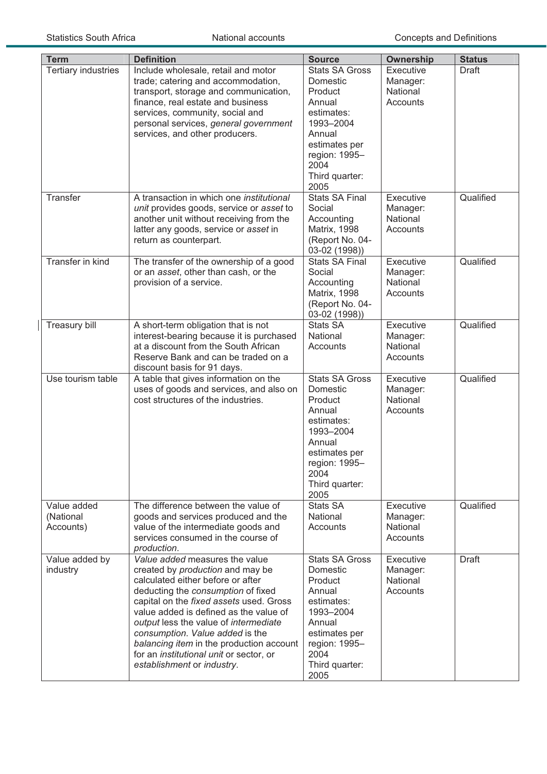| <b>Term</b>                           | <b>Definition</b>                                                                                                                                                                                                                                                                                                                                                                                                                   | <b>Source</b>                                                                                                                                                   | <b>Ownership</b>                              | <b>Status</b> |
|---------------------------------------|-------------------------------------------------------------------------------------------------------------------------------------------------------------------------------------------------------------------------------------------------------------------------------------------------------------------------------------------------------------------------------------------------------------------------------------|-----------------------------------------------------------------------------------------------------------------------------------------------------------------|-----------------------------------------------|---------------|
| <b>Tertiary industries</b>            | Include wholesale, retail and motor<br>trade; catering and accommodation,<br>transport, storage and communication,<br>finance, real estate and business<br>services, community, social and<br>personal services, general government<br>services, and other producers.                                                                                                                                                               | <b>Stats SA Gross</b><br>Domestic<br>Product<br>Annual<br>estimates:<br>1993-2004<br>Annual<br>estimates per<br>region: 1995-<br>2004<br>Third quarter:<br>2005 | Executive<br>Manager:<br>National<br>Accounts | <b>Draft</b>  |
| Transfer                              | A transaction in which one <i>institutional</i><br>unit provides goods, service or asset to<br>another unit without receiving from the<br>latter any goods, service or asset in<br>return as counterpart.                                                                                                                                                                                                                           | <b>Stats SA Final</b><br>Social<br>Accounting<br><b>Matrix, 1998</b><br>(Report No. 04-<br>03-02 (1998))                                                        | Executive<br>Manager:<br>National<br>Accounts | Qualified     |
| <b>Transfer in kind</b>               | The transfer of the ownership of a good<br>or an asset, other than cash, or the<br>provision of a service.                                                                                                                                                                                                                                                                                                                          | <b>Stats SA Final</b><br>Social<br>Accounting<br><b>Matrix, 1998</b><br>(Report No. 04-<br>03-02 (1998))                                                        | Executive<br>Manager:<br>National<br>Accounts | Qualified     |
| Treasury bill                         | A short-term obligation that is not<br>interest-bearing because it is purchased<br>at a discount from the South African<br>Reserve Bank and can be traded on a<br>discount basis for 91 days.                                                                                                                                                                                                                                       | Stats SA<br>National<br>Accounts                                                                                                                                | Executive<br>Manager:<br>National<br>Accounts | Qualified     |
| Use tourism table                     | A table that gives information on the<br>uses of goods and services, and also on<br>cost structures of the industries.                                                                                                                                                                                                                                                                                                              | <b>Stats SA Gross</b><br>Domestic<br>Product<br>Annual<br>estimates:<br>1993-2004<br>Annual<br>estimates per<br>region: 1995-<br>2004<br>Third quarter:<br>2005 | Executive<br>Manager:<br>National<br>Accounts | Qualified     |
| Value added<br>(National<br>Accounts) | The difference between the value of<br>goods and services produced and the<br>value of the intermediate goods and<br>services consumed in the course of<br>production.                                                                                                                                                                                                                                                              | <b>Stats SA</b><br>National<br>Accounts                                                                                                                         | Executive<br>Manager:<br>National<br>Accounts | Qualified     |
| Value added by<br>industry            | Value added measures the value<br>created by production and may be<br>calculated either before or after<br>deducting the consumption of fixed<br>capital on the fixed assets used. Gross<br>value added is defined as the value of<br>output less the value of intermediate<br>consumption. Value added is the<br>balancing item in the production account<br>for an institutional unit or sector, or<br>establishment or industry. | <b>Stats SA Gross</b><br>Domestic<br>Product<br>Annual<br>estimates:<br>1993-2004<br>Annual<br>estimates per<br>region: 1995-<br>2004<br>Third quarter:<br>2005 | Executive<br>Manager:<br>National<br>Accounts | Draft         |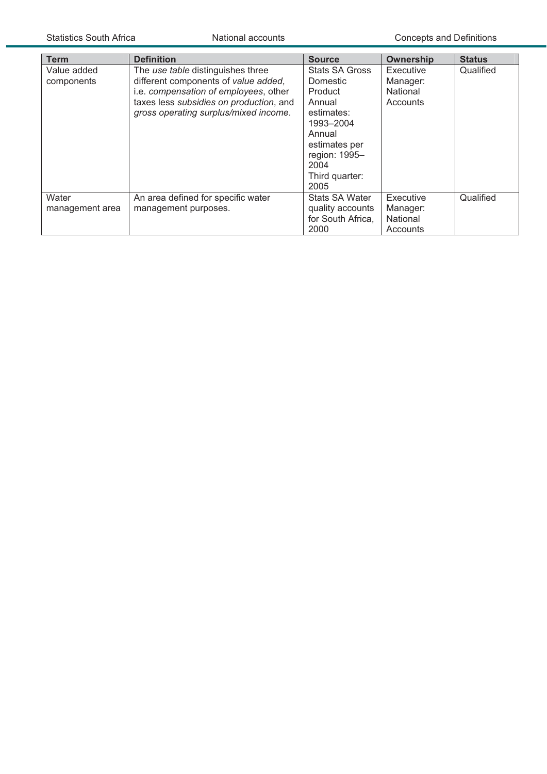| Term                      | <b>Definition</b>                                                                                                                                                                                      | <b>Source</b>                                                                                                                                                   | <b>Ownership</b>                              | <b>Status</b> |
|---------------------------|--------------------------------------------------------------------------------------------------------------------------------------------------------------------------------------------------------|-----------------------------------------------------------------------------------------------------------------------------------------------------------------|-----------------------------------------------|---------------|
| Value added<br>components | The use table distinguishes three<br>different components of value added,<br>i.e. compensation of employees, other<br>taxes less subsidies on production, and<br>gross operating surplus/mixed income. | <b>Stats SA Gross</b><br>Domestic<br>Product<br>Annual<br>estimates:<br>1993-2004<br>Annual<br>estimates per<br>region: 1995-<br>2004<br>Third quarter:<br>2005 | Executive<br>Manager:<br>National<br>Accounts | Qualified     |
| Water<br>management area  | An area defined for specific water<br>management purposes.                                                                                                                                             | <b>Stats SA Water</b><br>quality accounts<br>for South Africa,<br>2000                                                                                          | Executive<br>Manager:<br>National<br>Accounts | Qualified     |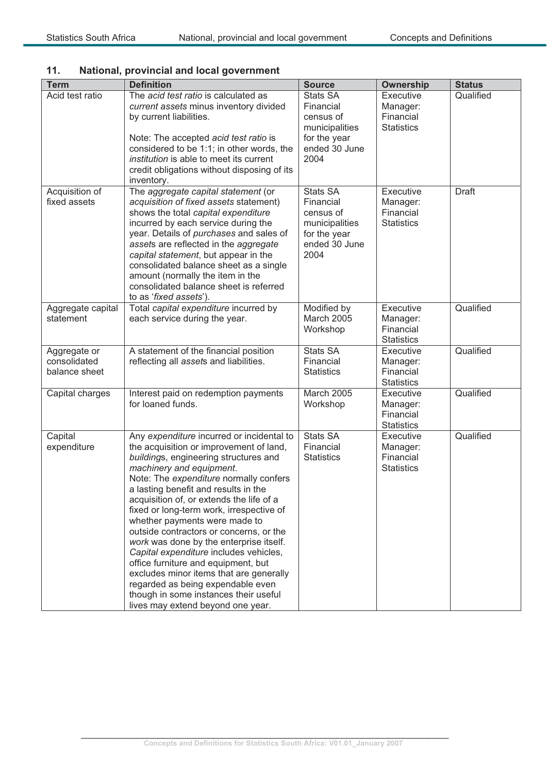## **11. National, provincial and local government**

| <b>Term</b>                                   | <b>Definition</b>                                                                                                                                                                                                                                                                                                                                                                                                                                                                                                                                                                                                                                                                                         | <b>Source</b>                                                                                 | <b>Ownership</b>                                        | <b>Status</b> |
|-----------------------------------------------|-----------------------------------------------------------------------------------------------------------------------------------------------------------------------------------------------------------------------------------------------------------------------------------------------------------------------------------------------------------------------------------------------------------------------------------------------------------------------------------------------------------------------------------------------------------------------------------------------------------------------------------------------------------------------------------------------------------|-----------------------------------------------------------------------------------------------|---------------------------------------------------------|---------------|
| Acid test ratio                               | The acid test ratio is calculated as<br>current assets minus inventory divided<br>by current liabilities.<br>Note: The accepted acid test ratio is<br>considered to be 1:1; in other words, the<br>institution is able to meet its current<br>credit obligations without disposing of its<br>inventory.                                                                                                                                                                                                                                                                                                                                                                                                   | Stats SA<br>Financial<br>census of<br>municipalities<br>for the year<br>ended 30 June<br>2004 | Executive<br>Manager:<br>Financial<br><b>Statistics</b> | Qualified     |
| Acquisition of<br>fixed assets                | The aggregate capital statement (or<br>acquisition of fixed assets statement)<br>shows the total capital expenditure<br>incurred by each service during the<br>year. Details of purchases and sales of<br>assets are reflected in the aggregate<br>capital statement, but appear in the<br>consolidated balance sheet as a single<br>amount (normally the item in the<br>consolidated balance sheet is referred<br>to as 'fixed assets').                                                                                                                                                                                                                                                                 | Stats SA<br>Financial<br>census of<br>municipalities<br>for the year<br>ended 30 June<br>2004 | Executive<br>Manager:<br>Financial<br><b>Statistics</b> | <b>Draft</b>  |
| Aggregate capital<br>statement                | Total capital expenditure incurred by<br>each service during the year.                                                                                                                                                                                                                                                                                                                                                                                                                                                                                                                                                                                                                                    | Modified by<br><b>March 2005</b><br>Workshop                                                  | Executive<br>Manager:<br>Financial<br><b>Statistics</b> | Qualified     |
| Aggregate or<br>consolidated<br>balance sheet | A statement of the financial position<br>reflecting all assets and liabilities.                                                                                                                                                                                                                                                                                                                                                                                                                                                                                                                                                                                                                           | Stats SA<br>Financial<br><b>Statistics</b>                                                    | Executive<br>Manager:<br>Financial<br><b>Statistics</b> | Qualified     |
| Capital charges                               | Interest paid on redemption payments<br>for loaned funds.                                                                                                                                                                                                                                                                                                                                                                                                                                                                                                                                                                                                                                                 | March 2005<br>Workshop                                                                        | Executive<br>Manager:<br>Financial<br><b>Statistics</b> | Qualified     |
| Capital<br>expenditure                        | Any expenditure incurred or incidental to<br>the acquisition or improvement of land,<br>buildings, engineering structures and<br>machinery and equipment.<br>Note: The expenditure normally confers<br>a lasting benefit and results in the<br>acquisition of, or extends the life of a<br>fixed or long-term work, irrespective of<br>whether payments were made to<br>outside contractors or concerns, or the<br>work was done by the enterprise itself.<br>Capital expenditure includes vehicles,<br>office furniture and equipment, but<br>excludes minor items that are generally<br>regarded as being expendable even<br>though in some instances their useful<br>lives may extend beyond one year. | <b>Stats SA</b><br>Financial<br><b>Statistics</b>                                             | Executive<br>Manager:<br>Financial<br><b>Statistics</b> | Qualified     |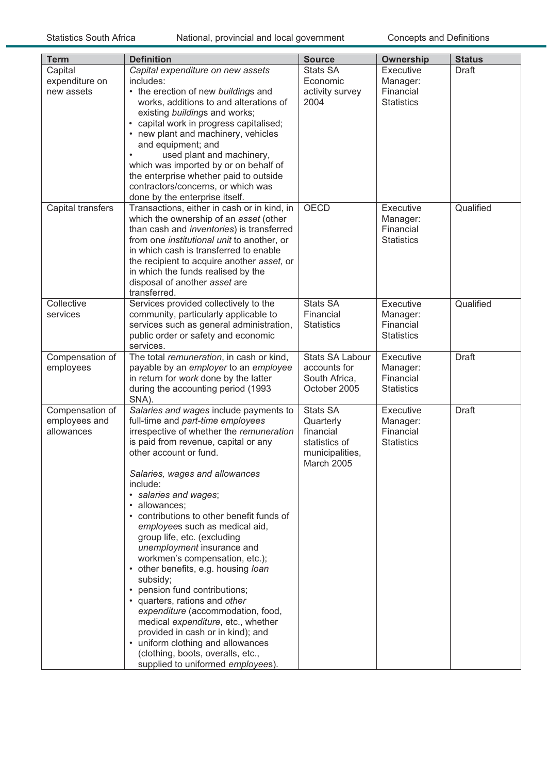| <b>Term</b>                                    | <b>Definition</b>                                                                                                                                                                                                                                                                                                                                                                                                                                                                                                                                                                                                                                                                                                                                                                                                   | <b>Source</b>                                                                               | <b>Ownership</b>                                        | <b>Status</b> |
|------------------------------------------------|---------------------------------------------------------------------------------------------------------------------------------------------------------------------------------------------------------------------------------------------------------------------------------------------------------------------------------------------------------------------------------------------------------------------------------------------------------------------------------------------------------------------------------------------------------------------------------------------------------------------------------------------------------------------------------------------------------------------------------------------------------------------------------------------------------------------|---------------------------------------------------------------------------------------------|---------------------------------------------------------|---------------|
| Capital<br>expenditure on<br>new assets        | Capital expenditure on new assets<br>includes:<br>• the erection of new buildings and<br>works, additions to and alterations of<br>existing buildings and works;<br>• capital work in progress capitalised;<br>• new plant and machinery, vehicles<br>and equipment; and<br>used plant and machinery,<br>which was imported by or on behalf of<br>the enterprise whether paid to outside<br>contractors/concerns, or which was<br>done by the enterprise itself.                                                                                                                                                                                                                                                                                                                                                    | <b>Stats SA</b><br>Economic<br>activity survey<br>2004                                      | Executive<br>Manager:<br>Financial<br><b>Statistics</b> | Draft         |
| Capital transfers                              | Transactions, either in cash or in kind, in<br>which the ownership of an asset (other<br>than cash and inventories) is transferred<br>from one <i>institutional unit</i> to another, or<br>in which cash is transferred to enable<br>the recipient to acquire another asset, or<br>in which the funds realised by the<br>disposal of another asset are<br>transferred.                                                                                                                                                                                                                                                                                                                                                                                                                                              | OECD                                                                                        | Executive<br>Manager:<br>Financial<br><b>Statistics</b> | Qualified     |
| Collective<br>services                         | Services provided collectively to the<br>community, particularly applicable to<br>services such as general administration,<br>public order or safety and economic<br>services.                                                                                                                                                                                                                                                                                                                                                                                                                                                                                                                                                                                                                                      | Stats SA<br>Financial<br><b>Statistics</b>                                                  | Executive<br>Manager:<br>Financial<br><b>Statistics</b> | Qualified     |
| Compensation of<br>employees                   | The total remuneration, in cash or kind,<br>payable by an employer to an employee<br>in return for work done by the latter<br>during the accounting period (1993<br>SNA).                                                                                                                                                                                                                                                                                                                                                                                                                                                                                                                                                                                                                                           | <b>Stats SA Labour</b><br>accounts for<br>South Africa,<br>October 2005                     | Executive<br>Manager:<br>Financial<br><b>Statistics</b> | <b>Draft</b>  |
| Compensation of<br>employees and<br>allowances | Salaries and wages include payments to<br>full-time and part-time employees<br>irrespective of whether the remuneration<br>is paid from revenue, capital or any<br>other account or fund.<br>Salaries, wages and allowances<br>include:<br>· salaries and wages;<br>· allowances;<br>• contributions to other benefit funds of<br>employees such as medical aid,<br>group life, etc. (excluding<br>unemployment insurance and<br>workmen's compensation, etc.);<br>• other benefits, e.g. housing loan<br>subsidy;<br>• pension fund contributions;<br>• quarters, rations and other<br>expenditure (accommodation, food,<br>medical expenditure, etc., whether<br>provided in cash or in kind); and<br>• uniform clothing and allowances<br>(clothing, boots, overalls, etc.,<br>supplied to uniformed employees). | <b>Stats SA</b><br>Quarterly<br>financial<br>statistics of<br>municipalities,<br>March 2005 | Executive<br>Manager:<br>Financial<br><b>Statistics</b> | <b>Draft</b>  |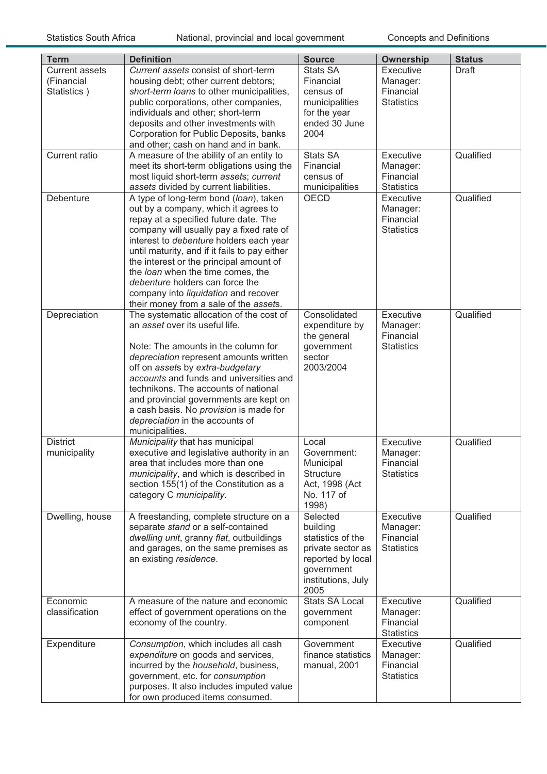| <b>Term</b>                                        | <b>Definition</b>                                                                                                                                                                                                                                                                                                                                                                                                                                                    | <b>Source</b>                                                                                                                   | <b>Ownership</b>                                        | <b>Status</b> |
|----------------------------------------------------|----------------------------------------------------------------------------------------------------------------------------------------------------------------------------------------------------------------------------------------------------------------------------------------------------------------------------------------------------------------------------------------------------------------------------------------------------------------------|---------------------------------------------------------------------------------------------------------------------------------|---------------------------------------------------------|---------------|
| <b>Current assets</b><br>(Financial<br>Statistics) | Current assets consist of short-term<br>housing debt; other current debtors;<br>short-term loans to other municipalities,<br>public corporations, other companies,<br>individuals and other; short-term<br>deposits and other investments with<br>Corporation for Public Deposits, banks<br>and other; cash on hand and in bank.                                                                                                                                     | Stats SA<br>Financial<br>census of<br>municipalities<br>for the year<br>ended 30 June<br>2004                                   | Executive<br>Manager:<br>Financial<br><b>Statistics</b> | Draft         |
| <b>Current ratio</b>                               | A measure of the ability of an entity to<br>meet its short-term obligations using the<br>most liquid short-term assets; current<br>assets divided by current liabilities.                                                                                                                                                                                                                                                                                            | Stats SA<br>Financial<br>census of<br>municipalities                                                                            | Executive<br>Manager:<br>Financial<br><b>Statistics</b> | Qualified     |
| Debenture                                          | A type of long-term bond (loan), taken<br>out by a company, which it agrees to<br>repay at a specified future date. The<br>company will usually pay a fixed rate of<br>interest to debenture holders each year<br>until maturity, and if it fails to pay either<br>the interest or the principal amount of<br>the loan when the time comes, the<br>debenture holders can force the<br>company into liquidation and recover<br>their money from a sale of the assets. | <b>OECD</b>                                                                                                                     | Executive<br>Manager:<br>Financial<br><b>Statistics</b> | Qualified     |
| Depreciation                                       | The systematic allocation of the cost of<br>an asset over its useful life.<br>Note: The amounts in the column for<br>depreciation represent amounts written<br>off on assets by extra-budgetary<br>accounts and funds and universities and<br>technikons. The accounts of national<br>and provincial governments are kept on<br>a cash basis. No provision is made for<br>depreciation in the accounts of<br>municipalities.                                         | Consolidated<br>expenditure by<br>the general<br>government<br>sector<br>2003/2004                                              | Executive<br>Manager:<br>Financial<br><b>Statistics</b> | Qualified     |
| <b>District</b><br>municipality                    | Municipality that has municipal<br>executive and legislative authority in an<br>area that includes more than one<br>municipality, and which is described in<br>section 155(1) of the Constitution as a<br>category C municipality.                                                                                                                                                                                                                                   | Local<br>Government:<br>Municipal<br><b>Structure</b><br>Act, 1998 (Act<br>No. 117 of<br>1998)                                  | Executive<br>Manager:<br>Financial<br><b>Statistics</b> | Qualified     |
| Dwelling, house                                    | A freestanding, complete structure on a<br>separate stand or a self-contained<br>dwelling unit, granny flat, outbuildings<br>and garages, on the same premises as<br>an existing residence.                                                                                                                                                                                                                                                                          | Selected<br>building<br>statistics of the<br>private sector as<br>reported by local<br>government<br>institutions, July<br>2005 | Executive<br>Manager:<br>Financial<br><b>Statistics</b> | Qualified     |
| Economic<br>classification                         | A measure of the nature and economic<br>effect of government operations on the<br>economy of the country.                                                                                                                                                                                                                                                                                                                                                            | <b>Stats SA Local</b><br>government<br>component                                                                                | Executive<br>Manager:<br>Financial<br><b>Statistics</b> | Qualified     |
| Expenditure                                        | Consumption, which includes all cash<br>expenditure on goods and services,<br>incurred by the household, business,<br>government, etc. for consumption<br>purposes. It also includes imputed value<br>for own produced items consumed.                                                                                                                                                                                                                               | Government<br>finance statistics<br>manual, 2001                                                                                | Executive<br>Manager:<br>Financial<br><b>Statistics</b> | Qualified     |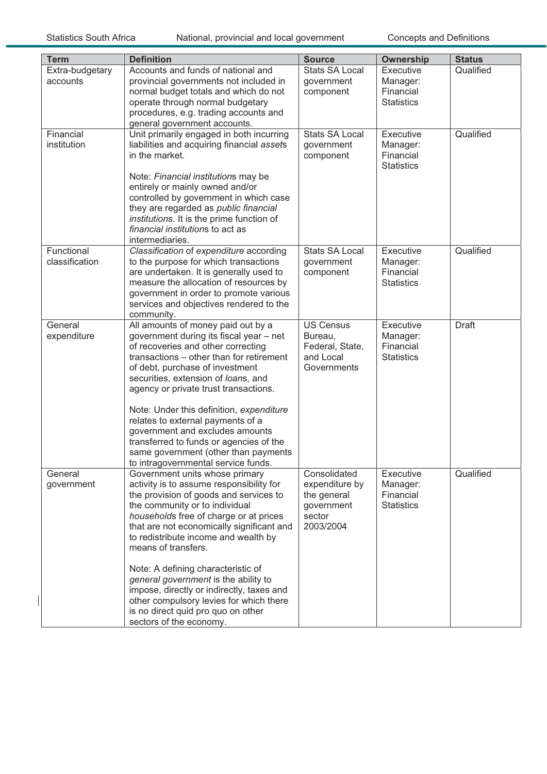$\overline{\phantom{a}}$ 

| <b>Term</b>     | <b>Definition</b>                                                               | <b>Source</b>                | <b>Ownership</b>               | <b>Status</b> |
|-----------------|---------------------------------------------------------------------------------|------------------------------|--------------------------------|---------------|
| Extra-budgetary | Accounts and funds of national and                                              | <b>Stats SA Local</b>        | Executive                      | Qualified     |
| accounts        | provincial governments not included in                                          | government                   | Manager:                       |               |
|                 | normal budget totals and which do not                                           | component                    | Financial                      |               |
|                 | operate through normal budgetary                                                |                              | <b>Statistics</b>              |               |
|                 | procedures, e.g. trading accounts and                                           |                              |                                |               |
|                 | general government accounts.                                                    |                              |                                |               |
| Financial       | Unit primarily engaged in both incurring                                        | <b>Stats SA Local</b>        | Executive                      | Qualified     |
| institution     | liabilities and acquiring financial assets                                      | government                   | Manager:                       |               |
|                 | in the market.                                                                  | component                    | Financial                      |               |
|                 |                                                                                 |                              | <b>Statistics</b>              |               |
|                 | Note: Financial institutions may be                                             |                              |                                |               |
|                 | entirely or mainly owned and/or                                                 |                              |                                |               |
|                 | controlled by government in which case<br>they are regarded as public financial |                              |                                |               |
|                 | institutions. It is the prime function of                                       |                              |                                |               |
|                 | financial institutions to act as                                                |                              |                                |               |
|                 | intermediaries.                                                                 |                              |                                |               |
| Functional      | Classification of expenditure according                                         | <b>Stats SA Local</b>        | Executive                      | Qualified     |
| classification  | to the purpose for which transactions                                           | government                   | Manager:                       |               |
|                 | are undertaken. It is generally used to                                         | component                    | Financial                      |               |
|                 | measure the allocation of resources by                                          |                              | <b>Statistics</b>              |               |
|                 | government in order to promote various                                          |                              |                                |               |
|                 | services and objectives rendered to the                                         |                              |                                |               |
|                 | community.                                                                      |                              |                                |               |
| General         | All amounts of money paid out by a                                              | <b>US Census</b>             | Executive                      | <b>Draft</b>  |
| expenditure     | government during its fiscal year - net                                         | Bureau,                      | Manager:                       |               |
|                 | of recoveries and other correcting<br>transactions - other than for retirement  | Federal, State,<br>and Local | Financial<br><b>Statistics</b> |               |
|                 | of debt, purchase of investment                                                 | Governments                  |                                |               |
|                 | securities, extension of loans, and                                             |                              |                                |               |
|                 | agency or private trust transactions.                                           |                              |                                |               |
|                 |                                                                                 |                              |                                |               |
|                 | Note: Under this definition, expenditure                                        |                              |                                |               |
|                 | relates to external payments of a                                               |                              |                                |               |
|                 | government and excludes amounts                                                 |                              |                                |               |
|                 | transferred to funds or agencies of the                                         |                              |                                |               |
|                 | same government (other than payments                                            |                              |                                |               |
|                 | to intragovernmental service funds.                                             |                              |                                |               |
| General         | Government units whose primary                                                  | Consolidated                 | Executive                      | Qualified     |
| government      | activity is to assume responsibility for                                        | expenditure by               | Manager:<br>Financial          |               |
|                 | the provision of goods and services to<br>the community or to individual        | the general                  | <b>Statistics</b>              |               |
|                 | households free of charge or at prices                                          | government<br>sector         |                                |               |
|                 | that are not economically significant and                                       | 2003/2004                    |                                |               |
|                 | to redistribute income and wealth by                                            |                              |                                |               |
|                 | means of transfers.                                                             |                              |                                |               |
|                 |                                                                                 |                              |                                |               |
|                 | Note: A defining characteristic of                                              |                              |                                |               |
|                 | general government is the ability to                                            |                              |                                |               |
|                 | impose, directly or indirectly, taxes and                                       |                              |                                |               |
|                 | other compulsory levies for which there                                         |                              |                                |               |
|                 | is no direct quid pro quo on other                                              |                              |                                |               |
|                 | sectors of the economy.                                                         |                              |                                |               |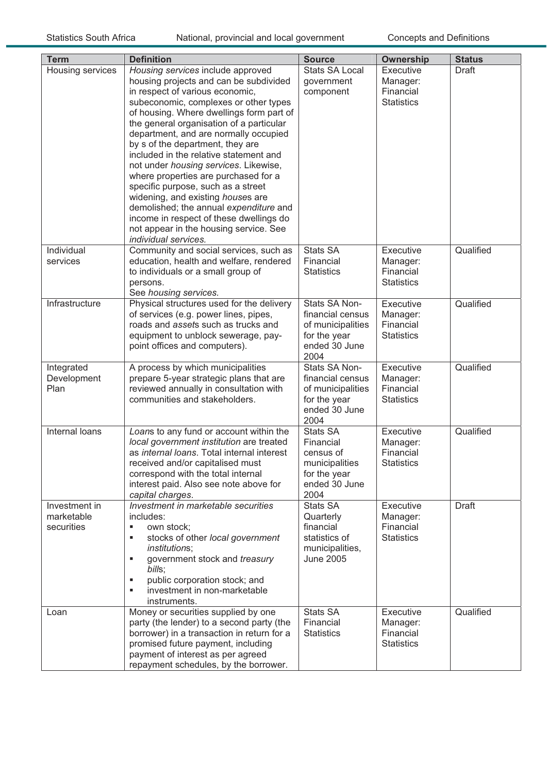| <b>Term</b>                               | <b>Definition</b>                                                                                                                                                                                                                                                                                                                                                                                                                                                                                                                                                                                                                                                                         | <b>Source</b>                                                                                        | <b>Ownership</b>                                        | <b>Status</b> |
|-------------------------------------------|-------------------------------------------------------------------------------------------------------------------------------------------------------------------------------------------------------------------------------------------------------------------------------------------------------------------------------------------------------------------------------------------------------------------------------------------------------------------------------------------------------------------------------------------------------------------------------------------------------------------------------------------------------------------------------------------|------------------------------------------------------------------------------------------------------|---------------------------------------------------------|---------------|
| Housing services                          | Housing services include approved<br>housing projects and can be subdivided<br>in respect of various economic,<br>subeconomic, complexes or other types<br>of housing. Where dwellings form part of<br>the general organisation of a particular<br>department, and are normally occupied<br>by s of the department, they are<br>included in the relative statement and<br>not under housing services. Likewise,<br>where properties are purchased for a<br>specific purpose, such as a street<br>widening, and existing houses are<br>demolished; the annual expenditure and<br>income in respect of these dwellings do<br>not appear in the housing service. See<br>individual services. | <b>Stats SA Local</b><br>government<br>component                                                     | Executive<br>Manager:<br>Financial<br><b>Statistics</b> | <b>Draft</b>  |
| Individual<br>services                    | Community and social services, such as<br>education, health and welfare, rendered<br>to individuals or a small group of<br>persons.<br>See housing services.                                                                                                                                                                                                                                                                                                                                                                                                                                                                                                                              | <b>Stats SA</b><br>Financial<br><b>Statistics</b>                                                    | Executive<br>Manager:<br>Financial<br><b>Statistics</b> | Qualified     |
| Infrastructure                            | Physical structures used for the delivery<br>of services (e.g. power lines, pipes,<br>roads and assets such as trucks and<br>equipment to unblock sewerage, pay-<br>point offices and computers).                                                                                                                                                                                                                                                                                                                                                                                                                                                                                         | Stats SA Non-<br>financial census<br>of municipalities<br>for the year<br>ended 30 June<br>2004      | Executive<br>Manager:<br>Financial<br><b>Statistics</b> | Qualified     |
| Integrated<br>Development<br>Plan         | A process by which municipalities<br>prepare 5-year strategic plans that are<br>reviewed annually in consultation with<br>communities and stakeholders.                                                                                                                                                                                                                                                                                                                                                                                                                                                                                                                                   | Stats SA Non-<br>financial census<br>of municipalities<br>for the year<br>ended 30 June<br>2004      | Executive<br>Manager:<br>Financial<br><b>Statistics</b> | Qualified     |
| <b>Internal loans</b>                     | Loans to any fund or account within the<br>local government institution are treated<br>as internal loans. Total internal interest<br>received and/or capitalised must<br>correspond with the total internal<br>interest paid. Also see note above for<br>capital charges.                                                                                                                                                                                                                                                                                                                                                                                                                 | <b>Stats SA</b><br>Financial<br>census of<br>municipalities<br>for the year<br>ended 30 June<br>2004 | Executive<br>Manager:<br>Financial<br><b>Statistics</b> | Qualified     |
| Investment in<br>marketable<br>securities | Investment in marketable securities<br>includes:<br>٠<br>own stock;<br>stocks of other local government<br>٠<br><i>institutions;</i><br>government stock and treasury<br>٠<br>bills;<br>public corporation stock; and<br>٠<br>investment in non-marketable<br>٠<br>instruments.                                                                                                                                                                                                                                                                                                                                                                                                           | <b>Stats SA</b><br>Quarterly<br>financial<br>statistics of<br>municipalities,<br><b>June 2005</b>    | Executive<br>Manager:<br>Financial<br><b>Statistics</b> | <b>Draft</b>  |
| Loan                                      | Money or securities supplied by one<br>party (the lender) to a second party (the<br>borrower) in a transaction in return for a<br>promised future payment, including<br>payment of interest as per agreed<br>repayment schedules, by the borrower.                                                                                                                                                                                                                                                                                                                                                                                                                                        | Stats SA<br>Financial<br><b>Statistics</b>                                                           | Executive<br>Manager:<br>Financial<br><b>Statistics</b> | Qualified     |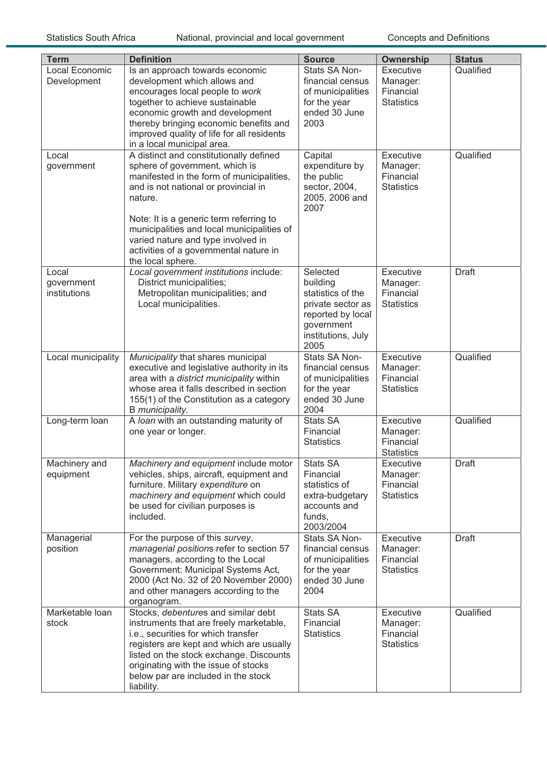| <b>Term</b>                         | <b>Definition</b>                                                                                                                                                                                                                                                                                                                                                       | <b>Source</b>                                                                                                                   | <b>Ownership</b>                                        | <b>Status</b> |
|-------------------------------------|-------------------------------------------------------------------------------------------------------------------------------------------------------------------------------------------------------------------------------------------------------------------------------------------------------------------------------------------------------------------------|---------------------------------------------------------------------------------------------------------------------------------|---------------------------------------------------------|---------------|
| Local Economic<br>Development       | Is an approach towards economic<br>development which allows and<br>encourages local people to work<br>together to achieve sustainable<br>economic growth and development<br>thereby bringing economic benefits and<br>improved quality of life for all residents<br>in a local municipal area.                                                                          | Stats SA Non-<br>financial census<br>of municipalities<br>for the year<br>ended 30 June<br>2003                                 | Executive<br>Manager:<br>Financial<br><b>Statistics</b> | Qualified     |
| Local<br>government                 | A distinct and constitutionally defined<br>sphere of government, which is<br>manifested in the form of municipalities,<br>and is not national or provincial in<br>nature.<br>Note: It is a generic term referring to<br>municipalities and local municipalities of<br>varied nature and type involved in<br>activities of a governmental nature in<br>the local sphere. | Capital<br>expenditure by<br>the public<br>sector, 2004,<br>2005, 2006 and<br>2007                                              | Executive<br>Manager:<br>Financial<br><b>Statistics</b> | Qualified     |
| Local<br>government<br>institutions | Local government institutions include:<br>District municipalities;<br>Metropolitan municipalities; and<br>Local municipalities.                                                                                                                                                                                                                                         | Selected<br>building<br>statistics of the<br>private sector as<br>reported by local<br>government<br>institutions, July<br>2005 | Executive<br>Manager:<br>Financial<br><b>Statistics</b> | <b>Draft</b>  |
| Local municipality                  | Municipality that shares municipal<br>executive and legislative authority in its<br>area with a district municipality within<br>whose area it falls described in section<br>155(1) of the Constitution as a category<br>B municipality.                                                                                                                                 | Stats SA Non-<br>financial census<br>of municipalities<br>for the year<br>ended 30 June<br>2004                                 | Executive<br>Manager:<br>Financial<br><b>Statistics</b> | Qualified     |
| Long-term loan                      | A loan with an outstanding maturity of<br>one year or longer.                                                                                                                                                                                                                                                                                                           | <b>Stats SA</b><br>Financial<br><b>Statistics</b>                                                                               | Executive<br>Manager:<br>Financial<br><b>Statistics</b> | Qualified     |
| Machinery and<br>equipment          | Machinery and equipment include motor<br>vehicles, ships, aircraft, equipment and<br>furniture. Military expenditure on<br>machinery and equipment which could<br>be used for civilian purposes is<br>included.                                                                                                                                                         | Stats SA<br>Financial<br>statistics of<br>extra-budgetary<br>accounts and<br>funds,<br>2003/2004                                | Executive<br>Manager:<br>Financial<br><b>Statistics</b> | <b>Draft</b>  |
| Managerial<br>position              | For the purpose of this survey,<br>managerial positions refer to section 57<br>managers, according to the Local<br>Government: Municipal Systems Act,<br>2000 (Act No. 32 of 20 November 2000)<br>and other managers according to the<br>organogram.                                                                                                                    | Stats SA Non-<br>financial census<br>of municipalities<br>for the year<br>ended 30 June<br>2004                                 | Executive<br>Manager:<br>Financial<br><b>Statistics</b> | <b>Draft</b>  |
| Marketable loan<br>stock            | Stocks, debentures and similar debt<br>instruments that are freely marketable,<br>i.e., securities for which transfer<br>registers are kept and which are usually<br>listed on the stock exchange. Discounts<br>originating with the issue of stocks<br>below par are included in the stock<br>liability.                                                               | Stats SA<br>Financial<br><b>Statistics</b>                                                                                      | Executive<br>Manager:<br>Financial<br><b>Statistics</b> | Qualified     |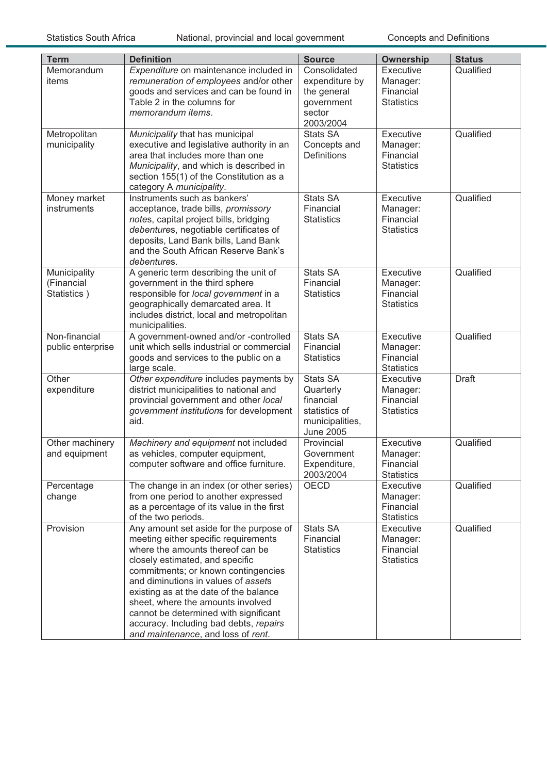| <b>Term</b>                               | <b>Definition</b>                                                                                                                                                                                                                                                                                                                                                                                                                            | <b>Source</b>                                                                                     | <b>Ownership</b>                                        | <b>Status</b> |
|-------------------------------------------|----------------------------------------------------------------------------------------------------------------------------------------------------------------------------------------------------------------------------------------------------------------------------------------------------------------------------------------------------------------------------------------------------------------------------------------------|---------------------------------------------------------------------------------------------------|---------------------------------------------------------|---------------|
| Memorandum<br>items                       | Expenditure on maintenance included in<br>remuneration of employees and/or other<br>goods and services and can be found in<br>Table 2 in the columns for<br>memorandum items.                                                                                                                                                                                                                                                                | Consolidated<br>expenditure by<br>the general<br>government<br>sector<br>2003/2004                | Executive<br>Manager:<br>Financial<br><b>Statistics</b> | Qualified     |
| Metropolitan<br>municipality              | Municipality that has municipal<br>executive and legislative authority in an<br>area that includes more than one<br>Municipality, and which is described in<br>section 155(1) of the Constitution as a<br>category A municipality.                                                                                                                                                                                                           | <b>Stats SA</b><br>Concepts and<br><b>Definitions</b>                                             | Executive<br>Manager:<br>Financial<br><b>Statistics</b> | Qualified     |
| Money market<br>instruments               | Instruments such as bankers'<br>acceptance, trade bills, promissory<br>notes, capital project bills, bridging<br>debentures, negotiable certificates of<br>deposits, Land Bank bills, Land Bank<br>and the South African Reserve Bank's<br>debentures.                                                                                                                                                                                       | <b>Stats SA</b><br>Financial<br><b>Statistics</b>                                                 | Executive<br>Manager:<br>Financial<br><b>Statistics</b> | Qualified     |
| Municipality<br>(Financial<br>Statistics) | A generic term describing the unit of<br>government in the third sphere<br>responsible for local government in a<br>geographically demarcated area. It<br>includes district, local and metropolitan<br>municipalities.                                                                                                                                                                                                                       | <b>Stats SA</b><br>Financial<br><b>Statistics</b>                                                 | Executive<br>Manager:<br>Financial<br><b>Statistics</b> | Qualified     |
| Non-financial<br>public enterprise        | A government-owned and/or -controlled<br>unit which sells industrial or commercial<br>goods and services to the public on a<br>large scale.                                                                                                                                                                                                                                                                                                  | <b>Stats SA</b><br>Financial<br><b>Statistics</b>                                                 | Executive<br>Manager:<br>Financial<br><b>Statistics</b> | Qualified     |
| Other<br>expenditure                      | Other expenditure includes payments by<br>district municipalities to national and<br>provincial government and other local<br>government institutions for development<br>aid.                                                                                                                                                                                                                                                                | <b>Stats SA</b><br>Quarterly<br>financial<br>statistics of<br>municipalities,<br><b>June 2005</b> | Executive<br>Manager:<br>Financial<br><b>Statistics</b> | <b>Draft</b>  |
| Other machinery<br>and equipment          | Machinery and equipment not included<br>as vehicles, computer equipment,<br>computer software and office furniture.                                                                                                                                                                                                                                                                                                                          | Provincial<br>Government<br>Expenditure,<br>2003/2004                                             | Executive<br>Manager:<br>Financial<br><b>Statistics</b> | Qualified     |
| Percentage<br>change                      | The change in an index (or other series)<br>from one period to another expressed<br>as a percentage of its value in the first<br>of the two periods.                                                                                                                                                                                                                                                                                         | OECD                                                                                              | Executive<br>Manager:<br>Financial<br><b>Statistics</b> | Qualified     |
| Provision                                 | Any amount set aside for the purpose of<br>meeting either specific requirements<br>where the amounts thereof can be<br>closely estimated, and specific<br>commitments; or known contingencies<br>and diminutions in values of assets<br>existing as at the date of the balance<br>sheet, where the amounts involved<br>cannot be determined with significant<br>accuracy. Including bad debts, repairs<br>and maintenance, and loss of rent. | Stats SA<br>Financial<br><b>Statistics</b>                                                        | Executive<br>Manager:<br>Financial<br><b>Statistics</b> | Qualified     |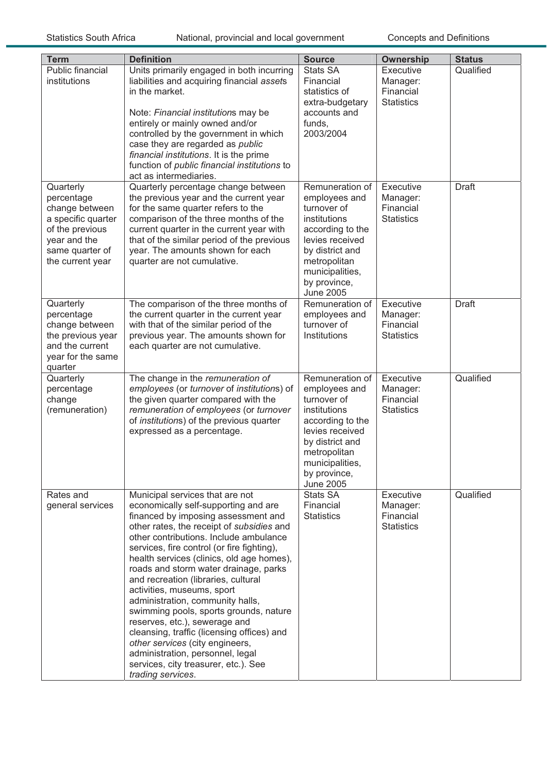| <b>Term</b>                                                                                                                               | <b>Definition</b>                                                                                                                                                                                                                                                                                                                                                                                                                                                                                                                                                                                                                                                                                               | <b>Source</b>                                                                                                                                                                                    | <b>Ownership</b>                                        | <b>Status</b> |
|-------------------------------------------------------------------------------------------------------------------------------------------|-----------------------------------------------------------------------------------------------------------------------------------------------------------------------------------------------------------------------------------------------------------------------------------------------------------------------------------------------------------------------------------------------------------------------------------------------------------------------------------------------------------------------------------------------------------------------------------------------------------------------------------------------------------------------------------------------------------------|--------------------------------------------------------------------------------------------------------------------------------------------------------------------------------------------------|---------------------------------------------------------|---------------|
| Public financial<br>institutions                                                                                                          | Units primarily engaged in both incurring<br>liabilities and acquiring financial assets<br>in the market.<br>Note: Financial institutions may be<br>entirely or mainly owned and/or<br>controlled by the government in which<br>case they are regarded as public<br>financial institutions. It is the prime<br>function of public financial institutions to<br>act as intermediaries.                                                                                                                                                                                                                                                                                                                           | Stats SA<br>Financial<br>statistics of<br>extra-budgetary<br>accounts and<br>funds,<br>2003/2004                                                                                                 | Executive<br>Manager:<br>Financial<br><b>Statistics</b> | Qualified     |
| Quarterly<br>percentage<br>change between<br>a specific quarter<br>of the previous<br>year and the<br>same quarter of<br>the current year | Quarterly percentage change between<br>the previous year and the current year<br>for the same quarter refers to the<br>comparison of the three months of the<br>current quarter in the current year with<br>that of the similar period of the previous<br>year. The amounts shown for each<br>quarter are not cumulative.                                                                                                                                                                                                                                                                                                                                                                                       | Remuneration of<br>employees and<br>turnover of<br>institutions<br>according to the<br>levies received<br>by district and<br>metropolitan<br>municipalities,<br>by province,<br><b>June 2005</b> | Executive<br>Manager:<br>Financial<br><b>Statistics</b> | <b>Draft</b>  |
| Quarterly<br>percentage<br>change between<br>the previous year<br>and the current<br>year for the same<br>quarter                         | The comparison of the three months of<br>the current quarter in the current year<br>with that of the similar period of the<br>previous year. The amounts shown for<br>each quarter are not cumulative.                                                                                                                                                                                                                                                                                                                                                                                                                                                                                                          | Remuneration of<br>employees and<br>turnover of<br>Institutions                                                                                                                                  | Executive<br>Manager:<br>Financial<br><b>Statistics</b> | <b>Draft</b>  |
| Quarterly<br>percentage<br>change<br>(remuneration)                                                                                       | The change in the remuneration of<br>employees (or turnover of institutions) of<br>the given quarter compared with the<br>remuneration of employees (or turnover<br>of institutions) of the previous quarter<br>expressed as a percentage.                                                                                                                                                                                                                                                                                                                                                                                                                                                                      | Remuneration of<br>employees and<br>turnover of<br>institutions<br>according to the<br>levies received<br>by district and<br>metropolitan<br>municipalities,<br>by province,<br><b>June 2005</b> | Executive<br>Manager:<br>Financial<br><b>Statistics</b> | Qualified     |
| Rates and<br>general services                                                                                                             | Municipal services that are not<br>economically self-supporting and are<br>financed by imposing assessment and<br>other rates, the receipt of subsidies and<br>other contributions. Include ambulance<br>services, fire control (or fire fighting),<br>health services (clinics, old age homes),<br>roads and storm water drainage, parks<br>and recreation (libraries, cultural<br>activities, museums, sport<br>administration, community halls,<br>swimming pools, sports grounds, nature<br>reserves, etc.), sewerage and<br>cleansing, traffic (licensing offices) and<br>other services (city engineers,<br>administration, personnel, legal<br>services, city treasurer, etc.). See<br>trading services. | Stats SA<br>Financial<br><b>Statistics</b>                                                                                                                                                       | Executive<br>Manager:<br>Financial<br><b>Statistics</b> | Qualified     |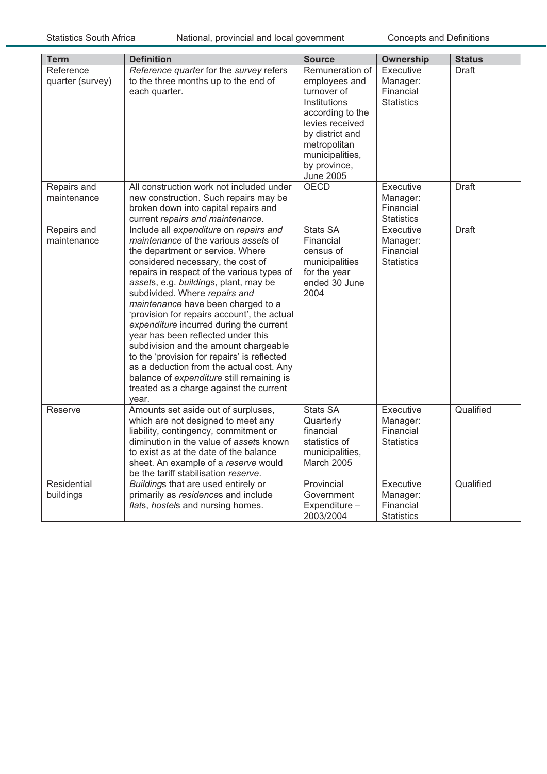| <b>Term</b>      | <b>Definition</b>                           | <b>Source</b>    | Ownership         | <b>Status</b> |
|------------------|---------------------------------------------|------------------|-------------------|---------------|
| Reference        | Reference quarter for the survey refers     | Remuneration of  | Executive         | Draft         |
| quarter (survey) | to the three months up to the end of        | employees and    | Manager:          |               |
|                  | each quarter.                               | turnover of      | Financial         |               |
|                  |                                             | Institutions     | <b>Statistics</b> |               |
|                  |                                             | according to the |                   |               |
|                  |                                             | levies received  |                   |               |
|                  |                                             | by district and  |                   |               |
|                  |                                             | metropolitan     |                   |               |
|                  |                                             | municipalities,  |                   |               |
|                  |                                             | by province,     |                   |               |
|                  |                                             | <b>June 2005</b> |                   |               |
| Repairs and      | All construction work not included under    | <b>OECD</b>      | Executive         | <b>Draft</b>  |
| maintenance      | new construction. Such repairs may be       |                  | Manager:          |               |
|                  | broken down into capital repairs and        |                  | Financial         |               |
|                  | current repairs and maintenance.            |                  | <b>Statistics</b> |               |
| Repairs and      | Include all expenditure on repairs and      | <b>Stats SA</b>  | Executive         | <b>Draft</b>  |
| maintenance      | <i>maintenance</i> of the various assets of | Financial        | Manager:          |               |
|                  | the department or service. Where            | census of        | Financial         |               |
|                  | considered necessary, the cost of           | municipalities   | <b>Statistics</b> |               |
|                  | repairs in respect of the various types of  | for the year     |                   |               |
|                  | assets, e.g. buildings, plant, may be       | ended 30 June    |                   |               |
|                  | subdivided. Where repairs and               | 2004             |                   |               |
|                  | maintenance have been charged to a          |                  |                   |               |
|                  | 'provision for repairs account', the actual |                  |                   |               |
|                  | expenditure incurred during the current     |                  |                   |               |
|                  | year has been reflected under this          |                  |                   |               |
|                  | subdivision and the amount chargeable       |                  |                   |               |
|                  | to the 'provision for repairs' is reflected |                  |                   |               |
|                  | as a deduction from the actual cost. Any    |                  |                   |               |
|                  | balance of expenditure still remaining is   |                  |                   |               |
|                  | treated as a charge against the current     |                  |                   |               |
|                  | year.                                       |                  |                   |               |
| Reserve          | Amounts set aside out of surpluses,         | <b>Stats SA</b>  | Executive         | Qualified     |
|                  | which are not designed to meet any          | Quarterly        | Manager:          |               |
|                  | liability, contingency, commitment or       | financial        | Financial         |               |
|                  | diminution in the value of assets known     | statistics of    | <b>Statistics</b> |               |
|                  | to exist as at the date of the balance      | municipalities,  |                   |               |
|                  | sheet. An example of a reserve would        | March 2005       |                   |               |
|                  | be the tariff stabilisation reserve.        |                  |                   |               |
| Residential      | Buildings that are used entirely or         | Provincial       | Executive         | Qualified     |
| buildings        | primarily as residences and include         | Government       | Manager:          |               |
|                  | flats, hostels and nursing homes.           | Expenditure-     | Financial         |               |
|                  |                                             | 2003/2004        | <b>Statistics</b> |               |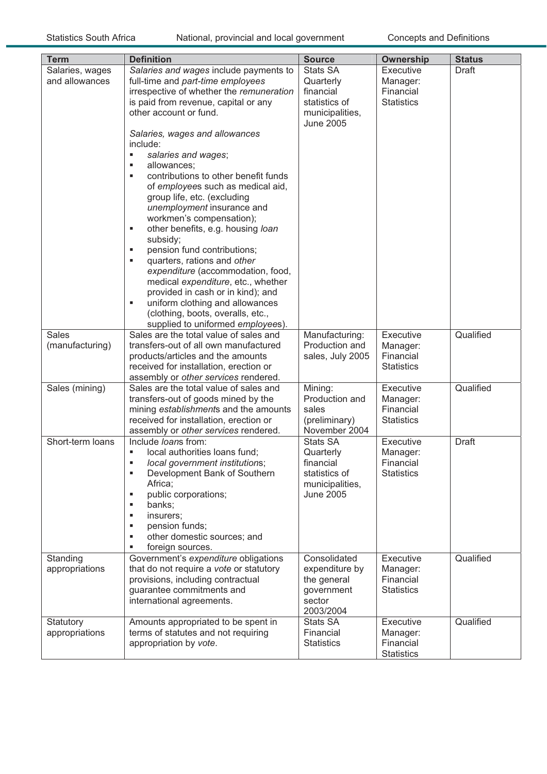#### Statistics South Africa National, provincial and local government Concepts and Definitions

| <b>Term</b>                       | <b>Definition</b>                                                                                                                                                                                                                                                                                                                                                                                                                                                                                                                                                                                                                                                                                                                                                                             | <b>Source</b>                                                                                     | Ownership                                               | <b>Status</b> |
|-----------------------------------|-----------------------------------------------------------------------------------------------------------------------------------------------------------------------------------------------------------------------------------------------------------------------------------------------------------------------------------------------------------------------------------------------------------------------------------------------------------------------------------------------------------------------------------------------------------------------------------------------------------------------------------------------------------------------------------------------------------------------------------------------------------------------------------------------|---------------------------------------------------------------------------------------------------|---------------------------------------------------------|---------------|
| Salaries, wages<br>and allowances | Salaries and wages include payments to<br>full-time and part-time employees<br>irrespective of whether the remuneration<br>is paid from revenue, capital or any<br>other account or fund.<br>Salaries, wages and allowances<br>include:<br>salaries and wages;<br>٠<br>allowances;<br>٠<br>contributions to other benefit funds<br>٠<br>of employees such as medical aid,<br>group life, etc. (excluding<br>unemployment insurance and<br>workmen's compensation);<br>other benefits, e.g. housing loan<br>٠<br>subsidy;<br>pension fund contributions;<br>٠<br>quarters, rations and other<br>٠<br>expenditure (accommodation, food,<br>medical expenditure, etc., whether<br>provided in cash or in kind); and<br>uniform clothing and allowances<br>٠<br>(clothing, boots, overalls, etc., | Stats SA<br>Quarterly<br>financial<br>statistics of<br>municipalities,<br><b>June 2005</b>        | Executive<br>Manager:<br>Financial<br><b>Statistics</b> | Draft         |
|                                   | supplied to uniformed employees).                                                                                                                                                                                                                                                                                                                                                                                                                                                                                                                                                                                                                                                                                                                                                             |                                                                                                   |                                                         |               |
| <b>Sales</b><br>(manufacturing)   | Sales are the total value of sales and<br>transfers-out of all own manufactured<br>products/articles and the amounts<br>received for installation, erection or<br>assembly or other services rendered.                                                                                                                                                                                                                                                                                                                                                                                                                                                                                                                                                                                        | Manufacturing:<br>Production and<br>sales, July 2005                                              | Executive<br>Manager:<br>Financial<br><b>Statistics</b> | Qualified     |
| Sales (mining)                    | Sales are the total value of sales and<br>transfers-out of goods mined by the<br>mining establishments and the amounts<br>received for installation, erection or<br>assembly or other services rendered.                                                                                                                                                                                                                                                                                                                                                                                                                                                                                                                                                                                      | Mining:<br>Production and<br>sales<br>(preliminary)<br>November 2004                              | Executive<br>Manager:<br>Financial<br><b>Statistics</b> | Qualified     |
| Short-term loans                  | Include loans from:<br>local authorities loans fund;<br>local government institutions;<br>Development Bank of Southern<br>g,<br>Africa;<br>public corporations;<br>g,<br>banks;<br>٠<br>insurers;<br>٠<br>pension funds;<br>٠<br>other domestic sources; and<br>٠<br>foreign sources.<br>٠                                                                                                                                                                                                                                                                                                                                                                                                                                                                                                    | <b>Stats SA</b><br>Quarterly<br>financial<br>statistics of<br>municipalities,<br><b>June 2005</b> | Executive<br>Manager:<br>Financial<br><b>Statistics</b> | <b>Draft</b>  |
| Standing<br>appropriations        | Government's expenditure obligations<br>that do not require a vote or statutory<br>provisions, including contractual<br>guarantee commitments and<br>international agreements.                                                                                                                                                                                                                                                                                                                                                                                                                                                                                                                                                                                                                | Consolidated<br>expenditure by<br>the general<br>government<br>sector<br>2003/2004                | Executive<br>Manager:<br>Financial<br><b>Statistics</b> | Qualified     |
| Statutory<br>appropriations       | Amounts appropriated to be spent in<br>terms of statutes and not requiring<br>appropriation by vote.                                                                                                                                                                                                                                                                                                                                                                                                                                                                                                                                                                                                                                                                                          | Stats SA<br>Financial<br><b>Statistics</b>                                                        | Executive<br>Manager:<br>Financial<br><b>Statistics</b> | Qualified     |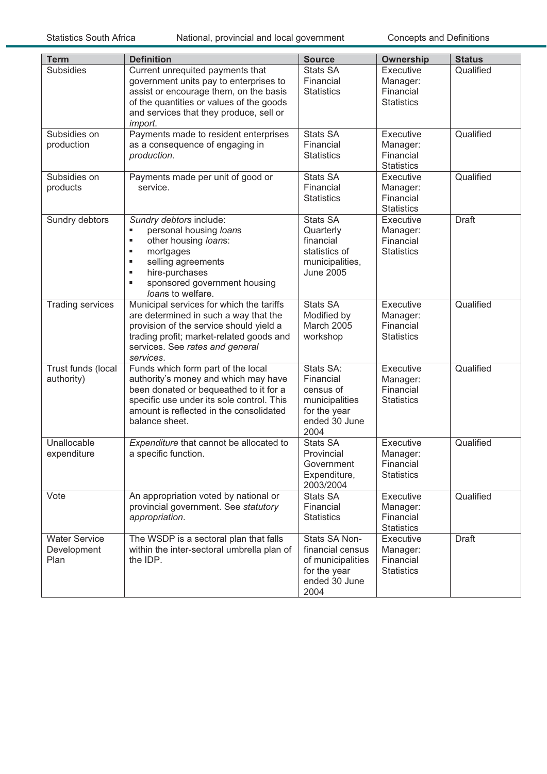Statistics South Africa National, provincial and local government Concepts and Definitions

| <b>Term</b>                                 | <b>Definition</b>                                                                                                                                                                                                              | <b>Source</b>                                                                                     | <b>Ownership</b>                                        | <b>Status</b> |
|---------------------------------------------|--------------------------------------------------------------------------------------------------------------------------------------------------------------------------------------------------------------------------------|---------------------------------------------------------------------------------------------------|---------------------------------------------------------|---------------|
| <b>Subsidies</b>                            | Current unrequited payments that<br>government units pay to enterprises to<br>assist or encourage them, on the basis<br>of the quantities or values of the goods<br>and services that they produce, sell or<br>import.         | <b>Stats SA</b><br>Financial<br><b>Statistics</b>                                                 | Executive<br>Manager:<br>Financial<br><b>Statistics</b> | Qualified     |
| Subsidies on<br>production                  | Payments made to resident enterprises<br>as a consequence of engaging in<br>production.                                                                                                                                        | <b>Stats SA</b><br>Financial<br><b>Statistics</b>                                                 | Executive<br>Manager:<br>Financial<br><b>Statistics</b> | Qualified     |
| Subsidies on<br>products                    | Payments made per unit of good or<br>service.                                                                                                                                                                                  | <b>Stats SA</b><br>Financial<br><b>Statistics</b>                                                 | Executive<br>Manager:<br>Financial<br><b>Statistics</b> | Qualified     |
| Sundry debtors                              | Sundry debtors include:<br>personal housing loans<br>٠<br>other housing loans:<br>٠<br>mortgages<br>٠<br>selling agreements<br>٠<br>hire-purchases<br>٠<br>sponsored government housing<br>٠<br>loans to welfare.              | <b>Stats SA</b><br>Quarterly<br>financial<br>statistics of<br>municipalities,<br><b>June 2005</b> | Executive<br>Manager:<br>Financial<br><b>Statistics</b> | <b>Draft</b>  |
| <b>Trading services</b>                     | Municipal services for which the tariffs<br>are determined in such a way that the<br>provision of the service should yield a<br>trading profit; market-related goods and<br>services. See rates and general<br>services.       | <b>Stats SA</b><br>Modified by<br>March 2005<br>workshop                                          | Executive<br>Manager:<br>Financial<br><b>Statistics</b> | Qualified     |
| Trust funds (local<br>authority)            | Funds which form part of the local<br>authority's money and which may have<br>been donated or bequeathed to it for a<br>specific use under its sole control. This<br>amount is reflected in the consolidated<br>balance sheet. | Stats SA:<br>Financial<br>census of<br>municipalities<br>for the year<br>ended 30 June<br>2004    | Executive<br>Manager:<br>Financial<br><b>Statistics</b> | Qualified     |
| Unallocable<br>expenditure                  | Expenditure that cannot be allocated to<br>a specific function.                                                                                                                                                                | <b>Stats SA</b><br>Provincial<br>Government<br>Expenditure,<br>2003/2004                          | Executive<br>Manager:<br>Financial<br><b>Statistics</b> | Qualified     |
| Vote                                        | An appropriation voted by national or<br>provincial government. See statutory<br>appropriation.                                                                                                                                | <b>Stats SA</b><br>Financial<br><b>Statistics</b>                                                 | Executive<br>Manager:<br>Financial<br><b>Statistics</b> | Qualified     |
| <b>Water Service</b><br>Development<br>Plan | The WSDP is a sectoral plan that falls<br>within the inter-sectoral umbrella plan of<br>the IDP.                                                                                                                               | Stats SA Non-<br>financial census<br>of municipalities<br>for the year<br>ended 30 June<br>2004   | Executive<br>Manager:<br>Financial<br><b>Statistics</b> | <b>Draft</b>  |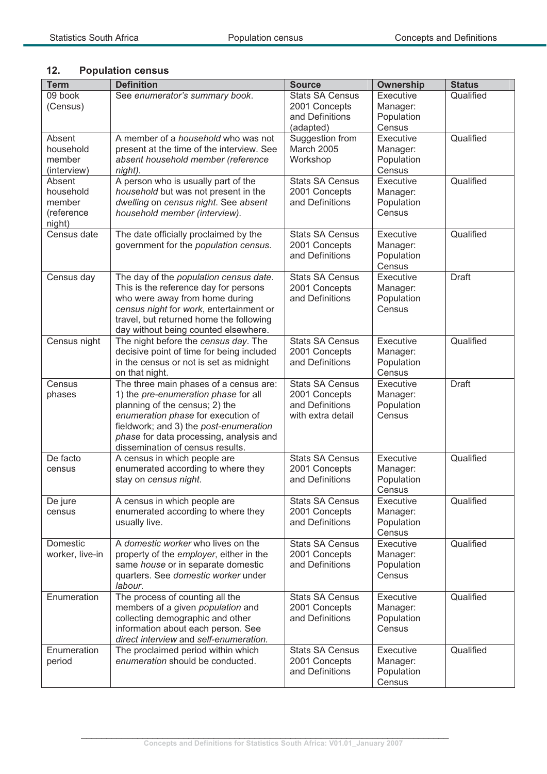# **12. Population census**

| <b>Term</b>         | <b>Definition</b>                                                           | <b>Source</b>                           | <b>Ownership</b>       | <b>Status</b> |
|---------------------|-----------------------------------------------------------------------------|-----------------------------------------|------------------------|---------------|
| 09 book             | See enumerator's summary book.                                              | <b>Stats SA Census</b>                  | Executive              | Qualified     |
| (Census)            |                                                                             | 2001 Concepts                           | Manager:               |               |
|                     |                                                                             | and Definitions                         | Population             |               |
|                     |                                                                             | (adapted)                               | Census                 |               |
| Absent              | A member of a <i>household</i> who was not                                  | Suggestion from                         | Executive              | Qualified     |
| household           | present at the time of the interview. See                                   | March 2005                              | Manager:               |               |
| member              | absent household member (reference                                          | Workshop                                | Population             |               |
| (interview)         | night).                                                                     | <b>Stats SA Census</b>                  | Census<br>Executive    | Qualified     |
| Absent<br>household | A person who is usually part of the<br>household but was not present in the | 2001 Concepts                           | Manager:               |               |
| member              | dwelling on census night. See absent                                        | and Definitions                         | Population             |               |
| (reference          | household member (interview).                                               |                                         | Census                 |               |
| night)              |                                                                             |                                         |                        |               |
| Census date         | The date officially proclaimed by the                                       | <b>Stats SA Census</b>                  | Executive              | Qualified     |
|                     | government for the population census.                                       | 2001 Concepts                           | Manager:               |               |
|                     |                                                                             | and Definitions                         | Population             |               |
|                     |                                                                             |                                         | Census                 |               |
| Census day          | The day of the population census date.                                      | <b>Stats SA Census</b>                  | Executive              | <b>Draft</b>  |
|                     | This is the reference day for persons                                       | 2001 Concepts<br>and Definitions        | Manager:               |               |
|                     | who were away from home during<br>census night for work, entertainment or   |                                         | Population<br>Census   |               |
|                     | travel, but returned home the following                                     |                                         |                        |               |
|                     | day without being counted elsewhere.                                        |                                         |                        |               |
| Census night        | The night before the census day. The                                        | <b>Stats SA Census</b>                  | Executive              | Qualified     |
|                     | decisive point of time for being included                                   | 2001 Concepts                           | Manager:               |               |
|                     | in the census or not is set as midnight                                     | and Definitions                         | Population             |               |
|                     | on that night.                                                              |                                         | Census                 |               |
| Census              | The three main phases of a census are:                                      | <b>Stats SA Census</b>                  | Executive              | <b>Draft</b>  |
| phases              | 1) the pre-enumeration phase for all<br>planning of the census; 2) the      | 2001 Concepts<br>and Definitions        | Manager:<br>Population |               |
|                     | enumeration phase for execution of                                          | with extra detail                       | Census                 |               |
|                     | fieldwork; and 3) the post-enumeration                                      |                                         |                        |               |
|                     | phase for data processing, analysis and                                     |                                         |                        |               |
|                     | dissemination of census results.                                            |                                         |                        |               |
| De facto            | A census in which people are                                                | <b>Stats SA Census</b>                  | Executive              | Qualified     |
| census              | enumerated according to where they                                          | 2001 Concepts                           | Manager:               |               |
|                     | stay on census night.                                                       | and Definitions                         | Population             |               |
|                     |                                                                             | <b>Stats SA Census</b>                  | Census                 | Qualified     |
| De jure<br>census   | A census in which people are<br>enumerated according to where they          | 2001 Concepts                           | Executive<br>Manager:  |               |
|                     | usually live.                                                               | and Definitions                         | Population             |               |
|                     |                                                                             |                                         | Census                 |               |
| Domestic            | A domestic worker who lives on the                                          | <b>Stats SA Census</b>                  | Executive              | Qualified     |
| worker, live-in     | property of the employer, either in the                                     | 2001 Concepts                           | Manager:               |               |
|                     | same house or in separate domestic                                          | and Definitions                         | Population             |               |
|                     | quarters. See domestic worker under                                         |                                         | Census                 |               |
|                     | labour.                                                                     |                                         |                        |               |
| Enumeration         | The process of counting all the<br>members of a given population and        | <b>Stats SA Census</b><br>2001 Concepts | Executive<br>Manager:  | Qualified     |
|                     | collecting demographic and other                                            | and Definitions                         | Population             |               |
|                     | information about each person. See                                          |                                         | Census                 |               |
|                     | direct interview and self-enumeration.                                      |                                         |                        |               |
| Enumeration         | The proclaimed period within which                                          | <b>Stats SA Census</b>                  | Executive              | Qualified     |
| period              | enumeration should be conducted.                                            | 2001 Concepts                           | Manager:               |               |
|                     |                                                                             | and Definitions                         | Population             |               |
|                     |                                                                             |                                         | Census                 |               |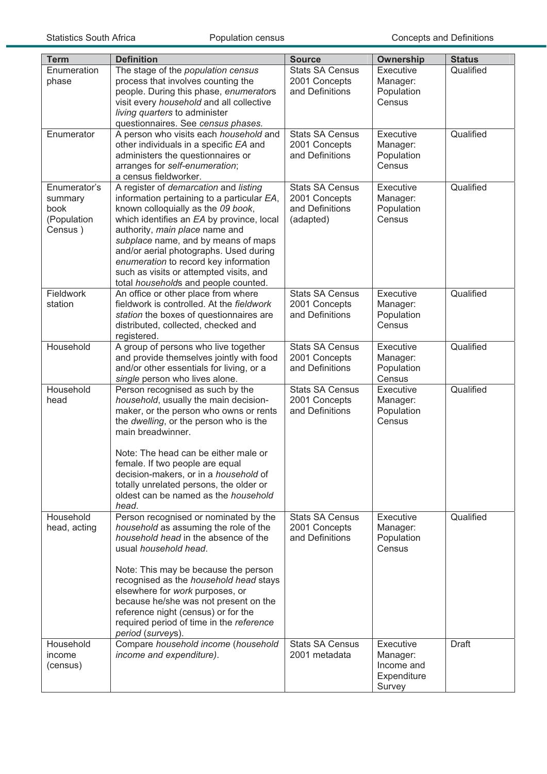| <b>Term</b>                                               | <b>Definition</b>                                                                                                                                                                                                                                                                                                                                                                                                     | <b>Source</b>                                                           | <b>Ownership</b>                                             | <b>Status</b> |
|-----------------------------------------------------------|-----------------------------------------------------------------------------------------------------------------------------------------------------------------------------------------------------------------------------------------------------------------------------------------------------------------------------------------------------------------------------------------------------------------------|-------------------------------------------------------------------------|--------------------------------------------------------------|---------------|
| Enumeration<br>phase                                      | The stage of the population census<br>process that involves counting the<br>people. During this phase, enumerators<br>visit every household and all collective<br>living quarters to administer<br>questionnaires. See census phases.                                                                                                                                                                                 | <b>Stats SA Census</b><br>2001 Concepts<br>and Definitions              | Executive<br>Manager:<br>Population<br>Census                | Qualified     |
| Enumerator                                                | A person who visits each household and<br>other individuals in a specific EA and<br>administers the questionnaires or<br>arranges for self-enumeration;<br>a census fieldworker.                                                                                                                                                                                                                                      | <b>Stats SA Census</b><br>2001 Concepts<br>and Definitions              | Executive<br>Manager:<br>Population<br>Census                | Qualified     |
| Enumerator's<br>summary<br>book<br>(Population<br>Census) | A register of demarcation and listing<br>information pertaining to a particular EA,<br>known colloquially as the 09 book,<br>which identifies an EA by province, local<br>authority, main place name and<br>subplace name, and by means of maps<br>and/or aerial photographs. Used during<br>enumeration to record key information<br>such as visits or attempted visits, and<br>total households and people counted. | <b>Stats SA Census</b><br>2001 Concepts<br>and Definitions<br>(adapted) | Executive<br>Manager:<br>Population<br>Census                | Qualified     |
| Fieldwork<br>station                                      | An office or other place from where<br>fieldwork is controlled. At the fieldwork<br>station the boxes of questionnaires are<br>distributed, collected, checked and<br>registered.                                                                                                                                                                                                                                     | <b>Stats SA Census</b><br>2001 Concepts<br>and Definitions              | Executive<br>Manager:<br>Population<br>Census                | Qualified     |
| Household                                                 | A group of persons who live together<br>and provide themselves jointly with food<br>and/or other essentials for living, or a<br>single person who lives alone.                                                                                                                                                                                                                                                        | <b>Stats SA Census</b><br>2001 Concepts<br>and Definitions              | Executive<br>Manager:<br>Population<br>Census                | Qualified     |
| Household<br>head                                         | Person recognised as such by the<br>household, usually the main decision-<br>maker, or the person who owns or rents<br>the dwelling, or the person who is the<br>main breadwinner.<br>Note: The head can be either male or<br>female. If two people are equal<br>decision-makers, or in a household of<br>totally unrelated persons, the older or<br>oldest can be named as the household<br>head.                    | <b>Stats SA Census</b><br>2001 Concepts<br>and Definitions              | Executive<br>Manager:<br>Population<br>Census                | Qualified     |
| Household<br>head, acting                                 | Person recognised or nominated by the<br>household as assuming the role of the<br>household head in the absence of the<br>usual household head.<br>Note: This may be because the person<br>recognised as the household head stays<br>elsewhere for work purposes, or<br>because he/she was not present on the<br>reference night (census) or for the<br>required period of time in the reference<br>period (surveys). | <b>Stats SA Census</b><br>2001 Concepts<br>and Definitions              | Executive<br>Manager:<br>Population<br>Census                | Qualified     |
| Household<br>income<br>(census)                           | Compare household income (household<br>income and expenditure).                                                                                                                                                                                                                                                                                                                                                       | <b>Stats SA Census</b><br>2001 metadata                                 | Executive<br>Manager:<br>Income and<br>Expenditure<br>Survey | <b>Draft</b>  |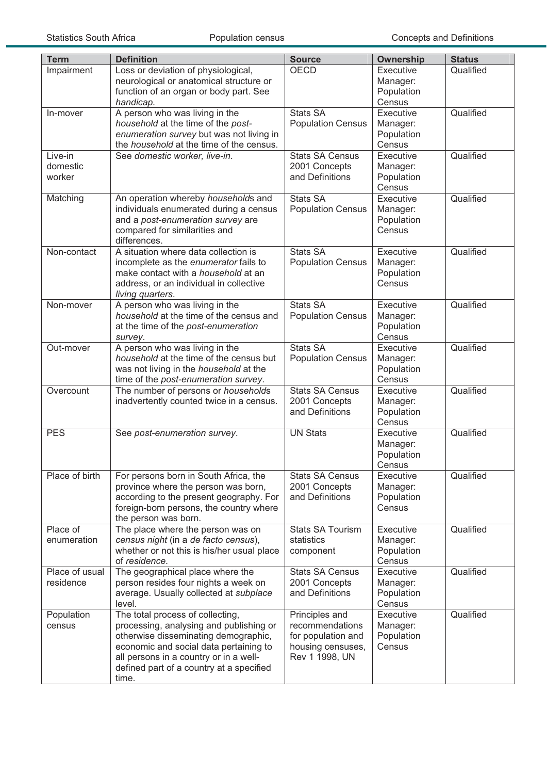| <b>Term</b>                   | <b>Definition</b>                                                                                                                                                                                                                                            | <b>Source</b>                                                                                  | Ownership                                     | <b>Status</b> |
|-------------------------------|--------------------------------------------------------------------------------------------------------------------------------------------------------------------------------------------------------------------------------------------------------------|------------------------------------------------------------------------------------------------|-----------------------------------------------|---------------|
| Impairment                    | Loss or deviation of physiological,<br>neurological or anatomical structure or<br>function of an organ or body part. See<br>handicap.                                                                                                                        | <b>OECD</b>                                                                                    | Executive<br>Manager:<br>Population<br>Census | Qualified     |
| In-mover                      | A person who was living in the<br>household at the time of the post-<br>enumeration survey but was not living in<br>the household at the time of the census.                                                                                                 | <b>Stats SA</b><br><b>Population Census</b>                                                    | Executive<br>Manager:<br>Population<br>Census | Qualified     |
| Live-in<br>domestic<br>worker | See domestic worker, live-in.                                                                                                                                                                                                                                | <b>Stats SA Census</b><br>2001 Concepts<br>and Definitions                                     | Executive<br>Manager:<br>Population<br>Census | Qualified     |
| Matching                      | An operation whereby households and<br>individuals enumerated during a census<br>and a post-enumeration survey are<br>compared for similarities and<br>differences.                                                                                          | <b>Stats SA</b><br><b>Population Census</b>                                                    | Executive<br>Manager:<br>Population<br>Census | Qualified     |
| Non-contact                   | A situation where data collection is<br>incomplete as the enumerator fails to<br>make contact with a <i>household</i> at an<br>address, or an individual in collective<br>living quarters.                                                                   | Stats SA<br><b>Population Census</b>                                                           | Executive<br>Manager:<br>Population<br>Census | Qualified     |
| Non-mover                     | A person who was living in the<br>household at the time of the census and<br>at the time of the post-enumeration<br>survey.                                                                                                                                  | <b>Stats SA</b><br><b>Population Census</b>                                                    | Executive<br>Manager:<br>Population<br>Census | Qualified     |
| Out-mover                     | A person who was living in the<br>household at the time of the census but<br>was not living in the household at the<br>time of the post-enumeration survey.                                                                                                  | Stats SA<br><b>Population Census</b>                                                           | Executive<br>Manager:<br>Population<br>Census | Qualified     |
| Overcount                     | The number of persons or households<br>inadvertently counted twice in a census.                                                                                                                                                                              | <b>Stats SA Census</b><br>2001 Concepts<br>and Definitions                                     | Executive<br>Manager:<br>Population<br>Census | Qualified     |
| <b>PES</b>                    | See post-enumeration survey.                                                                                                                                                                                                                                 | <b>UN Stats</b>                                                                                | Executive<br>Manager:<br>Population<br>Census | Qualified     |
| Place of birth                | For persons born in South Africa, the<br>province where the person was born,<br>according to the present geography. For<br>foreign-born persons, the country where<br>the person was born.                                                                   | <b>Stats SA Census</b><br>2001 Concepts<br>and Definitions                                     | Executive<br>Manager:<br>Population<br>Census | Qualified     |
| Place of<br>enumeration       | The place where the person was on<br>census night (in a de facto census),<br>whether or not this is his/her usual place<br>of residence.                                                                                                                     | Stats SA Tourism<br>statistics<br>component                                                    | Executive<br>Manager:<br>Population<br>Census | Qualified     |
| Place of usual<br>residence   | The geographical place where the<br>person resides four nights a week on<br>average. Usually collected at subplace<br>level.                                                                                                                                 | <b>Stats SA Census</b><br>2001 Concepts<br>and Definitions                                     | Executive<br>Manager:<br>Population<br>Census | Qualified     |
| Population<br>census          | The total process of collecting,<br>processing, analysing and publishing or<br>otherwise disseminating demographic,<br>economic and social data pertaining to<br>all persons in a country or in a well-<br>defined part of a country at a specified<br>time. | Principles and<br>recommendations<br>for population and<br>housing censuses,<br>Rev 1 1998, UN | Executive<br>Manager:<br>Population<br>Census | Qualified     |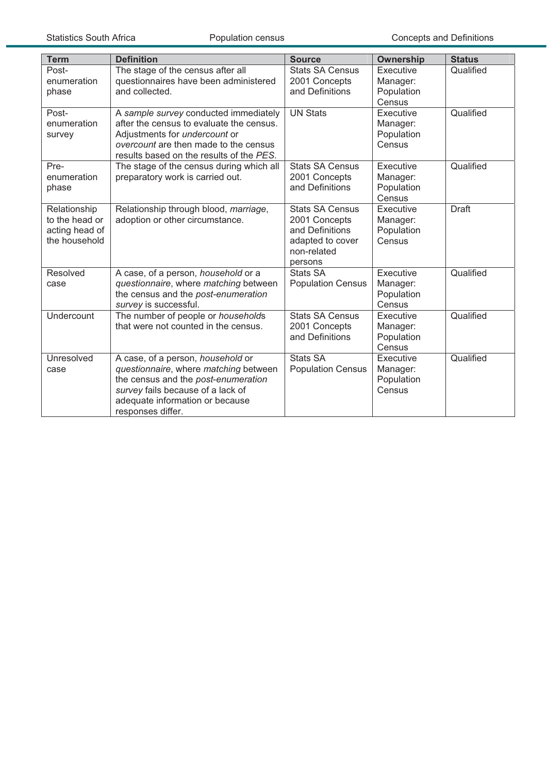| <b>Term</b>                                                       | <b>Definition</b>                                                                                                                                                                                              | <b>Source</b>                                                                                            | Ownership                                     | <b>Status</b> |
|-------------------------------------------------------------------|----------------------------------------------------------------------------------------------------------------------------------------------------------------------------------------------------------------|----------------------------------------------------------------------------------------------------------|-----------------------------------------------|---------------|
| Post-<br>enumeration<br>phase                                     | The stage of the census after all<br>questionnaires have been administered<br>and collected.                                                                                                                   | <b>Stats SA Census</b><br>2001 Concepts<br>and Definitions                                               | Executive<br>Manager:<br>Population<br>Census | Qualified     |
| Post-<br>enumeration<br>survey                                    | A sample survey conducted immediately<br>after the census to evaluate the census.<br>Adjustments for <i>undercount</i> or<br>overcount are then made to the census<br>results based on the results of the PES. | <b>UN Stats</b>                                                                                          | Executive<br>Manager:<br>Population<br>Census | Qualified     |
| Pre-<br>enumeration<br>phase                                      | The stage of the census during which all<br>preparatory work is carried out.                                                                                                                                   | <b>Stats SA Census</b><br>2001 Concepts<br>and Definitions                                               | Executive<br>Manager:<br>Population<br>Census | Qualified     |
| Relationship<br>to the head or<br>acting head of<br>the household | Relationship through blood, marriage,<br>adoption or other circumstance.                                                                                                                                       | <b>Stats SA Census</b><br>2001 Concepts<br>and Definitions<br>adapted to cover<br>non-related<br>persons | Executive<br>Manager:<br>Population<br>Census | <b>Draft</b>  |
| Resolved<br>case                                                  | A case, of a person, household or a<br>questionnaire, where matching between<br>the census and the post-enumeration<br>survey is successful.                                                                   | <b>Stats SA</b><br><b>Population Census</b>                                                              | Executive<br>Manager:<br>Population<br>Census | Qualified     |
| Undercount                                                        | The number of people or households<br>that were not counted in the census.                                                                                                                                     | <b>Stats SA Census</b><br>2001 Concepts<br>and Definitions                                               | Executive<br>Manager:<br>Population<br>Census | Qualified     |
| Unresolved<br>case                                                | A case, of a person, household or<br>questionnaire, where matching between<br>the census and the post-enumeration<br>survey fails because of a lack of<br>adequate information or because<br>responses differ. | <b>Stats SA</b><br><b>Population Census</b>                                                              | Executive<br>Manager:<br>Population<br>Census | Qualified     |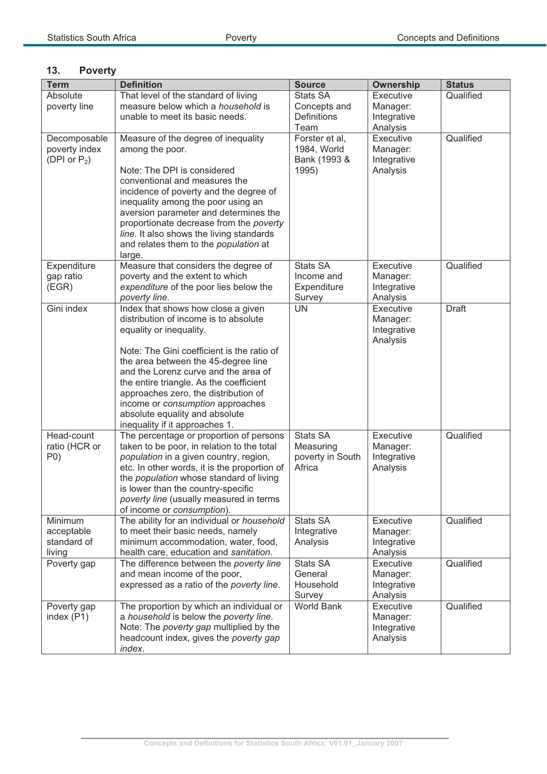## **13. Poverty**

| <b>Term</b>               | <b>Definition</b>                                                                  | <b>Source</b>        | <b>Ownership</b>      | <b>Status</b> |
|---------------------------|------------------------------------------------------------------------------------|----------------------|-----------------------|---------------|
| Absolute                  | That level of the standard of living                                               | Stats SA             | Executive             | Qualified     |
| poverty line              | measure below which a household is                                                 | Concepts and         | Manager:              |               |
|                           | unable to meet its basic needs.                                                    | Definitions          | Integrative           |               |
|                           |                                                                                    | Team                 | Analysis              |               |
| Decomposable              | Measure of the degree of inequality                                                | Forster et al,       | Executive             | Qualified     |
| poverty index             | among the poor.                                                                    | 1984, World          | Manager:              |               |
| (DPI or $P_2$ )           |                                                                                    | Bank (1993 &         | Integrative           |               |
|                           | Note: The DPI is considered                                                        | 1995)                | Analysis              |               |
|                           | conventional and measures the                                                      |                      |                       |               |
|                           | incidence of poverty and the degree of<br>inequality among the poor using an       |                      |                       |               |
|                           | aversion parameter and determines the                                              |                      |                       |               |
|                           | proportionate decrease from the poverty                                            |                      |                       |               |
|                           | line. It also shows the living standards                                           |                      |                       |               |
|                           | and relates them to the population at                                              |                      |                       |               |
|                           | large.                                                                             |                      |                       |               |
| Expenditure               | Measure that considers the degree of                                               | <b>Stats SA</b>      | Executive             | Qualified     |
| gap ratio                 | poverty and the extent to which                                                    | Income and           | Manager:              |               |
| (EGR)                     | expenditure of the poor lies below the                                             | Expenditure          | Integrative           |               |
|                           | poverty line.                                                                      | Survey               | Analysis              |               |
| Gini index                | Index that shows how close a given                                                 | <b>UN</b>            | Executive             | <b>Draft</b>  |
|                           | distribution of income is to absolute                                              |                      | Manager:              |               |
|                           | equality or inequality.                                                            |                      | Integrative           |               |
|                           | Note: The Gini coefficient is the ratio of                                         |                      | Analysis              |               |
|                           | the area between the 45-degree line                                                |                      |                       |               |
|                           | and the Lorenz curve and the area of                                               |                      |                       |               |
|                           | the entire triangle. As the coefficient                                            |                      |                       |               |
|                           | approaches zero, the distribution of                                               |                      |                       |               |
|                           | income or consumption approaches                                                   |                      |                       |               |
|                           | absolute equality and absolute                                                     |                      |                       |               |
|                           | inequality if it approaches 1.                                                     |                      |                       |               |
| Head-count                | The percentage or proportion of persons                                            | <b>Stats SA</b>      | Executive             | Qualified     |
| ratio (HCR or             | taken to be poor, in relation to the total                                         | Measuring            | Manager:              |               |
| P(0)                      | population in a given country, region,                                             | poverty in South     | Integrative           |               |
|                           | etc. In other words, it is the proportion of                                       | Africa               | Analysis              |               |
|                           | the population whose standard of living<br>is lower than the country-specific      |                      |                       |               |
|                           | poverty line (usually measured in terms                                            |                      |                       |               |
|                           | of income or consumption).                                                         |                      |                       |               |
| Minimum                   | The ability for an individual or household                                         | Stats SA             | Executive             | Qualified     |
| acceptable                | to meet their basic needs, namely                                                  | Integrative          | Manager:              |               |
| standard of               | minimum accommodation, water, food,                                                | Analysis             | Integrative           |               |
| living                    | health care, education and sanitation.                                             |                      | Analysis              |               |
| Poverty gap               | The difference between the poverty line                                            | <b>Stats SA</b>      | Executive             | Qualified     |
|                           | and mean income of the poor,                                                       | General              | Manager:              |               |
|                           | expressed as a ratio of the poverty line.                                          | Household            | Integrative           |               |
|                           |                                                                                    | Survey<br>World Bank | Analysis<br>Executive | Qualified     |
| Poverty gap<br>index (P1) | The proportion by which an individual or<br>a household is below the poverty line. |                      | Manager:              |               |
|                           | Note: The poverty gap multiplied by the                                            |                      | Integrative           |               |
|                           | headcount index, gives the poverty gap                                             |                      | Analysis              |               |
|                           | index.                                                                             |                      |                       |               |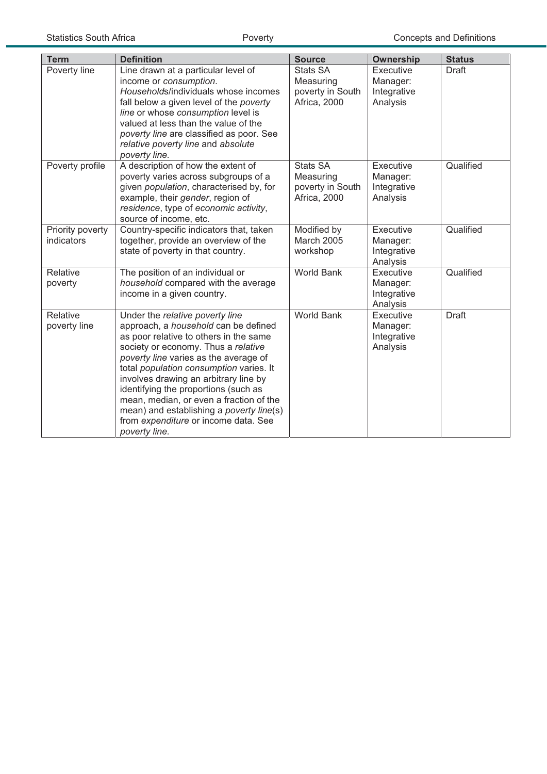| <b>Term</b>                    | <b>Definition</b>                                                                                                                                                                                                                                                                                                                                                                                                                                                             | <b>Source</b>                                                    | <b>Ownership</b>                                        | <b>Status</b> |
|--------------------------------|-------------------------------------------------------------------------------------------------------------------------------------------------------------------------------------------------------------------------------------------------------------------------------------------------------------------------------------------------------------------------------------------------------------------------------------------------------------------------------|------------------------------------------------------------------|---------------------------------------------------------|---------------|
| Poverty line                   | Line drawn at a particular level of<br>income or consumption.<br>Households/individuals whose incomes<br>fall below a given level of the poverty<br>line or whose consumption level is<br>valued at less than the value of the<br>poverty line are classified as poor. See<br>relative poverty line and absolute<br>poverty line.                                                                                                                                             | <b>Stats SA</b><br>Measuring<br>poverty in South<br>Africa, 2000 | Executive<br>Manager:<br>Integrative<br>Analysis        | <b>Draft</b>  |
| Poverty profile                | A description of how the extent of<br>poverty varies across subgroups of a<br>given population, characterised by, for<br>example, their gender, region of<br>residence, type of economic activity,<br>source of income, etc.                                                                                                                                                                                                                                                  | <b>Stats SA</b><br>Measuring<br>poverty in South<br>Africa, 2000 | Executive<br>Manager:<br>Integrative<br>Analysis        | Qualified     |
| Priority poverty<br>indicators | Country-specific indicators that, taken<br>together, provide an overview of the<br>state of poverty in that country.                                                                                                                                                                                                                                                                                                                                                          | Modified by<br><b>March 2005</b><br>workshop                     | Executive<br>Manager:<br>Integrative<br>Analysis        | Qualified     |
| Relative<br>poverty            | The position of an individual or<br>household compared with the average<br>income in a given country.                                                                                                                                                                                                                                                                                                                                                                         | <b>World Bank</b>                                                | <b>Executive</b><br>Manager:<br>Integrative<br>Analysis | Qualified     |
| Relative<br>poverty line       | Under the relative poverty line<br>approach, a household can be defined<br>as poor relative to others in the same<br>society or economy. Thus a relative<br>poverty line varies as the average of<br>total population consumption varies. It<br>involves drawing an arbitrary line by<br>identifying the proportions (such as<br>mean, median, or even a fraction of the<br>mean) and establishing a poverty line(s)<br>from expenditure or income data. See<br>poverty line. | <b>World Bank</b>                                                | Executive<br>Manager:<br>Integrative<br>Analysis        | <b>Draft</b>  |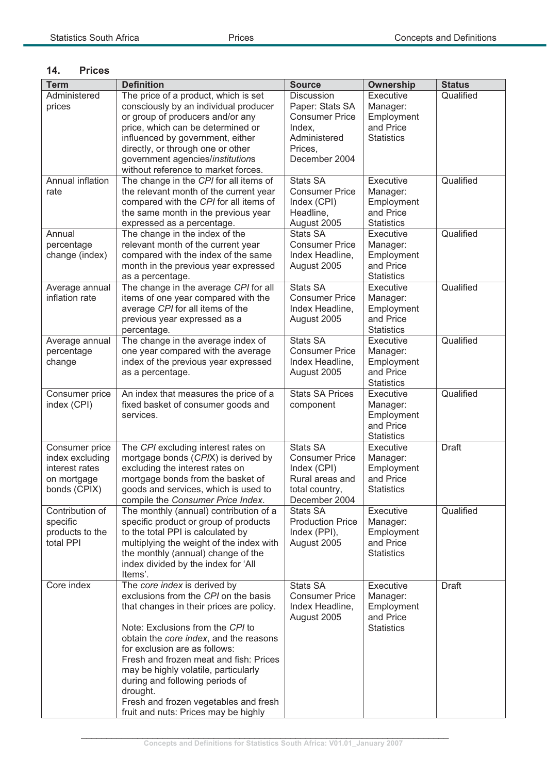#### **14. Prices**

| <b>Term</b>                                                                        | <b>Definition</b>                                                                                                                                                                                                                                                                                                                                                                                                                                 | <b>Source</b>                                                                                                 | <b>Ownership</b>                                                      | <b>Status</b> |
|------------------------------------------------------------------------------------|---------------------------------------------------------------------------------------------------------------------------------------------------------------------------------------------------------------------------------------------------------------------------------------------------------------------------------------------------------------------------------------------------------------------------------------------------|---------------------------------------------------------------------------------------------------------------|-----------------------------------------------------------------------|---------------|
| Administered<br>prices                                                             | The price of a product, which is set<br>consciously by an individual producer<br>or group of producers and/or any<br>price, which can be determined or<br>influenced by government, either<br>directly, or through one or other<br>government agencies/institutions<br>without reference to market forces.                                                                                                                                        | Discussion<br>Paper: Stats SA<br><b>Consumer Price</b><br>Index.<br>Administered<br>Prices,<br>December 2004  | Executive<br>Manager:<br>Employment<br>and Price<br><b>Statistics</b> | Qualified     |
| Annual inflation<br>rate                                                           | The change in the CPI for all items of<br>the relevant month of the current year<br>compared with the CPI for all items of<br>the same month in the previous year<br>expressed as a percentage.                                                                                                                                                                                                                                                   | <b>Stats SA</b><br><b>Consumer Price</b><br>Index (CPI)<br>Headline,<br>August 2005                           | Executive<br>Manager:<br>Employment<br>and Price<br><b>Statistics</b> | Qualified     |
| Annual<br>percentage<br>change (index)                                             | The change in the index of the<br>relevant month of the current year<br>compared with the index of the same<br>month in the previous year expressed<br>as a percentage.                                                                                                                                                                                                                                                                           | <b>Stats SA</b><br><b>Consumer Price</b><br>Index Headline,<br>August 2005                                    | Executive<br>Manager:<br>Employment<br>and Price<br><b>Statistics</b> | Qualified     |
| Average annual<br>inflation rate                                                   | The change in the average CPI for all<br>items of one year compared with the<br>average CPI for all items of the<br>previous year expressed as a<br>percentage.                                                                                                                                                                                                                                                                                   | <b>Stats SA</b><br><b>Consumer Price</b><br>Index Headline,<br>August 2005                                    | Executive<br>Manager:<br>Employment<br>and Price<br><b>Statistics</b> | Qualified     |
| Average annual<br>percentage<br>change                                             | The change in the average index of<br>one year compared with the average<br>index of the previous year expressed<br>as a percentage.                                                                                                                                                                                                                                                                                                              | <b>Stats SA</b><br><b>Consumer Price</b><br>Index Headline,<br>August 2005                                    | Executive<br>Manager:<br>Employment<br>and Price<br><b>Statistics</b> | Qualified     |
| Consumer price<br>index (CPI)                                                      | An index that measures the price of a<br>fixed basket of consumer goods and<br>services.                                                                                                                                                                                                                                                                                                                                                          | <b>Stats SA Prices</b><br>component                                                                           | Executive<br>Manager:<br>Employment<br>and Price<br><b>Statistics</b> | Qualified     |
| Consumer price<br>index excluding<br>interest rates<br>on mortgage<br>bonds (CPIX) | The CPI excluding interest rates on<br>mortgage bonds (CPIX) is derived by<br>excluding the interest rates on<br>mortgage bonds from the basket of<br>goods and services, which is used to<br>compile the Consumer Price Index.                                                                                                                                                                                                                   | <b>Stats SA</b><br><b>Consumer Price</b><br>Index (CPI)<br>Rural areas and<br>total country,<br>December 2004 | Executive<br>Manager:<br>Employment<br>and Price<br><b>Statistics</b> | <b>Draft</b>  |
| Contribution of<br>specific<br>products to the<br>total PPI                        | The monthly (annual) contribution of a<br>specific product or group of products<br>to the total PPI is calculated by<br>multiplying the weight of the index with<br>the monthly (annual) change of the<br>index divided by the index for 'All<br>Items'.                                                                                                                                                                                          | <b>Stats SA</b><br><b>Production Price</b><br>Index (PPI),<br>August 2005                                     | Executive<br>Manager:<br>Employment<br>and Price<br><b>Statistics</b> | Qualified     |
| Core index                                                                         | The core index is derived by<br>exclusions from the CPI on the basis<br>that changes in their prices are policy.<br>Note: Exclusions from the CPI to<br>obtain the core index, and the reasons<br>for exclusion are as follows:<br>Fresh and frozen meat and fish: Prices<br>may be highly volatile, particularly<br>during and following periods of<br>drought.<br>Fresh and frozen vegetables and fresh<br>fruit and nuts: Prices may be highly | <b>Stats SA</b><br><b>Consumer Price</b><br>Index Headline,<br>August 2005                                    | Executive<br>Manager:<br>Employment<br>and Price<br><b>Statistics</b> | <b>Draft</b>  |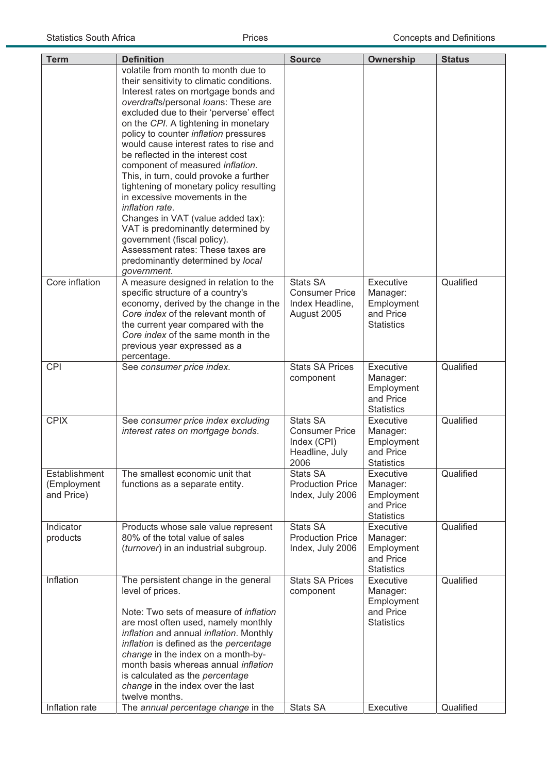| volatile from month to month due to<br>their sensitivity to climatic conditions.<br>Interest rates on mortgage bonds and<br>overdrafts/personal loans: These are<br>excluded due to their 'perverse' effect<br>on the CPI. A tightening in monetary<br>policy to counter inflation pressures<br>would cause interest rates to rise and<br>be reflected in the interest cost<br>component of measured inflation.<br>This, in turn, could provoke a further<br>tightening of monetary policy resulting<br>in excessive movements in the<br>inflation rate.<br>Changes in VAT (value added tax):<br>VAT is predominantly determined by<br>government (fiscal policy).<br>Assessment rates: These taxes are<br>predominantly determined by local<br>government.<br>Core inflation<br><b>Stats SA</b><br>Qualified<br>A measure designed in relation to the<br>Executive<br>specific structure of a country's<br><b>Consumer Price</b><br>Manager:<br>economy, derived by the change in the<br>Index Headline,<br>Employment<br>Core index of the relevant month of<br>and Price<br>August 2005<br>the current year compared with the<br><b>Statistics</b><br>Core index of the same month in the<br>previous year expressed as a<br>percentage.<br><b>Stats SA Prices</b><br><b>CPI</b><br>Executive<br>Qualified<br>See consumer price index.<br>Manager:<br>component<br>Employment<br>and Price<br><b>Statistics</b><br><b>Stats SA</b><br>Qualified<br><b>CPIX</b><br>See consumer price index excluding<br><b>Executive</b><br>interest rates on mortgage bonds.<br><b>Consumer Price</b><br>Manager:<br>Index (CPI)<br>Employment<br>Headline, July<br>and Price<br><b>Statistics</b><br>2006<br>Establishment<br>The smallest economic unit that<br>Qualified<br><b>Stats SA</b><br>Executive<br><b>Production Price</b><br>(Employment<br>functions as a separate entity.<br>Manager:<br>and Price)<br>Index, July 2006<br>Employment<br>and Price<br><b>Statistics</b><br><b>Stats SA</b><br>Qualified<br>Indicator<br>Products whose sale value represent<br><b>Executive</b><br><b>Production Price</b><br>80% of the total value of sales<br>Manager:<br>products<br>Index, July 2006<br>(turnover) in an industrial subgroup.<br>Employment<br>and Price<br><b>Statistics</b><br>Inflation<br><b>Stats SA Prices</b><br>Executive<br>The persistent change in the general<br>Qualified<br>level of prices.<br>Manager:<br>component<br>Employment<br>Note: Two sets of measure of inflation<br>and Price<br>are most often used, namely monthly<br><b>Statistics</b><br>inflation and annual inflation. Monthly<br>inflation is defined as the percentage<br>change in the index on a month-by-<br>month basis whereas annual inflation<br>is calculated as the percentage<br>change in the index over the last<br>twelve months. |                |                                     |               |                  |               |
|--------------------------------------------------------------------------------------------------------------------------------------------------------------------------------------------------------------------------------------------------------------------------------------------------------------------------------------------------------------------------------------------------------------------------------------------------------------------------------------------------------------------------------------------------------------------------------------------------------------------------------------------------------------------------------------------------------------------------------------------------------------------------------------------------------------------------------------------------------------------------------------------------------------------------------------------------------------------------------------------------------------------------------------------------------------------------------------------------------------------------------------------------------------------------------------------------------------------------------------------------------------------------------------------------------------------------------------------------------------------------------------------------------------------------------------------------------------------------------------------------------------------------------------------------------------------------------------------------------------------------------------------------------------------------------------------------------------------------------------------------------------------------------------------------------------------------------------------------------------------------------------------------------------------------------------------------------------------------------------------------------------------------------------------------------------------------------------------------------------------------------------------------------------------------------------------------------------------------------------------------------------------------------------------------------------------------------------------------------------------------------------------------------------------------------------------------------------------------------------------------------------------------------------------------------------------------------------------------------------------------------------------------------------------------------------------------------------------------------------------------------------------------------------------------------------------------------------------|----------------|-------------------------------------|---------------|------------------|---------------|
|                                                                                                                                                                                                                                                                                                                                                                                                                                                                                                                                                                                                                                                                                                                                                                                                                                                                                                                                                                                                                                                                                                                                                                                                                                                                                                                                                                                                                                                                                                                                                                                                                                                                                                                                                                                                                                                                                                                                                                                                                                                                                                                                                                                                                                                                                                                                                                                                                                                                                                                                                                                                                                                                                                                                                                                                                                            | <b>Term</b>    | <b>Definition</b>                   | <b>Source</b> | <b>Ownership</b> | <b>Status</b> |
|                                                                                                                                                                                                                                                                                                                                                                                                                                                                                                                                                                                                                                                                                                                                                                                                                                                                                                                                                                                                                                                                                                                                                                                                                                                                                                                                                                                                                                                                                                                                                                                                                                                                                                                                                                                                                                                                                                                                                                                                                                                                                                                                                                                                                                                                                                                                                                                                                                                                                                                                                                                                                                                                                                                                                                                                                                            |                |                                     |               |                  |               |
|                                                                                                                                                                                                                                                                                                                                                                                                                                                                                                                                                                                                                                                                                                                                                                                                                                                                                                                                                                                                                                                                                                                                                                                                                                                                                                                                                                                                                                                                                                                                                                                                                                                                                                                                                                                                                                                                                                                                                                                                                                                                                                                                                                                                                                                                                                                                                                                                                                                                                                                                                                                                                                                                                                                                                                                                                                            |                |                                     |               |                  |               |
|                                                                                                                                                                                                                                                                                                                                                                                                                                                                                                                                                                                                                                                                                                                                                                                                                                                                                                                                                                                                                                                                                                                                                                                                                                                                                                                                                                                                                                                                                                                                                                                                                                                                                                                                                                                                                                                                                                                                                                                                                                                                                                                                                                                                                                                                                                                                                                                                                                                                                                                                                                                                                                                                                                                                                                                                                                            |                |                                     |               |                  |               |
|                                                                                                                                                                                                                                                                                                                                                                                                                                                                                                                                                                                                                                                                                                                                                                                                                                                                                                                                                                                                                                                                                                                                                                                                                                                                                                                                                                                                                                                                                                                                                                                                                                                                                                                                                                                                                                                                                                                                                                                                                                                                                                                                                                                                                                                                                                                                                                                                                                                                                                                                                                                                                                                                                                                                                                                                                                            |                |                                     |               |                  |               |
|                                                                                                                                                                                                                                                                                                                                                                                                                                                                                                                                                                                                                                                                                                                                                                                                                                                                                                                                                                                                                                                                                                                                                                                                                                                                                                                                                                                                                                                                                                                                                                                                                                                                                                                                                                                                                                                                                                                                                                                                                                                                                                                                                                                                                                                                                                                                                                                                                                                                                                                                                                                                                                                                                                                                                                                                                                            |                |                                     |               |                  |               |
|                                                                                                                                                                                                                                                                                                                                                                                                                                                                                                                                                                                                                                                                                                                                                                                                                                                                                                                                                                                                                                                                                                                                                                                                                                                                                                                                                                                                                                                                                                                                                                                                                                                                                                                                                                                                                                                                                                                                                                                                                                                                                                                                                                                                                                                                                                                                                                                                                                                                                                                                                                                                                                                                                                                                                                                                                                            | Inflation rate | The annual percentage change in the | Stats SA      | Executive        | Qualified     |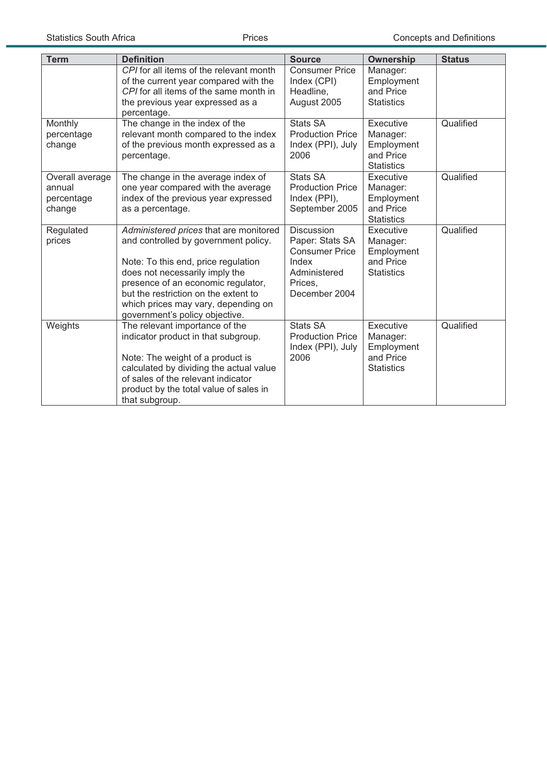| <b>Term</b>                                       | <b>Definition</b>                                                                                                                                                                                                                                                                                              | <b>Source</b>                                                                                                      | <b>Ownership</b>                                                      | <b>Status</b> |
|---------------------------------------------------|----------------------------------------------------------------------------------------------------------------------------------------------------------------------------------------------------------------------------------------------------------------------------------------------------------------|--------------------------------------------------------------------------------------------------------------------|-----------------------------------------------------------------------|---------------|
|                                                   | CPI for all items of the relevant month<br>of the current year compared with the<br>CPI for all items of the same month in<br>the previous year expressed as a<br>percentage.                                                                                                                                  | <b>Consumer Price</b><br>Index (CPI)<br>Headline,<br>August 2005                                                   | Manager:<br>Employment<br>and Price<br><b>Statistics</b>              |               |
| Monthly<br>percentage<br>change                   | The change in the index of the<br>relevant month compared to the index<br>of the previous month expressed as a<br>percentage.                                                                                                                                                                                  | <b>Stats SA</b><br><b>Production Price</b><br>Index (PPI), July<br>2006                                            | Executive<br>Manager:<br>Employment<br>and Price<br><b>Statistics</b> | Qualified     |
| Overall average<br>annual<br>percentage<br>change | The change in the average index of<br>one year compared with the average<br>index of the previous year expressed<br>as a percentage.                                                                                                                                                                           | Stats SA<br><b>Production Price</b><br>Index (PPI),<br>September 2005                                              | Executive<br>Manager:<br>Employment<br>and Price<br><b>Statistics</b> | Qualified     |
| Regulated<br>prices                               | Administered prices that are monitored<br>and controlled by government policy.<br>Note: To this end, price regulation<br>does not necessarily imply the<br>presence of an economic regulator,<br>but the restriction on the extent to<br>which prices may vary, depending on<br>government's policy objective. | <b>Discussion</b><br>Paper: Stats SA<br><b>Consumer Price</b><br>Index<br>Administered<br>Prices,<br>December 2004 | Executive<br>Manager:<br>Employment<br>and Price<br><b>Statistics</b> | Qualified     |
| Weights                                           | The relevant importance of the<br>indicator product in that subgroup.<br>Note: The weight of a product is<br>calculated by dividing the actual value<br>of sales of the relevant indicator<br>product by the total value of sales in<br>that subgroup.                                                         | <b>Stats SA</b><br><b>Production Price</b><br>Index (PPI), July<br>2006                                            | Executive<br>Manager:<br>Employment<br>and Price<br><b>Statistics</b> | Qualified     |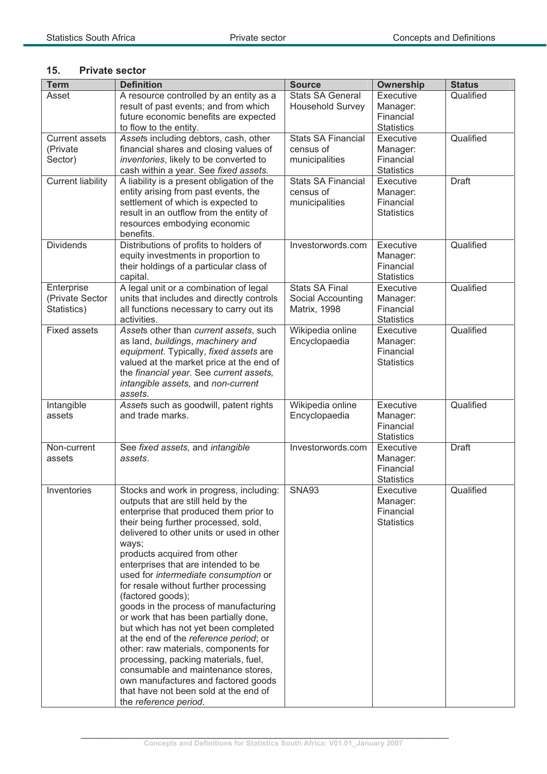### **15. Private sector**

| <b>Term</b>                                  | <b>Definition</b>                                                                                                                                                                                                                                                                                                                                                                                                                                                                                                                                                                                                                                                                                                                                                                                     | <b>Source</b>                                                     | Ownership                                                      | <b>Status</b> |
|----------------------------------------------|-------------------------------------------------------------------------------------------------------------------------------------------------------------------------------------------------------------------------------------------------------------------------------------------------------------------------------------------------------------------------------------------------------------------------------------------------------------------------------------------------------------------------------------------------------------------------------------------------------------------------------------------------------------------------------------------------------------------------------------------------------------------------------------------------------|-------------------------------------------------------------------|----------------------------------------------------------------|---------------|
| Asset                                        | A resource controlled by an entity as a<br>result of past events; and from which<br>future economic benefits are expected<br>to flow to the entity.                                                                                                                                                                                                                                                                                                                                                                                                                                                                                                                                                                                                                                                   | <b>Stats SA General</b><br><b>Household Survey</b>                | Executive<br>Manager:<br>Financial<br><b>Statistics</b>        | Qualified     |
| <b>Current assets</b><br>(Private<br>Sector) | Assets including debtors, cash, other<br>financial shares and closing values of<br>inventories, likely to be converted to<br>cash within a year. See fixed assets.                                                                                                                                                                                                                                                                                                                                                                                                                                                                                                                                                                                                                                    | <b>Stats SA Financial</b><br>census of<br>municipalities          | Executive<br>Manager:<br>Financial<br><b>Statistics</b>        | Qualified     |
| <b>Current liability</b>                     | A liability is a present obligation of the<br>entity arising from past events, the<br>settlement of which is expected to<br>result in an outflow from the entity of<br>resources embodying economic<br>benefits.                                                                                                                                                                                                                                                                                                                                                                                                                                                                                                                                                                                      | <b>Stats SA Financial</b><br>census of<br>municipalities          | Executive<br>Manager:<br>Financial<br><b>Statistics</b>        | <b>Draft</b>  |
| <b>Dividends</b>                             | Distributions of profits to holders of<br>equity investments in proportion to<br>their holdings of a particular class of<br>capital.                                                                                                                                                                                                                                                                                                                                                                                                                                                                                                                                                                                                                                                                  | Investorwords.com                                                 | Executive<br>Manager:<br>Financial<br><b>Statistics</b>        | Qualified     |
| Enterprise<br>(Private Sector<br>Statistics) | A legal unit or a combination of legal<br>units that includes and directly controls<br>all functions necessary to carry out its<br>activities.                                                                                                                                                                                                                                                                                                                                                                                                                                                                                                                                                                                                                                                        | <b>Stats SA Final</b><br>Social Accounting<br><b>Matrix, 1998</b> | Executive<br>Manager:<br>Financial<br><b>Statistics</b>        | Qualified     |
| <b>Fixed assets</b>                          | Assets other than current assets, such<br>as land, buildings, machinery and<br>equipment. Typically, fixed assets are<br>valued at the market price at the end of<br>the financial year. See current assets,<br>intangible assets, and non-current<br>assets.                                                                                                                                                                                                                                                                                                                                                                                                                                                                                                                                         | Wikipedia online<br>Encyclopaedia                                 | Executive<br>Manager:<br>Financial<br><b>Statistics</b>        | Qualified     |
| Intangible<br>assets                         | Assets such as goodwill, patent rights<br>and trade marks.                                                                                                                                                                                                                                                                                                                                                                                                                                                                                                                                                                                                                                                                                                                                            | Wikipedia online<br>Encyclopaedia                                 | Executive<br>Manager:<br>Financial<br><b>Statistics</b>        | Qualified     |
| Non-current<br>assets                        | See fixed assets, and intangible<br>assets.                                                                                                                                                                                                                                                                                                                                                                                                                                                                                                                                                                                                                                                                                                                                                           | Investorwords.com                                                 | Executive<br>Manager:<br>Financial<br><b>Statistics</b>        | <b>Draft</b>  |
| Inventories                                  | Stocks and work in progress, including:<br>outputs that are still held by the<br>enterprise that produced them prior to<br>their being further processed, sold,<br>delivered to other units or used in other<br>ways;<br>products acquired from other<br>enterprises that are intended to be<br>used for intermediate consumption or<br>for resale without further processing<br>(factored goods);<br>goods in the process of manufacturing<br>or work that has been partially done,<br>but which has not yet been completed<br>at the end of the reference period; or<br>other: raw materials, components for<br>processing, packing materials, fuel,<br>consumable and maintenance stores,<br>own manufactures and factored goods<br>that have not been sold at the end of<br>the reference period. | SNA93                                                             | <b>Executive</b><br>Manager:<br>Financial<br><b>Statistics</b> | Qualified     |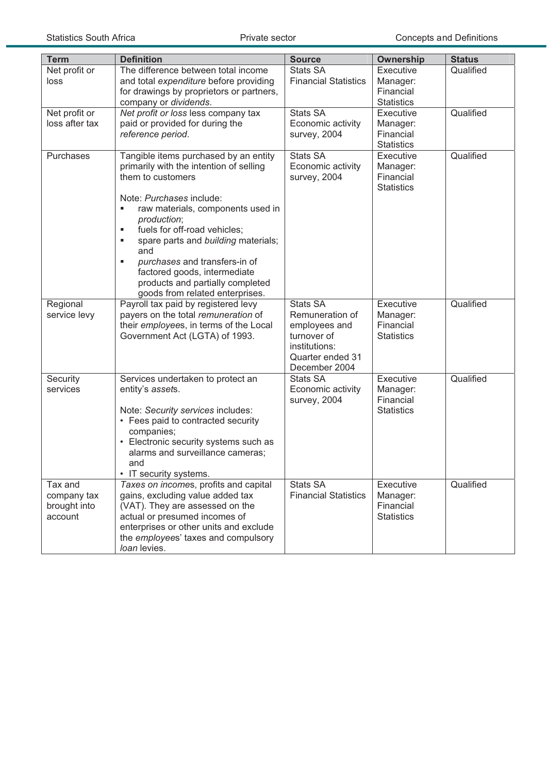| <b>Term</b>                                       | <b>Definition</b>                                                                                                                                                                                                                                                                                                                                                                                                                | <b>Source</b>                                                                                                            | <b>Ownership</b>                                        | <b>Status</b> |
|---------------------------------------------------|----------------------------------------------------------------------------------------------------------------------------------------------------------------------------------------------------------------------------------------------------------------------------------------------------------------------------------------------------------------------------------------------------------------------------------|--------------------------------------------------------------------------------------------------------------------------|---------------------------------------------------------|---------------|
| Net profit or<br>loss                             | The difference between total income<br>and total expenditure before providing<br>for drawings by proprietors or partners,<br>company or dividends.                                                                                                                                                                                                                                                                               | <b>Stats SA</b><br><b>Financial Statistics</b>                                                                           | Executive<br>Manager:<br>Financial<br><b>Statistics</b> | Qualified     |
| Net profit or<br>loss after tax                   | Net profit or loss less company tax<br>paid or provided for during the<br>reference period.                                                                                                                                                                                                                                                                                                                                      | <b>Stats SA</b><br>Economic activity<br>survey, 2004                                                                     | Executive<br>Manager:<br>Financial<br><b>Statistics</b> | Qualified     |
| Purchases                                         | Tangible items purchased by an entity<br>primarily with the intention of selling<br>them to customers<br>Note: Purchases include:<br>raw materials, components used in<br>×,<br>production;<br>fuels for off-road vehicles;<br>٠<br>spare parts and building materials;<br>٠<br>and<br>purchases and transfers-in of<br>П<br>factored goods, intermediate<br>products and partially completed<br>goods from related enterprises. | <b>Stats SA</b><br>Economic activity<br>survey, 2004                                                                     | Executive<br>Manager:<br>Financial<br><b>Statistics</b> | Qualified     |
| Regional<br>service levy                          | Payroll tax paid by registered levy<br>payers on the total remuneration of<br>their employees, in terms of the Local<br>Government Act (LGTA) of 1993.                                                                                                                                                                                                                                                                           | <b>Stats SA</b><br>Remuneration of<br>employees and<br>turnover of<br>institutions:<br>Quarter ended 31<br>December 2004 | Executive<br>Manager:<br>Financial<br><b>Statistics</b> | Qualified     |
| Security<br>services                              | Services undertaken to protect an<br>entity's assets.<br>Note: Security services includes:<br>• Fees paid to contracted security<br>companies;<br>Electronic security systems such as<br>alarms and surveillance cameras;<br>and<br>• IT security systems.                                                                                                                                                                       | Stats SA<br>Economic activity<br>survey, 2004                                                                            | Executive<br>Manager:<br>Financial<br><b>Statistics</b> | Qualified     |
| Tax and<br>company tax<br>brought into<br>account | Taxes on incomes, profits and capital<br>gains, excluding value added tax<br>(VAT). They are assessed on the<br>actual or presumed incomes of<br>enterprises or other units and exclude<br>the employees' taxes and compulsory<br>loan levies.                                                                                                                                                                                   | <b>Stats SA</b><br><b>Financial Statistics</b>                                                                           | Executive<br>Manager:<br>Financial<br><b>Statistics</b> | Qualified     |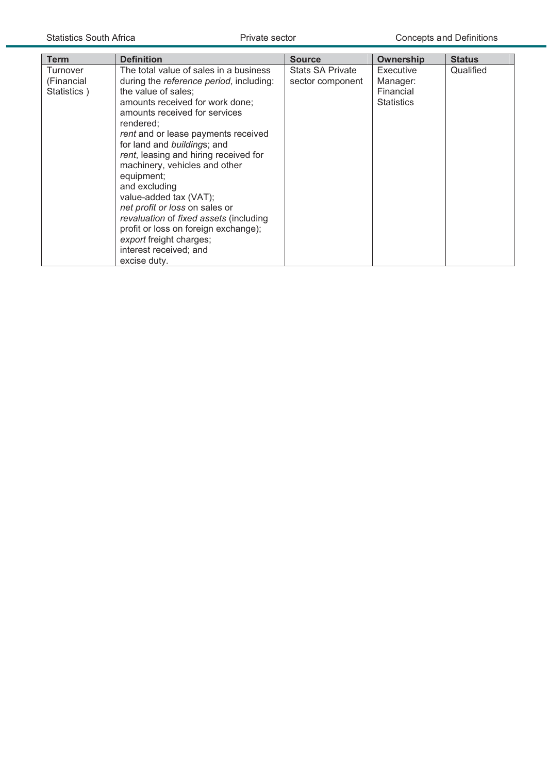| <b>Term</b>                           | <b>Definition</b>                                                                                                                                                                                                                                                                                                                                                                                                                                                                                                                                                                           | <b>Source</b>                               | Ownership                                               | <b>Status</b> |
|---------------------------------------|---------------------------------------------------------------------------------------------------------------------------------------------------------------------------------------------------------------------------------------------------------------------------------------------------------------------------------------------------------------------------------------------------------------------------------------------------------------------------------------------------------------------------------------------------------------------------------------------|---------------------------------------------|---------------------------------------------------------|---------------|
| Turnover<br>(Financial<br>Statistics) | The total value of sales in a business<br>during the reference period, including:<br>the value of sales;<br>amounts received for work done;<br>amounts received for services<br>rendered:<br>rent and or lease payments received<br>for land and buildings; and<br>rent, leasing and hiring received for<br>machinery, vehicles and other<br>equipment;<br>and excluding<br>value-added tax (VAT);<br>net profit or loss on sales or<br>revaluation of fixed assets (including<br>profit or loss on foreign exchange);<br>export freight charges;<br>interest received; and<br>excise duty. | <b>Stats SA Private</b><br>sector component | Executive<br>Manager:<br>Financial<br><b>Statistics</b> | Qualified     |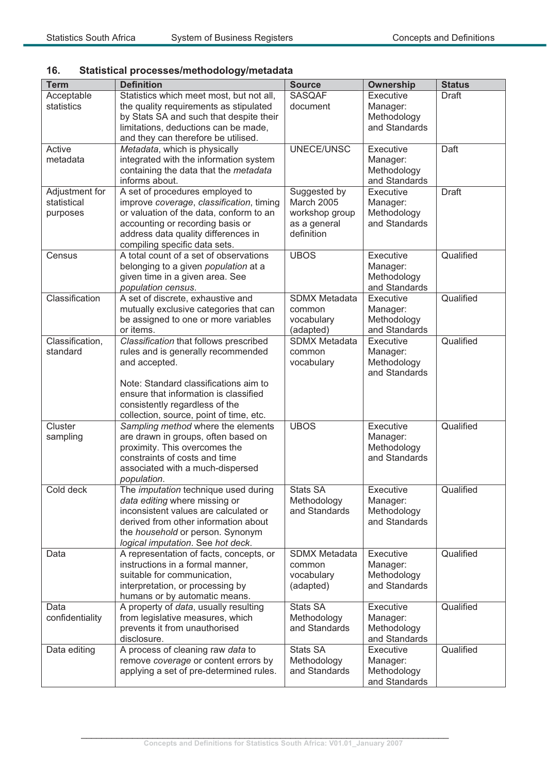### **16. Statistical processes/methodology/metadata**

| <b>Term</b>                   | <b>Definition</b>                                                                   | <b>Source</b>              | <b>Ownership</b>             | <b>Status</b> |
|-------------------------------|-------------------------------------------------------------------------------------|----------------------------|------------------------------|---------------|
| Acceptable                    | Statistics which meet most, but not all,                                            | <b>SASQAF</b>              | Executive                    | <b>Draft</b>  |
| statistics                    | the quality requirements as stipulated                                              | document                   | Manager:                     |               |
|                               | by Stats SA and such that despite their<br>limitations, deductions can be made,     |                            | Methodology<br>and Standards |               |
|                               | and they can therefore be utilised.                                                 |                            |                              |               |
| Active                        | Metadata, which is physically                                                       | UNECE/UNSC                 | Executive                    | Daft          |
| metadata                      | integrated with the information system                                              |                            | Manager:                     |               |
|                               | containing the data that the metadata                                               |                            | Methodology                  |               |
|                               | informs about.                                                                      |                            | and Standards                |               |
| Adjustment for<br>statistical | A set of procedures employed to                                                     | Suggested by<br>March 2005 | Executive                    | <b>Draft</b>  |
| purposes                      | improve coverage, classification, timing<br>or valuation of the data, conform to an | workshop group             | Manager:<br>Methodology      |               |
|                               | accounting or recording basis or                                                    | as a general               | and Standards                |               |
|                               | address data quality differences in                                                 | definition                 |                              |               |
|                               | compiling specific data sets.                                                       |                            |                              |               |
| Census                        | A total count of a set of observations                                              | <b>UBOS</b>                | Executive                    | Qualified     |
|                               | belonging to a given population at a                                                |                            | Manager:                     |               |
|                               | given time in a given area. See<br>population census.                               |                            | Methodology<br>and Standards |               |
| Classification                | A set of discrete, exhaustive and                                                   | <b>SDMX Metadata</b>       | Executive                    | Qualified     |
|                               | mutually exclusive categories that can                                              | common                     | Manager:                     |               |
|                               | be assigned to one or more variables                                                | vocabulary                 | Methodology                  |               |
|                               | or items.                                                                           | (adapted)                  | and Standards                |               |
| Classification,               | Classification that follows prescribed                                              | <b>SDMX Metadata</b>       | Executive                    | Qualified     |
| standard                      | rules and is generally recommended                                                  | common                     | Manager:                     |               |
|                               | and accepted.                                                                       | vocabulary                 | Methodology<br>and Standards |               |
|                               | Note: Standard classifications aim to                                               |                            |                              |               |
|                               | ensure that information is classified                                               |                            |                              |               |
|                               | consistently regardless of the                                                      |                            |                              |               |
|                               | collection, source, point of time, etc.                                             |                            |                              |               |
| Cluster                       | Sampling method where the elements                                                  | <b>UBOS</b>                | Executive                    | Qualified     |
| sampling                      | are drawn in groups, often based on                                                 |                            | Manager:                     |               |
|                               | proximity. This overcomes the<br>constraints of costs and time                      |                            | Methodology<br>and Standards |               |
|                               | associated with a much-dispersed                                                    |                            |                              |               |
|                               | population.                                                                         |                            |                              |               |
| Cold deck                     | The <i>imputation</i> technique used during                                         | Stats SA                   | Executive                    | Qualified     |
|                               | data editing where missing or                                                       | Methodology                | Manager:                     |               |
|                               | inconsistent values are calculated or<br>derived from other information about       | and Standards              | Methodology                  |               |
|                               | the household or person. Synonym                                                    |                            | and Standards                |               |
|                               | logical imputation. See hot deck.                                                   |                            |                              |               |
| Data                          | A representation of facts, concepts, or                                             | <b>SDMX Metadata</b>       | Executive                    | Qualified     |
|                               | instructions in a formal manner,                                                    | common                     | Manager:                     |               |
|                               | suitable for communication,                                                         | vocabulary                 | Methodology                  |               |
|                               | interpretation, or processing by                                                    | (adapted)                  | and Standards                |               |
| Data                          | humans or by automatic means.<br>A property of data, usually resulting              | <b>Stats SA</b>            | Executive                    | Qualified     |
| confidentiality               | from legislative measures, which                                                    | Methodology                | Manager:                     |               |
|                               | prevents it from unauthorised                                                       | and Standards              | Methodology                  |               |
|                               | disclosure.                                                                         |                            | and Standards                |               |
| Data editing                  | A process of cleaning raw data to                                                   | <b>Stats SA</b>            | Executive                    | Qualified     |
|                               | remove coverage or content errors by                                                | Methodology                | Manager:                     |               |
|                               | applying a set of pre-determined rules.                                             | and Standards              | Methodology<br>and Standards |               |
|                               |                                                                                     |                            |                              |               |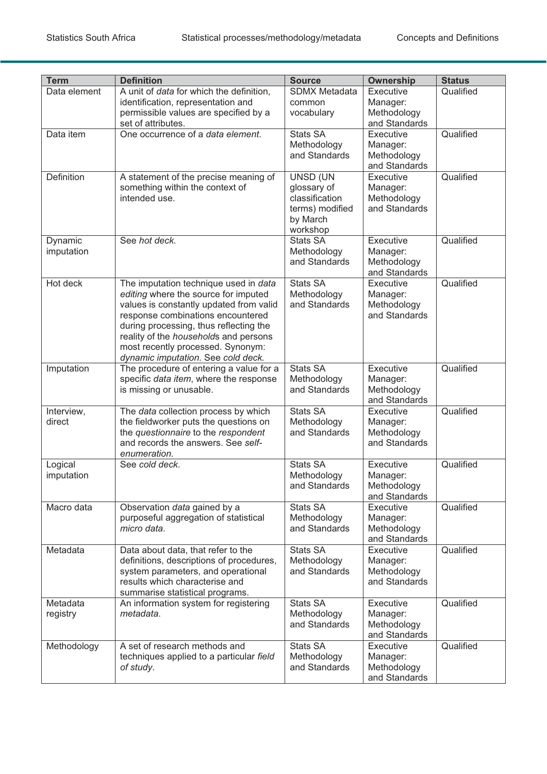| Data element<br>Qualified<br>A unit of <i>data</i> for which the definition,<br><b>SDMX Metadata</b><br>Executive<br>identification, representation and<br>Manager:<br>common<br>permissible values are specified by a<br>Methodology<br>vocabulary<br>set of attributes.<br>and Standards<br><b>Stats SA</b><br>Qualified<br>One occurrence of a data element.<br>Executive<br>Data item<br>Methodology<br>Manager:<br>and Standards<br>Methodology<br>and Standards<br>Qualified<br>Definition<br><b>UNSD (UN</b><br>Executive<br>A statement of the precise meaning of<br>something within the context of<br>glossary of<br>Manager:<br>intended use.<br>classification<br>Methodology<br>and Standards<br>terms) modified<br>by March<br>workshop<br><b>Stats SA</b><br>Executive<br>Qualified<br>See hot deck.<br>Dynamic<br>imputation<br>Methodology<br>Manager:<br>and Standards<br>Methodology<br>and Standards<br>Qualified<br>Hot deck<br><b>Stats SA</b><br>Executive<br>The imputation technique used in data<br>editing where the source for imputed<br>Methodology<br>Manager:<br>values is constantly updated from valid<br>and Standards<br>Methodology<br>and Standards<br>response combinations encountered<br>during processing, thus reflecting the<br>reality of the households and persons<br>most recently processed. Synonym:<br>dynamic imputation. See cold deck.<br>The procedure of entering a value for a<br><b>Stats SA</b><br>Executive<br>Qualified<br>Imputation<br>specific data item, where the response<br>Methodology<br>Manager:<br>and Standards<br>Methodology<br>is missing or unusable.<br>and Standards<br>Qualified<br><b>Stats SA</b><br>The data collection process by which<br>Executive<br>Interview,<br>the fieldworker puts the questions on<br>direct<br>Methodology<br>Manager:<br>the questionnaire to the respondent<br>and Standards<br>Methodology<br>and records the answers. See self-<br>and Standards<br>enumeration.<br><b>Stats SA</b><br>Executive<br>Qualified<br>Logical<br>See cold deck.<br>imputation<br>Methodology<br>Manager:<br>and Standards<br>Methodology<br>and Standards<br>Macro data<br><b>Stats SA</b><br>Qualified<br>Observation data gained by a<br>Executive<br>purposeful aggregation of statistical<br>Methodology<br>Manager:<br>and Standards<br>Methodology<br>micro data.<br>and Standards<br><b>Stats SA</b><br>Qualified<br>Metadata<br>Data about data, that refer to the<br>Executive<br>definitions, descriptions of procedures,<br>Methodology<br>Manager:<br>system parameters, and operational<br>and Standards<br>Methodology<br>results which characterise and<br>and Standards<br>summarise statistical programs.<br>Executive<br>Qualified<br><b>Stats SA</b><br>Metadata<br>An information system for registering<br>metadata.<br>Methodology<br>registry<br>Manager:<br>and Standards<br>Methodology<br>and Standards<br>Stats SA<br>Executive<br>Qualified<br>A set of research methods and<br>Methodology<br>techniques applied to a particular field<br>Methodology<br>Manager:<br>and Standards<br>Methodology<br>of study. | <b>Term</b> | <b>Definition</b> | <b>Source</b> | <b>Ownership</b> | <b>Status</b> |
|------------------------------------------------------------------------------------------------------------------------------------------------------------------------------------------------------------------------------------------------------------------------------------------------------------------------------------------------------------------------------------------------------------------------------------------------------------------------------------------------------------------------------------------------------------------------------------------------------------------------------------------------------------------------------------------------------------------------------------------------------------------------------------------------------------------------------------------------------------------------------------------------------------------------------------------------------------------------------------------------------------------------------------------------------------------------------------------------------------------------------------------------------------------------------------------------------------------------------------------------------------------------------------------------------------------------------------------------------------------------------------------------------------------------------------------------------------------------------------------------------------------------------------------------------------------------------------------------------------------------------------------------------------------------------------------------------------------------------------------------------------------------------------------------------------------------------------------------------------------------------------------------------------------------------------------------------------------------------------------------------------------------------------------------------------------------------------------------------------------------------------------------------------------------------------------------------------------------------------------------------------------------------------------------------------------------------------------------------------------------------------------------------------------------------------------------------------------------------------------------------------------------------------------------------------------------------------------------------------------------------------------------------------------------------------------------------------------------------------------------------------------------------------------------------------------------------------------------------------------------------------------------------------------------------------------------------------------------------------------------------------------------------------------------------------------------------------------------------------------------------------------|-------------|-------------------|---------------|------------------|---------------|
|                                                                                                                                                                                                                                                                                                                                                                                                                                                                                                                                                                                                                                                                                                                                                                                                                                                                                                                                                                                                                                                                                                                                                                                                                                                                                                                                                                                                                                                                                                                                                                                                                                                                                                                                                                                                                                                                                                                                                                                                                                                                                                                                                                                                                                                                                                                                                                                                                                                                                                                                                                                                                                                                                                                                                                                                                                                                                                                                                                                                                                                                                                                                          |             |                   |               |                  |               |
|                                                                                                                                                                                                                                                                                                                                                                                                                                                                                                                                                                                                                                                                                                                                                                                                                                                                                                                                                                                                                                                                                                                                                                                                                                                                                                                                                                                                                                                                                                                                                                                                                                                                                                                                                                                                                                                                                                                                                                                                                                                                                                                                                                                                                                                                                                                                                                                                                                                                                                                                                                                                                                                                                                                                                                                                                                                                                                                                                                                                                                                                                                                                          |             |                   |               |                  |               |
|                                                                                                                                                                                                                                                                                                                                                                                                                                                                                                                                                                                                                                                                                                                                                                                                                                                                                                                                                                                                                                                                                                                                                                                                                                                                                                                                                                                                                                                                                                                                                                                                                                                                                                                                                                                                                                                                                                                                                                                                                                                                                                                                                                                                                                                                                                                                                                                                                                                                                                                                                                                                                                                                                                                                                                                                                                                                                                                                                                                                                                                                                                                                          |             |                   |               |                  |               |
|                                                                                                                                                                                                                                                                                                                                                                                                                                                                                                                                                                                                                                                                                                                                                                                                                                                                                                                                                                                                                                                                                                                                                                                                                                                                                                                                                                                                                                                                                                                                                                                                                                                                                                                                                                                                                                                                                                                                                                                                                                                                                                                                                                                                                                                                                                                                                                                                                                                                                                                                                                                                                                                                                                                                                                                                                                                                                                                                                                                                                                                                                                                                          |             |                   |               |                  |               |
|                                                                                                                                                                                                                                                                                                                                                                                                                                                                                                                                                                                                                                                                                                                                                                                                                                                                                                                                                                                                                                                                                                                                                                                                                                                                                                                                                                                                                                                                                                                                                                                                                                                                                                                                                                                                                                                                                                                                                                                                                                                                                                                                                                                                                                                                                                                                                                                                                                                                                                                                                                                                                                                                                                                                                                                                                                                                                                                                                                                                                                                                                                                                          |             |                   |               |                  |               |
|                                                                                                                                                                                                                                                                                                                                                                                                                                                                                                                                                                                                                                                                                                                                                                                                                                                                                                                                                                                                                                                                                                                                                                                                                                                                                                                                                                                                                                                                                                                                                                                                                                                                                                                                                                                                                                                                                                                                                                                                                                                                                                                                                                                                                                                                                                                                                                                                                                                                                                                                                                                                                                                                                                                                                                                                                                                                                                                                                                                                                                                                                                                                          |             |                   |               |                  |               |
|                                                                                                                                                                                                                                                                                                                                                                                                                                                                                                                                                                                                                                                                                                                                                                                                                                                                                                                                                                                                                                                                                                                                                                                                                                                                                                                                                                                                                                                                                                                                                                                                                                                                                                                                                                                                                                                                                                                                                                                                                                                                                                                                                                                                                                                                                                                                                                                                                                                                                                                                                                                                                                                                                                                                                                                                                                                                                                                                                                                                                                                                                                                                          |             |                   |               |                  |               |
|                                                                                                                                                                                                                                                                                                                                                                                                                                                                                                                                                                                                                                                                                                                                                                                                                                                                                                                                                                                                                                                                                                                                                                                                                                                                                                                                                                                                                                                                                                                                                                                                                                                                                                                                                                                                                                                                                                                                                                                                                                                                                                                                                                                                                                                                                                                                                                                                                                                                                                                                                                                                                                                                                                                                                                                                                                                                                                                                                                                                                                                                                                                                          |             |                   |               |                  |               |
|                                                                                                                                                                                                                                                                                                                                                                                                                                                                                                                                                                                                                                                                                                                                                                                                                                                                                                                                                                                                                                                                                                                                                                                                                                                                                                                                                                                                                                                                                                                                                                                                                                                                                                                                                                                                                                                                                                                                                                                                                                                                                                                                                                                                                                                                                                                                                                                                                                                                                                                                                                                                                                                                                                                                                                                                                                                                                                                                                                                                                                                                                                                                          |             |                   |               |                  |               |
|                                                                                                                                                                                                                                                                                                                                                                                                                                                                                                                                                                                                                                                                                                                                                                                                                                                                                                                                                                                                                                                                                                                                                                                                                                                                                                                                                                                                                                                                                                                                                                                                                                                                                                                                                                                                                                                                                                                                                                                                                                                                                                                                                                                                                                                                                                                                                                                                                                                                                                                                                                                                                                                                                                                                                                                                                                                                                                                                                                                                                                                                                                                                          |             |                   |               |                  |               |
|                                                                                                                                                                                                                                                                                                                                                                                                                                                                                                                                                                                                                                                                                                                                                                                                                                                                                                                                                                                                                                                                                                                                                                                                                                                                                                                                                                                                                                                                                                                                                                                                                                                                                                                                                                                                                                                                                                                                                                                                                                                                                                                                                                                                                                                                                                                                                                                                                                                                                                                                                                                                                                                                                                                                                                                                                                                                                                                                                                                                                                                                                                                                          |             |                   |               |                  |               |
|                                                                                                                                                                                                                                                                                                                                                                                                                                                                                                                                                                                                                                                                                                                                                                                                                                                                                                                                                                                                                                                                                                                                                                                                                                                                                                                                                                                                                                                                                                                                                                                                                                                                                                                                                                                                                                                                                                                                                                                                                                                                                                                                                                                                                                                                                                                                                                                                                                                                                                                                                                                                                                                                                                                                                                                                                                                                                                                                                                                                                                                                                                                                          |             |                   |               |                  |               |
|                                                                                                                                                                                                                                                                                                                                                                                                                                                                                                                                                                                                                                                                                                                                                                                                                                                                                                                                                                                                                                                                                                                                                                                                                                                                                                                                                                                                                                                                                                                                                                                                                                                                                                                                                                                                                                                                                                                                                                                                                                                                                                                                                                                                                                                                                                                                                                                                                                                                                                                                                                                                                                                                                                                                                                                                                                                                                                                                                                                                                                                                                                                                          |             |                   |               |                  |               |
|                                                                                                                                                                                                                                                                                                                                                                                                                                                                                                                                                                                                                                                                                                                                                                                                                                                                                                                                                                                                                                                                                                                                                                                                                                                                                                                                                                                                                                                                                                                                                                                                                                                                                                                                                                                                                                                                                                                                                                                                                                                                                                                                                                                                                                                                                                                                                                                                                                                                                                                                                                                                                                                                                                                                                                                                                                                                                                                                                                                                                                                                                                                                          |             |                   |               |                  |               |
|                                                                                                                                                                                                                                                                                                                                                                                                                                                                                                                                                                                                                                                                                                                                                                                                                                                                                                                                                                                                                                                                                                                                                                                                                                                                                                                                                                                                                                                                                                                                                                                                                                                                                                                                                                                                                                                                                                                                                                                                                                                                                                                                                                                                                                                                                                                                                                                                                                                                                                                                                                                                                                                                                                                                                                                                                                                                                                                                                                                                                                                                                                                                          |             |                   |               |                  |               |
|                                                                                                                                                                                                                                                                                                                                                                                                                                                                                                                                                                                                                                                                                                                                                                                                                                                                                                                                                                                                                                                                                                                                                                                                                                                                                                                                                                                                                                                                                                                                                                                                                                                                                                                                                                                                                                                                                                                                                                                                                                                                                                                                                                                                                                                                                                                                                                                                                                                                                                                                                                                                                                                                                                                                                                                                                                                                                                                                                                                                                                                                                                                                          |             |                   |               |                  |               |
|                                                                                                                                                                                                                                                                                                                                                                                                                                                                                                                                                                                                                                                                                                                                                                                                                                                                                                                                                                                                                                                                                                                                                                                                                                                                                                                                                                                                                                                                                                                                                                                                                                                                                                                                                                                                                                                                                                                                                                                                                                                                                                                                                                                                                                                                                                                                                                                                                                                                                                                                                                                                                                                                                                                                                                                                                                                                                                                                                                                                                                                                                                                                          |             |                   |               |                  |               |
|                                                                                                                                                                                                                                                                                                                                                                                                                                                                                                                                                                                                                                                                                                                                                                                                                                                                                                                                                                                                                                                                                                                                                                                                                                                                                                                                                                                                                                                                                                                                                                                                                                                                                                                                                                                                                                                                                                                                                                                                                                                                                                                                                                                                                                                                                                                                                                                                                                                                                                                                                                                                                                                                                                                                                                                                                                                                                                                                                                                                                                                                                                                                          |             |                   |               |                  |               |
|                                                                                                                                                                                                                                                                                                                                                                                                                                                                                                                                                                                                                                                                                                                                                                                                                                                                                                                                                                                                                                                                                                                                                                                                                                                                                                                                                                                                                                                                                                                                                                                                                                                                                                                                                                                                                                                                                                                                                                                                                                                                                                                                                                                                                                                                                                                                                                                                                                                                                                                                                                                                                                                                                                                                                                                                                                                                                                                                                                                                                                                                                                                                          |             |                   |               |                  |               |
|                                                                                                                                                                                                                                                                                                                                                                                                                                                                                                                                                                                                                                                                                                                                                                                                                                                                                                                                                                                                                                                                                                                                                                                                                                                                                                                                                                                                                                                                                                                                                                                                                                                                                                                                                                                                                                                                                                                                                                                                                                                                                                                                                                                                                                                                                                                                                                                                                                                                                                                                                                                                                                                                                                                                                                                                                                                                                                                                                                                                                                                                                                                                          |             |                   |               |                  |               |
|                                                                                                                                                                                                                                                                                                                                                                                                                                                                                                                                                                                                                                                                                                                                                                                                                                                                                                                                                                                                                                                                                                                                                                                                                                                                                                                                                                                                                                                                                                                                                                                                                                                                                                                                                                                                                                                                                                                                                                                                                                                                                                                                                                                                                                                                                                                                                                                                                                                                                                                                                                                                                                                                                                                                                                                                                                                                                                                                                                                                                                                                                                                                          |             |                   |               |                  |               |
|                                                                                                                                                                                                                                                                                                                                                                                                                                                                                                                                                                                                                                                                                                                                                                                                                                                                                                                                                                                                                                                                                                                                                                                                                                                                                                                                                                                                                                                                                                                                                                                                                                                                                                                                                                                                                                                                                                                                                                                                                                                                                                                                                                                                                                                                                                                                                                                                                                                                                                                                                                                                                                                                                                                                                                                                                                                                                                                                                                                                                                                                                                                                          |             |                   |               |                  |               |
|                                                                                                                                                                                                                                                                                                                                                                                                                                                                                                                                                                                                                                                                                                                                                                                                                                                                                                                                                                                                                                                                                                                                                                                                                                                                                                                                                                                                                                                                                                                                                                                                                                                                                                                                                                                                                                                                                                                                                                                                                                                                                                                                                                                                                                                                                                                                                                                                                                                                                                                                                                                                                                                                                                                                                                                                                                                                                                                                                                                                                                                                                                                                          |             |                   |               |                  |               |
|                                                                                                                                                                                                                                                                                                                                                                                                                                                                                                                                                                                                                                                                                                                                                                                                                                                                                                                                                                                                                                                                                                                                                                                                                                                                                                                                                                                                                                                                                                                                                                                                                                                                                                                                                                                                                                                                                                                                                                                                                                                                                                                                                                                                                                                                                                                                                                                                                                                                                                                                                                                                                                                                                                                                                                                                                                                                                                                                                                                                                                                                                                                                          |             |                   |               |                  |               |
|                                                                                                                                                                                                                                                                                                                                                                                                                                                                                                                                                                                                                                                                                                                                                                                                                                                                                                                                                                                                                                                                                                                                                                                                                                                                                                                                                                                                                                                                                                                                                                                                                                                                                                                                                                                                                                                                                                                                                                                                                                                                                                                                                                                                                                                                                                                                                                                                                                                                                                                                                                                                                                                                                                                                                                                                                                                                                                                                                                                                                                                                                                                                          |             |                   |               |                  |               |
|                                                                                                                                                                                                                                                                                                                                                                                                                                                                                                                                                                                                                                                                                                                                                                                                                                                                                                                                                                                                                                                                                                                                                                                                                                                                                                                                                                                                                                                                                                                                                                                                                                                                                                                                                                                                                                                                                                                                                                                                                                                                                                                                                                                                                                                                                                                                                                                                                                                                                                                                                                                                                                                                                                                                                                                                                                                                                                                                                                                                                                                                                                                                          |             |                   |               |                  |               |
|                                                                                                                                                                                                                                                                                                                                                                                                                                                                                                                                                                                                                                                                                                                                                                                                                                                                                                                                                                                                                                                                                                                                                                                                                                                                                                                                                                                                                                                                                                                                                                                                                                                                                                                                                                                                                                                                                                                                                                                                                                                                                                                                                                                                                                                                                                                                                                                                                                                                                                                                                                                                                                                                                                                                                                                                                                                                                                                                                                                                                                                                                                                                          |             |                   |               |                  |               |
|                                                                                                                                                                                                                                                                                                                                                                                                                                                                                                                                                                                                                                                                                                                                                                                                                                                                                                                                                                                                                                                                                                                                                                                                                                                                                                                                                                                                                                                                                                                                                                                                                                                                                                                                                                                                                                                                                                                                                                                                                                                                                                                                                                                                                                                                                                                                                                                                                                                                                                                                                                                                                                                                                                                                                                                                                                                                                                                                                                                                                                                                                                                                          |             |                   |               |                  |               |
|                                                                                                                                                                                                                                                                                                                                                                                                                                                                                                                                                                                                                                                                                                                                                                                                                                                                                                                                                                                                                                                                                                                                                                                                                                                                                                                                                                                                                                                                                                                                                                                                                                                                                                                                                                                                                                                                                                                                                                                                                                                                                                                                                                                                                                                                                                                                                                                                                                                                                                                                                                                                                                                                                                                                                                                                                                                                                                                                                                                                                                                                                                                                          |             |                   |               |                  |               |
|                                                                                                                                                                                                                                                                                                                                                                                                                                                                                                                                                                                                                                                                                                                                                                                                                                                                                                                                                                                                                                                                                                                                                                                                                                                                                                                                                                                                                                                                                                                                                                                                                                                                                                                                                                                                                                                                                                                                                                                                                                                                                                                                                                                                                                                                                                                                                                                                                                                                                                                                                                                                                                                                                                                                                                                                                                                                                                                                                                                                                                                                                                                                          |             |                   |               |                  |               |
|                                                                                                                                                                                                                                                                                                                                                                                                                                                                                                                                                                                                                                                                                                                                                                                                                                                                                                                                                                                                                                                                                                                                                                                                                                                                                                                                                                                                                                                                                                                                                                                                                                                                                                                                                                                                                                                                                                                                                                                                                                                                                                                                                                                                                                                                                                                                                                                                                                                                                                                                                                                                                                                                                                                                                                                                                                                                                                                                                                                                                                                                                                                                          |             |                   |               |                  |               |
|                                                                                                                                                                                                                                                                                                                                                                                                                                                                                                                                                                                                                                                                                                                                                                                                                                                                                                                                                                                                                                                                                                                                                                                                                                                                                                                                                                                                                                                                                                                                                                                                                                                                                                                                                                                                                                                                                                                                                                                                                                                                                                                                                                                                                                                                                                                                                                                                                                                                                                                                                                                                                                                                                                                                                                                                                                                                                                                                                                                                                                                                                                                                          |             |                   |               |                  |               |
|                                                                                                                                                                                                                                                                                                                                                                                                                                                                                                                                                                                                                                                                                                                                                                                                                                                                                                                                                                                                                                                                                                                                                                                                                                                                                                                                                                                                                                                                                                                                                                                                                                                                                                                                                                                                                                                                                                                                                                                                                                                                                                                                                                                                                                                                                                                                                                                                                                                                                                                                                                                                                                                                                                                                                                                                                                                                                                                                                                                                                                                                                                                                          |             |                   |               |                  |               |
|                                                                                                                                                                                                                                                                                                                                                                                                                                                                                                                                                                                                                                                                                                                                                                                                                                                                                                                                                                                                                                                                                                                                                                                                                                                                                                                                                                                                                                                                                                                                                                                                                                                                                                                                                                                                                                                                                                                                                                                                                                                                                                                                                                                                                                                                                                                                                                                                                                                                                                                                                                                                                                                                                                                                                                                                                                                                                                                                                                                                                                                                                                                                          |             |                   |               |                  |               |
|                                                                                                                                                                                                                                                                                                                                                                                                                                                                                                                                                                                                                                                                                                                                                                                                                                                                                                                                                                                                                                                                                                                                                                                                                                                                                                                                                                                                                                                                                                                                                                                                                                                                                                                                                                                                                                                                                                                                                                                                                                                                                                                                                                                                                                                                                                                                                                                                                                                                                                                                                                                                                                                                                                                                                                                                                                                                                                                                                                                                                                                                                                                                          |             |                   |               |                  |               |
|                                                                                                                                                                                                                                                                                                                                                                                                                                                                                                                                                                                                                                                                                                                                                                                                                                                                                                                                                                                                                                                                                                                                                                                                                                                                                                                                                                                                                                                                                                                                                                                                                                                                                                                                                                                                                                                                                                                                                                                                                                                                                                                                                                                                                                                                                                                                                                                                                                                                                                                                                                                                                                                                                                                                                                                                                                                                                                                                                                                                                                                                                                                                          |             |                   |               |                  |               |
|                                                                                                                                                                                                                                                                                                                                                                                                                                                                                                                                                                                                                                                                                                                                                                                                                                                                                                                                                                                                                                                                                                                                                                                                                                                                                                                                                                                                                                                                                                                                                                                                                                                                                                                                                                                                                                                                                                                                                                                                                                                                                                                                                                                                                                                                                                                                                                                                                                                                                                                                                                                                                                                                                                                                                                                                                                                                                                                                                                                                                                                                                                                                          |             |                   |               |                  |               |
|                                                                                                                                                                                                                                                                                                                                                                                                                                                                                                                                                                                                                                                                                                                                                                                                                                                                                                                                                                                                                                                                                                                                                                                                                                                                                                                                                                                                                                                                                                                                                                                                                                                                                                                                                                                                                                                                                                                                                                                                                                                                                                                                                                                                                                                                                                                                                                                                                                                                                                                                                                                                                                                                                                                                                                                                                                                                                                                                                                                                                                                                                                                                          |             |                   |               |                  |               |
|                                                                                                                                                                                                                                                                                                                                                                                                                                                                                                                                                                                                                                                                                                                                                                                                                                                                                                                                                                                                                                                                                                                                                                                                                                                                                                                                                                                                                                                                                                                                                                                                                                                                                                                                                                                                                                                                                                                                                                                                                                                                                                                                                                                                                                                                                                                                                                                                                                                                                                                                                                                                                                                                                                                                                                                                                                                                                                                                                                                                                                                                                                                                          |             |                   |               |                  |               |
|                                                                                                                                                                                                                                                                                                                                                                                                                                                                                                                                                                                                                                                                                                                                                                                                                                                                                                                                                                                                                                                                                                                                                                                                                                                                                                                                                                                                                                                                                                                                                                                                                                                                                                                                                                                                                                                                                                                                                                                                                                                                                                                                                                                                                                                                                                                                                                                                                                                                                                                                                                                                                                                                                                                                                                                                                                                                                                                                                                                                                                                                                                                                          |             |                   |               |                  |               |
|                                                                                                                                                                                                                                                                                                                                                                                                                                                                                                                                                                                                                                                                                                                                                                                                                                                                                                                                                                                                                                                                                                                                                                                                                                                                                                                                                                                                                                                                                                                                                                                                                                                                                                                                                                                                                                                                                                                                                                                                                                                                                                                                                                                                                                                                                                                                                                                                                                                                                                                                                                                                                                                                                                                                                                                                                                                                                                                                                                                                                                                                                                                                          |             |                   |               |                  |               |
|                                                                                                                                                                                                                                                                                                                                                                                                                                                                                                                                                                                                                                                                                                                                                                                                                                                                                                                                                                                                                                                                                                                                                                                                                                                                                                                                                                                                                                                                                                                                                                                                                                                                                                                                                                                                                                                                                                                                                                                                                                                                                                                                                                                                                                                                                                                                                                                                                                                                                                                                                                                                                                                                                                                                                                                                                                                                                                                                                                                                                                                                                                                                          |             |                   |               |                  |               |
|                                                                                                                                                                                                                                                                                                                                                                                                                                                                                                                                                                                                                                                                                                                                                                                                                                                                                                                                                                                                                                                                                                                                                                                                                                                                                                                                                                                                                                                                                                                                                                                                                                                                                                                                                                                                                                                                                                                                                                                                                                                                                                                                                                                                                                                                                                                                                                                                                                                                                                                                                                                                                                                                                                                                                                                                                                                                                                                                                                                                                                                                                                                                          |             |                   |               |                  |               |
|                                                                                                                                                                                                                                                                                                                                                                                                                                                                                                                                                                                                                                                                                                                                                                                                                                                                                                                                                                                                                                                                                                                                                                                                                                                                                                                                                                                                                                                                                                                                                                                                                                                                                                                                                                                                                                                                                                                                                                                                                                                                                                                                                                                                                                                                                                                                                                                                                                                                                                                                                                                                                                                                                                                                                                                                                                                                                                                                                                                                                                                                                                                                          |             |                   |               |                  |               |
|                                                                                                                                                                                                                                                                                                                                                                                                                                                                                                                                                                                                                                                                                                                                                                                                                                                                                                                                                                                                                                                                                                                                                                                                                                                                                                                                                                                                                                                                                                                                                                                                                                                                                                                                                                                                                                                                                                                                                                                                                                                                                                                                                                                                                                                                                                                                                                                                                                                                                                                                                                                                                                                                                                                                                                                                                                                                                                                                                                                                                                                                                                                                          |             |                   |               |                  |               |
|                                                                                                                                                                                                                                                                                                                                                                                                                                                                                                                                                                                                                                                                                                                                                                                                                                                                                                                                                                                                                                                                                                                                                                                                                                                                                                                                                                                                                                                                                                                                                                                                                                                                                                                                                                                                                                                                                                                                                                                                                                                                                                                                                                                                                                                                                                                                                                                                                                                                                                                                                                                                                                                                                                                                                                                                                                                                                                                                                                                                                                                                                                                                          |             |                   |               |                  |               |
|                                                                                                                                                                                                                                                                                                                                                                                                                                                                                                                                                                                                                                                                                                                                                                                                                                                                                                                                                                                                                                                                                                                                                                                                                                                                                                                                                                                                                                                                                                                                                                                                                                                                                                                                                                                                                                                                                                                                                                                                                                                                                                                                                                                                                                                                                                                                                                                                                                                                                                                                                                                                                                                                                                                                                                                                                                                                                                                                                                                                                                                                                                                                          |             |                   |               |                  |               |
|                                                                                                                                                                                                                                                                                                                                                                                                                                                                                                                                                                                                                                                                                                                                                                                                                                                                                                                                                                                                                                                                                                                                                                                                                                                                                                                                                                                                                                                                                                                                                                                                                                                                                                                                                                                                                                                                                                                                                                                                                                                                                                                                                                                                                                                                                                                                                                                                                                                                                                                                                                                                                                                                                                                                                                                                                                                                                                                                                                                                                                                                                                                                          |             |                   |               |                  |               |
|                                                                                                                                                                                                                                                                                                                                                                                                                                                                                                                                                                                                                                                                                                                                                                                                                                                                                                                                                                                                                                                                                                                                                                                                                                                                                                                                                                                                                                                                                                                                                                                                                                                                                                                                                                                                                                                                                                                                                                                                                                                                                                                                                                                                                                                                                                                                                                                                                                                                                                                                                                                                                                                                                                                                                                                                                                                                                                                                                                                                                                                                                                                                          |             |                   |               |                  |               |
|                                                                                                                                                                                                                                                                                                                                                                                                                                                                                                                                                                                                                                                                                                                                                                                                                                                                                                                                                                                                                                                                                                                                                                                                                                                                                                                                                                                                                                                                                                                                                                                                                                                                                                                                                                                                                                                                                                                                                                                                                                                                                                                                                                                                                                                                                                                                                                                                                                                                                                                                                                                                                                                                                                                                                                                                                                                                                                                                                                                                                                                                                                                                          |             |                   |               |                  |               |
|                                                                                                                                                                                                                                                                                                                                                                                                                                                                                                                                                                                                                                                                                                                                                                                                                                                                                                                                                                                                                                                                                                                                                                                                                                                                                                                                                                                                                                                                                                                                                                                                                                                                                                                                                                                                                                                                                                                                                                                                                                                                                                                                                                                                                                                                                                                                                                                                                                                                                                                                                                                                                                                                                                                                                                                                                                                                                                                                                                                                                                                                                                                                          |             |                   |               |                  |               |
|                                                                                                                                                                                                                                                                                                                                                                                                                                                                                                                                                                                                                                                                                                                                                                                                                                                                                                                                                                                                                                                                                                                                                                                                                                                                                                                                                                                                                                                                                                                                                                                                                                                                                                                                                                                                                                                                                                                                                                                                                                                                                                                                                                                                                                                                                                                                                                                                                                                                                                                                                                                                                                                                                                                                                                                                                                                                                                                                                                                                                                                                                                                                          |             |                   |               | and Standards    |               |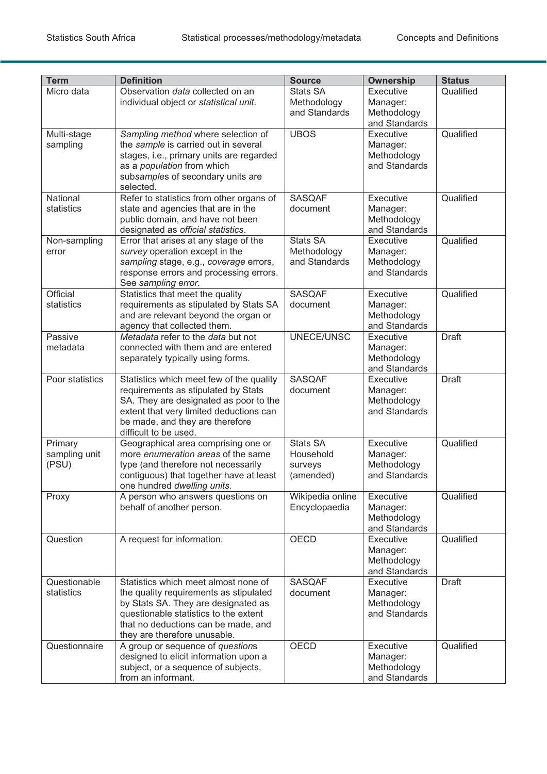| <b>Term</b>                       | <b>Definition</b>                                                                                                                                                                                                                     | <b>Source</b>                                        | <b>Ownership</b>                                      | <b>Status</b> |
|-----------------------------------|---------------------------------------------------------------------------------------------------------------------------------------------------------------------------------------------------------------------------------------|------------------------------------------------------|-------------------------------------------------------|---------------|
| Micro data                        | Observation data collected on an                                                                                                                                                                                                      | Stats SA                                             | Executive                                             | Qualified     |
|                                   | individual object or statistical unit.                                                                                                                                                                                                | Methodology<br>and Standards                         | Manager:<br>Methodology<br>and Standards              |               |
| Multi-stage<br>sampling           | Sampling method where selection of<br>the sample is carried out in several<br>stages, i.e., primary units are regarded<br>as a population from which<br>subsamples of secondary units are<br>selected.                                | <b>UBOS</b>                                          | Executive<br>Manager:<br>Methodology<br>and Standards | Qualified     |
| National<br>statistics            | Refer to statistics from other organs of<br>state and agencies that are in the<br>public domain, and have not been<br>designated as official statistics.                                                                              | <b>SASQAF</b><br>document                            | Executive<br>Manager:<br>Methodology<br>and Standards | Qualified     |
| Non-sampling<br>error             | Error that arises at any stage of the<br>survey operation except in the<br>sampling stage, e.g., coverage errors,<br>response errors and processing errors.<br>See sampling error.                                                    | <b>Stats SA</b><br>Methodology<br>and Standards      | Executive<br>Manager:<br>Methodology<br>and Standards | Qualified     |
| Official<br>statistics            | Statistics that meet the quality<br>requirements as stipulated by Stats SA<br>and are relevant beyond the organ or<br>agency that collected them.                                                                                     | <b>SASQAF</b><br>document                            | Executive<br>Manager:<br>Methodology<br>and Standards | Qualified     |
| Passive<br>metadata               | Metadata refer to the data but not<br>connected with them and are entered<br>separately typically using forms.                                                                                                                        | UNECE/UNSC                                           | Executive<br>Manager:<br>Methodology<br>and Standards | <b>Draft</b>  |
| Poor statistics                   | Statistics which meet few of the quality<br>requirements as stipulated by Stats<br>SA. They are designated as poor to the<br>extent that very limited deductions can<br>be made, and they are therefore<br>difficult to be used.      | <b>SASQAF</b><br>document                            | Executive<br>Manager:<br>Methodology<br>and Standards | <b>Draft</b>  |
| Primary<br>sampling unit<br>(PSU) | Geographical area comprising one or<br>more enumeration areas of the same<br>type (and therefore not necessarily<br>contiguous) that together have at least<br>one hundred dwelling units.                                            | <b>Stats SA</b><br>Household<br>surveys<br>(amended) | Executive<br>Manager:<br>Methodology<br>and Standards | Qualified     |
| Proxy                             | A person who answers questions on<br>behalf of another person.                                                                                                                                                                        | Wikipedia online<br>Encyclopaedia                    | Executive<br>Manager:<br>Methodology<br>and Standards | Qualified     |
| Question                          | A request for information.                                                                                                                                                                                                            | <b>OECD</b>                                          | Executive<br>Manager:<br>Methodology<br>and Standards | Qualified     |
| Questionable<br>statistics        | Statistics which meet almost none of<br>the quality requirements as stipulated<br>by Stats SA. They are designated as<br>questionable statistics to the extent<br>that no deductions can be made, and<br>they are therefore unusable. | <b>SASQAF</b><br>document                            | Executive<br>Manager:<br>Methodology<br>and Standards | <b>Draft</b>  |
| Questionnaire                     | A group or sequence of questions<br>designed to elicit information upon a<br>subject, or a sequence of subjects,<br>from an informant.                                                                                                | <b>OECD</b>                                          | Executive<br>Manager:<br>Methodology<br>and Standards | Qualified     |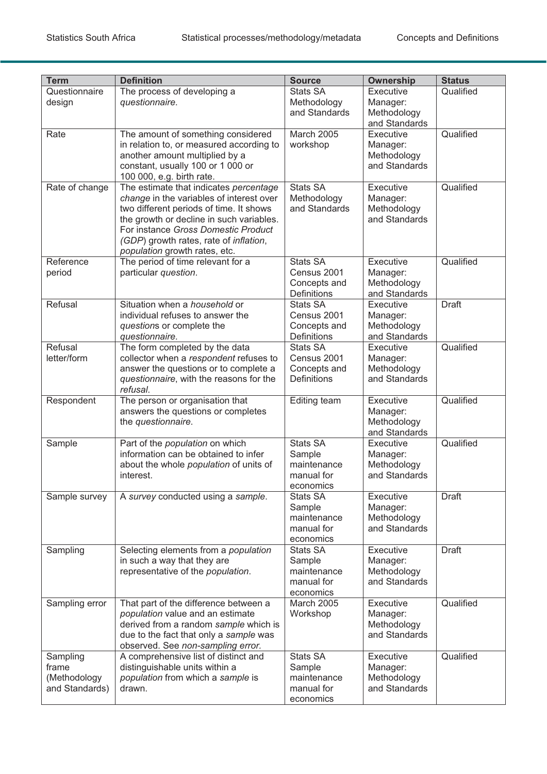| <b>Term</b>                                         | <b>Definition</b>                                                                                                                                                                                                                                                                                   | <b>Source</b>                                                 | <b>Ownership</b>                                      | <b>Status</b> |
|-----------------------------------------------------|-----------------------------------------------------------------------------------------------------------------------------------------------------------------------------------------------------------------------------------------------------------------------------------------------------|---------------------------------------------------------------|-------------------------------------------------------|---------------|
| Questionnaire                                       | The process of developing a                                                                                                                                                                                                                                                                         | <b>Stats SA</b>                                               | Executive                                             | Qualified     |
| design                                              | questionnaire.                                                                                                                                                                                                                                                                                      | Methodology<br>and Standards                                  | Manager:<br>Methodology<br>and Standards              |               |
| Rate                                                | The amount of something considered<br>in relation to, or measured according to<br>another amount multiplied by a<br>constant, usually 100 or 1 000 or<br>100 000, e.g. birth rate.                                                                                                                  | <b>March 2005</b><br>workshop                                 | Executive<br>Manager:<br>Methodology<br>and Standards | Qualified     |
| Rate of change                                      | The estimate that indicates percentage<br>change in the variables of interest over<br>two different periods of time. It shows<br>the growth or decline in such variables.<br>For instance Gross Domestic Product<br>(GDP) growth rates, rate of <i>inflation</i> ,<br>population growth rates, etc. | <b>Stats SA</b><br>Methodology<br>and Standards               | Executive<br>Manager:<br>Methodology<br>and Standards | Qualified     |
| Reference<br>period                                 | The period of time relevant for a<br>particular question.                                                                                                                                                                                                                                           | <b>Stats SA</b><br>Census 2001<br>Concepts and<br>Definitions | Executive<br>Manager:<br>Methodology<br>and Standards | Qualified     |
| Refusal                                             | Situation when a household or<br>individual refuses to answer the<br>questions or complete the<br>questionnaire.                                                                                                                                                                                    | Stats SA<br>Census 2001<br>Concepts and<br>Definitions        | Executive<br>Manager:<br>Methodology<br>and Standards | <b>Draft</b>  |
| Refusal<br>letter/form                              | The form completed by the data<br>collector when a respondent refuses to<br>answer the questions or to complete a<br>questionnaire, with the reasons for the<br>refusal.                                                                                                                            | Stats SA<br>Census 2001<br>Concepts and<br><b>Definitions</b> | Executive<br>Manager:<br>Methodology<br>and Standards | Qualified     |
| Respondent                                          | The person or organisation that<br>answers the questions or completes<br>the questionnaire.                                                                                                                                                                                                         | Editing team                                                  | Executive<br>Manager:<br>Methodology<br>and Standards | Qualified     |
| Sample                                              | Part of the population on which<br>information can be obtained to infer<br>about the whole <i>population</i> of units of<br>interest.                                                                                                                                                               | Stats SA<br>Sample<br>maintenance<br>manual for<br>economics  | Executive<br>Manager:<br>Methodology<br>and Standards | Qualified     |
| Sample survey                                       | A survey conducted using a sample.                                                                                                                                                                                                                                                                  | Stats SA<br>Sample<br>maintenance<br>manual for<br>economics  | Executive<br>Manager:<br>Methodology<br>and Standards | <b>Draft</b>  |
| Sampling                                            | Selecting elements from a population<br>in such a way that they are<br>representative of the population.                                                                                                                                                                                            | Stats SA<br>Sample<br>maintenance<br>manual for<br>economics  | Executive<br>Manager:<br>Methodology<br>and Standards | <b>Draft</b>  |
| Sampling error                                      | That part of the difference between a<br>population value and an estimate<br>derived from a random sample which is<br>due to the fact that only a sample was<br>observed. See non-sampling error.                                                                                                   | <b>March 2005</b><br>Workshop                                 | Executive<br>Manager:<br>Methodology<br>and Standards | Qualified     |
| Sampling<br>frame<br>(Methodology<br>and Standards) | A comprehensive list of distinct and<br>distinguishable units within a<br>population from which a sample is<br>drawn.                                                                                                                                                                               | Stats SA<br>Sample<br>maintenance<br>manual for<br>economics  | Executive<br>Manager:<br>Methodology<br>and Standards | Qualified     |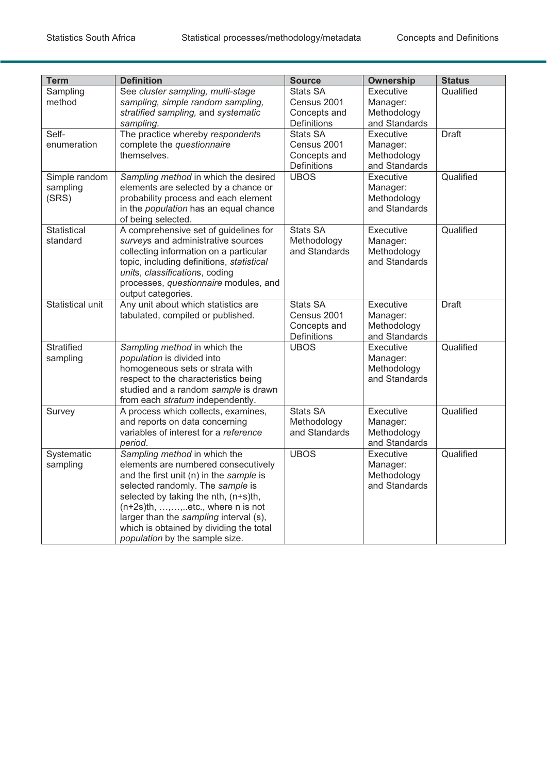| <b>Term</b>                        | <b>Definition</b>                                                                                                                                                                                                                                                                                                                                           | <b>Source</b>                                                        | Ownership                                             | <b>Status</b> |
|------------------------------------|-------------------------------------------------------------------------------------------------------------------------------------------------------------------------------------------------------------------------------------------------------------------------------------------------------------------------------------------------------------|----------------------------------------------------------------------|-------------------------------------------------------|---------------|
| Sampling<br>method                 | See cluster sampling, multi-stage<br>sampling, simple random sampling,<br>stratified sampling, and systematic<br>sampling.                                                                                                                                                                                                                                  | Stats SA<br>Census 2001<br>Concepts and<br><b>Definitions</b>        | Executive<br>Manager:<br>Methodology<br>and Standards | Qualified     |
| Self-<br>enumeration               | The practice whereby respondents<br>complete the questionnaire<br>themselves.                                                                                                                                                                                                                                                                               | <b>Stats SA</b><br>Census 2001<br>Concepts and<br>Definitions        | Executive<br>Manager:<br>Methodology<br>and Standards | <b>Draft</b>  |
| Simple random<br>sampling<br>(SRS) | Sampling method in which the desired<br>elements are selected by a chance or<br>probability process and each element<br>in the population has an equal chance<br>of being selected.                                                                                                                                                                         | <b>UBOS</b>                                                          | Executive<br>Manager:<br>Methodology<br>and Standards | Qualified     |
| Statistical<br>standard            | A comprehensive set of guidelines for<br>surveys and administrative sources<br>collecting information on a particular<br>topic, including definitions, statistical<br>units, classifications, coding<br>processes, questionnaire modules, and<br>output categories.                                                                                         | <b>Stats SA</b><br>Methodology<br>and Standards                      | Executive<br>Manager:<br>Methodology<br>and Standards | Qualified     |
| <b>Statistical unit</b>            | Any unit about which statistics are<br>tabulated, compiled or published.                                                                                                                                                                                                                                                                                    | <b>Stats SA</b><br>Census 2001<br>Concepts and<br><b>Definitions</b> | Executive<br>Manager:<br>Methodology<br>and Standards | <b>Draft</b>  |
| Stratified<br>sampling             | Sampling method in which the<br>population is divided into<br>homogeneous sets or strata with<br>respect to the characteristics being<br>studied and a random sample is drawn<br>from each stratum independently.                                                                                                                                           | <b>UBOS</b>                                                          | Executive<br>Manager:<br>Methodology<br>and Standards | Qualified     |
| Survey                             | A process which collects, examines,<br>and reports on data concerning<br>variables of interest for a reference<br>period.                                                                                                                                                                                                                                   | <b>Stats SA</b><br>Methodology<br>and Standards                      | Executive<br>Manager:<br>Methodology<br>and Standards | Qualified     |
| Systematic<br>sampling             | Sampling method in which the<br>elements are numbered consecutively<br>and the first unit (n) in the sample is<br>selected randomly. The sample is<br>selected by taking the nth, (n+s)th,<br>$(n+2s)$ th, , ,  etc., where n is not<br>larger than the sampling interval (s),<br>which is obtained by dividing the total<br>population by the sample size. | <b>UBOS</b>                                                          | Executive<br>Manager:<br>Methodology<br>and Standards | Qualified     |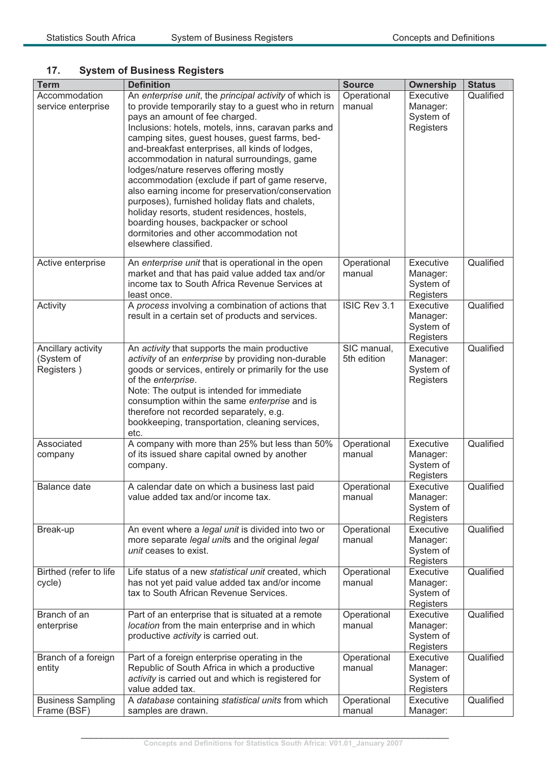# **17. System of Business Registers**

| <b>Term</b>                                    | <b>Definition</b>                                                                                                                                                                                                                                                                                                                                                                                                                                                                                                                                                                                                                                                                                                              | <b>Source</b>              | <b>Ownership</b>                                       | <b>Status</b> |
|------------------------------------------------|--------------------------------------------------------------------------------------------------------------------------------------------------------------------------------------------------------------------------------------------------------------------------------------------------------------------------------------------------------------------------------------------------------------------------------------------------------------------------------------------------------------------------------------------------------------------------------------------------------------------------------------------------------------------------------------------------------------------------------|----------------------------|--------------------------------------------------------|---------------|
| Accommodation<br>service enterprise            | An enterprise unit, the principal activity of which is<br>to provide temporarily stay to a guest who in return<br>pays an amount of fee charged.<br>Inclusions: hotels, motels, inns, caravan parks and<br>camping sites, guest houses, guest farms, bed-<br>and-breakfast enterprises, all kinds of lodges,<br>accommodation in natural surroundings, game<br>lodges/nature reserves offering mostly<br>accommodation (exclude if part of game reserve,<br>also earning income for preservation/conservation<br>purposes), furnished holiday flats and chalets,<br>holiday resorts, student residences, hostels,<br>boarding houses, backpacker or school<br>dormitories and other accommodation not<br>elsewhere classified. | Operational<br>manual      | Executive<br>Manager:<br>System of<br>Registers        | Qualified     |
| Active enterprise                              | An enterprise unit that is operational in the open<br>market and that has paid value added tax and/or<br>income tax to South Africa Revenue Services at<br>least once.                                                                                                                                                                                                                                                                                                                                                                                                                                                                                                                                                         | Operational<br>manual      | Executive<br>Manager:<br>System of<br>Registers        | Qualified     |
| Activity                                       | A process involving a combination of actions that<br>result in a certain set of products and services.                                                                                                                                                                                                                                                                                                                                                                                                                                                                                                                                                                                                                         | ISIC Rev 3.1               | Executive<br>Manager:<br>System of<br>Registers        | Qualified     |
| Ancillary activity<br>(System of<br>Registers) | An activity that supports the main productive<br>activity of an enterprise by providing non-durable<br>goods or services, entirely or primarily for the use<br>of the enterprise.<br>Note: The output is intended for immediate<br>consumption within the same enterprise and is<br>therefore not recorded separately, e.g.<br>bookkeeping, transportation, cleaning services,<br>etc.                                                                                                                                                                                                                                                                                                                                         | SIC manual,<br>5th edition | Executive<br>Manager:<br>System of<br>Registers        | Qualified     |
| Associated<br>company                          | A company with more than 25% but less than 50%<br>of its issued share capital owned by another<br>company.                                                                                                                                                                                                                                                                                                                                                                                                                                                                                                                                                                                                                     | Operational<br>manual      | Executive<br>Manager:<br>System of<br>Registers        | Qualified     |
| <b>Balance date</b>                            | A calendar date on which a business last paid<br>value added tax and/or income tax.                                                                                                                                                                                                                                                                                                                                                                                                                                                                                                                                                                                                                                            | Operational<br>manual      | <b>Executive</b><br>Manager:<br>System of<br>Registers | Qualified     |
| Break-up                                       | An event where a legal unit is divided into two or<br>more separate legal units and the original legal<br>unit ceases to exist.                                                                                                                                                                                                                                                                                                                                                                                                                                                                                                                                                                                                | Operational<br>manual      | Executive<br>Manager:<br>System of<br>Registers        | Qualified     |
| Birthed (refer to life<br>cycle)               | Life status of a new statistical unit created, which<br>has not yet paid value added tax and/or income<br>tax to South African Revenue Services.                                                                                                                                                                                                                                                                                                                                                                                                                                                                                                                                                                               | Operational<br>manual      | Executive<br>Manager:<br>System of<br>Registers        | Qualified     |
| Branch of an<br>enterprise                     | Part of an enterprise that is situated at a remote<br>location from the main enterprise and in which<br>productive activity is carried out.                                                                                                                                                                                                                                                                                                                                                                                                                                                                                                                                                                                    | Operational<br>manual      | Executive<br>Manager:<br>System of<br>Registers        | Qualified     |
| Branch of a foreign<br>entity                  | Part of a foreign enterprise operating in the<br>Republic of South Africa in which a productive<br>activity is carried out and which is registered for<br>value added tax.                                                                                                                                                                                                                                                                                                                                                                                                                                                                                                                                                     | Operational<br>manual      | Executive<br>Manager:<br>System of<br>Registers        | Qualified     |
| <b>Business Sampling</b><br>Frame (BSF)        | A database containing statistical units from which<br>samples are drawn.                                                                                                                                                                                                                                                                                                                                                                                                                                                                                                                                                                                                                                                       | Operational<br>manual      | Executive<br>Manager:                                  | Qualified     |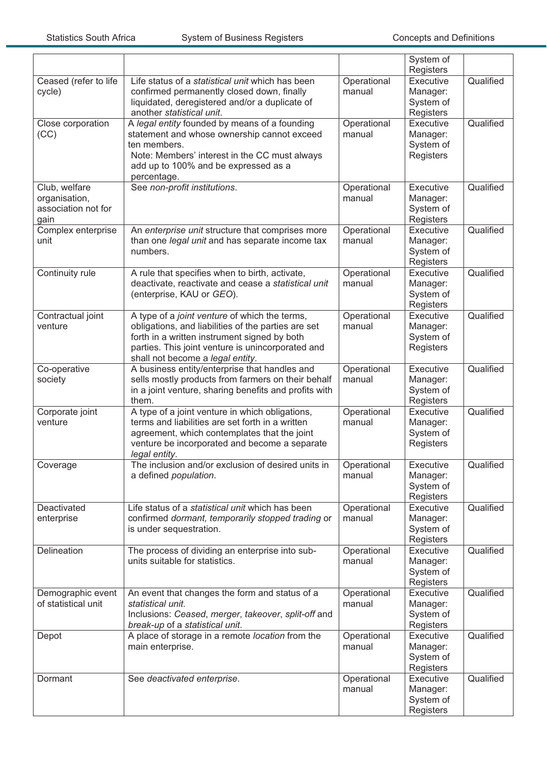|                                                               |                                                                                                                                                                                                                                               |                       | System of<br>Registers                                 |           |
|---------------------------------------------------------------|-----------------------------------------------------------------------------------------------------------------------------------------------------------------------------------------------------------------------------------------------|-----------------------|--------------------------------------------------------|-----------|
| Ceased (refer to life<br>cycle)                               | Life status of a statistical unit which has been<br>confirmed permanently closed down, finally<br>liquidated, deregistered and/or a duplicate of<br>another statistical unit.                                                                 | Operational<br>manual | <b>Executive</b><br>Manager:<br>System of<br>Registers | Qualified |
| Close corporation<br>(CC)                                     | A legal entity founded by means of a founding<br>statement and whose ownership cannot exceed<br>ten members.<br>Note: Members' interest in the CC must always<br>add up to 100% and be expressed as a<br>percentage.                          | Operational<br>manual | Executive<br>Manager:<br>System of<br>Registers        | Qualified |
| Club, welfare<br>organisation,<br>association not for<br>gain | See non-profit institutions.                                                                                                                                                                                                                  | Operational<br>manual | Executive<br>Manager:<br>System of<br>Registers        | Qualified |
| Complex enterprise<br>unit                                    | An enterprise unit structure that comprises more<br>than one legal unit and has separate income tax<br>numbers.                                                                                                                               | Operational<br>manual | Executive<br>Manager:<br>System of<br>Registers        | Qualified |
| Continuity rule                                               | A rule that specifies when to birth, activate,<br>deactivate, reactivate and cease a statistical unit<br>(enterprise, KAU or GEO).                                                                                                            | Operational<br>manual | Executive<br>Manager:<br>System of<br>Registers        | Qualified |
| Contractual joint<br>venture                                  | A type of a joint venture of which the terms,<br>obligations, and liabilities of the parties are set<br>forth in a written instrument signed by both<br>parties. This joint venture is unincorporated and<br>shall not become a legal entity. | Operational<br>manual | <b>Executive</b><br>Manager:<br>System of<br>Registers | Qualified |
| Co-operative<br>society                                       | A business entity/enterprise that handles and<br>sells mostly products from farmers on their behalf<br>in a joint venture, sharing benefits and profits with<br>them.                                                                         | Operational<br>manual | Executive<br>Manager:<br>System of<br>Registers        | Qualified |
| Corporate joint<br>venture                                    | A type of a joint venture in which obligations,<br>terms and liabilities are set forth in a written<br>agreement, which contemplates that the joint<br>venture be incorporated and become a separate<br>legal entity.                         | Operational<br>manual | Executive<br>Manager:<br>System of<br>Registers        | Qualified |
| Coverage                                                      | The inclusion and/or exclusion of desired units in<br>a defined <i>population</i> .                                                                                                                                                           | Operational<br>manual | Executive<br>Manager:<br>System of<br>Registers        | Qualified |
| Deactivated<br>enterprise                                     | Life status of a statistical unit which has been<br>confirmed dormant, temporarily stopped trading or<br>is under sequestration.                                                                                                              | Operational<br>manual | Executive<br>Manager:<br>System of<br>Registers        | Qualified |
| Delineation                                                   | The process of dividing an enterprise into sub-<br>units suitable for statistics.                                                                                                                                                             | Operational<br>manual | Executive<br>Manager:<br>System of<br>Registers        | Qualified |
| Demographic event<br>of statistical unit                      | An event that changes the form and status of a<br>statistical unit.<br>Inclusions: Ceased, merger, takeover, split-off and<br>break-up of a statistical unit.                                                                                 | Operational<br>manual | Executive<br>Manager:<br>System of<br>Registers        | Qualified |
| Depot                                                         | A place of storage in a remote location from the<br>main enterprise.                                                                                                                                                                          | Operational<br>manual | Executive<br>Manager:<br>System of<br>Registers        | Qualified |
| Dormant                                                       | See deactivated enterprise.                                                                                                                                                                                                                   | Operational<br>manual | Executive<br>Manager:<br>System of<br>Registers        | Qualified |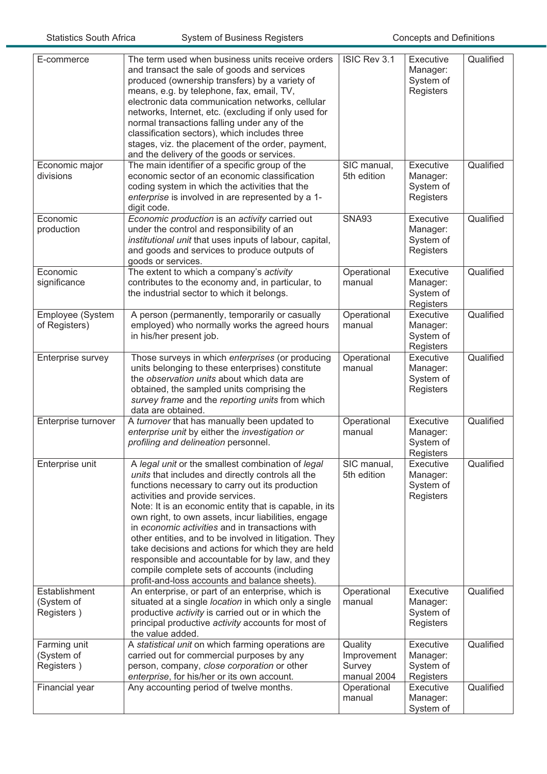| E-commerce                                | The term used when business units receive orders<br>and transact the sale of goods and services<br>produced (ownership transfers) by a variety of<br>means, e.g. by telephone, fax, email, TV,<br>electronic data communication networks, cellular<br>networks, Internet, etc. (excluding if only used for<br>normal transactions falling under any of the<br>classification sectors), which includes three<br>stages, viz. the placement of the order, payment,<br>and the delivery of the goods or services.                                                                                                                         | ISIC Rev 3.1                                    | Executive<br>Manager:<br>System of<br>Registers        | Qualified |
|-------------------------------------------|----------------------------------------------------------------------------------------------------------------------------------------------------------------------------------------------------------------------------------------------------------------------------------------------------------------------------------------------------------------------------------------------------------------------------------------------------------------------------------------------------------------------------------------------------------------------------------------------------------------------------------------|-------------------------------------------------|--------------------------------------------------------|-----------|
| Economic major<br>divisions               | The main identifier of a specific group of the<br>economic sector of an economic classification<br>coding system in which the activities that the<br>enterprise is involved in are represented by a 1-<br>digit code.                                                                                                                                                                                                                                                                                                                                                                                                                  | SIC manual,<br>5th edition                      | Executive<br>Manager:<br>System of<br>Registers        | Qualified |
| Economic<br>production                    | Economic production is an activity carried out<br>under the control and responsibility of an<br>institutional unit that uses inputs of labour, capital,<br>and goods and services to produce outputs of<br>goods or services.                                                                                                                                                                                                                                                                                                                                                                                                          | <b>SNA93</b>                                    | Executive<br>Manager:<br>System of<br>Registers        | Qualified |
| Economic<br>significance                  | The extent to which a company's activity<br>contributes to the economy and, in particular, to<br>the industrial sector to which it belongs.                                                                                                                                                                                                                                                                                                                                                                                                                                                                                            | Operational<br>manual                           | Executive<br>Manager:<br>System of<br>Registers        | Qualified |
| Employee (System<br>of Registers)         | A person (permanently, temporarily or casually<br>employed) who normally works the agreed hours<br>in his/her present job.                                                                                                                                                                                                                                                                                                                                                                                                                                                                                                             | Operational<br>manual                           | <b>Executive</b><br>Manager:<br>System of<br>Registers | Qualified |
| Enterprise survey                         | Those surveys in which enterprises (or producing<br>units belonging to these enterprises) constitute<br>the observation units about which data are<br>obtained, the sampled units comprising the<br>survey frame and the reporting units from which<br>data are obtained.                                                                                                                                                                                                                                                                                                                                                              | Operational<br>manual                           | Executive<br>Manager:<br>System of<br>Registers        | Qualified |
| Enterprise turnover                       | A turnover that has manually been updated to<br>enterprise unit by either the investigation or<br>profiling and delineation personnel.                                                                                                                                                                                                                                                                                                                                                                                                                                                                                                 | Operational<br>manual                           | Executive<br>Manager:<br>System of<br>Registers        | Qualified |
| Enterprise unit                           | A legal unit or the smallest combination of legal<br>units that includes and directly controls all the<br>functions necessary to carry out its production<br>activities and provide services.<br>Note: It is an economic entity that is capable, in its<br>own right, to own assets, incur liabilities, engage<br>in economic activities and in transactions with<br>other entities, and to be involved in litigation. They<br>take decisions and actions for which they are held<br>responsible and accountable for by law, and they<br>compile complete sets of accounts (including<br>profit-and-loss accounts and balance sheets). | SIC manual,<br>5th edition                      | Executive<br>Manager:<br>System of<br>Registers        | Qualified |
| Establishment<br>(System of<br>Registers) | An enterprise, or part of an enterprise, which is<br>situated at a single location in which only a single<br>productive activity is carried out or in which the<br>principal productive activity accounts for most of<br>the value added.                                                                                                                                                                                                                                                                                                                                                                                              | Operational<br>manual                           | Executive<br>Manager:<br>System of<br>Registers        | Qualified |
| Farming unit<br>(System of<br>Registers)  | A statistical unit on which farming operations are<br>carried out for commercial purposes by any<br>person, company, close corporation or other<br>enterprise, for his/her or its own account.                                                                                                                                                                                                                                                                                                                                                                                                                                         | Quality<br>Improvement<br>Survey<br>manual 2004 | Executive<br>Manager:<br>System of<br>Registers        | Qualified |
| Financial year                            | Any accounting period of twelve months.                                                                                                                                                                                                                                                                                                                                                                                                                                                                                                                                                                                                | Operational<br>manual                           | Executive<br>Manager:<br>System of                     | Qualified |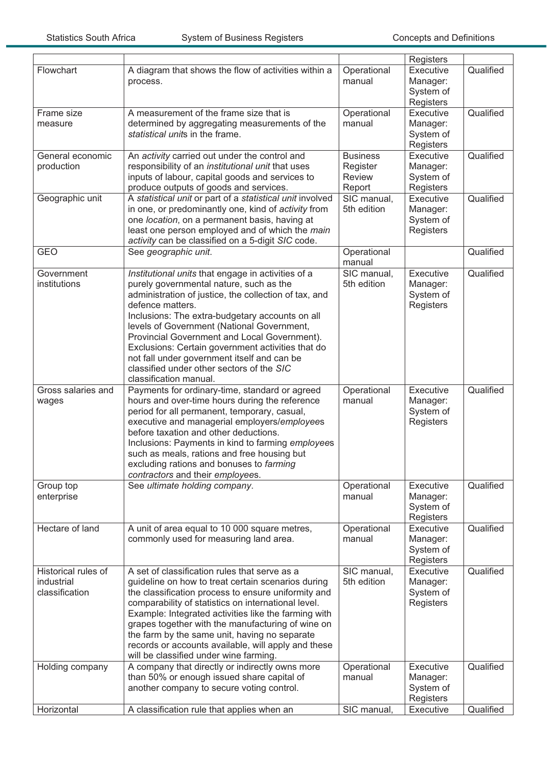|                            |                                                                                                      |                            | Registers              |           |
|----------------------------|------------------------------------------------------------------------------------------------------|----------------------------|------------------------|-----------|
| Flowchart                  | A diagram that shows the flow of activities within a<br>process.                                     | Operational<br>manual      | Executive<br>Manager:  | Qualified |
|                            |                                                                                                      |                            | System of<br>Registers |           |
| Frame size                 | A measurement of the frame size that is                                                              | Operational                | Executive              | Qualified |
| measure                    | determined by aggregating measurements of the                                                        | manual                     | Manager:               |           |
|                            | statistical units in the frame.                                                                      |                            | System of<br>Registers |           |
| General economic           | An activity carried out under the control and                                                        | <b>Business</b>            | Executive              | Qualified |
| production                 | responsibility of an institutional unit that uses                                                    | Register                   | Manager:               |           |
|                            | inputs of labour, capital goods and services to                                                      | <b>Review</b>              | System of              |           |
|                            | produce outputs of goods and services.                                                               | Report                     | Registers              |           |
| Geographic unit            | A statistical unit or part of a statistical unit involved                                            | SIC manual,                | Executive              | Qualified |
|                            | in one, or predominantly one, kind of activity from                                                  | 5th edition                | Manager:               |           |
|                            | one location, on a permanent basis, having at                                                        |                            | System of              |           |
|                            | least one person employed and of which the main<br>activity can be classified on a 5-digit SIC code. |                            | Registers              |           |
| <b>GEO</b>                 | See geographic unit.                                                                                 | Operational                |                        | Qualified |
|                            |                                                                                                      | manual                     |                        |           |
| Government<br>institutions | Institutional units that engage in activities of a<br>purely governmental nature, such as the        | SIC manual,<br>5th edition | Executive              | Qualified |
|                            | administration of justice, the collection of tax, and                                                |                            | Manager:<br>System of  |           |
|                            | defence matters.                                                                                     |                            | Registers              |           |
|                            | Inclusions: The extra-budgetary accounts on all                                                      |                            |                        |           |
|                            | levels of Government (National Government,                                                           |                            |                        |           |
|                            | Provincial Government and Local Government).                                                         |                            |                        |           |
|                            | Exclusions: Certain government activities that do                                                    |                            |                        |           |
|                            | not fall under government itself and can be<br>classified under other sectors of the SIC             |                            |                        |           |
|                            | classification manual.                                                                               |                            |                        |           |
|                            |                                                                                                      |                            |                        |           |
| Gross salaries and         |                                                                                                      |                            |                        |           |
| wages                      | Payments for ordinary-time, standard or agreed<br>hours and over-time hours during the reference     | Operational<br>manual      | Executive<br>Manager:  | Qualified |
|                            | period for all permanent, temporary, casual,                                                         |                            | System of              |           |
|                            | executive and managerial employers/employees                                                         |                            | Registers              |           |
|                            | before taxation and other deductions.                                                                |                            |                        |           |
|                            | Inclusions: Payments in kind to farming employees                                                    |                            |                        |           |
|                            | such as meals, rations and free housing but                                                          |                            |                        |           |
|                            | excluding rations and bonuses to farming                                                             |                            |                        |           |
| Group top                  | contractors and their employees.<br>See ultimate holding company.                                    | Operational                | Executive              | Qualified |
| enterprise                 |                                                                                                      | manual                     | Manager:               |           |
|                            |                                                                                                      |                            | System of              |           |
|                            |                                                                                                      |                            | Registers              |           |
| Hectare of land            | A unit of area equal to 10 000 square metres,                                                        | Operational                | Executive              | Qualified |
|                            | commonly used for measuring land area.                                                               | manual                     | Manager:               |           |
|                            |                                                                                                      |                            | System of              |           |
| Historical rules of        | A set of classification rules that serve as a                                                        | SIC manual,                | Registers<br>Executive | Qualified |
| industrial                 | guideline on how to treat certain scenarios during                                                   | 5th edition                | Manager:               |           |
| classification             | the classification process to ensure uniformity and                                                  |                            | System of              |           |
|                            | comparability of statistics on international level.                                                  |                            | Registers              |           |
|                            | Example: Integrated activities like the farming with                                                 |                            |                        |           |
|                            | grapes together with the manufacturing of wine on                                                    |                            |                        |           |
|                            | the farm by the same unit, having no separate                                                        |                            |                        |           |
|                            | records or accounts available, will apply and these<br>will be classified under wine farming.        |                            |                        |           |
| Holding company            | A company that directly or indirectly owns more                                                      | Operational                | Executive              | Qualified |
|                            | than 50% or enough issued share capital of                                                           | manual                     | Manager:               |           |
|                            | another company to secure voting control.                                                            |                            | System of              |           |
| Horizontal                 | A classification rule that applies when an                                                           | SIC manual,                | Registers<br>Executive | Qualified |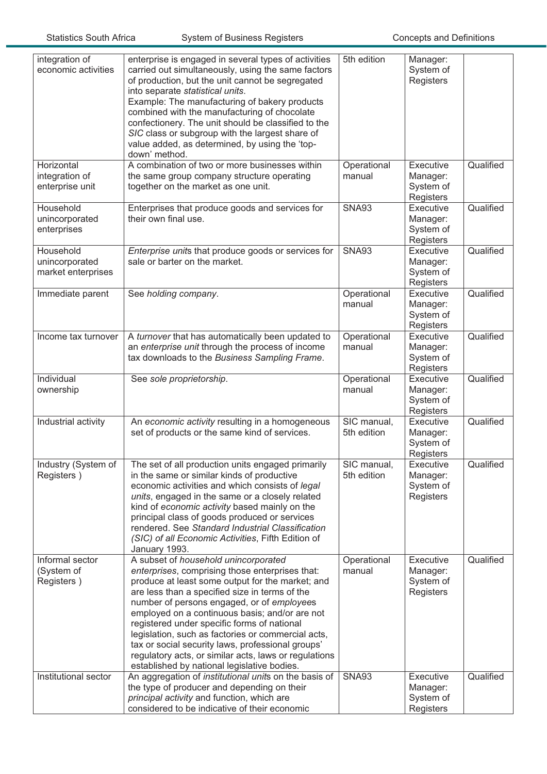| integration of<br>economic activities             | enterprise is engaged in several types of activities<br>carried out simultaneously, using the same factors<br>of production, but the unit cannot be segregated<br>into separate statistical units.<br>Example: The manufacturing of bakery products<br>combined with the manufacturing of chocolate<br>confectionery. The unit should be classified to the<br>SIC class or subgroup with the largest share of<br>value added, as determined, by using the 'top-<br>down' method.                                                                                | 5th edition                | Manager:<br>System of<br>Registers              |           |
|---------------------------------------------------|-----------------------------------------------------------------------------------------------------------------------------------------------------------------------------------------------------------------------------------------------------------------------------------------------------------------------------------------------------------------------------------------------------------------------------------------------------------------------------------------------------------------------------------------------------------------|----------------------------|-------------------------------------------------|-----------|
| Horizontal<br>integration of<br>enterprise unit   | A combination of two or more businesses within<br>the same group company structure operating<br>together on the market as one unit.                                                                                                                                                                                                                                                                                                                                                                                                                             | Operational<br>manual      | Executive<br>Manager:<br>System of<br>Registers | Qualified |
| Household<br>unincorporated<br>enterprises        | Enterprises that produce goods and services for<br>their own final use.                                                                                                                                                                                                                                                                                                                                                                                                                                                                                         | <b>SNA93</b>               | Executive<br>Manager:<br>System of<br>Registers | Qualified |
| Household<br>unincorporated<br>market enterprises | Enterprise units that produce goods or services for<br>sale or barter on the market.                                                                                                                                                                                                                                                                                                                                                                                                                                                                            | <b>SNA93</b>               | Executive<br>Manager:<br>System of<br>Registers | Qualified |
| Immediate parent                                  | See holding company.                                                                                                                                                                                                                                                                                                                                                                                                                                                                                                                                            | Operational<br>manual      | Executive<br>Manager:<br>System of<br>Registers | Qualified |
| Income tax turnover                               | A turnover that has automatically been updated to<br>an enterprise unit through the process of income<br>tax downloads to the Business Sampling Frame.                                                                                                                                                                                                                                                                                                                                                                                                          | Operational<br>manual      | Executive<br>Manager:<br>System of<br>Registers | Qualified |
| Individual<br>ownership                           | See sole proprietorship.                                                                                                                                                                                                                                                                                                                                                                                                                                                                                                                                        | Operational<br>manual      | Executive<br>Manager:<br>System of<br>Registers | Qualified |
| Industrial activity                               | An economic activity resulting in a homogeneous<br>set of products or the same kind of services.                                                                                                                                                                                                                                                                                                                                                                                                                                                                | SIC manual,<br>5th edition | Executive<br>Manager:<br>System of<br>Registers | Qualified |
| Registers)                                        | Industry (System of   The set of all production units engaged primarily<br>in the same or similar kinds of productive<br>economic activities and which consists of legal<br>units, engaged in the same or a closely related<br>kind of economic activity based mainly on the<br>principal class of goods produced or services<br>rendered. See Standard Industrial Classification<br>(SIC) of all Economic Activities, Fifth Edition of<br>January 1993.                                                                                                        | SIC manual,<br>5th edition | Executive<br>Manager:<br>System of<br>Registers | Qualified |
| Informal sector<br>(System of<br>Registers)       | A subset of household unincorporated<br>enterprises, comprising those enterprises that:<br>produce at least some output for the market; and<br>are less than a specified size in terms of the<br>number of persons engaged, or of employees<br>employed on a continuous basis; and/or are not<br>registered under specific forms of national<br>legislation, such as factories or commercial acts,<br>tax or social security laws, professional groups'<br>regulatory acts, or similar acts, laws or regulations<br>established by national legislative bodies. | Operational<br>manual      | Executive<br>Manager:<br>System of<br>Registers | Qualified |
| Institutional sector                              | An aggregation of institutional units on the basis of<br>the type of producer and depending on their<br>principal activity and function, which are<br>considered to be indicative of their economic                                                                                                                                                                                                                                                                                                                                                             | <b>SNA93</b>               | Executive<br>Manager:<br>System of<br>Registers | Qualified |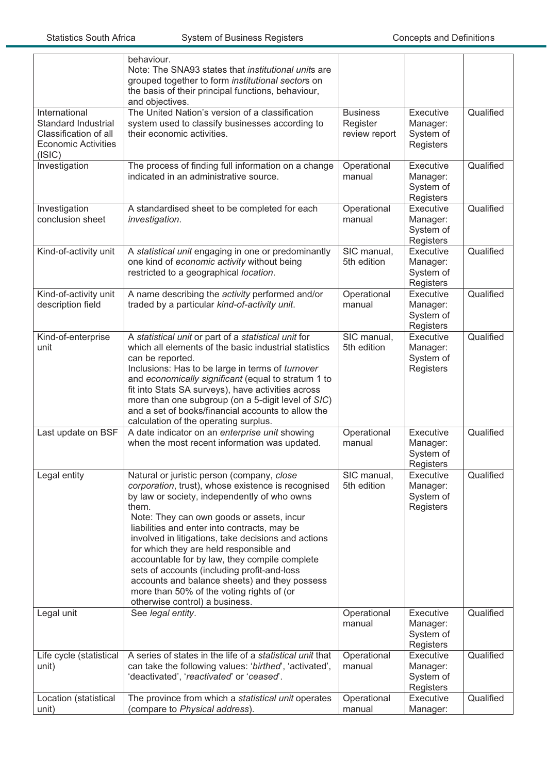|                                                                                                       | behaviour.<br>Note: The SNA93 states that <i>institutional units</i> are<br>grouped together to form institutional sectors on<br>the basis of their principal functions, behaviour,<br>and objectives.                                                                                                                                                                                                                                                                                                                                                                                   |                                              |                                                 |           |
|-------------------------------------------------------------------------------------------------------|------------------------------------------------------------------------------------------------------------------------------------------------------------------------------------------------------------------------------------------------------------------------------------------------------------------------------------------------------------------------------------------------------------------------------------------------------------------------------------------------------------------------------------------------------------------------------------------|----------------------------------------------|-------------------------------------------------|-----------|
| International<br>Standard Industrial<br>Classification of all<br><b>Economic Activities</b><br>(ISIC) | The United Nation's version of a classification<br>system used to classify businesses according to<br>their economic activities.                                                                                                                                                                                                                                                                                                                                                                                                                                                         | <b>Business</b><br>Register<br>review report | Executive<br>Manager:<br>System of<br>Registers | Qualified |
| Investigation                                                                                         | The process of finding full information on a change<br>indicated in an administrative source.                                                                                                                                                                                                                                                                                                                                                                                                                                                                                            | Operational<br>manual                        | Executive<br>Manager:<br>System of<br>Registers | Qualified |
| Investigation<br>conclusion sheet                                                                     | A standardised sheet to be completed for each<br>investigation.                                                                                                                                                                                                                                                                                                                                                                                                                                                                                                                          | Operational<br>manual                        | Executive<br>Manager:<br>System of<br>Registers | Qualified |
| Kind-of-activity unit                                                                                 | A statistical unit engaging in one or predominantly<br>one kind of economic activity without being<br>restricted to a geographical location.                                                                                                                                                                                                                                                                                                                                                                                                                                             | SIC manual,<br>5th edition                   | Executive<br>Manager:<br>System of<br>Registers | Qualified |
| Kind-of-activity unit<br>description field                                                            | A name describing the activity performed and/or<br>traded by a particular kind-of-activity unit.                                                                                                                                                                                                                                                                                                                                                                                                                                                                                         | Operational<br>manual                        | Executive<br>Manager:<br>System of<br>Registers | Qualified |
| Kind-of-enterprise<br>unit                                                                            | A statistical unit or part of a statistical unit for<br>which all elements of the basic industrial statistics<br>can be reported.<br>Inclusions: Has to be large in terms of turnover<br>and economically significant (equal to stratum 1 to<br>fit into Stats SA surveys), have activities across<br>more than one subgroup (on a 5-digit level of SIC)<br>and a set of books/financial accounts to allow the<br>calculation of the operating surplus.                                                                                                                                  | SIC manual,<br>5th edition                   | Executive<br>Manager:<br>System of<br>Registers | Qualified |
| Last update on BSF                                                                                    | A date indicator on an enterprise unit showing<br>when the most recent information was updated.                                                                                                                                                                                                                                                                                                                                                                                                                                                                                          | Operational<br>manual                        | Executive<br>Manager:<br>System of<br>Registers | Qualified |
| Legal entity                                                                                          | Natural or juristic person (company, close<br>corporation, trust), whose existence is recognised<br>by law or society, independently of who owns<br>them.<br>Note: They can own goods or assets, incur<br>liabilities and enter into contracts, may be<br>involved in litigations, take decisions and actions<br>for which they are held responsible and<br>accountable for by law, they compile complete<br>sets of accounts (including profit-and-loss<br>accounts and balance sheets) and they possess<br>more than 50% of the voting rights of (or<br>otherwise control) a business. | SIC manual,<br>5th edition                   | Executive<br>Manager:<br>System of<br>Registers | Qualified |
| Legal unit                                                                                            | See legal entity.                                                                                                                                                                                                                                                                                                                                                                                                                                                                                                                                                                        | Operational<br>manual                        | Executive<br>Manager:<br>System of<br>Registers | Qualified |
| Life cycle (statistical<br>unit)                                                                      | A series of states in the life of a statistical unit that<br>can take the following values: 'birthed', 'activated',<br>'deactivated', 'reactivated' or 'ceased'.                                                                                                                                                                                                                                                                                                                                                                                                                         | Operational<br>manual                        | Executive<br>Manager:<br>System of<br>Registers | Qualified |
| Location (statistical<br>unit)                                                                        | The province from which a statistical unit operates<br>(compare to Physical address).                                                                                                                                                                                                                                                                                                                                                                                                                                                                                                    | Operational<br>manual                        | Executive<br>Manager:                           | Qualified |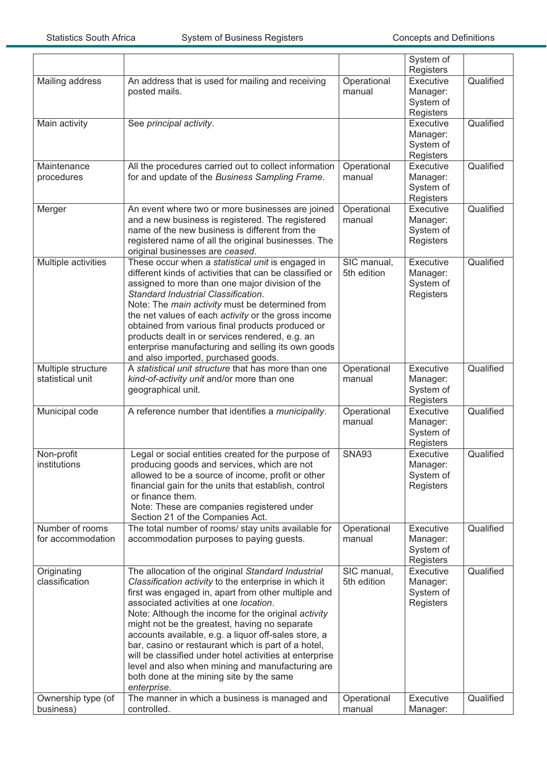|                                        |                                                                                                                                                                                                                                                                                                                                                                                                                                                                                                                                                                                                               |                            | System of<br>Registers                          |           |
|----------------------------------------|---------------------------------------------------------------------------------------------------------------------------------------------------------------------------------------------------------------------------------------------------------------------------------------------------------------------------------------------------------------------------------------------------------------------------------------------------------------------------------------------------------------------------------------------------------------------------------------------------------------|----------------------------|-------------------------------------------------|-----------|
| Mailing address                        | An address that is used for mailing and receiving<br>posted mails.                                                                                                                                                                                                                                                                                                                                                                                                                                                                                                                                            | Operational<br>manual      | Executive<br>Manager:<br>System of<br>Registers | Qualified |
| Main activity                          | See principal activity.                                                                                                                                                                                                                                                                                                                                                                                                                                                                                                                                                                                       |                            | Executive<br>Manager:<br>System of<br>Registers | Qualified |
| Maintenance<br>procedures              | All the procedures carried out to collect information<br>for and update of the Business Sampling Frame.                                                                                                                                                                                                                                                                                                                                                                                                                                                                                                       | Operational<br>manual      | Executive<br>Manager:<br>System of<br>Registers | Qualified |
| Merger                                 | An event where two or more businesses are joined<br>and a new business is registered. The registered<br>name of the new business is different from the<br>registered name of all the original businesses. The<br>original businesses are ceased.                                                                                                                                                                                                                                                                                                                                                              | Operational<br>manual      | Executive<br>Manager:<br>System of<br>Registers | Qualified |
| Multiple activities                    | These occur when a statistical unit is engaged in<br>different kinds of activities that can be classified or<br>assigned to more than one major division of the<br>Standard Industrial Classification.<br>Note: The main activity must be determined from<br>the net values of each activity or the gross income<br>obtained from various final products produced or<br>products dealt in or services rendered, e.g. an<br>enterprise manufacturing and selling its own goods<br>and also imported, purchased goods.                                                                                          | SIC manual,<br>5th edition | Executive<br>Manager:<br>System of<br>Registers | Qualified |
| Multiple structure<br>statistical unit | A statistical unit structure that has more than one<br>kind-of-activity unit and/or more than one<br>geographical unit.                                                                                                                                                                                                                                                                                                                                                                                                                                                                                       | Operational<br>manual      | Executive<br>Manager:<br>System of<br>Registers | Qualified |
| Municipal code                         | A reference number that identifies a municipality.                                                                                                                                                                                                                                                                                                                                                                                                                                                                                                                                                            | Operational<br>manual      | Executive<br>Manager:<br>System of<br>Registers | Qualified |
| Non-profit<br>institutions             | Legal or social entities created for the purpose of<br>producing goods and services, which are not<br>allowed to be a source of income, profit or other<br>financial gain for the units that establish, control<br>or finance them.<br>Note: These are companies registered under<br>Section 21 of the Companies Act.                                                                                                                                                                                                                                                                                         | <b>SNA93</b>               | Executive<br>Manager:<br>System of<br>Registers | Qualified |
| Number of rooms<br>for accommodation   | The total number of rooms/ stay units available for<br>accommodation purposes to paying guests.                                                                                                                                                                                                                                                                                                                                                                                                                                                                                                               | Operational<br>manual      | Executive<br>Manager:<br>System of<br>Registers | Qualified |
| Originating<br>classification          | The allocation of the original Standard Industrial<br>Classification activity to the enterprise in which it<br>first was engaged in, apart from other multiple and<br>associated activities at one location.<br>Note: Although the income for the original activity<br>might not be the greatest, having no separate<br>accounts available, e.g. a liquor off-sales store, a<br>bar, casino or restaurant which is part of a hotel,<br>will be classified under hotel activities at enterprise<br>level and also when mining and manufacturing are<br>both done at the mining site by the same<br>enterprise. | SIC manual,<br>5th edition | Executive<br>Manager:<br>System of<br>Registers | Qualified |
| Ownership type (of<br>business)        | The manner in which a business is managed and<br>controlled.                                                                                                                                                                                                                                                                                                                                                                                                                                                                                                                                                  | Operational<br>manual      | Executive<br>Manager:                           | Qualified |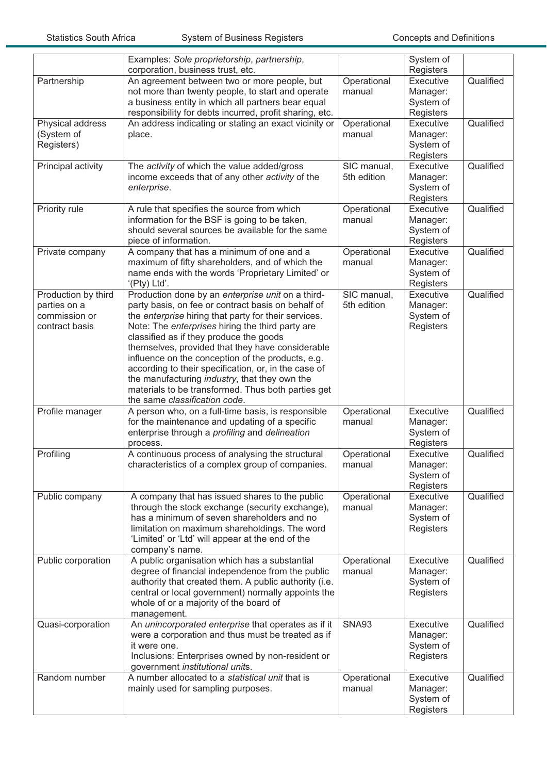|                     | Examples: Sole proprietorship, partnership,<br>corporation, business trust, etc. |              | System of<br>Registers |           |
|---------------------|----------------------------------------------------------------------------------|--------------|------------------------|-----------|
| Partnership         | An agreement between two or more people, but                                     | Operational  | Executive              | Qualified |
|                     | not more than twenty people, to start and operate                                | manual       | Manager:               |           |
|                     | a business entity in which all partners bear equal                               |              | System of              |           |
|                     | responsibility for debts incurred, profit sharing, etc.                          |              | Registers              |           |
| Physical address    | An address indicating or stating an exact vicinity or                            | Operational  | Executive              | Qualified |
| (System of          | place.                                                                           | manual       | Manager:               |           |
| Registers)          |                                                                                  |              | System of              |           |
|                     |                                                                                  |              | Registers              |           |
| Principal activity  | The activity of which the value added/gross                                      | SIC manual,  | Executive              | Qualified |
|                     | income exceeds that of any other activity of the                                 | 5th edition  | Manager:               |           |
|                     | enterprise.                                                                      |              | System of              |           |
|                     |                                                                                  |              | Registers              |           |
| Priority rule       | A rule that specifies the source from which                                      | Operational  | Executive              | Qualified |
|                     | information for the BSF is going to be taken,                                    | manual       | Manager:               |           |
|                     | should several sources be available for the same                                 |              | System of              |           |
|                     | piece of information.                                                            |              | Registers              |           |
| Private company     | A company that has a minimum of one and a                                        | Operational  | Executive              | Qualified |
|                     | maximum of fifty shareholders, and of which the                                  | manual       | Manager:               |           |
|                     | name ends with the words 'Proprietary Limited' or                                |              | System of              |           |
|                     | '(Pty) Ltd'.                                                                     |              | Registers              |           |
| Production by third | Production done by an enterprise unit on a third-                                | SIC manual,  | Executive              | Qualified |
| parties on a        | party basis, on fee or contract basis on behalf of                               | 5th edition  | Manager:               |           |
| commission or       | the enterprise hiring that party for their services.                             |              | System of              |           |
| contract basis      | Note: The enterprises hiring the third party are                                 |              | Registers              |           |
|                     | classified as if they produce the goods                                          |              |                        |           |
|                     | themselves, provided that they have considerable                                 |              |                        |           |
|                     | influence on the conception of the products, e.g.                                |              |                        |           |
|                     | according to their specification, or, in the case of                             |              |                        |           |
|                     | the manufacturing industry, that they own the                                    |              |                        |           |
|                     | materials to be transformed. Thus both parties get                               |              |                        |           |
|                     | the same classification code.                                                    |              |                        |           |
| Profile manager     | A person who, on a full-time basis, is responsible                               | Operational  | Executive              | Qualified |
|                     | for the maintenance and updating of a specific                                   | manual       | Manager:               |           |
|                     | enterprise through a profiling and delineation                                   |              | System of              |           |
|                     | process.                                                                         |              | Registers              |           |
| Profiling           | A continuous process of analysing the structural                                 | Operational  | Executive              | Qualified |
|                     | characteristics of a complex group of companies.                                 | manual       | Manager:               |           |
|                     |                                                                                  |              | System of              |           |
|                     |                                                                                  |              | Registers              |           |
| Public company      | A company that has issued shares to the public                                   | Operational  | Executive              | Qualified |
|                     | through the stock exchange (security exchange),                                  | manual       | Manager:               |           |
|                     | has a minimum of seven shareholders and no                                       |              | System of              |           |
|                     | limitation on maximum shareholdings. The word                                    |              | Registers              |           |
|                     | 'Limited' or 'Ltd' will appear at the end of the                                 |              |                        |           |
|                     | company's name.                                                                  |              |                        |           |
| Public corporation  | A public organisation which has a substantial                                    | Operational  | Executive              | Qualified |
|                     | degree of financial independence from the public                                 | manual       | Manager:               |           |
|                     | authority that created them. A public authority (i.e.                            |              | System of              |           |
|                     | central or local government) normally appoints the                               |              | Registers              |           |
|                     | whole of or a majority of the board of                                           |              |                        |           |
|                     | management.                                                                      |              |                        |           |
| Quasi-corporation   | An unincorporated enterprise that operates as if it                              | <b>SNA93</b> | Executive              | Qualified |
|                     | were a corporation and thus must be treated as if                                |              | Manager:               |           |
|                     | it were one.                                                                     |              | System of              |           |
|                     | Inclusions: Enterprises owned by non-resident or                                 |              | Registers              |           |
|                     | government institutional units.                                                  |              |                        |           |
| Random number       | A number allocated to a statistical unit that is                                 | Operational  | Executive              | Qualified |
|                     | mainly used for sampling purposes.                                               | manual       | Manager:               |           |
|                     |                                                                                  |              | System of              |           |
|                     |                                                                                  |              | Registers              |           |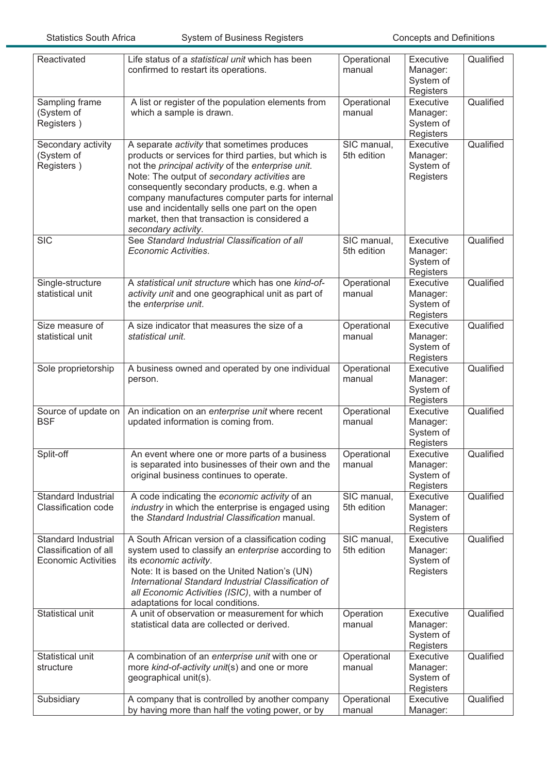| Reactivated                                                                | Life status of a statistical unit which has been<br>confirmed to restart its operations.                                                                                                                                                                                                                                                                                                                                                 | Operational<br>manual      | Executive<br>Manager:<br>System of<br>Registers | Qualified |
|----------------------------------------------------------------------------|------------------------------------------------------------------------------------------------------------------------------------------------------------------------------------------------------------------------------------------------------------------------------------------------------------------------------------------------------------------------------------------------------------------------------------------|----------------------------|-------------------------------------------------|-----------|
| Sampling frame<br>(System of<br>Registers)                                 | A list or register of the population elements from<br>which a sample is drawn.                                                                                                                                                                                                                                                                                                                                                           | Operational<br>manual      | Executive<br>Manager:<br>System of<br>Registers | Qualified |
| Secondary activity<br>(System of<br>Registers)                             | A separate activity that sometimes produces<br>products or services for third parties, but which is<br>not the principal activity of the enterprise unit.<br>Note: The output of secondary activities are<br>consequently secondary products, e.g. when a<br>company manufactures computer parts for internal<br>use and incidentally sells one part on the open<br>market, then that transaction is considered a<br>secondary activity. | SIC manual,<br>5th edition | Executive<br>Manager:<br>System of<br>Registers | Qualified |
| <b>SIC</b>                                                                 | See Standard Industrial Classification of all<br>Economic Activities.                                                                                                                                                                                                                                                                                                                                                                    | SIC manual,<br>5th edition | Executive<br>Manager:<br>System of<br>Registers | Qualified |
| Single-structure<br>statistical unit                                       | A statistical unit structure which has one kind-of-<br>activity unit and one geographical unit as part of<br>the enterprise unit.                                                                                                                                                                                                                                                                                                        | Operational<br>manual      | Executive<br>Manager:<br>System of<br>Registers | Qualified |
| Size measure of<br>statistical unit                                        | A size indicator that measures the size of a<br>statistical unit.                                                                                                                                                                                                                                                                                                                                                                        | Operational<br>manual      | Executive<br>Manager:<br>System of<br>Registers | Qualified |
| Sole proprietorship                                                        | A business owned and operated by one individual<br>person.                                                                                                                                                                                                                                                                                                                                                                               | Operational<br>manual      | Executive<br>Manager:<br>System of<br>Registers | Qualified |
| Source of update on<br><b>BSF</b>                                          | An indication on an enterprise unit where recent<br>updated information is coming from.                                                                                                                                                                                                                                                                                                                                                  | Operational<br>manual      | Executive<br>Manager:<br>System of<br>Registers | Qualified |
| Split-off                                                                  | An event where one or more parts of a business<br>is separated into businesses of their own and the<br>original business continues to operate.                                                                                                                                                                                                                                                                                           | Operational<br>manual      | Executive<br>Manager:<br>System of<br>Registers | Qualified |
| Standard Industrial<br>Classification code                                 | A code indicating the economic activity of an<br>industry in which the enterprise is engaged using<br>the Standard Industrial Classification manual.                                                                                                                                                                                                                                                                                     | SIC manual,<br>5th edition | Executive<br>Manager:<br>System of<br>Registers | Qualified |
| Standard Industrial<br>Classification of all<br><b>Economic Activities</b> | A South African version of a classification coding<br>system used to classify an enterprise according to<br>its economic activity.<br>Note: It is based on the United Nation's (UN)<br>International Standard Industrial Classification of<br>all Economic Activities (ISIC), with a number of<br>adaptations for local conditions.                                                                                                      | SIC manual,<br>5th edition | Executive<br>Manager:<br>System of<br>Registers | Qualified |
| Statistical unit                                                           | A unit of observation or measurement for which<br>statistical data are collected or derived.                                                                                                                                                                                                                                                                                                                                             | Operation<br>manual        | Executive<br>Manager:<br>System of<br>Registers | Qualified |
| Statistical unit<br>structure                                              | A combination of an enterprise unit with one or<br>more kind-of-activity unit(s) and one or more<br>geographical unit(s).                                                                                                                                                                                                                                                                                                                | Operational<br>manual      | Executive<br>Manager:<br>System of<br>Registers | Qualified |
| Subsidiary                                                                 | A company that is controlled by another company<br>by having more than half the voting power, or by                                                                                                                                                                                                                                                                                                                                      | Operational<br>manual      | Executive<br>Manager:                           | Qualified |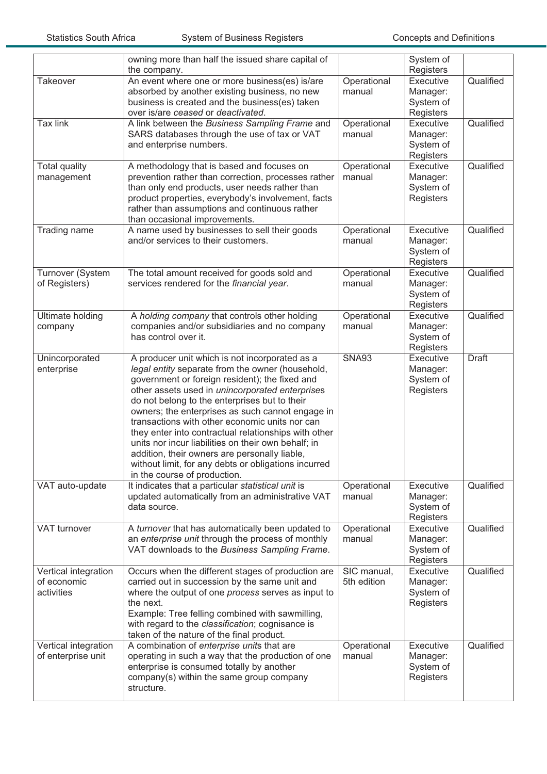|                         | owning more than half the issued share capital of<br>the company. |              | System of<br>Registers |              |
|-------------------------|-------------------------------------------------------------------|--------------|------------------------|--------------|
| Takeover                |                                                                   |              | Executive              | Qualified    |
|                         | An event where one or more business(es) is/are                    | Operational  |                        |              |
|                         | absorbed by another existing business, no new                     | manual       | Manager:               |              |
|                         | business is created and the business(es) taken                    |              | System of              |              |
|                         | over is/are ceased or deactivated.                                |              | Registers              |              |
| <b>Tax link</b>         | A link between the Business Sampling Frame and                    | Operational  | <b>Executive</b>       | Qualified    |
|                         | SARS databases through the use of tax or VAT                      | manual       | Manager:               |              |
|                         | and enterprise numbers.                                           |              | System of              |              |
|                         |                                                                   |              | Registers              |              |
| <b>Total quality</b>    | A methodology that is based and focuses on                        | Operational  | Executive              | Qualified    |
| management              | prevention rather than correction, processes rather               | manual       | Manager:               |              |
|                         | than only end products, user needs rather than                    |              |                        |              |
|                         |                                                                   |              | System of              |              |
|                         | product properties, everybody's involvement, facts                |              | Registers              |              |
|                         | rather than assumptions and continuous rather                     |              |                        |              |
|                         | than occasional improvements.                                     |              |                        |              |
| Trading name            | A name used by businesses to sell their goods                     | Operational  | Executive              | Qualified    |
|                         | and/or services to their customers.                               | manual       | Manager:               |              |
|                         |                                                                   |              | System of              |              |
|                         |                                                                   |              | Registers              |              |
| Turnover (System        | The total amount received for goods sold and                      | Operational  | Executive              | Qualified    |
| of Registers)           | services rendered for the financial year.                         | manual       | Manager:               |              |
|                         |                                                                   |              | System of              |              |
|                         |                                                                   |              | Registers              |              |
| <b>Ultimate holding</b> | A holding company that controls other holding                     | Operational  | Executive              | Qualified    |
| company                 | companies and/or subsidiaries and no company                      | manual       | Manager:               |              |
|                         | has control over it.                                              |              |                        |              |
|                         |                                                                   |              | System of              |              |
|                         |                                                                   |              | Registers              |              |
| Unincorporated          | A producer unit which is not incorporated as a                    | <b>SNA93</b> | Executive              | <b>Draft</b> |
| enterprise              | legal entity separate from the owner (household,                  |              | Manager:               |              |
|                         | government or foreign resident); the fixed and                    |              | System of              |              |
|                         | other assets used in unincorporated enterprises                   |              | Registers              |              |
|                         | do not belong to the enterprises but to their                     |              |                        |              |
|                         | owners; the enterprises as such cannot engage in                  |              |                        |              |
|                         | transactions with other economic units nor can                    |              |                        |              |
|                         | they enter into contractual relationships with other              |              |                        |              |
|                         | units nor incur liabilities on their own behalf; in               |              |                        |              |
|                         | addition, their owners are personally liable,                     |              |                        |              |
|                         | without limit, for any debts or obligations incurred              |              |                        |              |
|                         | in the course of production.                                      |              |                        |              |
| VAT auto-update         | It indicates that a particular statistical unit is                | Operational  | Executive              | Qualified    |
|                         | updated automatically from an administrative VAT                  | manual       |                        |              |
|                         |                                                                   |              | Manager:               |              |
|                         | data source.                                                      |              | System of              |              |
|                         |                                                                   |              | Registers              |              |
| VAT turnover            | A turnover that has automatically been updated to                 | Operational  | Executive              | Qualified    |
|                         | an enterprise unit through the process of monthly                 | manual       | Manager:               |              |
|                         | VAT downloads to the Business Sampling Frame.                     |              | System of              |              |
|                         |                                                                   |              | Registers              |              |
| Vertical integration    | Occurs when the different stages of production are                | SIC manual,  | Executive              | Qualified    |
| of economic             | carried out in succession by the same unit and                    | 5th edition  | Manager:               |              |
| activities              | where the output of one process serves as input to                |              | System of              |              |
|                         | the next.                                                         |              | Registers              |              |
|                         | Example: Tree felling combined with sawmilling,                   |              |                        |              |
|                         | with regard to the classification; cognisance is                  |              |                        |              |
|                         | taken of the nature of the final product.                         |              |                        |              |
| Vertical integration    | A combination of enterprise units that are                        | Operational  | Executive              | Qualified    |
| of enterprise unit      |                                                                   |              |                        |              |
|                         |                                                                   |              |                        |              |
|                         | operating in such a way that the production of one                | manual       | Manager:               |              |
|                         | enterprise is consumed totally by another                         |              | System of              |              |
|                         | company(s) within the same group company<br>structure.            |              | Registers              |              |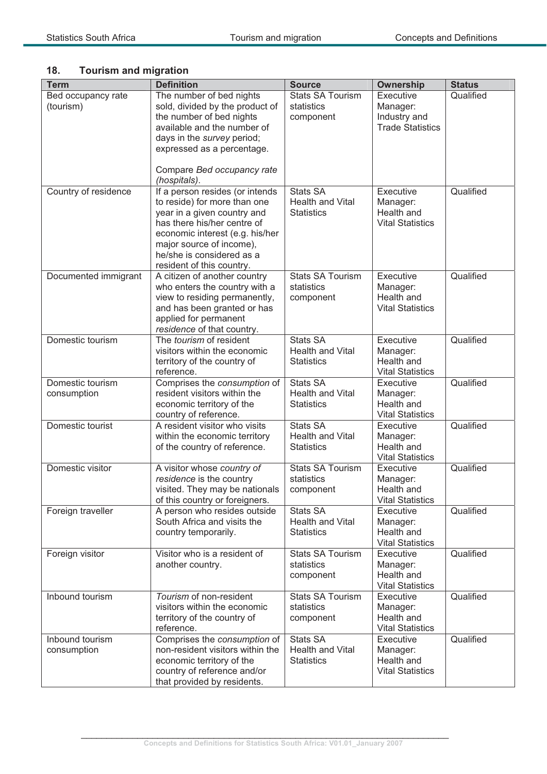## **18. Tourism and migration**

| <b>Term</b>                     | <b>Definition</b>                                                                                                                                                                                                   | <b>Source</b>                                                   | Ownership                                                        | <b>Status</b> |
|---------------------------------|---------------------------------------------------------------------------------------------------------------------------------------------------------------------------------------------------------------------|-----------------------------------------------------------------|------------------------------------------------------------------|---------------|
| Bed occupancy rate<br>(tourism) | The number of bed nights<br>sold, divided by the product of<br>the number of bed nights<br>available and the number of<br>days in the survey period;<br>expressed as a percentage.<br>Compare Bed occupancy rate    | <b>Stats SA Tourism</b><br>statistics<br>component              | Executive<br>Manager:<br>Industry and<br><b>Trade Statistics</b> | Qualified     |
| Country of residence            | (hospitals).<br>If a person resides (or intends                                                                                                                                                                     | <b>Stats SA</b>                                                 | Executive                                                        | Qualified     |
|                                 | to reside) for more than one<br>year in a given country and<br>has there his/her centre of<br>economic interest (e.g. his/her<br>major source of income),<br>he/she is considered as a<br>resident of this country. | Health and Vital<br><b>Statistics</b>                           | Manager:<br>Health and<br><b>Vital Statistics</b>                |               |
| Documented immigrant            | A citizen of another country<br>who enters the country with a<br>view to residing permanently,<br>and has been granted or has<br>applied for permanent<br>residence of that country.                                | <b>Stats SA Tourism</b><br>statistics<br>component              | Executive<br>Manager:<br>Health and<br><b>Vital Statistics</b>   | Qualified     |
| Domestic tourism                | The <i>tourism</i> of resident<br>visitors within the economic<br>territory of the country of<br>reference.                                                                                                         | <b>Stats SA</b><br><b>Health and Vital</b><br><b>Statistics</b> | Executive<br>Manager:<br>Health and<br><b>Vital Statistics</b>   | Qualified     |
| Domestic tourism<br>consumption | Comprises the consumption of<br>resident visitors within the<br>economic territory of the<br>country of reference.                                                                                                  | <b>Stats SA</b><br><b>Health and Vital</b><br><b>Statistics</b> | Executive<br>Manager:<br>Health and<br><b>Vital Statistics</b>   | Qualified     |
| Domestic tourist                | A resident visitor who visits<br>within the economic territory<br>of the country of reference.                                                                                                                      | <b>Stats SA</b><br><b>Health and Vital</b><br><b>Statistics</b> | Executive<br>Manager:<br>Health and<br><b>Vital Statistics</b>   | Qualified     |
| Domestic visitor                | A visitor whose country of<br>residence is the country<br>visited. They may be nationals<br>of this country or foreigners.                                                                                          | <b>Stats SA Tourism</b><br>statistics<br>component              | Executive<br>Manager:<br>Health and<br><b>Vital Statistics</b>   | Qualified     |
| Foreign traveller               | A person who resides outside<br>South Africa and visits the<br>country temporarily.                                                                                                                                 | <b>Stats SA</b><br>Health and Vital<br><b>Statistics</b>        | Executive<br>Manager:<br>Health and<br><b>Vital Statistics</b>   | Qualified     |
| Foreign visitor                 | Visitor who is a resident of<br>another country.                                                                                                                                                                    | <b>Stats SA Tourism</b><br>statistics<br>component              | Executive<br>Manager:<br>Health and<br><b>Vital Statistics</b>   | Qualified     |
| Inbound tourism                 | Tourism of non-resident<br>visitors within the economic<br>territory of the country of<br>reference.                                                                                                                | <b>Stats SA Tourism</b><br>statistics<br>component              | Executive<br>Manager:<br>Health and<br><b>Vital Statistics</b>   | Qualified     |
| Inbound tourism<br>consumption  | Comprises the consumption of<br>non-resident visitors within the<br>economic territory of the<br>country of reference and/or<br>that provided by residents.                                                         | <b>Stats SA</b><br>Health and Vital<br><b>Statistics</b>        | Executive<br>Manager:<br>Health and<br><b>Vital Statistics</b>   | Qualified     |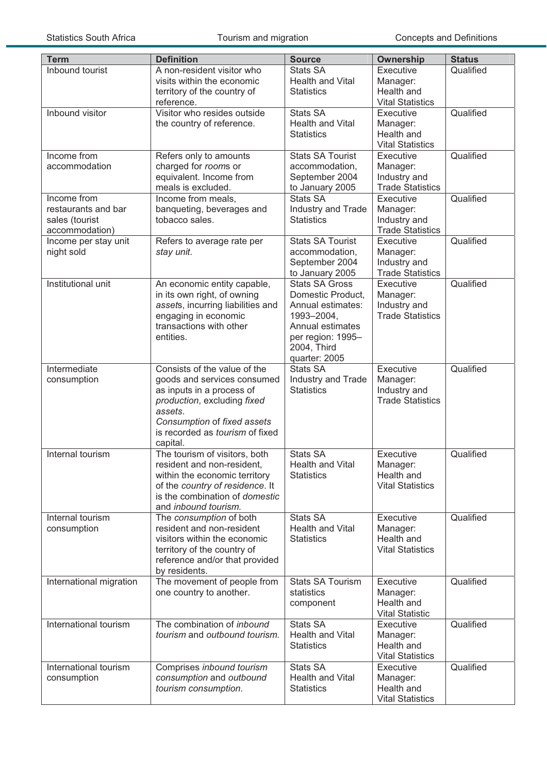| <b>Term</b>                                                            | <b>Definition</b>                                                                                                                                                                                                       | <b>Source</b>                                                                                                                                          | <b>Ownership</b>                                                 | <b>Status</b> |
|------------------------------------------------------------------------|-------------------------------------------------------------------------------------------------------------------------------------------------------------------------------------------------------------------------|--------------------------------------------------------------------------------------------------------------------------------------------------------|------------------------------------------------------------------|---------------|
| Inbound tourist                                                        | A non-resident visitor who<br>visits within the economic<br>territory of the country of<br>reference.                                                                                                                   | <b>Stats SA</b><br><b>Health and Vital</b><br><b>Statistics</b>                                                                                        | Executive<br>Manager:<br>Health and<br><b>Vital Statistics</b>   | Qualified     |
| Inbound visitor                                                        | Visitor who resides outside<br>the country of reference.                                                                                                                                                                | <b>Stats SA</b><br><b>Health and Vital</b><br><b>Statistics</b>                                                                                        | Executive<br>Manager:<br>Health and<br><b>Vital Statistics</b>   | Qualified     |
| Income from<br>accommodation                                           | Refers only to amounts<br>charged for rooms or<br>equivalent. Income from<br>meals is excluded.                                                                                                                         | Stats SA Tourist<br>accommodation,<br>September 2004<br>to January 2005                                                                                | Executive<br>Manager:<br>Industry and<br><b>Trade Statistics</b> | Qualified     |
| Income from<br>restaurants and bar<br>sales (tourist<br>accommodation) | Income from meals,<br>banqueting, beverages and<br>tobacco sales.                                                                                                                                                       | <b>Stats SA</b><br>Industry and Trade<br><b>Statistics</b>                                                                                             | Executive<br>Manager:<br>Industry and<br><b>Trade Statistics</b> | Qualified     |
| Income per stay unit<br>night sold                                     | Refers to average rate per<br>stay unit.                                                                                                                                                                                | <b>Stats SA Tourist</b><br>accommodation,<br>September 2004<br>to January 2005                                                                         | Executive<br>Manager:<br>Industry and<br><b>Trade Statistics</b> | Qualified     |
| Institutional unit                                                     | An economic entity capable,<br>in its own right, of owning<br>assets, incurring liabilities and<br>engaging in economic<br>transactions with other<br>entities.                                                         | <b>Stats SA Gross</b><br>Domestic Product,<br>Annual estimates:<br>1993-2004,<br>Annual estimates<br>per region: 1995-<br>2004, Third<br>quarter: 2005 | Executive<br>Manager:<br>Industry and<br><b>Trade Statistics</b> | Qualified     |
| Intermediate<br>consumption                                            | Consists of the value of the<br>goods and services consumed<br>as inputs in a process of<br>production, excluding fixed<br>assets.<br>Consumption of fixed assets<br>is recorded as <i>tourism</i> of fixed<br>capital. | <b>Stats SA</b><br>Industry and Trade<br><b>Statistics</b>                                                                                             | Executive<br>Manager:<br>Industry and<br><b>Trade Statistics</b> | Qualified     |
| Internal tourism                                                       | The tourism of visitors, both<br>resident and non-resident,<br>within the economic territory<br>of the country of residence. It<br>is the combination of domestic<br>and inbound tourism.                               | <b>Stats SA</b><br>Health and Vital<br><b>Statistics</b>                                                                                               | Executive<br>Manager:<br>Health and<br><b>Vital Statistics</b>   | Qualified     |
| Internal tourism<br>consumption                                        | The consumption of both<br>resident and non-resident<br>visitors within the economic<br>territory of the country of<br>reference and/or that provided<br>by residents.                                                  | <b>Stats SA</b><br><b>Health and Vital</b><br><b>Statistics</b>                                                                                        | Executive<br>Manager:<br>Health and<br><b>Vital Statistics</b>   | Qualified     |
| International migration                                                | The movement of people from<br>one country to another.                                                                                                                                                                  | <b>Stats SA Tourism</b><br>statistics<br>component                                                                                                     | Executive<br>Manager:<br>Health and<br><b>Vital Statistic</b>    | Qualified     |
| International tourism                                                  | The combination of inbound<br>tourism and outbound tourism.                                                                                                                                                             | <b>Stats SA</b><br><b>Health and Vital</b><br><b>Statistics</b>                                                                                        | Executive<br>Manager:<br>Health and<br><b>Vital Statistics</b>   | Qualified     |
| International tourism<br>consumption                                   | Comprises inbound tourism<br>consumption and outbound<br>tourism consumption.                                                                                                                                           | <b>Stats SA</b><br><b>Health and Vital</b><br><b>Statistics</b>                                                                                        | Executive<br>Manager:<br>Health and<br><b>Vital Statistics</b>   | Qualified     |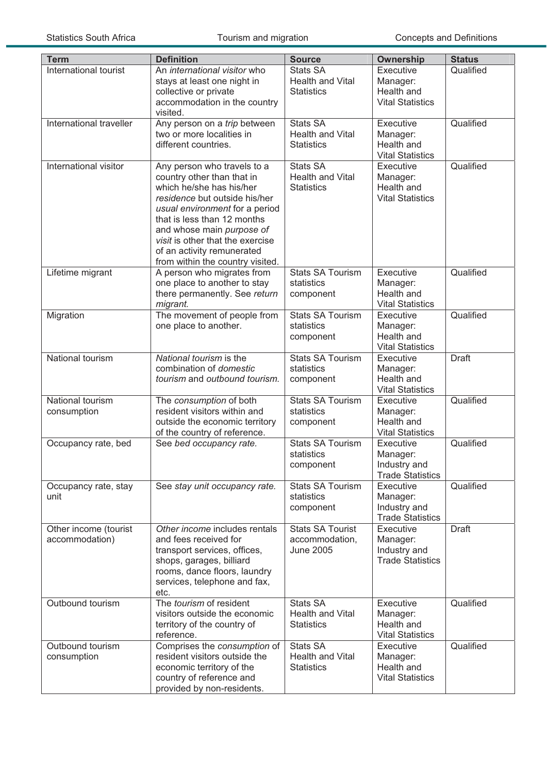| <b>Term</b>                             | <b>Definition</b>                                                                                                                                                                                                                                                                                                          | <b>Source</b>                                                 | Ownership                                                        | <b>Status</b> |
|-----------------------------------------|----------------------------------------------------------------------------------------------------------------------------------------------------------------------------------------------------------------------------------------------------------------------------------------------------------------------------|---------------------------------------------------------------|------------------------------------------------------------------|---------------|
| International tourist                   | An international visitor who<br>stays at least one night in<br>collective or private<br>accommodation in the country<br>visited.                                                                                                                                                                                           | <b>Stats SA</b><br>Health and Vital<br><b>Statistics</b>      | Executive<br>Manager:<br>Health and<br><b>Vital Statistics</b>   | Qualified     |
| International traveller                 | Any person on a trip between<br>two or more localities in<br>different countries.                                                                                                                                                                                                                                          | <b>Stats SA</b><br>Health and Vital<br><b>Statistics</b>      | Executive<br>Manager:<br>Health and<br><b>Vital Statistics</b>   | Qualified     |
| International visitor                   | Any person who travels to a<br>country other than that in<br>which he/she has his/her<br>residence but outside his/her<br>usual environment for a period<br>that is less than 12 months<br>and whose main purpose of<br>visit is other that the exercise<br>of an activity remunerated<br>from within the country visited. | <b>Stats SA</b><br>Health and Vital<br><b>Statistics</b>      | Executive<br>Manager:<br>Health and<br><b>Vital Statistics</b>   | Qualified     |
| Lifetime migrant                        | A person who migrates from<br>one place to another to stay<br>there permanently. See return<br>migrant.                                                                                                                                                                                                                    | <b>Stats SA Tourism</b><br>statistics<br>component            | Executive<br>Manager:<br>Health and<br><b>Vital Statistics</b>   | Qualified     |
| Migration                               | The movement of people from<br>one place to another.                                                                                                                                                                                                                                                                       | <b>Stats SA Tourism</b><br>statistics<br>component            | Executive<br>Manager:<br>Health and<br><b>Vital Statistics</b>   | Qualified     |
| National tourism                        | National tourism is the<br>combination of <i>domestic</i><br>tourism and outbound tourism.                                                                                                                                                                                                                                 | <b>Stats SA Tourism</b><br>statistics<br>component            | Executive<br>Manager:<br>Health and<br><b>Vital Statistics</b>   | <b>Draft</b>  |
| National tourism<br>consumption         | The consumption of both<br>resident visitors within and<br>outside the economic territory<br>of the country of reference.                                                                                                                                                                                                  | <b>Stats SA Tourism</b><br>statistics<br>component            | Executive<br>Manager:<br>Health and<br><b>Vital Statistics</b>   | Qualified     |
| Occupancy rate, bed                     | See bed occupancy rate.                                                                                                                                                                                                                                                                                                    | <b>Stats SA Tourism</b><br>statistics<br>component            | Executive<br>Manager:<br>Industry and<br><b>Trade Statistics</b> | Qualified     |
| Occupancy rate, stay<br>unit            | See stay unit occupancy rate.                                                                                                                                                                                                                                                                                              | <b>Stats SA Tourism</b><br>statistics<br>component            | Executive<br>Manager:<br>Industry and<br><b>Trade Statistics</b> | Qualified     |
| Other income (tourist<br>accommodation) | Other income includes rentals<br>and fees received for<br>transport services, offices,<br>shops, garages, billiard<br>rooms, dance floors, laundry<br>services, telephone and fax,<br>etc.                                                                                                                                 | <b>Stats SA Tourist</b><br>accommodation,<br><b>June 2005</b> | Executive<br>Manager:<br>Industry and<br><b>Trade Statistics</b> | <b>Draft</b>  |
| Outbound tourism                        | The tourism of resident<br>visitors outside the economic<br>territory of the country of<br>reference.                                                                                                                                                                                                                      | <b>Stats SA</b><br>Health and Vital<br><b>Statistics</b>      | Executive<br>Manager:<br>Health and<br><b>Vital Statistics</b>   | Qualified     |
| Outbound tourism<br>consumption         | Comprises the consumption of<br>resident visitors outside the<br>economic territory of the<br>country of reference and<br>provided by non-residents.                                                                                                                                                                       | <b>Stats SA</b><br>Health and Vital<br><b>Statistics</b>      | Executive<br>Manager:<br>Health and<br><b>Vital Statistics</b>   | Qualified     |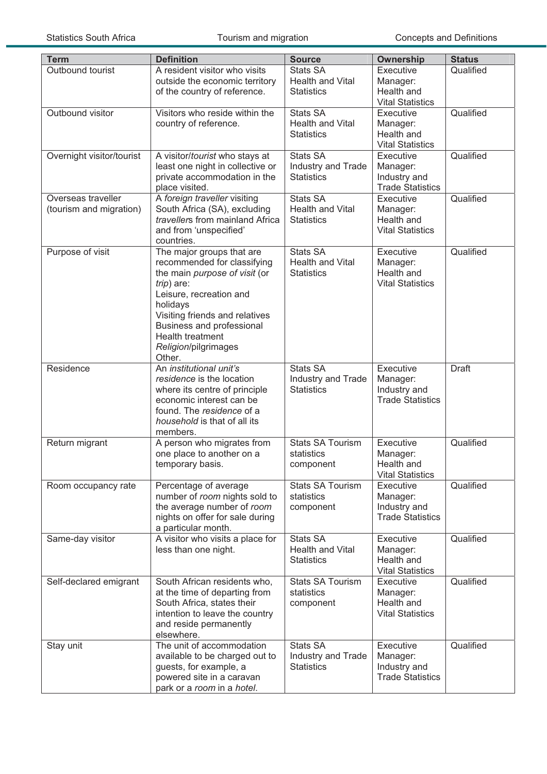| <b>Term</b>                                   | <b>Definition</b>                                                                                                                                                                                                                                                            | <b>Source</b>                                                   | <b>Ownership</b>                                                 | <b>Status</b> |
|-----------------------------------------------|------------------------------------------------------------------------------------------------------------------------------------------------------------------------------------------------------------------------------------------------------------------------------|-----------------------------------------------------------------|------------------------------------------------------------------|---------------|
| Outbound tourist                              | A resident visitor who visits<br>outside the economic territory<br>of the country of reference.                                                                                                                                                                              | Stats SA<br><b>Health and Vital</b><br><b>Statistics</b>        | Executive<br>Manager:<br>Health and<br><b>Vital Statistics</b>   | Qualified     |
| Outbound visitor                              | Visitors who reside within the<br>country of reference.                                                                                                                                                                                                                      | <b>Stats SA</b><br><b>Health and Vital</b><br><b>Statistics</b> | Executive<br>Manager:<br>Health and<br><b>Vital Statistics</b>   | Qualified     |
| Overnight visitor/tourist                     | A visitor/tourist who stays at<br>least one night in collective or<br>private accommodation in the<br>place visited.                                                                                                                                                         | <b>Stats SA</b><br>Industry and Trade<br><b>Statistics</b>      | Executive<br>Manager:<br>Industry and<br><b>Trade Statistics</b> | Qualified     |
| Overseas traveller<br>(tourism and migration) | A foreign traveller visiting<br>South Africa (SA), excluding<br>travellers from mainland Africa<br>and from 'unspecified'<br>countries.                                                                                                                                      | <b>Stats SA</b><br>Health and Vital<br><b>Statistics</b>        | Executive<br>Manager:<br>Health and<br><b>Vital Statistics</b>   | Qualified     |
| Purpose of visit                              | The major groups that are<br>recommended for classifying<br>the main purpose of visit (or<br>$trip)$ are:<br>Leisure, recreation and<br>holidays<br>Visiting friends and relatives<br>Business and professional<br><b>Health treatment</b><br>Religion/pilgrimages<br>Other. | <b>Stats SA</b><br><b>Health and Vital</b><br><b>Statistics</b> | Executive<br>Manager:<br>Health and<br><b>Vital Statistics</b>   | Qualified     |
| Residence                                     | An institutional unit's<br>residence is the location<br>where its centre of principle<br>economic interest can be<br>found. The residence of a<br>household is that of all its<br>members.                                                                                   | <b>Stats SA</b><br>Industry and Trade<br><b>Statistics</b>      | Executive<br>Manager:<br>Industry and<br><b>Trade Statistics</b> | <b>Draft</b>  |
| Return migrant                                | A person who migrates from<br>one place to another on a<br>temporary basis.                                                                                                                                                                                                  | <b>Stats SA Tourism</b><br>statistics<br>component              | Executive<br>Manager:<br>Health and<br><b>Vital Statistics</b>   | Qualified     |
| Room occupancy rate                           | Percentage of average<br>number of room nights sold to<br>the average number of room<br>nights on offer for sale during<br>a particular month.                                                                                                                               | <b>Stats SA Tourism</b><br>statistics<br>component              | Executive<br>Manager:<br>Industry and<br><b>Trade Statistics</b> | Qualified     |
| Same-day visitor                              | A visitor who visits a place for<br>less than one night.                                                                                                                                                                                                                     | <b>Stats SA</b><br><b>Health and Vital</b><br><b>Statistics</b> | Executive<br>Manager:<br>Health and<br><b>Vital Statistics</b>   | Qualified     |
| Self-declared emigrant                        | South African residents who,<br>at the time of departing from<br>South Africa, states their<br>intention to leave the country<br>and reside permanently<br>elsewhere.                                                                                                        | <b>Stats SA Tourism</b><br>statistics<br>component              | Executive<br>Manager:<br>Health and<br><b>Vital Statistics</b>   | Qualified     |
| Stay unit                                     | The unit of accommodation<br>available to be charged out to<br>guests, for example, a<br>powered site in a caravan<br>park or a room in a hotel.                                                                                                                             | <b>Stats SA</b><br>Industry and Trade<br><b>Statistics</b>      | Executive<br>Manager:<br>Industry and<br><b>Trade Statistics</b> | Qualified     |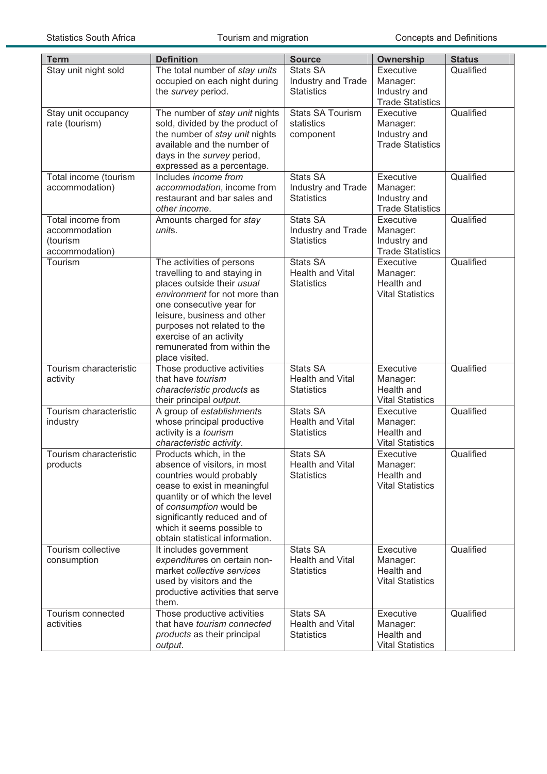| <b>Term</b>                        | <b>Definition</b>                                              | <b>Source</b>                       | Ownership                               | <b>Status</b> |
|------------------------------------|----------------------------------------------------------------|-------------------------------------|-----------------------------------------|---------------|
| Stay unit night sold               | The total number of stay units                                 | <b>Stats SA</b>                     | Executive                               | Qualified     |
|                                    | occupied on each night during                                  | Industry and Trade                  | Manager:                                |               |
|                                    | the survey period.                                             | <b>Statistics</b>                   | Industry and                            |               |
|                                    |                                                                |                                     | <b>Trade Statistics</b>                 |               |
| Stay unit occupancy                | The number of stay unit nights                                 | <b>Stats SA Tourism</b>             | Executive                               | Qualified     |
| rate (tourism)                     | sold, divided by the product of                                | statistics                          | Manager:                                |               |
|                                    | the number of stay unit nights<br>available and the number of  | component                           | Industry and<br><b>Trade Statistics</b> |               |
|                                    | days in the survey period,                                     |                                     |                                         |               |
|                                    | expressed as a percentage.                                     |                                     |                                         |               |
| Total income (tourism              | Includes income from                                           | <b>Stats SA</b>                     | Executive                               | Qualified     |
| accommodation)                     | accommodation, income from                                     | Industry and Trade                  | Manager:                                |               |
|                                    | restaurant and bar sales and                                   | <b>Statistics</b>                   | Industry and                            |               |
|                                    | other income.                                                  |                                     | <b>Trade Statistics</b>                 |               |
| Total income from                  | Amounts charged for stay                                       | <b>Stats SA</b>                     | Executive                               | Qualified     |
| accommodation                      | units.                                                         | Industry and Trade                  | Manager:                                |               |
| (tourism<br>accommodation)         |                                                                | <b>Statistics</b>                   | Industry and                            |               |
| Tourism                            | The activities of persons                                      | <b>Stats SA</b>                     | <b>Trade Statistics</b><br>Executive    | Qualified     |
|                                    | travelling to and staying in                                   | <b>Health and Vital</b>             | Manager:                                |               |
|                                    | places outside their usual                                     | <b>Statistics</b>                   | Health and                              |               |
|                                    | environment for not more than                                  |                                     | <b>Vital Statistics</b>                 |               |
|                                    | one consecutive year for                                       |                                     |                                         |               |
|                                    | leisure, business and other                                    |                                     |                                         |               |
|                                    | purposes not related to the                                    |                                     |                                         |               |
|                                    | exercise of an activity                                        |                                     |                                         |               |
|                                    | remunerated from within the                                    |                                     |                                         |               |
|                                    | place visited.                                                 |                                     |                                         |               |
| Tourism characteristic<br>activity | Those productive activities<br>that have tourism               | Stats SA<br><b>Health and Vital</b> | Executive<br>Manager:                   | Qualified     |
|                                    | characteristic products as                                     | <b>Statistics</b>                   | Health and                              |               |
|                                    | their principal output.                                        |                                     | <b>Vital Statistics</b>                 |               |
| Tourism characteristic             | A group of establishments                                      | <b>Stats SA</b>                     | Executive                               | Qualified     |
| industry                           | whose principal productive                                     | <b>Health and Vital</b>             | Manager:                                |               |
|                                    | activity is a tourism                                          | <b>Statistics</b>                   | Health and                              |               |
|                                    | characteristic activity.                                       |                                     | <b>Vital Statistics</b>                 |               |
| Tourism characteristic             | Products which, in the                                         | <b>Stats SA</b>                     | Executive                               | Qualified     |
| products                           | absence of visitors, in most                                   | Health and Vital                    | Manager:                                |               |
|                                    | countries would probably                                       | <b>Statistics</b>                   | Health and<br><b>Vital Statistics</b>   |               |
|                                    | cease to exist in meaningful<br>quantity or of which the level |                                     |                                         |               |
|                                    | of consumption would be                                        |                                     |                                         |               |
|                                    | significantly reduced and of                                   |                                     |                                         |               |
|                                    | which it seems possible to                                     |                                     |                                         |               |
|                                    | obtain statistical information.                                |                                     |                                         |               |
| Tourism collective                 | It includes government                                         | <b>Stats SA</b>                     | Executive                               | Qualified     |
| consumption                        | expenditures on certain non-                                   | Health and Vital                    | Manager:                                |               |
|                                    | market collective services                                     | <b>Statistics</b>                   | Health and                              |               |
|                                    | used by visitors and the                                       |                                     | <b>Vital Statistics</b>                 |               |
|                                    | productive activities that serve<br>them.                      |                                     |                                         |               |
| Tourism connected                  | Those productive activities                                    | <b>Stats SA</b>                     | Executive                               | Qualified     |
| activities                         | that have tourism connected                                    | Health and Vital                    | Manager:                                |               |
|                                    | products as their principal                                    | <b>Statistics</b>                   | Health and                              |               |
|                                    | output.                                                        |                                     | <b>Vital Statistics</b>                 |               |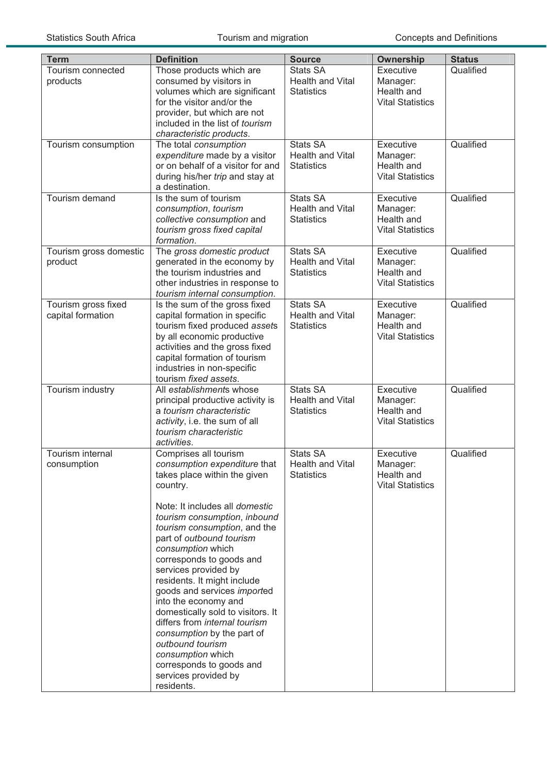| <b>Term</b>                              | <b>Definition</b>                                                                                                                                                                                                                                                                                                                                                                                                                                                                                                                                                                                             | <b>Source</b>                                                   | Ownership                                                      | <b>Status</b> |
|------------------------------------------|---------------------------------------------------------------------------------------------------------------------------------------------------------------------------------------------------------------------------------------------------------------------------------------------------------------------------------------------------------------------------------------------------------------------------------------------------------------------------------------------------------------------------------------------------------------------------------------------------------------|-----------------------------------------------------------------|----------------------------------------------------------------|---------------|
| Tourism connected<br>products            | Those products which are<br>consumed by visitors in<br>volumes which are significant<br>for the visitor and/or the<br>provider, but which are not<br>included in the list of tourism<br>characteristic products.                                                                                                                                                                                                                                                                                                                                                                                              | <b>Stats SA</b><br>Health and Vital<br><b>Statistics</b>        | Executive<br>Manager:<br>Health and<br><b>Vital Statistics</b> | Qualified     |
| Tourism consumption                      | The total consumption<br>expenditure made by a visitor<br>or on behalf of a visitor for and<br>during his/her trip and stay at<br>a destination.                                                                                                                                                                                                                                                                                                                                                                                                                                                              | <b>Stats SA</b><br>Health and Vital<br><b>Statistics</b>        | Executive<br>Manager:<br>Health and<br><b>Vital Statistics</b> | Qualified     |
| Tourism demand                           | Is the sum of tourism<br>consumption, tourism<br>collective consumption and<br>tourism gross fixed capital<br>formation.                                                                                                                                                                                                                                                                                                                                                                                                                                                                                      | Stats SA<br>Health and Vital<br><b>Statistics</b>               | Executive<br>Manager:<br>Health and<br><b>Vital Statistics</b> | Qualified     |
| Tourism gross domestic<br>product        | The gross domestic product<br>generated in the economy by<br>the tourism industries and<br>other industries in response to<br>tourism internal consumption.                                                                                                                                                                                                                                                                                                                                                                                                                                                   | Stats SA<br><b>Health and Vital</b><br><b>Statistics</b>        | Executive<br>Manager:<br>Health and<br><b>Vital Statistics</b> | Qualified     |
| Tourism gross fixed<br>capital formation | Is the sum of the gross fixed<br>capital formation in specific<br>tourism fixed produced assets<br>by all economic productive<br>activities and the gross fixed<br>capital formation of tourism<br>industries in non-specific<br>tourism fixed assets.                                                                                                                                                                                                                                                                                                                                                        | <b>Stats SA</b><br><b>Health and Vital</b><br><b>Statistics</b> | Executive<br>Manager:<br>Health and<br><b>Vital Statistics</b> | Qualified     |
| Tourism industry                         | All establishments whose<br>principal productive activity is<br>a tourism characteristic<br>activity, i.e. the sum of all<br>tourism characteristic<br>activities.                                                                                                                                                                                                                                                                                                                                                                                                                                            | <b>Stats SA</b><br>Health and Vital<br><b>Statistics</b>        | Executive<br>Manager:<br>Health and<br><b>Vital Statistics</b> | Qualified     |
| Tourism internal<br>consumption          | Comprises all tourism<br>consumption expenditure that<br>takes place within the given<br>country.<br>Note: It includes all domestic<br>tourism consumption, inbound<br>tourism consumption, and the<br>part of outbound tourism<br>consumption which<br>corresponds to goods and<br>services provided by<br>residents. It might include<br>goods and services imported<br>into the economy and<br>domestically sold to visitors. It<br>differs from internal tourism<br>consumption by the part of<br>outbound tourism<br>consumption which<br>corresponds to goods and<br>services provided by<br>residents. | <b>Stats SA</b><br>Health and Vital<br><b>Statistics</b>        | Executive<br>Manager:<br>Health and<br><b>Vital Statistics</b> | Qualified     |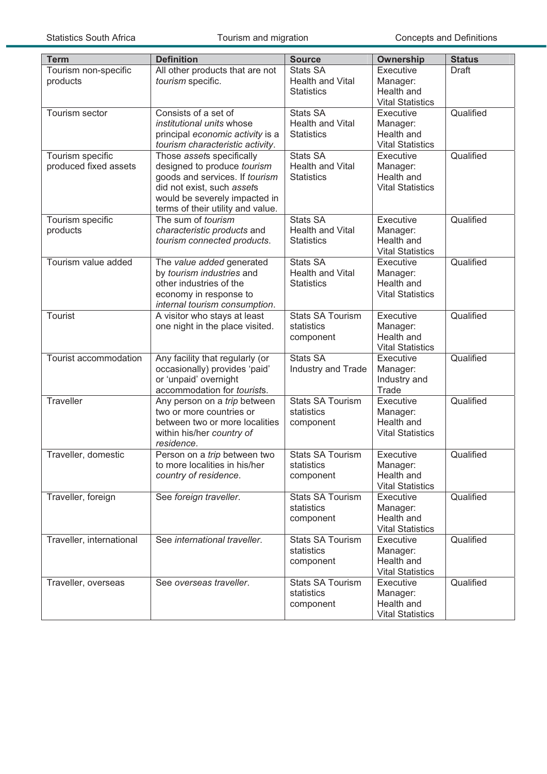| <b>Term</b>                               | <b>Definition</b>                                                                                                                                                                              | <b>Source</b>                                                   | Ownership                                                      | <b>Status</b> |
|-------------------------------------------|------------------------------------------------------------------------------------------------------------------------------------------------------------------------------------------------|-----------------------------------------------------------------|----------------------------------------------------------------|---------------|
| Tourism non-specific<br>products          | All other products that are not<br>tourism specific.                                                                                                                                           | <b>Stats SA</b><br><b>Health and Vital</b><br><b>Statistics</b> | Executive<br>Manager:<br>Health and<br><b>Vital Statistics</b> | <b>Draft</b>  |
| Tourism sector                            | Consists of a set of<br>institutional units whose<br>principal economic activity is a<br>tourism characteristic activity.                                                                      | <b>Stats SA</b><br>Health and Vital<br><b>Statistics</b>        | Executive<br>Manager:<br>Health and<br><b>Vital Statistics</b> | Qualified     |
| Tourism specific<br>produced fixed assets | Those assets specifically<br>designed to produce tourism<br>goods and services. If tourism<br>did not exist, such assets<br>would be severely impacted in<br>terms of their utility and value. | <b>Stats SA</b><br>Health and Vital<br><b>Statistics</b>        | Executive<br>Manager:<br>Health and<br><b>Vital Statistics</b> | Qualified     |
| Tourism specific<br>products              | The sum of tourism<br>characteristic products and<br>tourism connected products.                                                                                                               | <b>Stats SA</b><br><b>Health and Vital</b><br><b>Statistics</b> | Executive<br>Manager:<br>Health and<br><b>Vital Statistics</b> | Qualified     |
| Tourism value added                       | The value added generated<br>by tourism industries and<br>other industries of the<br>economy in response to<br>internal tourism consumption.                                                   | Stats SA<br><b>Health and Vital</b><br><b>Statistics</b>        | Executive<br>Manager:<br>Health and<br><b>Vital Statistics</b> | Qualified     |
| Tourist                                   | A visitor who stays at least<br>one night in the place visited.                                                                                                                                | <b>Stats SA Tourism</b><br>statistics<br>component              | Executive<br>Manager:<br>Health and<br><b>Vital Statistics</b> | Qualified     |
| Tourist accommodation                     | Any facility that regularly (or<br>occasionally) provides 'paid'<br>or 'unpaid' overnight<br>accommodation for tourists.                                                                       | <b>Stats SA</b><br>Industry and Trade                           | Executive<br>Manager:<br>Industry and<br>Trade                 | Qualified     |
| Traveller                                 | Any person on a trip between<br>two or more countries or<br>between two or more localities<br>within his/her country of<br>residence.                                                          | <b>Stats SA Tourism</b><br>statistics<br>component              | Executive<br>Manager:<br>Health and<br><b>Vital Statistics</b> | Qualified     |
| Traveller, domestic                       | Person on a trip between two<br>to more localities in his/her<br>country of residence.                                                                                                         | <b>Stats SA Tourism</b><br>statistics<br>component              | Executive<br>Manager:<br>Health and<br><b>Vital Statistics</b> | Qualified     |
| Traveller, foreign                        | See foreign traveller.                                                                                                                                                                         | <b>Stats SA Tourism</b><br>statistics<br>component              | Executive<br>Manager:<br>Health and<br><b>Vital Statistics</b> | Qualified     |
| Traveller, international                  | See international traveller.                                                                                                                                                                   | <b>Stats SA Tourism</b><br>statistics<br>component              | Executive<br>Manager:<br>Health and<br><b>Vital Statistics</b> | Qualified     |
| Traveller, overseas                       | See overseas traveller.                                                                                                                                                                        | <b>Stats SA Tourism</b><br>statistics<br>component              | Executive<br>Manager:<br>Health and<br><b>Vital Statistics</b> | Qualified     |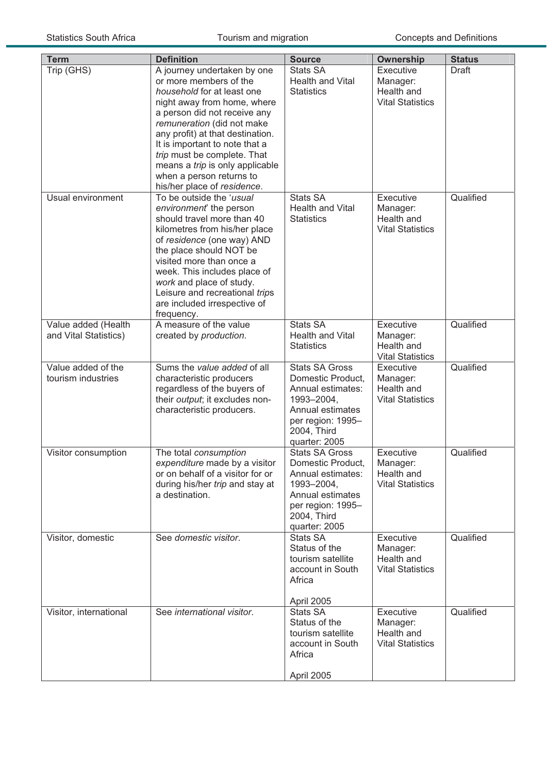| <b>Term</b>                                  | <b>Definition</b>                                                                                                                                                                                                                                                                                                                                                                   | <b>Source</b>                                                                                                                                          | <b>Ownership</b>                                               | <b>Status</b> |
|----------------------------------------------|-------------------------------------------------------------------------------------------------------------------------------------------------------------------------------------------------------------------------------------------------------------------------------------------------------------------------------------------------------------------------------------|--------------------------------------------------------------------------------------------------------------------------------------------------------|----------------------------------------------------------------|---------------|
| Trip (GHS)                                   | A journey undertaken by one<br>or more members of the<br>household for at least one<br>night away from home, where<br>a person did not receive any<br>remuneration (did not make<br>any profit) at that destination.<br>It is important to note that a<br>trip must be complete. That<br>means a trip is only applicable<br>when a person returns to<br>his/her place of residence. | <b>Stats SA</b><br><b>Health and Vital</b><br><b>Statistics</b>                                                                                        | Executive<br>Manager:<br>Health and<br><b>Vital Statistics</b> | <b>Draft</b>  |
| Usual environment                            | To be outside the 'usual<br>environment' the person<br>should travel more than 40<br>kilometres from his/her place<br>of residence (one way) AND<br>the place should NOT be<br>visited more than once a<br>week. This includes place of<br>work and place of study.<br>Leisure and recreational trips<br>are included irrespective of<br>frequency.                                 | <b>Stats SA</b><br><b>Health and Vital</b><br><b>Statistics</b>                                                                                        | Executive<br>Manager:<br>Health and<br><b>Vital Statistics</b> | Qualified     |
| Value added (Health<br>and Vital Statistics) | A measure of the value<br>created by production.                                                                                                                                                                                                                                                                                                                                    | <b>Stats SA</b><br>Health and Vital<br><b>Statistics</b>                                                                                               | Executive<br>Manager:<br>Health and<br><b>Vital Statistics</b> | Qualified     |
| Value added of the<br>tourism industries     | Sums the value added of all<br>characteristic producers<br>regardless of the buyers of<br>their output; it excludes non-<br>characteristic producers.                                                                                                                                                                                                                               | <b>Stats SA Gross</b><br>Domestic Product,<br>Annual estimates:<br>1993-2004,<br>Annual estimates<br>per region: 1995-<br>2004, Third<br>quarter: 2005 | Executive<br>Manager:<br>Health and<br><b>Vital Statistics</b> | Qualified     |
| Visitor consumption                          | The total consumption<br>expenditure made by a visitor<br>or on behalf of a visitor for or<br>during his/her trip and stay at<br>a destination.                                                                                                                                                                                                                                     | <b>Stats SA Gross</b><br>Domestic Product,<br>Annual estimates:<br>1993-2004,<br>Annual estimates<br>per region: 1995-<br>2004, Third<br>quarter: 2005 | Executive<br>Manager:<br>Health and<br><b>Vital Statistics</b> | Qualified     |
| Visitor, domestic                            | See domestic visitor.                                                                                                                                                                                                                                                                                                                                                               | <b>Stats SA</b><br>Status of the<br>tourism satellite<br>account in South<br>Africa<br>April 2005                                                      | Executive<br>Manager:<br>Health and<br><b>Vital Statistics</b> | Qualified     |
| Visitor, international                       | See international visitor.                                                                                                                                                                                                                                                                                                                                                          | <b>Stats SA</b><br>Status of the<br>tourism satellite<br>account in South<br>Africa<br>April 2005                                                      | Executive<br>Manager:<br>Health and<br><b>Vital Statistics</b> | Qualified     |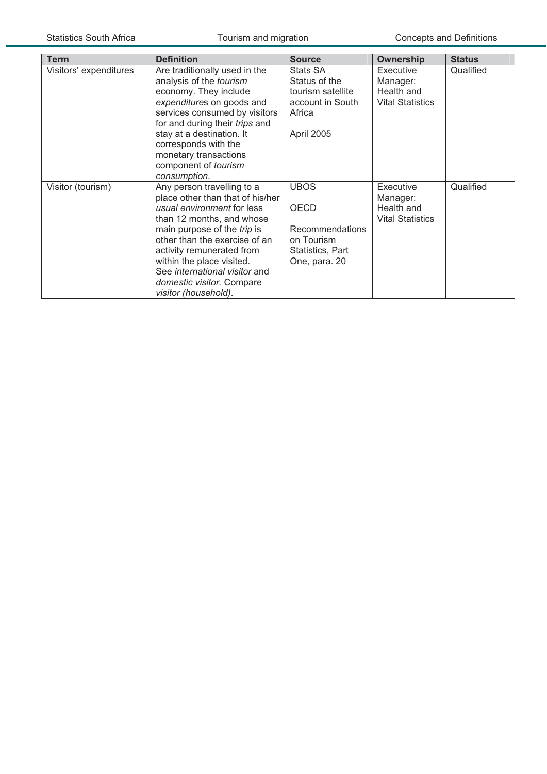| <b>Term</b>            | <b>Definition</b>                                                                                                                                                                                                                                                                                                                         | <b>Source</b>                                                                              | <b>Ownership</b>                                               | <b>Status</b> |
|------------------------|-------------------------------------------------------------------------------------------------------------------------------------------------------------------------------------------------------------------------------------------------------------------------------------------------------------------------------------------|--------------------------------------------------------------------------------------------|----------------------------------------------------------------|---------------|
| Visitors' expenditures | Are traditionally used in the<br>analysis of the tourism<br>economy. They include<br>expenditures on goods and<br>services consumed by visitors<br>for and during their trips and<br>stay at a destination. It<br>corresponds with the<br>monetary transactions<br>component of tourism<br>consumption.                                   | Stats SA<br>Status of the<br>tourism satellite<br>account in South<br>Africa<br>April 2005 | Executive<br>Manager:<br>Health and<br><b>Vital Statistics</b> | Qualified     |
| Visitor (tourism)      | Any person travelling to a<br>place other than that of his/her<br>usual environment for less<br>than 12 months, and whose<br>main purpose of the trip is<br>other than the exercise of an<br>activity remunerated from<br>within the place visited.<br>See international visitor and<br>domestic visitor. Compare<br>visitor (household). | <b>UBOS</b><br>OECD<br>Recommendations<br>on Tourism<br>Statistics, Part<br>One, para. 20  | Executive<br>Manager:<br>Health and<br><b>Vital Statistics</b> | Qualified     |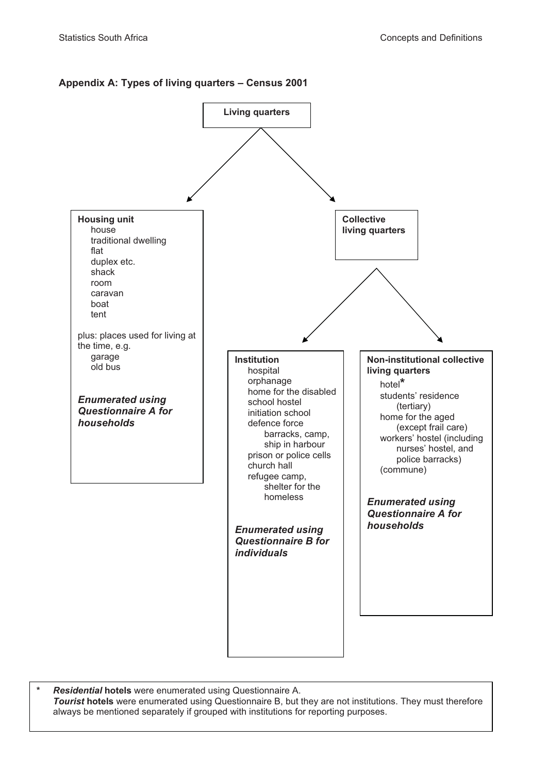### **Appendix A: Types of living quarters – Census 2001**



**\*** *Residential* **hotels** were enumerated using Questionnaire A.  *Tourist* **hotels** were enumerated using Questionnaire B, but they are not institutions. They must therefore always be mentioned separately if grouped with institutions for reporting purposes.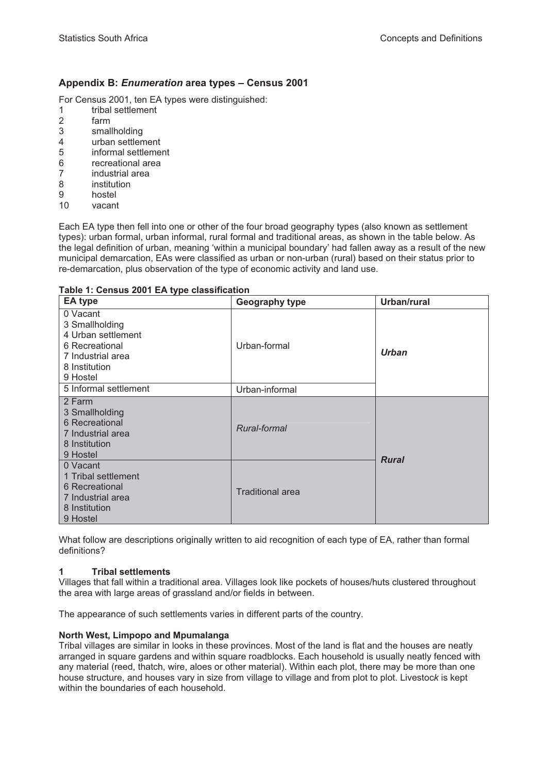### **Appendix B:** *Enumeration* **area types – Census 2001**

For Census 2001, ten EA types were distinguished:

- 1 tribal settlement
- 2 farm
- 3 smallholding
- 4 urban settlement
- 5 informal settlement
- 6 recreational area
- 7 industrial area
- 8 institution
- 9 hostel
- 10 vacant

Each EA type then fell into one or other of the four broad geography types (also known as settlement types): urban formal, urban informal, rural formal and traditional areas, as shown in the table below. As the legal definition of urban, meaning 'within a municipal boundary' had fallen away as a result of the new municipal demarcation, EAs were classified as urban or non-urban (rural) based on their status prior to re-demarcation, plus observation of the type of economic activity and land use.

#### **Table 1: Census 2001 EA type classification**

| <b>EA type</b>                                                                                                       | <b>Geography type</b>   | Urban/rural  |
|----------------------------------------------------------------------------------------------------------------------|-------------------------|--------------|
| 0 Vacant<br>3 Smallholding<br>4 Urban settlement<br>6 Recreational<br>7 Industrial area<br>8 Institution<br>9 Hostel | Urban-formal            | <b>Urban</b> |
| 5 Informal settlement                                                                                                | Urban-informal          |              |
| 2 Farm<br>3 Smallholding<br>6 Recreational<br>7 Industrial area<br>8 Institution<br>9 Hostel                         | Rural-formal            |              |
| 0 Vacant<br>1 Tribal settlement<br>6 Recreational<br>7 Industrial area<br>8 Institution<br>9 Hostel                  | <b>Traditional area</b> | <b>Rural</b> |

What follow are descriptions originally written to aid recognition of each type of EA, rather than formal definitions?

#### **1 Tribal settlements**

Villages that fall within a traditional area. Villages look like pockets of houses/huts clustered throughout the area with large areas of grassland and/or fields in between.

The appearance of such settlements varies in different parts of the country.

#### **North West, Limpopo and Mpumalanga**

Tribal villages are similar in looks in these provinces. Most of the land is flat and the houses are neatly arranged in square gardens and within square roadblocks. Each household is usually neatly fenced with any material (reed, thatch, wire, aloes or other material). Within each plot, there may be more than one house structure, and houses vary in size from village to village and from plot to plot. Livestoc*k* is kept within the boundaries of each household.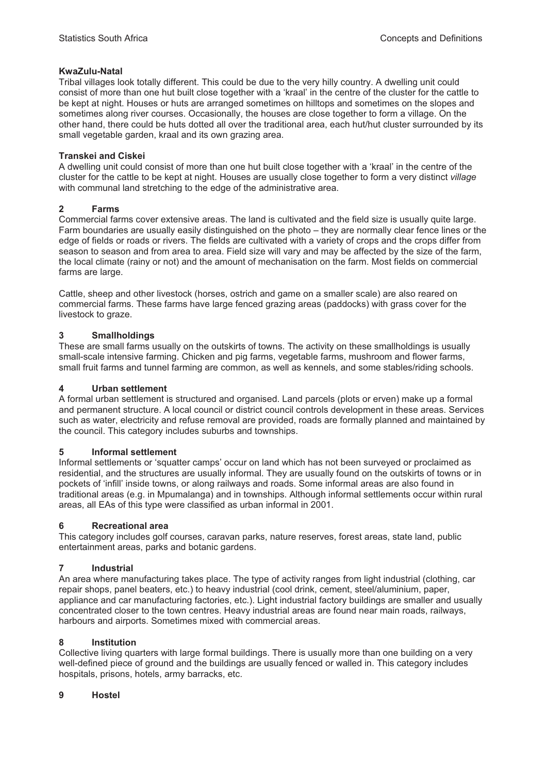### **KwaZulu-Natal**

Tribal villages look totally different. This could be due to the very hilly country. A dwelling unit could consist of more than one hut built close together with a 'kraal' in the centre of the cluster for the cattle to be kept at night. Houses or huts are arranged sometimes on hilltops and sometimes on the slopes and sometimes along river courses. Occasionally, the houses are close together to form a village. On the other hand, there could be huts dotted all over the traditional area, each hut/hut cluster surrounded by its small vegetable garden, kraal and its own grazing area.

### **Transkei and Ciskei**

A dwelling unit could consist of more than one hut built close together with a 'kraal' in the centre of the cluster for the cattle to be kept at night. Houses are usually close together to form a very distinct *village* with communal land stretching to the edge of the administrative area.

### **2 Farms**

Commercial farms cover extensive areas. The land is cultivated and the field size is usually quite large. Farm boundaries are usually easily distinguished on the photo – they are normally clear fence lines or the edge of fields or roads or rivers. The fields are cultivated with a variety of crops and the crops differ from season to season and from area to area. Field size will vary and may be affected by the size of the farm, the local climate (rainy or not) and the amount of mechanisation on the farm. Most fields on commercial farms are large.

Cattle, sheep and other livestock (horses, ostrich and game on a smaller scale) are also reared on commercial farms. These farms have large fenced grazing areas (paddocks) with grass cover for the livestock to graze.

### **3 Smallholdings**

These are small farms usually on the outskirts of towns. The activity on these smallholdings is usually small-scale intensive farming. Chicken and pig farms, vegetable farms, mushroom and flower farms, small fruit farms and tunnel farming are common, as well as kennels, and some stables/riding schools.

### **4 Urban settlement**

A formal urban settlement is structured and organised. Land parcels (plots or erven) make up a formal and permanent structure. A local council or district council controls development in these areas. Services such as water, electricity and refuse removal are provided, roads are formally planned and maintained by the council. This category includes suburbs and townships.

### **5 Informal settlement**

Informal settlements or 'squatter camps' occur on land which has not been surveyed or proclaimed as residential, and the structures are usually informal. They are usually found on the outskirts of towns or in pockets of 'infill' inside towns, or along railways and roads. Some informal areas are also found in traditional areas (e.g. in Mpumalanga) and in townships. Although informal settlements occur within rural areas, all EAs of this type were classified as urban informal in 2001.

### **6 Recreational area**

This category includes golf courses, caravan parks, nature reserves, forest areas, state land, public entertainment areas, parks and botanic gardens.

### **7 Industrial**

An area where manufacturing takes place. The type of activity ranges from light industrial (clothing, car repair shops, panel beaters, etc.) to heavy industrial (cool drink, cement, steel/aluminium, paper, appliance and car manufacturing factories, etc.). Light industrial factory buildings are smaller and usually concentrated closer to the town centres. Heavy industrial areas are found near main roads, railways, harbours and airports. Sometimes mixed with commercial areas.

### **8 Institution**

Collective living quarters with large formal buildings. There is usually more than one building on a very well-defined piece of ground and the buildings are usually fenced or walled in. This category includes hospitals, prisons, hotels, army barracks, etc.

### **9 Hostel**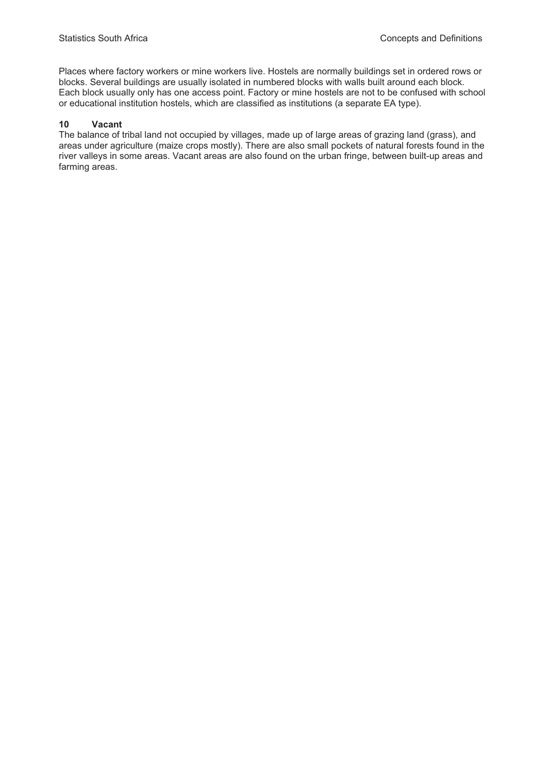Places where factory workers or mine workers live. Hostels are normally buildings set in ordered rows or blocks. Several buildings are usually isolated in numbered blocks with walls built around each block. Each block usually only has one access point. Factory or mine hostels are not to be confused with school or educational institution hostels, which are classified as institutions (a separate EA type).

#### **10 Vacant**

The balance of tribal land not occupied by villages, made up of large areas of grazing land (grass), and areas under agriculture (maize crops mostly). There are also small pockets of natural forests found in the river valleys in some areas. Vacant areas are also found on the urban fringe, between built-up areas and farming areas.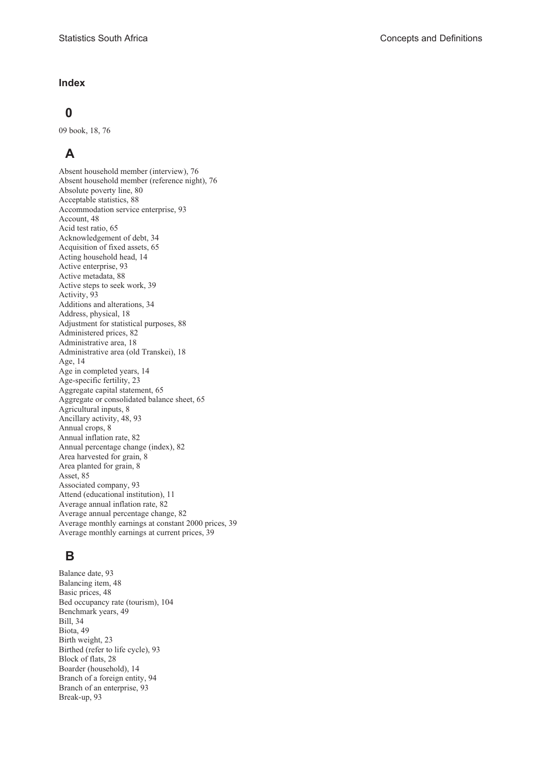#### **Index**

### **0**

09 book, 18, 76

# **A**

Absent household member (interview), 76 Absent household member (reference night), 76 Absolute poverty line, 80 Acceptable statistics, 88 Accommodation service enterprise, 93 Account, 48 Acid test ratio, 65 Acknowledgement of debt, 34 Acquisition of fixed assets, 65 Acting household head, 14 Active enterprise, 93 Active metadata, 88 Active steps to seek work, 39 Activity, 93 Additions and alterations, 34 Address, physical, 18 Adjustment for statistical purposes, 88 Administered prices, 82 Administrative area, 18 Administrative area (old Transkei), 18 Age, 14 Age in completed years, 14 Age-specific fertility, 23 Aggregate capital statement, 65 Aggregate or consolidated balance sheet, 65 Agricultural inputs, 8 Ancillary activity, 48, 93 Annual crops, 8 Annual inflation rate, 82 Annual percentage change (index), 82 Area harvested for grain, 8 Area planted for grain, 8 Asset, 85 Associated company, 93 Attend (educational institution), 11 Average annual inflation rate, 82 Average annual percentage change, 82 Average monthly earnings at constant 2000 prices, 39 Average monthly earnings at current prices, 39

## **B**

Balance date, 93 Balancing item, 48 Basic prices, 48 Bed occupancy rate (tourism), 104 Benchmark years, 49 Bill, 34 Biota, 49 Birth weight, 23 Birthed (refer to life cycle), 93 Block of flats, 28 Boarder (household), 14 Branch of a foreign entity, 94 Branch of an enterprise, 93 Break-up, 93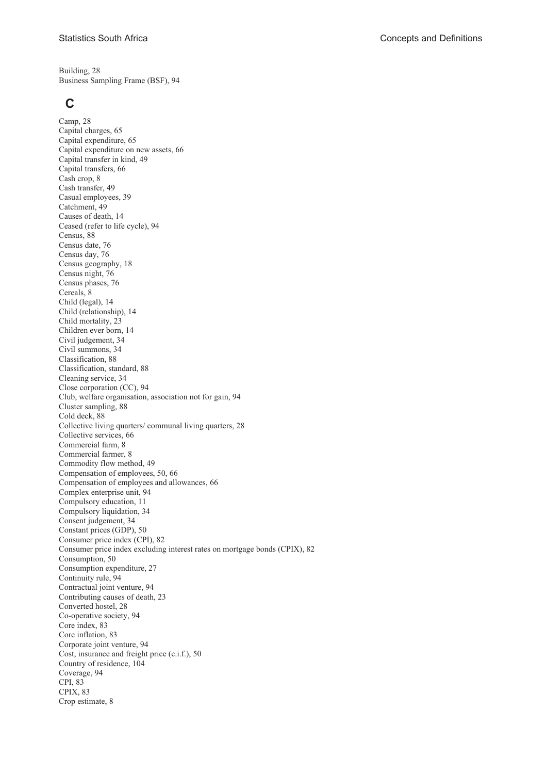Building, 28 Business Sampling Frame (BSF), 94

### **C**

Camp, 28 Capital charges, 65 Capital expenditure, 65 Capital expenditure on new assets, 66 Capital transfer in kind, 49 Capital transfers, 66 Cash crop, 8 Cash transfer, 49 Casual employees, 39 Catchment, 49 Causes of death, 14 Ceased (refer to life cycle), 94 Census, 88 Census date, 76 Census day, 76 Census geography, 18 Census night, 76 Census phases, 76 Cereals, 8 Child (legal), 14 Child (relationship), 14 Child mortality, 23 Children ever born, 14 Civil judgement, 34 Civil summons, 34 Classification, 88 Classification, standard, 88 Cleaning service, 34 Close corporation (CC), 94 Club, welfare organisation, association not for gain, 94 Cluster sampling, 88 Cold deck, 88 Collective living quarters/ communal living quarters, 28 Collective services, 66 Commercial farm, 8 Commercial farmer, 8 Commodity flow method, 49 Compensation of employees, 50, 66 Compensation of employees and allowances, 66 Complex enterprise unit, 94 Compulsory education, 11 Compulsory liquidation, 34 Consent judgement, 34 Constant prices (GDP), 50 Consumer price index (CPI), 82 Consumer price index excluding interest rates on mortgage bonds (CPIX), 82 Consumption, 50 Consumption expenditure, 27 Continuity rule, 94 Contractual joint venture, 94 Contributing causes of death, 23 Converted hostel, 28 Co-operative society, 94 Core index, 83 Core inflation, 83 Corporate joint venture, 94 Cost, insurance and freight price (c.i.f.), 50 Country of residence, 104 Coverage, 94 CPI, 83 CPIX, 83 Crop estimate, 8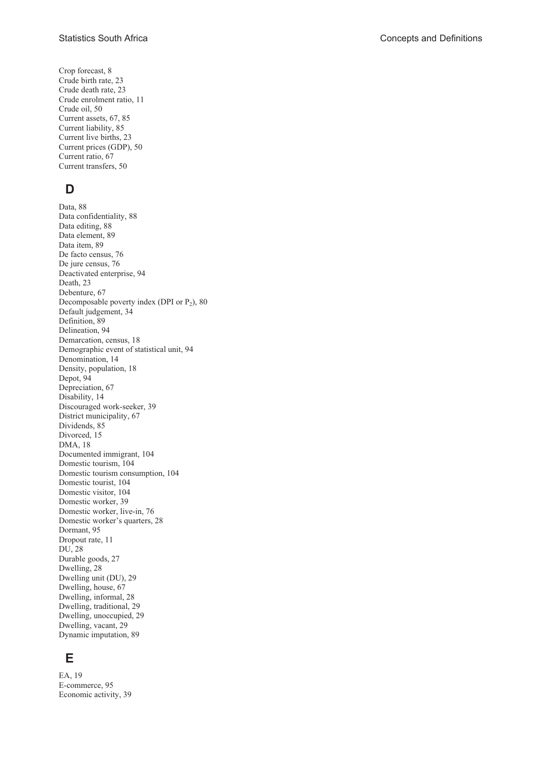Crop forecast, 8 Crude birth rate, 23 Crude death rate, 23 Crude enrolment ratio, 11 Crude oil, 50 Current assets, 67, 85 Current liability, 85 Current live births, 23 Current prices (GDP), 50 Current ratio, 67 Current transfers, 50

## **D**

Data, 88 Data confidentiality, 88 Data editing, 88 Data element, 89 Data item, 89 De facto census, 76 De jure census, 76 Deactivated enterprise, 94 Death, 23 Debenture, 67 Decomposable poverty index (DPI or  $P_2$ ), 80 Default judgement, 34 Definition, 89 Delineation, 94 Demarcation, census, 18 Demographic event of statistical unit, 94 Denomination, 14 Density, population, 18 Depot, 94 Depreciation, 67 Disability, 14 Discouraged work-seeker, 39 District municipality, 67 Dividends, 85 Divorced, 15 DMA, 18 Documented immigrant, 104 Domestic tourism, 104 Domestic tourism consumption, 104 Domestic tourist, 104 Domestic visitor, 104 Domestic worker, 39 Domestic worker, live-in, 76 Domestic worker's quarters, 28 Dormant, 95 Dropout rate, 11 DU, 28 Durable goods, 27 Dwelling, 28 Dwelling unit (DU), 29 Dwelling, house, 67 Dwelling, informal, 28 Dwelling, traditional, 29 Dwelling, unoccupied, 29 Dwelling, vacant, 29 Dynamic imputation, 89

### **E**

EA, 19 E-commerce, 95 Economic activity, 39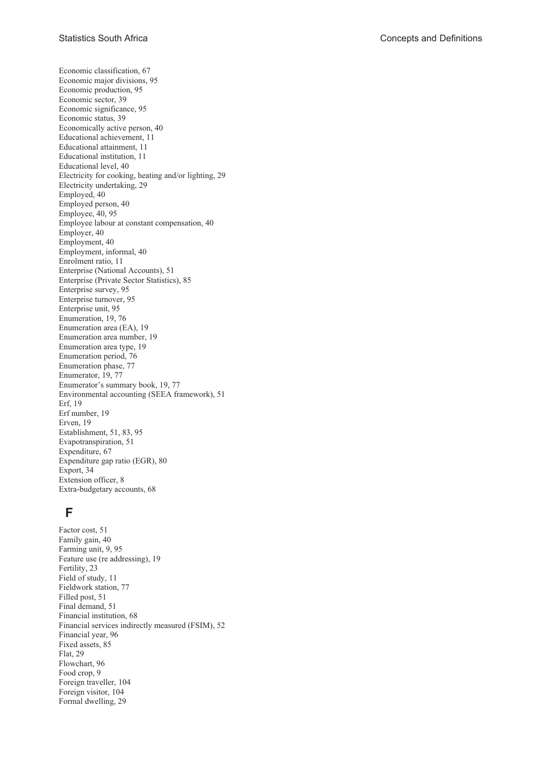Economic classification, 67 Economic major divisions, 95 Economic production, 95 Economic sector, 39 Economic significance, 95 Economic status, 39 Economically active person, 40 Educational achievement, 11 Educational attainment, 11 Educational institution, 11 Educational level, 40 Electricity for cooking, heating and/or lighting, 29 Electricity undertaking, 29 Employed, 40 Employed person, 40 Employee, 40, 95 Employee labour at constant compensation, 40 Employer, 40 Employment, 40 Employment, informal, 40 Enrolment ratio, 11 Enterprise (National Accounts), 51 Enterprise (Private Sector Statistics), 85 Enterprise survey, 95 Enterprise turnover, 95 Enterprise unit, 95 Enumeration, 19, 76 Enumeration area (EA), 19 Enumeration area number, 19 Enumeration area type, 19 Enumeration period, 76 Enumeration phase, 77 Enumerator, 19, 77 Enumerator's summary book, 19, 77 Environmental accounting (SEEA framework), 51 Erf, 19 Erf number, 19 Erven, 19 Establishment, 51, 83, 95 Evapotranspiration, 51 Expenditure, 67 Expenditure gap ratio (EGR), 80 Export, 34 Extension officer, 8 Extra-budgetary accounts, 68

### **F**

Factor cost, 51 Family gain, 40 Farming unit, 9, 95 Feature use (re addressing), 19 Fertility, 23 Field of study, 11 Fieldwork station, 77 Filled post, 51 Final demand, 51 Financial institution, 68 Financial services indirectly measured (FSIM), 52 Financial year, 96 Fixed assets, 85 Flat, 29 Flowchart, 96 Food crop, 9 Foreign traveller, 104 Foreign visitor, 104 Formal dwelling, 29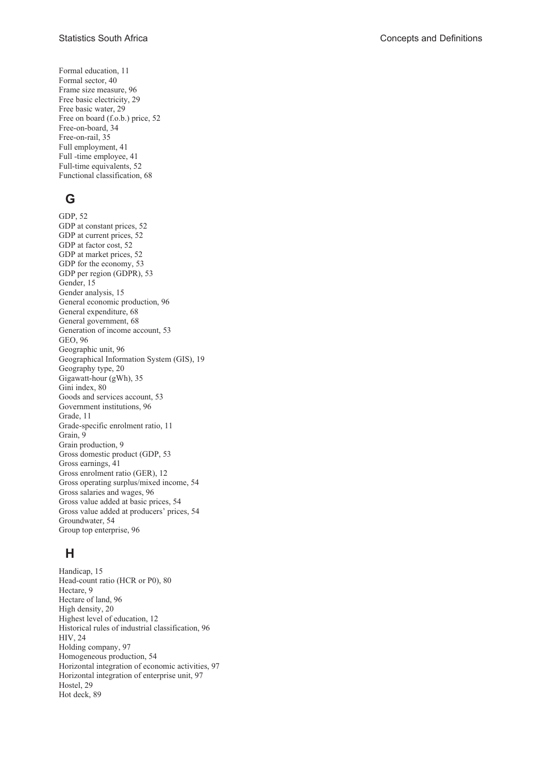Formal education, 11 Formal sector, 40 Frame size measure, 96 Free basic electricity, 29 Free basic water, 29 Free on board (f.o.b.) price, 52 Free-on-board, 34 Free-on-rail, 35 Full employment, 41 Full -time employee, 41 Full-time equivalents, 52 Functional classification, 68

# **G**

GDP, 52 GDP at constant prices, 52 GDP at current prices, 52 GDP at factor cost, 52 GDP at market prices, 52 GDP for the economy, 53 GDP per region (GDPR), 53 Gender, 15 Gender analysis, 15 General economic production, 96 General expenditure, 68 General government, 68 Generation of income account, 53 GEO, 96 Geographic unit, 96 Geographical Information System (GIS), 19 Geography type, 20 Gigawatt-hour (gWh), 35 Gini index, 80 Goods and services account, 53 Government institutions, 96 Grade, 11 Grade-specific enrolment ratio, 11 Grain, 9 Grain production, 9 Gross domestic product (GDP, 53 Gross earnings, 41 Gross enrolment ratio (GER), 12 Gross operating surplus/mixed income, 54 Gross salaries and wages, 96 Gross value added at basic prices, 54 Gross value added at producers' prices, 54 Groundwater, 54 Group top enterprise, 96

# **H**

Handicap, 15 Head-count ratio (HCR or P0), 80 Hectare, 9 Hectare of land, 96 High density, 20 Highest level of education, 12 Historical rules of industrial classification, 96 HIV, 24 Holding company, 97 Homogeneous production, 54 Horizontal integration of economic activities, 97 Horizontal integration of enterprise unit, 97 Hostel, 29 Hot deck, 89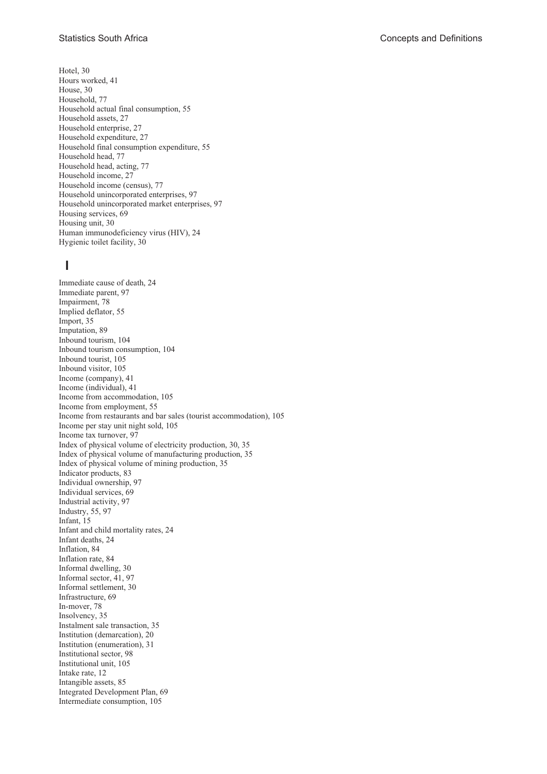Hotel, 30 Hours worked, 41 House, 30 Household, 77 Household actual final consumption, 55 Household assets, 27 Household enterprise, 27 Household expenditure, 27 Household final consumption expenditure, 55 Household head, 77 Household head, acting, 77 Household income, 27 Household income (census), 77 Household unincorporated enterprises, 97 Household unincorporated market enterprises, 97 Housing services, 69 Housing unit, 30 Human immunodeficiency virus (HIV), 24 Hygienic toilet facility, 30

# **I**

Immediate cause of death, 24 Immediate parent, 97 Impairment, 78 Implied deflator, 55 Import, 35 Imputation, 89 Inbound tourism, 104 Inbound tourism consumption, 104 Inbound tourist, 105 Inbound visitor, 105 Income (company), 41 Income (individual), 41 Income from accommodation, 105 Income from employment, 55 Income from restaurants and bar sales (tourist accommodation), 105 Income per stay unit night sold, 105 Income tax turnover, 97 Index of physical volume of electricity production, 30, 35 Index of physical volume of manufacturing production, 35 Index of physical volume of mining production, 35 Indicator products, 83 Individual ownership, 97 Individual services, 69 Industrial activity, 97 Industry, 55, 97 Infant, 15 Infant and child mortality rates, 24 Infant deaths, 24 Inflation, 84 Inflation rate, 84 Informal dwelling, 30 Informal sector, 41, 97 Informal settlement, 30 Infrastructure, 69 In-mover, 78 Insolvency, 35 Instalment sale transaction, 35 Institution (demarcation), 20 Institution (enumeration), 31 Institutional sector, 98 Institutional unit, 105 Intake rate, 12 Intangible assets, 85 Integrated Development Plan, 69 Intermediate consumption, 105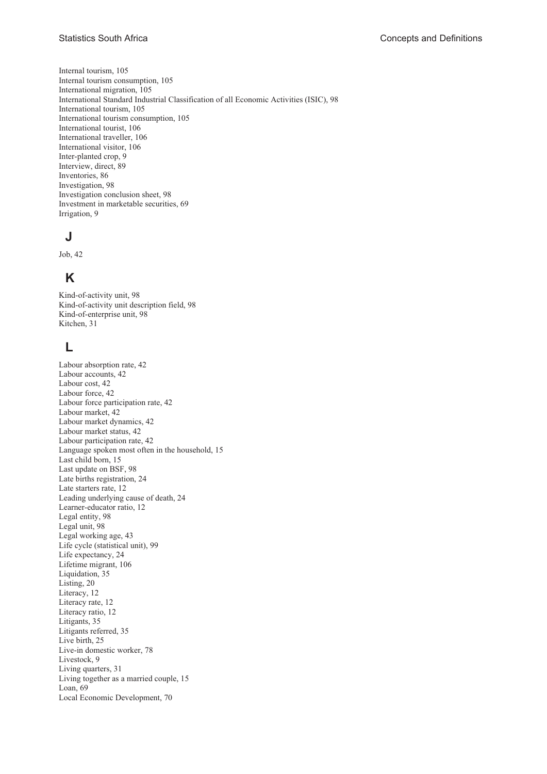Internal tourism, 105 Internal tourism consumption, 105 International migration, 105 International Standard Industrial Classification of all Economic Activities (ISIC), 98 International tourism, 105 International tourism consumption, 105 International tourist, 106 International traveller, 106 International visitor, 106 Inter-planted crop, 9 Interview, direct, 89 Inventories, 86 Investigation, 98 Investigation conclusion sheet, 98 Investment in marketable securities, 69 Irrigation, 9

## **J**

Job, 42

# **K**

Kind-of-activity unit, 98 Kind-of-activity unit description field, 98 Kind-of-enterprise unit, 98 Kitchen, 31

## **L**

Labour absorption rate, 42 Labour accounts, 42 Labour cost, 42 Labour force, 42 Labour force participation rate, 42 Labour market, 42 Labour market dynamics, 42 Labour market status, 42 Labour participation rate, 42 Language spoken most often in the household, 15 Last child born, 15 Last update on BSF, 98 Late births registration, 24 Late starters rate, 12 Leading underlying cause of death, 24 Learner-educator ratio, 12 Legal entity, 98 Legal unit, 98 Legal working age, 43 Life cycle (statistical unit), 99 Life expectancy, 24 Lifetime migrant, 106 Liquidation, 35 Listing, 20 Literacy, 12 Literacy rate, 12 Literacy ratio, 12 Litigants, 35 Litigants referred, 35 Live birth, 25 Live-in domestic worker, 78 Livestock, 9 Living quarters, 31 Living together as a married couple, 15 Loan, 69 Local Economic Development, 70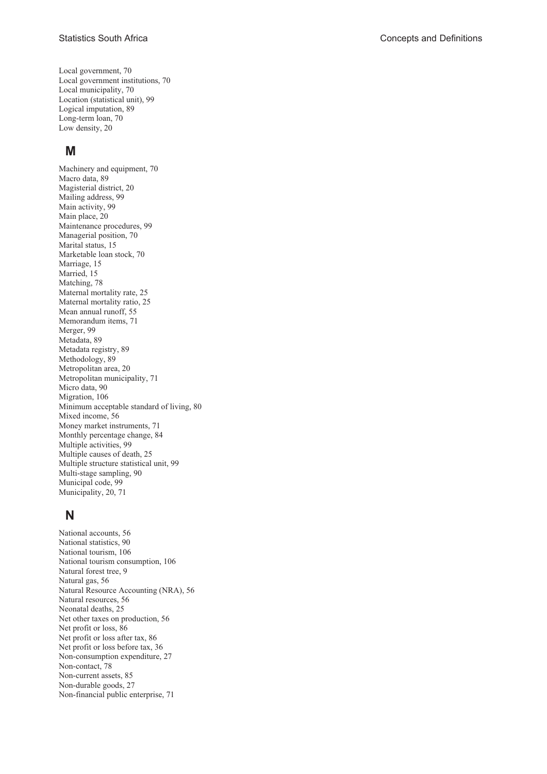Local government, 70 Local government institutions, 70 Local municipality, 70 Location (statistical unit), 99 Logical imputation, 89 Long-term loan, 70 Low density, 20

### **M**

Machinery and equipment, 70 Macro data, 89 Magisterial district, 20 Mailing address, 99 Main activity, 99 Main place, 20 Maintenance procedures, 99 Managerial position, 70 Marital status, 15 Marketable loan stock, 70 Marriage, 15 Married, 15 Matching, 78 Maternal mortality rate, 25 Maternal mortality ratio, 25 Mean annual runoff, 55 Memorandum items, 71 Merger, 99 Metadata, 89 Metadata registry, 89 Methodology, 89 Metropolitan area, 20 Metropolitan municipality, 71 Micro data, 90 Migration, 106 Minimum acceptable standard of living, 80 Mixed income, 56 Money market instruments, 71 Monthly percentage change, 84 Multiple activities, 99 Multiple causes of death, 25 Multiple structure statistical unit, 99 Multi-stage sampling, 90 Municipal code, 99 Municipality, 20, 71

### **N**

National accounts, 56 National statistics, 90 National tourism, 106 National tourism consumption, 106 Natural forest tree, 9 Natural gas, 56 Natural Resource Accounting (NRA), 56 Natural resources, 56 Neonatal deaths, 25 Net other taxes on production, 56 Net profit or loss, 86 Net profit or loss after tax, 86 Net profit or loss before tax, 36 Non-consumption expenditure, 27 Non-contact, 78 Non-current assets, 85 Non-durable goods, 27 Non-financial public enterprise, 71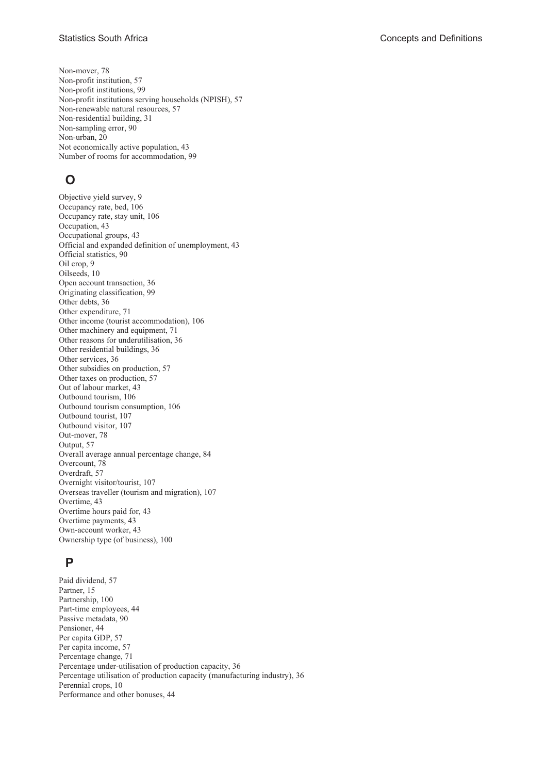Non-mover, 78 Non-profit institution, 57 Non-profit institutions, 99 Non-profit institutions serving households (NPISH), 57 Non-renewable natural resources, 57 Non-residential building, 31 Non-sampling error, 90 Non-urban, 20 Not economically active population, 43 Number of rooms for accommodation, 99

# **O**

Objective yield survey, 9 Occupancy rate, bed, 106 Occupancy rate, stay unit, 106 Occupation, 43 Occupational groups, 43 Official and expanded definition of unemployment, 43 Official statistics, 90 Oil crop, 9 Oilseeds, 10 Open account transaction, 36 Originating classification, 99 Other debts, 36 Other expenditure, 71 Other income (tourist accommodation), 106 Other machinery and equipment, 71 Other reasons for underutilisation, 36 Other residential buildings, 36 Other services, 36 Other subsidies on production, 57 Other taxes on production, 57 Out of labour market, 43 Outbound tourism, 106 Outbound tourism consumption, 106 Outbound tourist, 107 Outbound visitor, 107 Out-mover, 78 Output, 57 Overall average annual percentage change, 84 Overcount, 78 Overdraft, 57 Overnight visitor/tourist, 107 Overseas traveller (tourism and migration), 107 Overtime, 43 Overtime hours paid for, 43 Overtime payments, 43 Own-account worker, 43 Ownership type (of business), 100

## **P**

Paid dividend, 57 Partner, 15 Partnership, 100 Part-time employees, 44 Passive metadata, 90 Pensioner, 44 Per capita GDP, 57 Per capita income, 57 Percentage change, 71 Percentage under-utilisation of production capacity, 36 Percentage utilisation of production capacity (manufacturing industry), 36 Perennial crops, 10 Performance and other bonuses, 44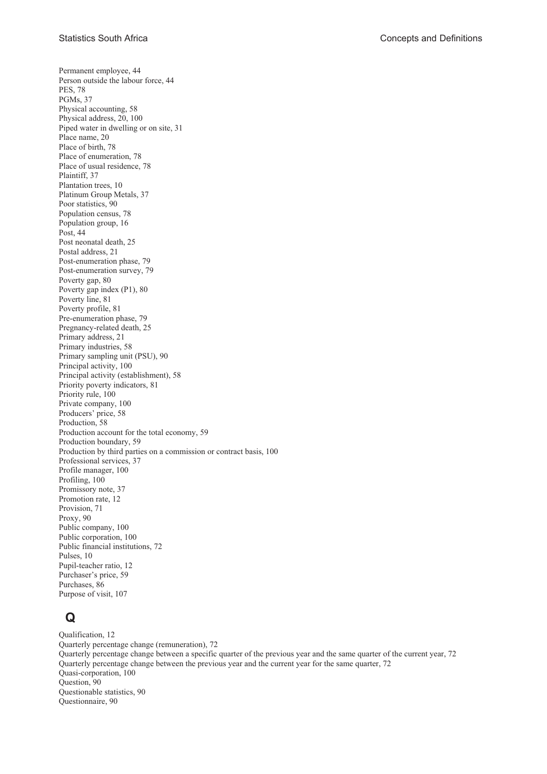Permanent employee, 44 Person outside the labour force, 44 PES, 78 PGMs, 37 Physical accounting, 58 Physical address, 20, 100 Piped water in dwelling or on site, 31 Place name, 20 Place of birth, 78 Place of enumeration, 78 Place of usual residence, 78 Plaintiff, 37 Plantation trees, 10 Platinum Group Metals, 37 Poor statistics, 90 Population census, 78 Population group, 16 Post, 44 Post neonatal death, 25 Postal address, 21 Post-enumeration phase, 79 Post-enumeration survey, 79 Poverty gap, 80 Poverty gap index (P1), 80 Poverty line, 81 Poverty profile, 81 Pre-enumeration phase, 79 Pregnancy-related death, 25 Primary address, 21 Primary industries, 58 Primary sampling unit (PSU), 90 Principal activity, 100 Principal activity (establishment), 58 Priority poverty indicators, 81 Priority rule, 100 Private company, 100 Producers' price, 58 Production, 58 Production account for the total economy, 59 Production boundary, 59 Production by third parties on a commission or contract basis, 100 Professional services, 37 Profile manager, 100 Profiling, 100 Promissory note, 37 Promotion rate, 12 Provision, 71 Proxy, 90 Public company, 100 Public corporation, 100 Public financial institutions, 72 Pulses, 10 Pupil-teacher ratio, 12 Purchaser's price, 59 Purchases, 86 Purpose of visit, 107

# **Q**

Qualification, 12 Quarterly percentage change (remuneration), 72 Quarterly percentage change between a specific quarter of the previous year and the same quarter of the current year, 72 Quarterly percentage change between the previous year and the current year for the same quarter, 72 Quasi-corporation, 100 Question, 90 Questionable statistics, 90 Questionnaire, 90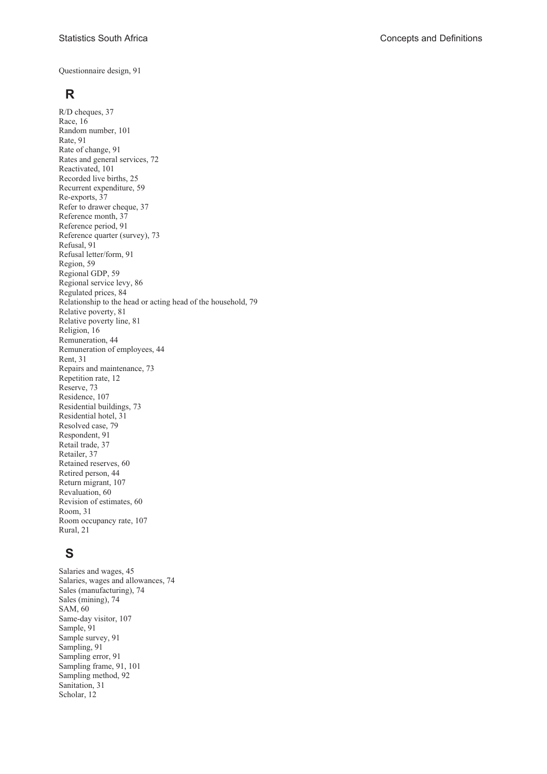Questionnaire design, 91

# **R**

R/D cheques, 37 Race, 16 Random number, 101 Rate, 91 Rate of change, 91 Rates and general services, 72 Reactivated, 101 Recorded live births, 25 Recurrent expenditure, 59 Re-exports, 37 Refer to drawer cheque, 37 Reference month, 37 Reference period, 91 Reference quarter (survey), 73 Refusal, 91 Refusal letter/form, 91 Region, 59 Regional GDP, 59 Regional service levy, 86 Regulated prices, 84 Relationship to the head or acting head of the household, 79 Relative poverty, 81 Relative poverty line, 81 Religion, 16 Remuneration, 44 Remuneration of employees, 44 Rent, 31 Repairs and maintenance, 73 Repetition rate, 12 Reserve, 73 Residence, 107 Residential buildings, 73 Residential hotel, 31 Resolved case, 79 Respondent, 91 Retail trade, 37 Retailer, 37 Retained reserves, 60 Retired person, 44 Return migrant, 107 Revaluation, 60 Revision of estimates, 60 Room, 31 Room occupancy rate, 107 Rural, 21

# **S**

Salaries and wages, 45 Salaries, wages and allowances, 74 Sales (manufacturing), 74 Sales (mining), 74 SAM, 60 Same-day visitor, 107 Sample, 91 Sample survey, 91 Sampling, 91 Sampling error, 91 Sampling frame, 91, 101 Sampling method, 92 Sanitation, 31 Scholar, 12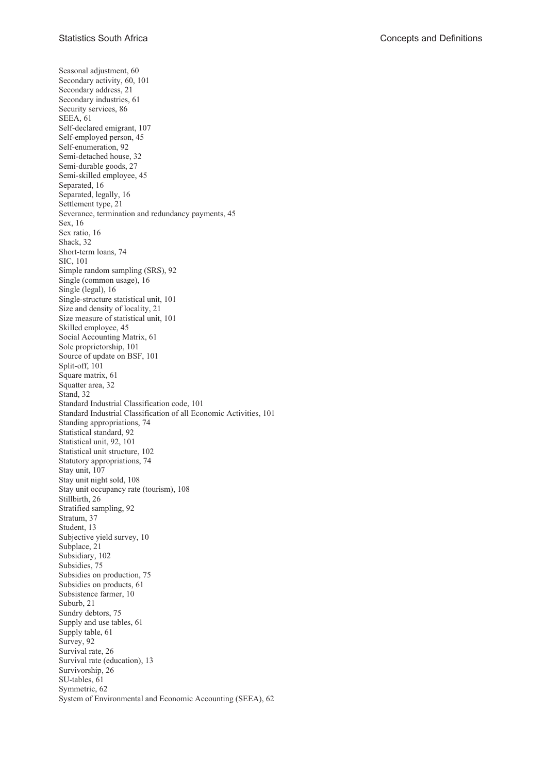Seasonal adjustment, 60 Secondary activity, 60, 101 Secondary address, 21 Secondary industries, 61 Security services, 86 SEEA, 61 Self-declared emigrant, 107 Self-employed person, 45 Self-enumeration, 92 Semi-detached house, 32 Semi-durable goods, 27 Semi-skilled employee, 45 Separated, 16 Separated, legally, 16 Settlement type, 21 Severance, termination and redundancy payments, 45 Sex, 16 Sex ratio, 16 Shack, 32 Short-term loans, 74 SIC, 101 Simple random sampling (SRS), 92 Single (common usage), 16 Single (legal), 16 Single-structure statistical unit, 101 Size and density of locality, 21 Size measure of statistical unit, 101 Skilled employee, 45 Social Accounting Matrix, 61 Sole proprietorship, 101 Source of update on BSF, 101 Split-off, 101 Square matrix, 61 Squatter area, 32 Stand, 32 Standard Industrial Classification code, 101 Standard Industrial Classification of all Economic Activities, 101 Standing appropriations, 74 Statistical standard, 92 Statistical unit, 92, 101 Statistical unit structure, 102 Statutory appropriations, 74 Stay unit, 107 Stay unit night sold, 108 Stay unit occupancy rate (tourism), 108 Stillbirth, 26 Stratified sampling, 92 Stratum, 37 Student, 13 Subjective yield survey, 10 Subplace, 21 Subsidiary, 102 Subsidies, 75 Subsidies on production, 75 Subsidies on products, 61 Subsistence farmer, 10 Suburb, 21 Sundry debtors, 75 Supply and use tables, 61 Supply table, 61 Survey, 92 Survival rate, 26 Survival rate (education), 13 Survivorship, 26 SU-tables, 61 Symmetric, 62 System of Environmental and Economic Accounting (SEEA), 62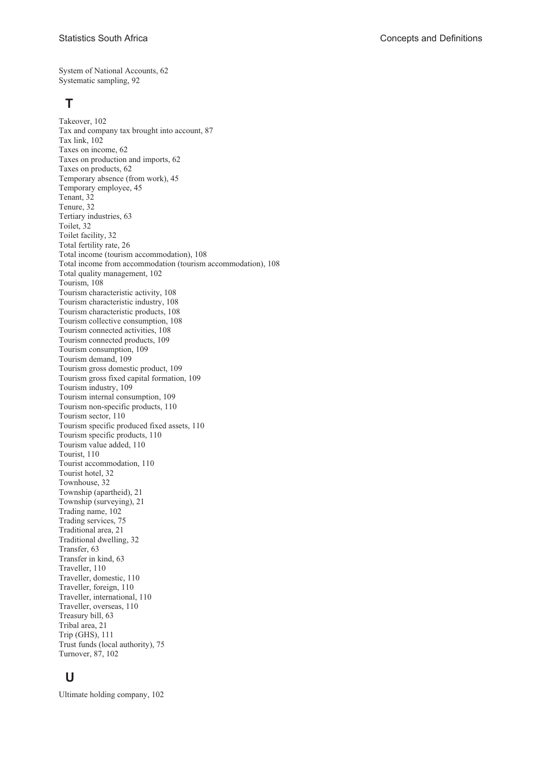System of National Accounts, 62 Systematic sampling, 92

### **T**

Takeover, 102 Tax and company tax brought into account, 87 Tax link, 102 Taxes on income, 62 Taxes on production and imports, 62 Taxes on products, 62 Temporary absence (from work), 45 Temporary employee, 45 Tenant, 32 Tenure, 32 Tertiary industries, 63 Toilet, 32 Toilet facility, 32 Total fertility rate, 26 Total income (tourism accommodation), 108 Total income from accommodation (tourism accommodation), 108 Total quality management, 102 Tourism, 108 Tourism characteristic activity, 108 Tourism characteristic industry, 108 Tourism characteristic products, 108 Tourism collective consumption, 108 Tourism connected activities, 108 Tourism connected products, 109 Tourism consumption, 109 Tourism demand, 109 Tourism gross domestic product, 109 Tourism gross fixed capital formation, 109 Tourism industry, 109 Tourism internal consumption, 109 Tourism non-specific products, 110 Tourism sector, 110 Tourism specific produced fixed assets, 110 Tourism specific products, 110 Tourism value added, 110 Tourist, 110 Tourist accommodation, 110 Tourist hotel, 32 Townhouse, 32 Township (apartheid), 21 Township (surveying), 21 Trading name, 102 Trading services, 75 Traditional area, 21 Traditional dwelling, 32 Transfer, 63 Transfer in kind, 63 Traveller, 110 Traveller, domestic, 110 Traveller, foreign, 110 Traveller, international, 110 Traveller, overseas, 110 Treasury bill, 63 Tribal area, 21 Trip (GHS), 111 Trust funds (local authority), 75 Turnover, 87, 102

## **U**

Ultimate holding company, 102